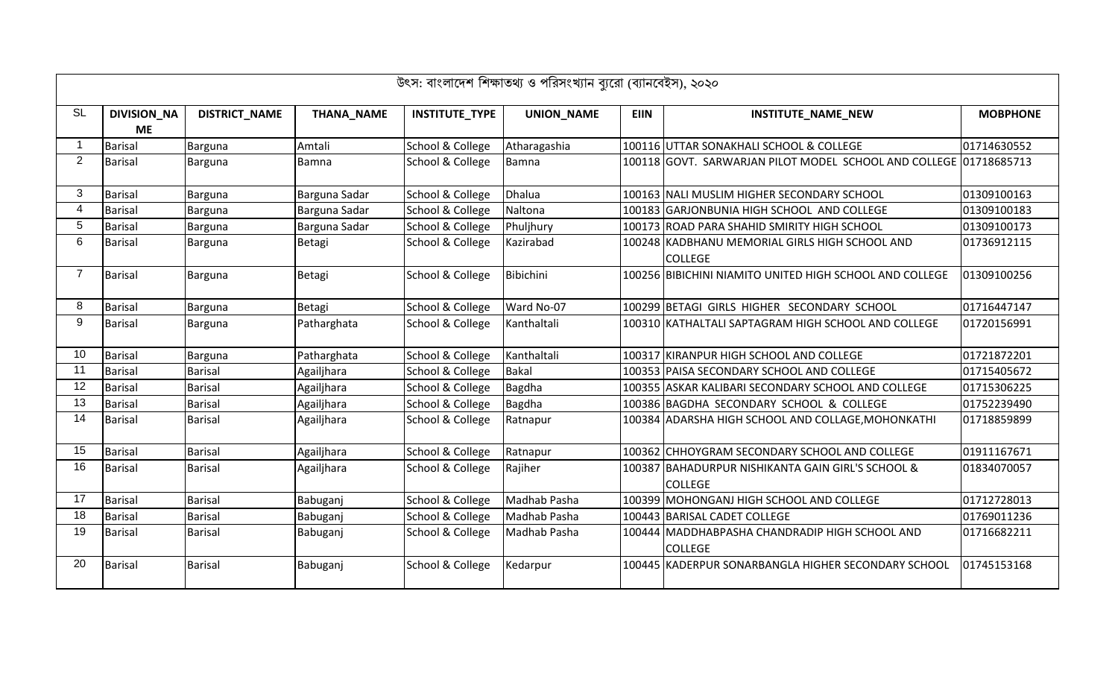|                |                    |                      |                   |                       | উৎস: বাংলাদেশ শিক্ষাতথ্য ও পরিসংখ্যান ব্যুরো (ব্যানবেইস), ২০২০ |             |                                                                     |                 |
|----------------|--------------------|----------------------|-------------------|-----------------------|----------------------------------------------------------------|-------------|---------------------------------------------------------------------|-----------------|
| <b>SL</b>      | <b>DIVISION_NA</b> | <b>DISTRICT_NAME</b> | <b>THANA_NAME</b> | <b>INSTITUTE_TYPE</b> | <b>UNION_NAME</b>                                              | <b>EIIN</b> | <b>INSTITUTE_NAME_NEW</b>                                           | <b>MOBPHONE</b> |
|                | <b>ME</b>          |                      |                   |                       |                                                                |             |                                                                     |                 |
| $\overline{1}$ | <b>Barisal</b>     | Barguna              | Amtali            | School & College      | Atharagashia                                                   |             | 100116 UTTAR SONAKHALI SCHOOL & COLLEGE                             | 01714630552     |
| $\overline{2}$ | <b>Barisal</b>     | Barguna              | Bamna             | School & College      | Bamna                                                          |             | 100118 GOVT. SARWARJAN PILOT MODEL SCHOOL AND COLLEGE 01718685713   |                 |
| 3 <sup>1</sup> | <b>Barisal</b>     | Barguna              | Barguna Sadar     | School & College      | Dhalua                                                         |             | 100163 NALI MUSLIM HIGHER SECONDARY SCHOOL                          | 01309100163     |
| 4              | <b>Barisal</b>     | Barguna              | Barguna Sadar     | School & College      | Naltona                                                        |             | 100183 GARJONBUNIA HIGH SCHOOL AND COLLEGE                          | 01309100183     |
| 5              | <b>Barisal</b>     | Barguna              | Barguna Sadar     | School & College      | Phuljhury                                                      |             | 100173 ROAD PARA SHAHID SMIRITY HIGH SCHOOL                         | 01309100173     |
| 6              | <b>Barisal</b>     | Barguna              | Betagi            | School & College      | Kazirabad                                                      |             | 100248 KADBHANU MEMORIAL GIRLS HIGH SCHOOL AND                      | 01736912115     |
|                |                    |                      |                   |                       |                                                                |             | <b>COLLEGE</b>                                                      |                 |
| $\overline{7}$ | <b>Barisal</b>     | Barguna              | Betagi            | School & College      | Bibichini                                                      |             | 100256 BIBICHINI NIAMITO UNITED HIGH SCHOOL AND COLLEGE             | 01309100256     |
| 8              | <b>Barisal</b>     | Barguna              | Betagi            | School & College      | Ward No-07                                                     |             | 100299 BETAGI GIRLS HIGHER SECONDARY SCHOOL                         | 01716447147     |
| 9              | <b>Barisal</b>     | Barguna              | Patharghata       | School & College      | Kanthaltali                                                    |             | 100310 KATHALTALI SAPTAGRAM HIGH SCHOOL AND COLLEGE                 | 01720156991     |
| 10             | Barisal            | Barguna              | Patharghata       | School & College      | Kanthaltali                                                    |             | 100317 KIRANPUR HIGH SCHOOL AND COLLEGE                             | 01721872201     |
| 11             | <b>Barisal</b>     | <b>Barisal</b>       | Agailjhara        | School & College      | <b>Bakal</b>                                                   |             | 100353 PAISA SECONDARY SCHOOL AND COLLEGE                           | 01715405672     |
| 12             | <b>Barisal</b>     | <b>Barisal</b>       | Agailjhara        | School & College      | Bagdha                                                         |             | 100355 ASKAR KALIBARI SECONDARY SCHOOL AND COLLEGE                  | 01715306225     |
| 13             | <b>Barisal</b>     | <b>Barisal</b>       | Agailjhara        | School & College      | Bagdha                                                         |             | 100386 BAGDHA SECONDARY SCHOOL & COLLEGE                            | 01752239490     |
| 14             | <b>Barisal</b>     | <b>Barisal</b>       | Agailjhara        | School & College      | Ratnapur                                                       |             | 100384 ADARSHA HIGH SCHOOL AND COLLAGE, MOHONKATHI                  | 01718859899     |
| 15             | <b>Barisal</b>     | <b>Barisal</b>       | Agailjhara        | School & College      | Ratnapur                                                       |             | 100362 CHHOYGRAM SECONDARY SCHOOL AND COLLEGE                       | 01911167671     |
| 16             | <b>Barisal</b>     | <b>Barisal</b>       | Agailjhara        | School & College      | Rajiher                                                        |             | 100387 BAHADURPUR NISHIKANTA GAIN GIRL'S SCHOOL &<br><b>COLLEGE</b> | 01834070057     |
| 17             | <b>Barisal</b>     | <b>Barisal</b>       | Babuganj          | School & College      | Madhab Pasha                                                   |             | 100399 MOHONGANJ HIGH SCHOOL AND COLLEGE                            | 01712728013     |
| 18             | <b>Barisal</b>     | <b>Barisal</b>       | Babuganj          | School & College      | Madhab Pasha                                                   |             | 100443 BARISAL CADET COLLEGE                                        | 01769011236     |
| 19             | <b>Barisal</b>     | <b>Barisal</b>       | Babuganj          | School & College      | Madhab Pasha                                                   |             | 100444 MADDHABPASHA CHANDRADIP HIGH SCHOOL AND<br><b>COLLEGE</b>    | 01716682211     |
| 20             | <b>Barisal</b>     | <b>Barisal</b>       | Babuganj          | School & College      | Kedarpur                                                       |             | 100445 KADERPUR SONARBANGLA HIGHER SECONDARY SCHOOL                 | 01745153168     |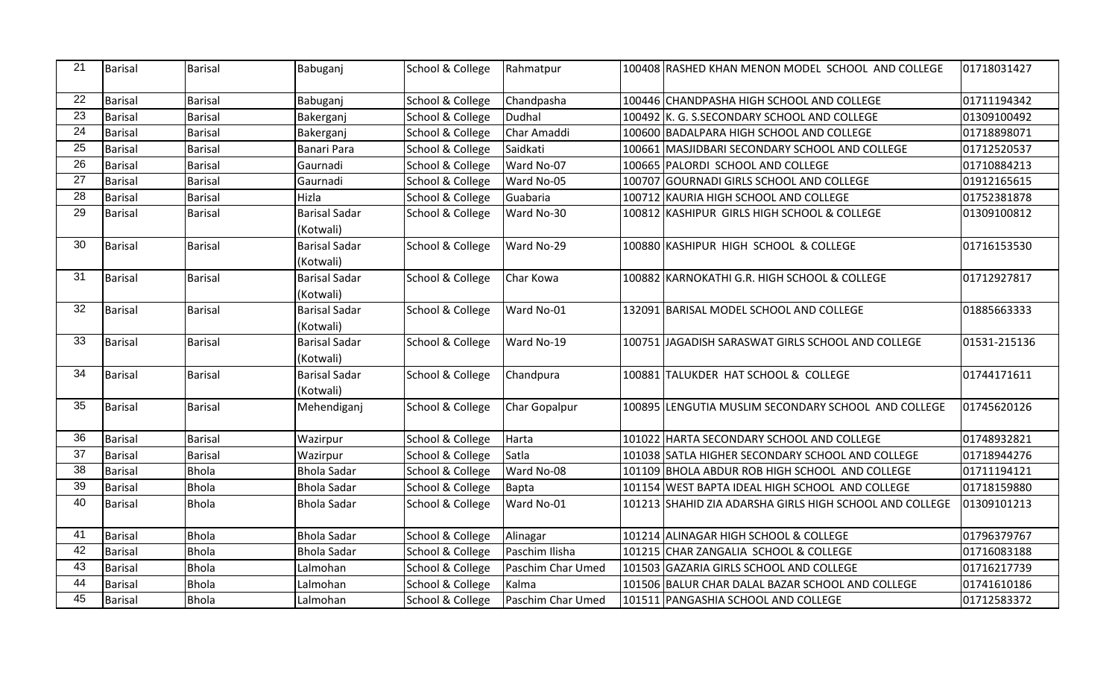| 21 | Barisal | <b>Barisal</b> | Babuganj             | School & College | Rahmatpur         | 100408 RASHED KHAN MENON MODEL SCHOOL AND COLLEGE       | 01718031427  |
|----|---------|----------------|----------------------|------------------|-------------------|---------------------------------------------------------|--------------|
| 22 | Barisal | <b>Barisal</b> | Babuganj             | School & College | Chandpasha        | 100446 CHANDPASHA HIGH SCHOOL AND COLLEGE               | 01711194342  |
| 23 | Barisal | <b>Barisal</b> | Bakerganj            | School & College | Dudhal            | 100492 K. G. S.SECONDARY SCHOOL AND COLLEGE             | 01309100492  |
| 24 | Barisal | <b>Barisal</b> | Bakerganj            | School & College | Char Amaddi       | 100600 BADALPARA HIGH SCHOOL AND COLLEGE                | 01718898071  |
| 25 | Barisal | <b>Barisal</b> | Banari Para          | School & College | Saidkati          | 100661 MASJIDBARI SECONDARY SCHOOL AND COLLEGE          | 01712520537  |
| 26 | Barisal | <b>Barisal</b> | Gaurnadi             | School & College | Ward No-07        | 100665 PALORDI SCHOOL AND COLLEGE                       | 01710884213  |
| 27 | Barisal | <b>Barisal</b> | Gaurnadi             | School & College | Ward No-05        | 100707 GOURNADI GIRLS SCHOOL AND COLLEGE                | 01912165615  |
| 28 | Barisal | <b>Barisal</b> | Hizla                | School & College | Guabaria          | 100712 KAURIA HIGH SCHOOL AND COLLEGE                   | 01752381878  |
| 29 | Barisal | <b>Barisal</b> | <b>Barisal Sadar</b> | School & College | Ward No-30        | 100812 KASHIPUR GIRLS HIGH SCHOOL & COLLEGE             | 01309100812  |
|    |         |                | (Kotwali)            |                  |                   |                                                         |              |
| 30 | Barisal | <b>Barisal</b> | <b>Barisal Sadar</b> | School & College | Ward No-29        | 100880 KASHIPUR HIGH SCHOOL & COLLEGE                   | 01716153530  |
|    |         |                | (Kotwali)            |                  |                   |                                                         |              |
| 31 | Barisal | <b>Barisal</b> | <b>Barisal Sadar</b> | School & College | Char Kowa         | 100882 KARNOKATHI G.R. HIGH SCHOOL & COLLEGE            | 01712927817  |
|    |         |                | (Kotwali)            |                  |                   |                                                         |              |
| 32 | Barisal | <b>Barisal</b> | <b>Barisal Sadar</b> | School & College | Ward No-01        | 132091 BARISAL MODEL SCHOOL AND COLLEGE                 | 01885663333  |
|    |         |                | (Kotwali)            |                  |                   |                                                         |              |
| 33 | Barisal | <b>Barisal</b> | <b>Barisal Sadar</b> | School & College | Ward No-19        | 100751 JAGADISH SARASWAT GIRLS SCHOOL AND COLLEGE       | 01531-215136 |
|    |         |                | (Kotwali)            |                  |                   |                                                         |              |
| 34 | Barisal | Barisal        | <b>Barisal Sadar</b> | School & College | Chandpura         | 100881 TALUKDER HAT SCHOOL & COLLEGE                    | 01744171611  |
|    |         |                | (Kotwali)            |                  |                   |                                                         |              |
| 35 | Barisal | <b>Barisal</b> | Mehendiganj          | School & College | Char Gopalpur     | 100895 LENGUTIA MUSLIM SECONDARY SCHOOL AND COLLEGE     | 01745620126  |
| 36 | Barisal | <b>Barisal</b> | Wazirpur             | School & College | Harta             | 101022 HARTA SECONDARY SCHOOL AND COLLEGE               | 01748932821  |
| 37 | Barisal | <b>Barisal</b> | Wazirpur             | School & College | Satla             | 101038 SATLA HIGHER SECONDARY SCHOOL AND COLLEGE        | 01718944276  |
| 38 | Barisal | <b>Bhola</b>   | <b>Bhola Sadar</b>   | School & College | Ward No-08        | 101109 BHOLA ABDUR ROB HIGH SCHOOL AND COLLEGE          | 01711194121  |
| 39 | Barisal | <b>Bhola</b>   | <b>Bhola Sadar</b>   | School & College | Bapta             | 101154 WEST BAPTA IDEAL HIGH SCHOOL AND COLLEGE         | 01718159880  |
| 40 | Barisal | <b>Bhola</b>   | <b>Bhola Sadar</b>   | School & College | Ward No-01        | 101213 SHAHID ZIA ADARSHA GIRLS HIGH SCHOOL AND COLLEGE | 01309101213  |
| 41 | Barisal | <b>Bhola</b>   | <b>Bhola Sadar</b>   | School & College | Alinagar          | 101214 ALINAGAR HIGH SCHOOL & COLLEGE                   | 01796379767  |
| 42 | Barisal | <b>Bhola</b>   | <b>Bhola Sadar</b>   | School & College | Paschim Ilisha    | 101215 CHAR ZANGALIA SCHOOL & COLLEGE                   | 01716083188  |
| 43 | Barisal | <b>Bhola</b>   | Lalmohan             | School & College | Paschim Char Umed | 101503 GAZARIA GIRLS SCHOOL AND COLLEGE                 | 01716217739  |
| 44 | Barisal | <b>Bhola</b>   | Lalmohan             | School & College | Kalma             | 101506 BALUR CHAR DALAL BAZAR SCHOOL AND COLLEGE        | 01741610186  |
| 45 | Barisal | <b>Bhola</b>   | Lalmohan             | School & College | Paschim Char Umed | 101511 PANGASHIA SCHOOL AND COLLEGE                     | 01712583372  |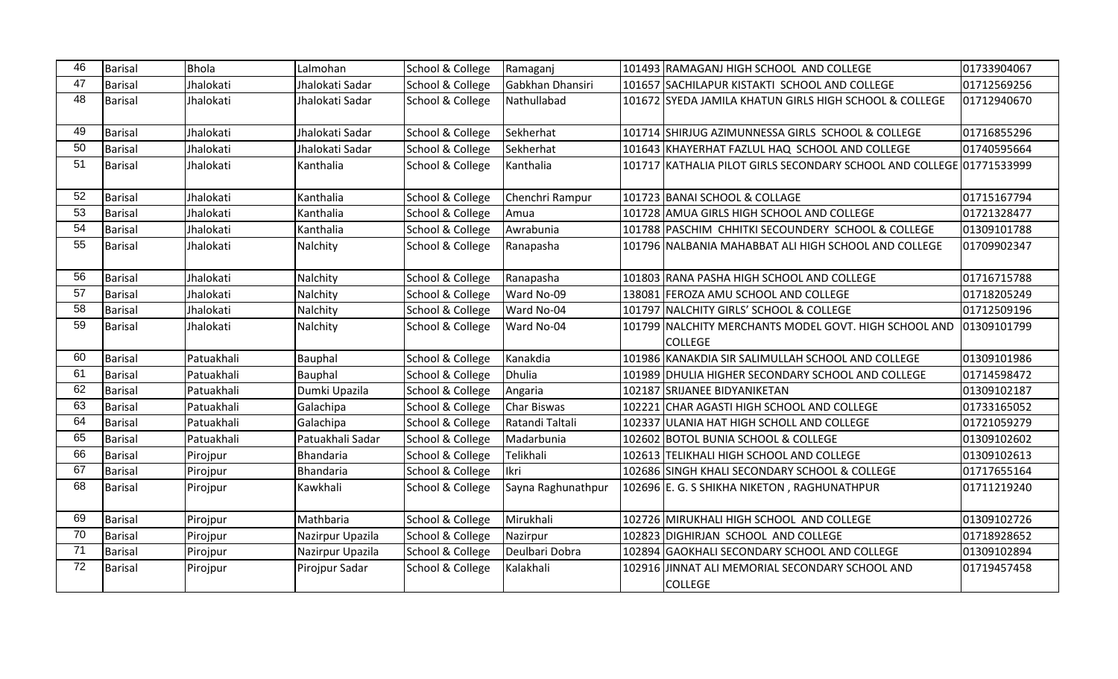| 46              | <b>Barisal</b> | <b>Bhola</b> | Lalmohan         | School & College | Ramaganj           | 101493 RAMAGANJ HIGH SCHOOL AND COLLEGE                                 | 01733904067 |
|-----------------|----------------|--------------|------------------|------------------|--------------------|-------------------------------------------------------------------------|-------------|
| 47              | <b>Barisal</b> | Jhalokati    | Jhalokati Sadar  | School & College | Gabkhan Dhansiri   | 101657 SACHILAPUR KISTAKTI SCHOOL AND COLLEGE                           | 01712569256 |
| 48              | <b>Barisal</b> | Jhalokati    | Jhalokati Sadar  | School & College | Nathullabad        | 101672 SYEDA JAMILA KHATUN GIRLS HIGH SCHOOL & COLLEGE                  | 01712940670 |
| 49              | <b>Barisal</b> | Jhalokati    | Jhalokati Sadar  | School & College | Sekherhat          | 101714 SHIRJUG AZIMUNNESSA GIRLS SCHOOL & COLLEGE                       | 01716855296 |
| 50              | <b>Barisal</b> | Jhalokati    | Jhalokati Sadar  | School & College | Sekherhat          | 101643 KHAYERHAT FAZLUL HAQ SCHOOL AND COLLEGE                          | 01740595664 |
| 51              | <b>Barisal</b> | Jhalokati    | Kanthalia        | School & College | Kanthalia          | 101717 KATHALIA PILOT GIRLS SECONDARY SCHOOL AND COLLEGE 01771533999    |             |
| 52              | <b>Barisal</b> | Jhalokati    | Kanthalia        | School & College | Chenchri Rampur    | 101723 BANAI SCHOOL & COLLAGE                                           | 01715167794 |
| 53              | <b>Barisal</b> | Jhalokati    | Kanthalia        | School & College | Amua               | 101728 AMUA GIRLS HIGH SCHOOL AND COLLEGE                               | 01721328477 |
| 54              | <b>Barisal</b> | Jhalokati    | Kanthalia        | School & College | Awrabunia          | 101788 PASCHIM CHHITKI SECOUNDERY SCHOOL & COLLEGE                      | 01309101788 |
| 55              | <b>Barisal</b> | Jhalokati    | Nalchity         | School & College | Ranapasha          | 101796 NALBANIA MAHABBAT ALI HIGH SCHOOL AND COLLEGE                    | 01709902347 |
| 56              | <b>Barisal</b> | Jhalokati    | Nalchity         | School & College | Ranapasha          | 101803 RANA PASHA HIGH SCHOOL AND COLLEGE                               | 01716715788 |
| $\overline{57}$ | <b>Barisal</b> | Jhalokati    | Nalchity         | School & College | Ward No-09         | 138081 FEROZA AMU SCHOOL AND COLLEGE                                    | 01718205249 |
| 58              | <b>Barisal</b> | Jhalokati    | Nalchity         | School & College | Ward No-04         | 101797 NALCHITY GIRLS' SCHOOL & COLLEGE                                 | 01712509196 |
| 59              | <b>Barisal</b> | Jhalokati    | Nalchity         | School & College | Ward No-04         | 101799 NALCHITY MERCHANTS MODEL GOVT. HIGH SCHOOL AND<br><b>COLLEGE</b> | 01309101799 |
| 60              | <b>Barisal</b> | Patuakhali   | Bauphal          | School & College | Kanakdia           | 101986 KANAKDIA SIR SALIMULLAH SCHOOL AND COLLEGE                       | 01309101986 |
| 61              | <b>Barisal</b> | Patuakhali   | Bauphal          | School & College | Dhulia             | 101989 DHULIA HIGHER SECONDARY SCHOOL AND COLLEGE                       | 01714598472 |
| 62              | <b>Barisal</b> | Patuakhali   | Dumki Upazila    | School & College | Angaria            | 102187 SRIJANEE BIDYANIKETAN                                            | 01309102187 |
| 63              | <b>Barisal</b> | Patuakhali   | Galachipa        | School & College | Char Biswas        | 102221 CHAR AGASTI HIGH SCHOOL AND COLLEGE                              | 01733165052 |
| 64              | <b>Barisal</b> | Patuakhali   | Galachipa        | School & College | Ratandi Taltali    | 102337 ULANIA HAT HIGH SCHOLL AND COLLEGE                               | 01721059279 |
| 65              | <b>Barisal</b> | Patuakhali   | Patuakhali Sadar | School & College | Madarbunia         | 102602 BOTOL BUNIA SCHOOL & COLLEGE                                     | 01309102602 |
| 66              | <b>Barisal</b> | Pirojpur     | Bhandaria        | School & College | Telikhali          | 102613 TELIKHALI HIGH SCHOOL AND COLLEGE                                | 01309102613 |
| 67              | <b>Barisal</b> | Pirojpur     | Bhandaria        | School & College | <b>I</b> lkri      | 102686 SINGH KHALI SECONDARY SCHOOL & COLLEGE                           | 01717655164 |
| 68              | <b>Barisal</b> | Pirojpur     | Kawkhali         | School & College | Sayna Raghunathpur | 102696 E. G. S SHIKHA NIKETON, RAGHUNATHPUR                             | 01711219240 |
| 69              | <b>Barisal</b> | Pirojpur     | Mathbaria        | School & College | Mirukhali          | 102726 MIRUKHALI HIGH SCHOOL AND COLLEGE                                | 01309102726 |
| $\overline{70}$ | <b>Barisal</b> | Pirojpur     | Nazirpur Upazila | School & College | Nazirpur           | 102823 DIGHIRJAN SCHOOL AND COLLEGE                                     | 01718928652 |
| 71              | <b>Barisal</b> | Pirojpur     | Nazirpur Upazila | School & College | Deulbari Dobra     | 102894 GAOKHALI SECONDARY SCHOOL AND COLLEGE                            | 01309102894 |
| 72              | <b>Barisal</b> | Pirojpur     | Pirojpur Sadar   | School & College | Kalakhali          | 102916 JINNAT ALI MEMORIAL SECONDARY SCHOOL AND<br><b>COLLEGE</b>       | 01719457458 |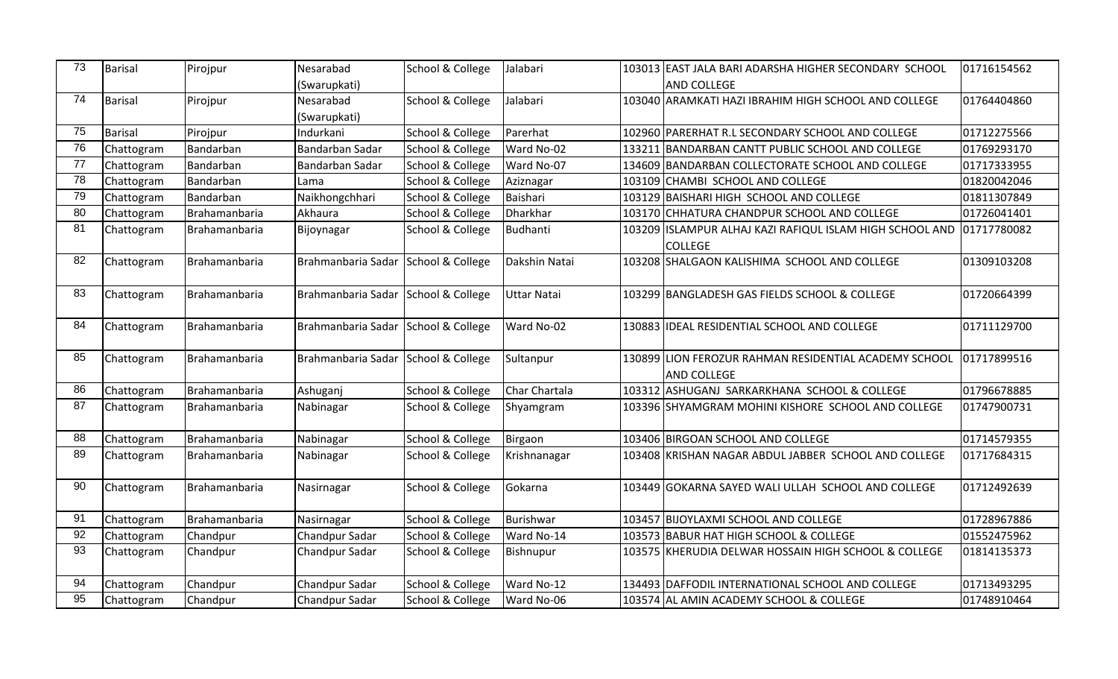| 73              | Barisal    | Pirojpur      | Nesarabad                           | School & College | Jalabari           | 103013 EAST JALA BARI ADARSHA HIGHER SECONDARY SCHOOL    | 01716154562 |
|-----------------|------------|---------------|-------------------------------------|------------------|--------------------|----------------------------------------------------------|-------------|
|                 |            |               | (Swarupkati)                        |                  |                    | <b>AND COLLEGE</b>                                       |             |
| 74              | Barisal    | Pirojpur      | Nesarabad                           | School & College | Jalabari           | 103040 ARAMKATI HAZI IBRAHIM HIGH SCHOOL AND COLLEGE     | 01764404860 |
|                 |            |               | (Swarupkati)                        |                  |                    |                                                          |             |
| 75              | Barisal    | Pirojpur      | Indurkani                           | School & College | Parerhat           | 102960 PARERHAT R.L SECONDARY SCHOOL AND COLLEGE         | 01712275566 |
| 76              | Chattogram | Bandarban     | Bandarban Sadar                     | School & College | Ward No-02         | 133211 BANDARBAN CANTT PUBLIC SCHOOL AND COLLEGE         | 01769293170 |
| 77              | Chattogram | Bandarban     | Bandarban Sadar                     | School & College | Ward No-07         | 134609 BANDARBAN COLLECTORATE SCHOOL AND COLLEGE         | 01717333955 |
| 78              | Chattogram | Bandarban     | Lama                                | School & College | Aziznagar          | 103109 CHAMBI SCHOOL AND COLLEGE                         | 01820042046 |
| 79              | Chattogram | Bandarban     | Naikhongchhari                      | School & College | Baishari           | 103129 BAISHARI HIGH SCHOOL AND COLLEGE                  | 01811307849 |
| 80              | Chattogram | Brahamanbaria | Akhaura                             | School & College | Dharkhar           | 103170 CHHATURA CHANDPUR SCHOOL AND COLLEGE              | 01726041401 |
| 81              | Chattogram | Brahamanbaria | Bijoynagar                          | School & College | Budhanti           | 103209 ISLAMPUR ALHAJ KAZI RAFIQUL ISLAM HIGH SCHOOL AND | 01717780082 |
|                 |            |               |                                     |                  |                    | <b>COLLEGE</b>                                           |             |
| 82              | Chattogram | Brahamanbaria | Brahmanbaria Sadar School & College |                  | Dakshin Natai      | 103208 SHALGAON KALISHIMA SCHOOL AND COLLEGE             | 01309103208 |
|                 |            |               |                                     |                  |                    |                                                          |             |
| 83              | Chattogram | Brahamanbaria | Brahmanbaria Sadar School & College |                  | <b>Uttar Natai</b> | 103299 BANGLADESH GAS FIELDS SCHOOL & COLLEGE            | 01720664399 |
|                 |            |               |                                     |                  |                    |                                                          |             |
| 84              | Chattogram | Brahamanbaria | Brahmanbaria Sadar School & College |                  | Ward No-02         | 130883 IDEAL RESIDENTIAL SCHOOL AND COLLEGE              | 01711129700 |
|                 |            |               |                                     |                  |                    |                                                          |             |
| 85              | Chattogram | Brahamanbaria | Brahmanbaria Sadar School & College |                  | Sultanpur          | 130899 LION FEROZUR RAHMAN RESIDENTIAL ACADEMY SCHOOL    | 01717899516 |
|                 |            |               |                                     |                  |                    | <b>AND COLLEGE</b>                                       |             |
| 86              | Chattogram | Brahamanbaria | Ashuganj                            | School & College | Char Chartala      | 103312 ASHUGANJ SARKARKHANA SCHOOL & COLLEGE             | 01796678885 |
| 87              | Chattogram | Brahamanbaria | Nabinagar                           | School & College | Shyamgram          | 103396 SHYAMGRAM MOHINI KISHORE SCHOOL AND COLLEGE       | 01747900731 |
|                 |            |               |                                     |                  |                    |                                                          |             |
| 88              | Chattogram | Brahamanbaria | Nabinagar                           | School & College | Birgaon            | 103406 BIRGOAN SCHOOL AND COLLEGE                        | 01714579355 |
| 89              | Chattogram | Brahamanbaria | Nabinagar                           | School & College | Krishnanagar       | 103408 KRISHAN NAGAR ABDUL JABBER SCHOOL AND COLLEGE     | 01717684315 |
|                 |            |               |                                     |                  |                    |                                                          |             |
| 90              | Chattogram | Brahamanbaria | Nasirnagar                          | School & College | Gokarna            | 103449 GOKARNA SAYED WALI ULLAH SCHOOL AND COLLEGE       | 01712492639 |
|                 |            |               |                                     |                  |                    |                                                          |             |
| 91              | Chattogram | Brahamanbaria | Nasirnagar                          | School & College | Burishwar          | 103457 BIJOYLAXMI SCHOOL AND COLLEGE                     | 01728967886 |
| 92              | Chattogram | Chandpur      | Chandpur Sadar                      | School & College | Ward No-14         | 103573 BABUR HAT HIGH SCHOOL & COLLEGE                   | 01552475962 |
| 93              | Chattogram | Chandpur      | Chandpur Sadar                      | School & College | Bishnupur          | 103575 KHERUDIA DELWAR HOSSAIN HIGH SCHOOL & COLLEGE     | 01814135373 |
|                 |            |               |                                     |                  |                    |                                                          |             |
| 94              | Chattogram | Chandpur      | Chandpur Sadar                      | School & College | Ward No-12         | 134493 DAFFODIL INTERNATIONAL SCHOOL AND COLLEGE         | 01713493295 |
| $\overline{95}$ | Chattogram | Chandpur      | Chandpur Sadar                      | School & College | Ward No-06         | 103574 AL AMIN ACADEMY SCHOOL & COLLEGE                  | 01748910464 |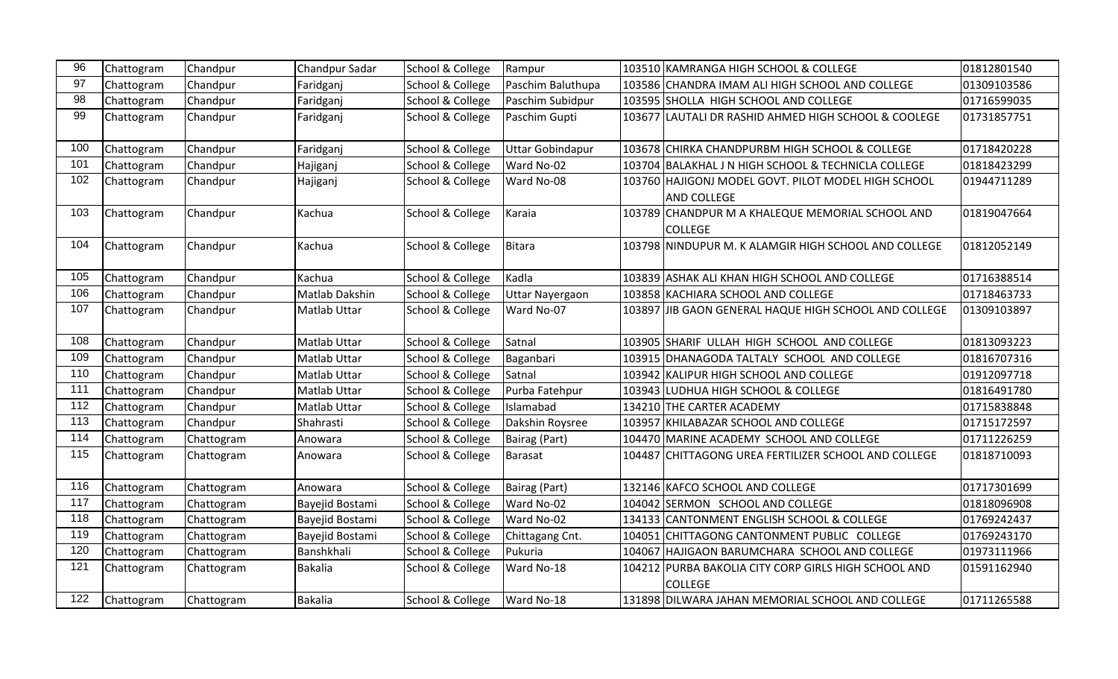| 96               | Chattogram | Chandpur   | Chandpur Sadar      | School & College | Rampur                  |        | 103510 KAMRANGA HIGH SCHOOL & COLLEGE                                     | 01812801540 |
|------------------|------------|------------|---------------------|------------------|-------------------------|--------|---------------------------------------------------------------------------|-------------|
| 97               | Chattogram | Chandpur   | Faridganj           | School & College | Paschim Baluthupa       |        | 103586 CHANDRA IMAM ALI HIGH SCHOOL AND COLLEGE                           | 01309103586 |
| 98               | Chattogram | Chandpur   | Faridganj           | School & College | Paschim Subidpur        |        | 103595 SHOLLA HIGH SCHOOL AND COLLEGE                                     | 01716599035 |
| 99               | Chattogram | Chandpur   | Faridganj           | School & College | Paschim Gupti           |        | 103677 LAUTALI DR RASHID AHMED HIGH SCHOOL & COOLEGE                      | 01731857751 |
| 100              | Chattogram | Chandpur   | Faridganj           | School & College | <b>Uttar Gobindapur</b> |        | 103678 CHIRKA CHANDPURBM HIGH SCHOOL & COLLEGE                            | 01718420228 |
| 101              | Chattogram | Chandpur   | Hajiganj            | School & College | Ward No-02              |        | 103704 BALAKHAL J N HIGH SCHOOL & TECHNICLA COLLEGE                       | 01818423299 |
| 102              | Chattogram | Chandpur   | Hajiganj            | School & College | Ward No-08              |        | 103760 HAJIGONJ MODEL GOVT. PILOT MODEL HIGH SCHOOL<br><b>AND COLLEGE</b> | 01944711289 |
| 103              | Chattogram | Chandpur   | Kachua              | School & College | Karaia                  |        | 103789 CHANDPUR M A KHALEQUE MEMORIAL SCHOOL AND<br><b>COLLEGE</b>        | 01819047664 |
| 104              | Chattogram | Chandpur   | Kachua              | School & College | Bitara                  |        | 103798 NINDUPUR M. K ALAMGIR HIGH SCHOOL AND COLLEGE                      | 01812052149 |
| 105              | Chattogram | Chandpur   | Kachua              | School & College | Kadla                   |        | 103839 ASHAK ALI KHAN HIGH SCHOOL AND COLLEGE                             | 01716388514 |
| 106              | Chattogram | Chandpur   | Matlab Dakshin      | School & College | <b>Uttar Nayergaon</b>  |        | 103858 KACHIARA SCHOOL AND COLLEGE                                        | 01718463733 |
| 107              | Chattogram | Chandpur   | <b>Matlab Uttar</b> | School & College | Ward No-07              |        | 103897 JIB GAON GENERAL HAQUE HIGH SCHOOL AND COLLEGE                     | 01309103897 |
| 108              | Chattogram | Chandpur   | <b>Matlab Uttar</b> | School & College | Satnal                  |        | 103905 SHARIF ULLAH HIGH SCHOOL AND COLLEGE                               | 01813093223 |
| 109              | Chattogram | Chandpur   | Matlab Uttar        | School & College | Baganbari               |        | 103915 DHANAGODA TALTALY SCHOOL AND COLLEGE                               | 01816707316 |
| 110              | Chattogram | Chandpur   | Matlab Uttar        | School & College | Satnal                  |        | 103942 KALIPUR HIGH SCHOOL AND COLLEGE                                    | 01912097718 |
| 111              | Chattogram | Chandpur   | Matlab Uttar        | School & College | Purba Fatehpur          |        | 103943 LUDHUA HIGH SCHOOL & COLLEGE                                       | 01816491780 |
| 112              | Chattogram | Chandpur   | <b>Matlab Uttar</b> | School & College | Islamabad               |        | 134210 THE CARTER ACADEMY                                                 | 01715838848 |
| $\overline{113}$ | Chattogram | Chandpur   | Shahrasti           | School & College | Dakshin Roysree         |        | 103957 KHILABAZAR SCHOOL AND COLLEGE                                      | 01715172597 |
| 114              | Chattogram | Chattogram | Anowara             | School & College | Bairag (Part)           |        | 104470 MARINE ACADEMY SCHOOL AND COLLEGE                                  | 01711226259 |
| 115              | Chattogram | Chattogram | Anowara             | School & College | <b>Barasat</b>          | 104487 | CHITTAGONG UREA FERTILIZER SCHOOL AND COLLEGE                             | 01818710093 |
| 116              | Chattogram | Chattogram | Anowara             | School & College | Bairag (Part)           |        | 132146 KAFCO SCHOOL AND COLLEGE                                           | 01717301699 |
| 117              | Chattogram | Chattogram | Bayejid Bostami     | School & College | Ward No-02              |        | 104042 SERMON SCHOOL AND COLLEGE                                          | 01818096908 |
| 118              | Chattogram | Chattogram | Bayejid Bostami     | School & College | Ward No-02              |        | 134133 CANTONMENT ENGLISH SCHOOL & COLLEGE                                | 01769242437 |
| 119              | Chattogram | Chattogram | Bayejid Bostami     | School & College | Chittagang Cnt.         |        | 104051 CHITTAGONG CANTONMENT PUBLIC COLLEGE                               | 01769243170 |
| 120              | Chattogram | Chattogram | Banshkhali          | School & College | Pukuria                 |        | 104067 HAJIGAON BARUMCHARA SCHOOL AND COLLEGE                             | 01973111966 |
| 121              | Chattogram | Chattogram | <b>Bakalia</b>      | School & College | Ward No-18              | 104212 | PURBA BAKOLIA CITY CORP GIRLS HIGH SCHOOL AND<br><b>COLLEGE</b>           | 01591162940 |
| 122              | Chattogram | Chattogram | <b>Bakalia</b>      | School & College | Ward No-18              |        | 131898 DILWARA JAHAN MEMORIAL SCHOOL AND COLLEGE                          | 01711265588 |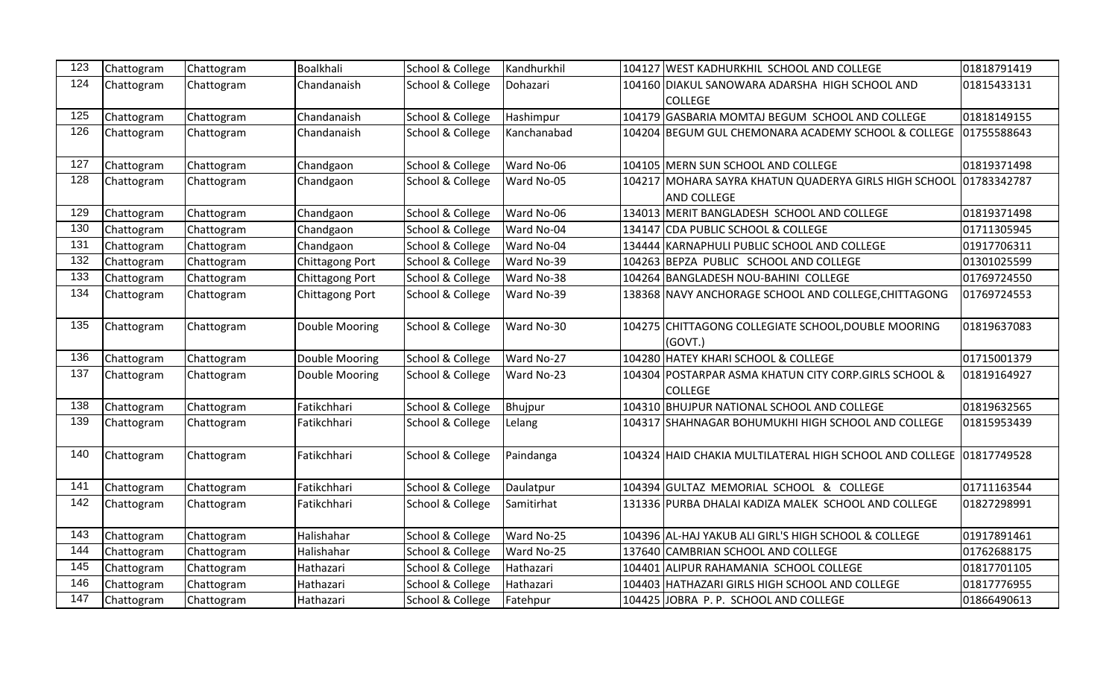| 123 | Chattogram | Chattogram | Boalkhali       | School & College | Kandhurkhil | 104127 WEST KADHURKHIL SCHOOL AND COLLEGE                                   | 01818791419 |
|-----|------------|------------|-----------------|------------------|-------------|-----------------------------------------------------------------------------|-------------|
| 124 | Chattogram | Chattogram | Chandanaish     | School & College | Dohazari    | 104160 DIAKUL SANOWARA ADARSHA HIGH SCHOOL AND<br><b>COLLEGE</b>            | 01815433131 |
| 125 | Chattogram | Chattogram | Chandanaish     | School & College | Hashimpur   | 104179 GASBARIA MOMTAJ BEGUM SCHOOL AND COLLEGE                             | 01818149155 |
| 126 | Chattogram | Chattogram | Chandanaish     | School & College | Kanchanabad | 104204 BEGUM GUL CHEMONARA ACADEMY SCHOOL & COLLEGE                         | 01755588643 |
| 127 | Chattogram | Chattogram | Chandgaon       | School & College | Ward No-06  | 104105 MERN SUN SCHOOL AND COLLEGE                                          | 01819371498 |
| 128 | Chattogram | Chattogram | Chandgaon       | School & College | Ward No-05  | 104217 MOHARA SAYRA KHATUN QUADERYA GIRLS HIGH SCHOOL<br><b>AND COLLEGE</b> | 01783342787 |
| 129 | Chattogram | Chattogram | Chandgaon       | School & College | Ward No-06  | 134013 MERIT BANGLADESH SCHOOL AND COLLEGE                                  | 01819371498 |
| 130 | Chattogram | Chattogram | Chandgaon       | School & College | Ward No-04  | 134147 CDA PUBLIC SCHOOL & COLLEGE                                          | 01711305945 |
| 131 | Chattogram | Chattogram | Chandgaon       | School & College | Ward No-04  | 134444 KARNAPHULI PUBLIC SCHOOL AND COLLEGE                                 | 01917706311 |
| 132 | Chattogram | Chattogram | Chittagong Port | School & College | Ward No-39  | 104263 BEPZA PUBLIC SCHOOL AND COLLEGE                                      | 01301025599 |
| 133 | Chattogram | Chattogram | Chittagong Port | School & College | Ward No-38  | 104264 BANGLADESH NOU-BAHINI COLLEGE                                        | 01769724550 |
| 134 | Chattogram | Chattogram | Chittagong Port | School & College | Ward No-39  | 138368 NAVY ANCHORAGE SCHOOL AND COLLEGE, CHITTAGONG                        | 01769724553 |
| 135 | Chattogram | Chattogram | Double Mooring  | School & College | Ward No-30  | 104275 CHITTAGONG COLLEGIATE SCHOOL, DOUBLE MOORING<br>(GOVT.)              | 01819637083 |
| 136 | Chattogram | Chattogram | Double Mooring  | School & College | Ward No-27  | 104280 HATEY KHARI SCHOOL & COLLEGE                                         | 01715001379 |
| 137 | Chattogram | Chattogram | Double Mooring  | School & College | Ward No-23  | 104304 POSTARPAR ASMA KHATUN CITY CORP.GIRLS SCHOOL &<br><b>COLLEGE</b>     | 01819164927 |
| 138 | Chattogram | Chattogram | Fatikchhari     | School & College | Bhujpur     | 104310 BHUJPUR NATIONAL SCHOOL AND COLLEGE                                  | 01819632565 |
| 139 | Chattogram | Chattogram | Fatikchhari     | School & College | Lelang      | 104317 SHAHNAGAR BOHUMUKHI HIGH SCHOOL AND COLLEGE                          | 01815953439 |
| 140 | Chattogram | Chattogram | Fatikchhari     | School & College | Paindanga   | 104324 HAID CHAKIA MULTILATERAL HIGH SCHOOL AND COLLEGE 01817749528         |             |
| 141 | Chattogram | Chattogram | Fatikchhari     | School & College | Daulatpur   | 104394 GULTAZ MEMORIAL SCHOOL & COLLEGE                                     | 01711163544 |
| 142 | Chattogram | Chattogram | Fatikchhari     | School & College | Samitirhat  | 131336 PURBA DHALAI KADIZA MALEK SCHOOL AND COLLEGE                         | 01827298991 |
| 143 | Chattogram | Chattogram | Halishahar      | School & College | Ward No-25  | 104396 AL-HAJ YAKUB ALI GIRL'S HIGH SCHOOL & COLLEGE                        | 01917891461 |
| 144 | Chattogram | Chattogram | Halishahar      | School & College | Ward No-25  | 137640 CAMBRIAN SCHOOL AND COLLEGE                                          | 01762688175 |
| 145 | Chattogram | Chattogram | Hathazari       | School & College | Hathazari   | 104401 ALIPUR RAHAMANIA SCHOOL COLLEGE                                      | 01817701105 |
| 146 | Chattogram | Chattogram | Hathazari       | School & College | Hathazari   | 104403 HATHAZARI GIRLS HIGH SCHOOL AND COLLEGE                              | 01817776955 |
| 147 | Chattogram | Chattogram | Hathazari       | School & College | Fatehpur    | 104425 JOBRA P. P. SCHOOL AND COLLEGE                                       | 01866490613 |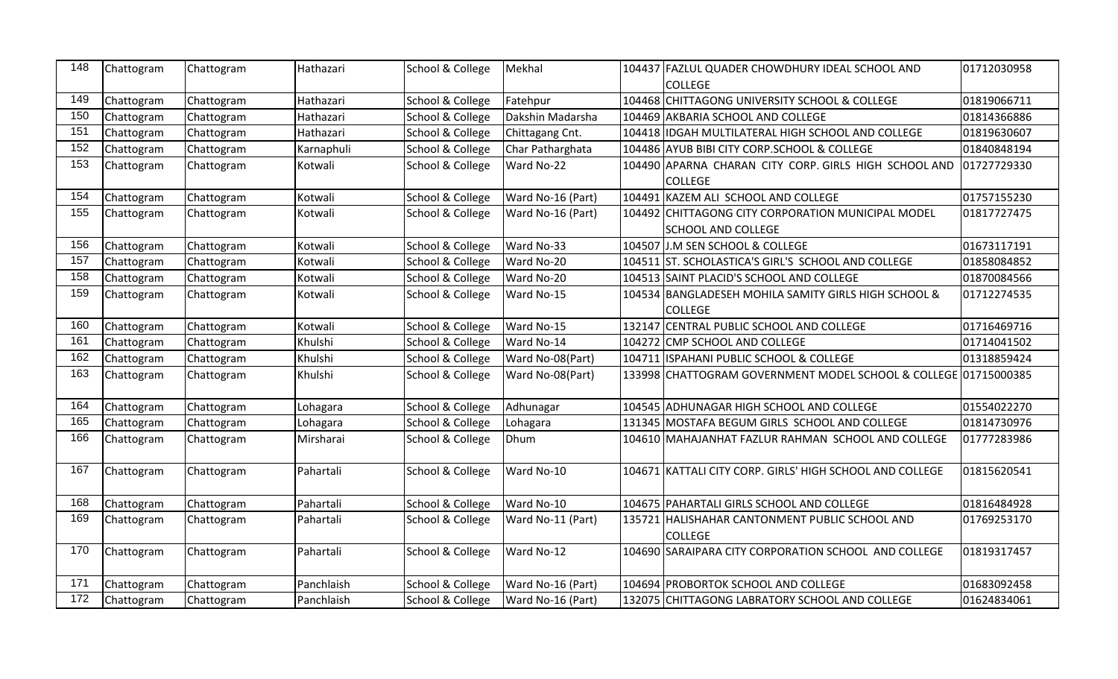| 148 | Chattogram | Chattogram | Hathazari  | School & College            | Mekhal            | 104437 FAZLUL QUADER CHOWDHURY IDEAL SCHOOL AND                 | 01712030958 |
|-----|------------|------------|------------|-----------------------------|-------------------|-----------------------------------------------------------------|-------------|
|     |            |            |            |                             |                   | <b>COLLEGE</b>                                                  |             |
| 149 | Chattogram | Chattogram | Hathazari  | School & College            | Fatehpur          | 104468 CHITTAGONG UNIVERSITY SCHOOL & COLLEGE                   | 01819066711 |
| 150 | Chattogram | Chattogram | Hathazari  | School & College            | Dakshin Madarsha  | 104469 AKBARIA SCHOOL AND COLLEGE                               | 01814366886 |
| 151 | Chattogram | Chattogram | Hathazari  | School & College            | Chittagang Cnt.   | 104418 IDGAH MULTILATERAL HIGH SCHOOL AND COLLEGE               | 01819630607 |
| 152 | Chattogram | Chattogram | Karnaphuli | School & College            | Char Patharghata  | 104486 AYUB BIBI CITY CORP.SCHOOL & COLLEGE                     | 01840848194 |
| 153 | Chattogram | Chattogram | Kotwali    | School & College            | Ward No-22        | 104490 APARNA CHARAN CITY CORP. GIRLS HIGH SCHOOL AND           | 01727729330 |
|     |            |            |            |                             |                   | <b>COLLEGE</b>                                                  |             |
| 154 | Chattogram | Chattogram | Kotwali    | School & College            | Ward No-16 (Part) | 104491 KAZEM ALI SCHOOL AND COLLEGE                             | 01757155230 |
| 155 | Chattogram | Chattogram | Kotwali    | School & College            | Ward No-16 (Part) | 104492 CHITTAGONG CITY CORPORATION MUNICIPAL MODEL              | 01817727475 |
|     |            |            |            |                             |                   | <b>SCHOOL AND COLLEGE</b>                                       |             |
| 156 | Chattogram | Chattogram | Kotwali    | School & College            | Ward No-33        | 104507 J.M SEN SCHOOL & COLLEGE                                 | 01673117191 |
| 157 | Chattogram | Chattogram | Kotwali    | School & College            | Ward No-20        | 104511 ST. SCHOLASTICA'S GIRL'S SCHOOL AND COLLEGE              | 01858084852 |
| 158 | Chattogram | Chattogram | Kotwali    | School & College            | Ward No-20        | 104513 SAINT PLACID'S SCHOOL AND COLLEGE                        | 01870084566 |
| 159 | Chattogram | Chattogram | Kotwali    | School & College            | Ward No-15        | 104534 BANGLADESEH MOHILA SAMITY GIRLS HIGH SCHOOL &            | 01712274535 |
|     |            |            |            |                             |                   | <b>COLLEGE</b>                                                  |             |
| 160 | Chattogram | Chattogram | Kotwali    | School & College            | Ward No-15        | 132147 CENTRAL PUBLIC SCHOOL AND COLLEGE                        | 01716469716 |
| 161 | Chattogram | Chattogram | Khulshi    | School & College            | Ward No-14        | 104272 CMP SCHOOL AND COLLEGE                                   | 01714041502 |
| 162 | Chattogram | Chattogram | Khulshi    | School & College            | Ward No-08(Part)  | 104711 ISPAHANI PUBLIC SCHOOL & COLLEGE                         | 01318859424 |
| 163 | Chattogram | Chattogram | Khulshi    | School & College            | Ward No-08(Part)  | 133998 CHATTOGRAM GOVERNMENT MODEL SCHOOL & COLLEGE 01715000385 |             |
|     |            |            |            |                             |                   |                                                                 |             |
| 164 | Chattogram | Chattogram | Lohagara   | School & College            | Adhunagar         | 104545 ADHUNAGAR HIGH SCHOOL AND COLLEGE                        | 01554022270 |
| 165 | Chattogram | Chattogram | Lohagara   | School & College            | Lohagara          | 131345 MOSTAFA BEGUM GIRLS SCHOOL AND COLLEGE                   | 01814730976 |
| 166 | Chattogram | Chattogram | Mirsharai  | School & College            | Dhum              | 104610 MAHAJANHAT FAZLUR RAHMAN SCHOOL AND COLLEGE              | 01777283986 |
|     |            |            |            |                             |                   |                                                                 |             |
| 167 | Chattogram | Chattogram | Pahartali  | School & College            | Ward No-10        | 104671 KATTALI CITY CORP. GIRLS' HIGH SCHOOL AND COLLEGE        | 01815620541 |
|     |            |            |            |                             |                   |                                                                 |             |
| 168 | Chattogram | Chattogram | Pahartali  | School & College            | Ward No-10        | 104675 PAHARTALI GIRLS SCHOOL AND COLLEGE                       | 01816484928 |
| 169 | Chattogram | Chattogram | Pahartali  | School & College            | Ward No-11 (Part) | 135721 HALISHAHAR CANTONMENT PUBLIC SCHOOL AND                  | 01769253170 |
|     |            |            |            |                             |                   | <b>COLLEGE</b>                                                  |             |
| 170 | Chattogram | Chattogram | Pahartali  | School & College            | Ward No-12        | 104690 SARAIPARA CITY CORPORATION SCHOOL AND COLLEGE            | 01819317457 |
|     |            |            |            |                             |                   |                                                                 |             |
| 171 | Chattogram | Chattogram | Panchlaish | <b>School &amp; College</b> | Ward No-16 (Part) | 104694 PROBORTOK SCHOOL AND COLLEGE                             | 01683092458 |
| 172 | Chattogram | Chattogram | Panchlaish | School & College            | Ward No-16 (Part) | 132075 CHITTAGONG LABRATORY SCHOOL AND COLLEGE                  | 01624834061 |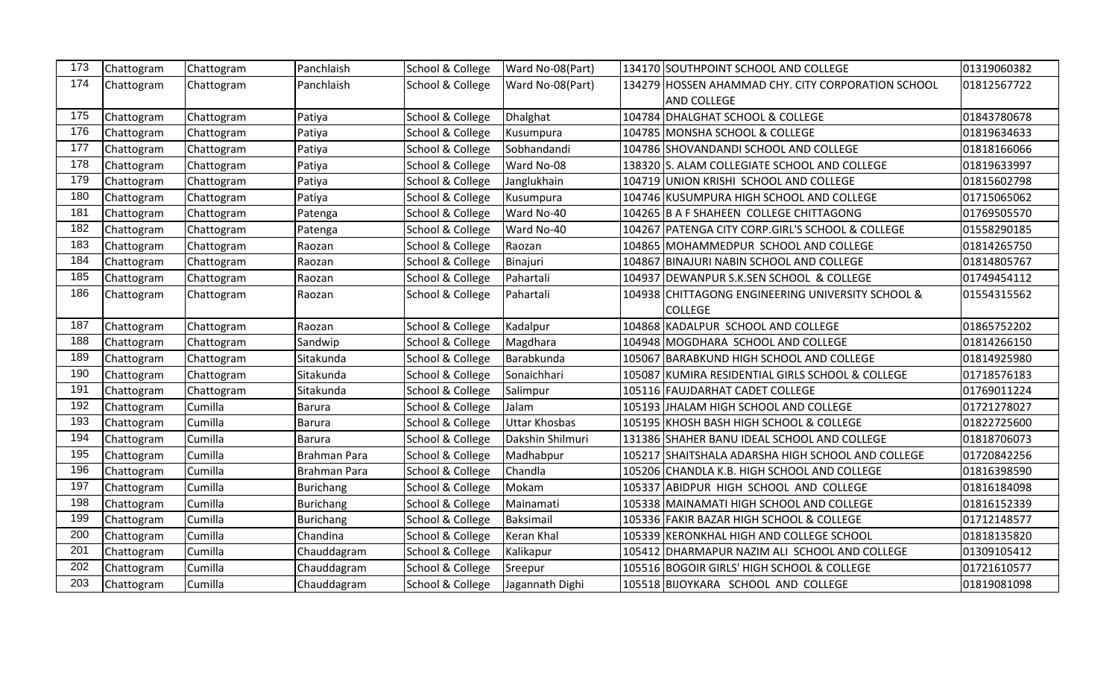| 173 | Chattogram | Chattogram | Panchlaish          | School & College | Ward No-08(Part) | 134170 SOUTHPOINT SCHOOL AND COLLEGE               | 01319060382 |
|-----|------------|------------|---------------------|------------------|------------------|----------------------------------------------------|-------------|
| 174 | Chattogram | Chattogram | Panchlaish          | School & College | Ward No-08(Part) | 134279 HOSSEN AHAMMAD CHY. CITY CORPORATION SCHOOL | 01812567722 |
|     |            |            |                     |                  |                  | <b>AND COLLEGE</b>                                 |             |
| 175 | Chattogram | Chattogram | Patiya              | School & College | Dhalghat         | 104784 DHALGHAT SCHOOL & COLLEGE                   | 01843780678 |
| 176 | Chattogram | Chattogram | Patiya              | School & College | Kusumpura        | 104785 MONSHA SCHOOL & COLLEGE                     | 01819634633 |
| 177 | Chattogram | Chattogram | Patiya              | School & College | Sobhandandi      | 104786 SHOVANDANDI SCHOOL AND COLLEGE              | 01818166066 |
| 178 | Chattogram | Chattogram | Patiya              | School & College | Ward No-08       | 138320 S. ALAM COLLEGIATE SCHOOL AND COLLEGE       | 01819633997 |
| 179 | Chattogram | Chattogram | Patiya              | School & College | Janglukhain      | 104719 UNION KRISHI SCHOOL AND COLLEGE             | 01815602798 |
| 180 | Chattogram | Chattogram | Patiya              | School & College | Kusumpura        | 104746 KUSUMPURA HIGH SCHOOL AND COLLEGE           | 01715065062 |
| 181 | Chattogram | Chattogram | Patenga             | School & College | Ward No-40       | 104265 B A F SHAHEEN COLLEGE CHITTAGONG            | 01769505570 |
| 182 | Chattogram | Chattogram | Patenga             | School & College | Ward No-40       | 104267 PATENGA CITY CORP.GIRL'S SCHOOL & COLLEGE   | 01558290185 |
| 183 | Chattogram | Chattogram | Raozan              | School & College | Raozan           | 104865 MOHAMMEDPUR SCHOOL AND COLLEGE              | 01814265750 |
| 184 | Chattogram | Chattogram | Raozan              | School & College | Binajuri         | 104867 BINAJURI NABIN SCHOOL AND COLLEGE           | 01814805767 |
| 185 | Chattogram | Chattogram | Raozan              | School & College | Pahartali        | 104937 DEWANPUR S.K.SEN SCHOOL & COLLEGE           | 01749454112 |
| 186 | Chattogram | Chattogram | Raozan              | School & College | Pahartali        | 104938 CHITTAGONG ENGINEERING UNIVERSITY SCHOOL &  | 01554315562 |
|     |            |            |                     |                  |                  | <b>COLLEGE</b>                                     |             |
| 187 | Chattogram | Chattogram | Raozan              | School & College | Kadalpur         | 104868 KADALPUR SCHOOL AND COLLEGE                 | 01865752202 |
| 188 | Chattogram | Chattogram | Sandwip             | School & College | Magdhara         | 104948 MOGDHARA SCHOOL AND COLLEGE                 | 01814266150 |
| 189 | Chattogram | Chattogram | Sitakunda           | School & College | Barabkunda       | 105067 BARABKUND HIGH SCHOOL AND COLLEGE           | 01814925980 |
| 190 | Chattogram | Chattogram | Sitakunda           | School & College | Sonaichhari      | 105087 KUMIRA RESIDENTIAL GIRLS SCHOOL & COLLEGE   | 01718576183 |
| 191 | Chattogram | Chattogram | Sitakunda           | School & College | Salimpur         | 105116 FAUJDARHAT CADET COLLEGE                    | 01769011224 |
| 192 | Chattogram | Cumilla    | <b>Barura</b>       | School & College | Jalam            | 105193 JHALAM HIGH SCHOOL AND COLLEGE              | 01721278027 |
| 193 | Chattogram | Cumilla    | <b>Barura</b>       | School & College | Uttar Khosbas    | 105195 KHOSH BASH HIGH SCHOOL & COLLEGE            | 01822725600 |
| 194 | Chattogram | Cumilla    | <b>Barura</b>       | School & College | Dakshin Shilmuri | 131386 SHAHER BANU IDEAL SCHOOL AND COLLEGE        | 01818706073 |
| 195 | Chattogram | Cumilla    | <b>Brahman Para</b> | School & College | Madhabpur        | 105217 SHAITSHALA ADARSHA HIGH SCHOOL AND COLLEGE  | 01720842256 |
| 196 | Chattogram | Cumilla    | Brahman Para        | School & College | Chandla          | 105206 CHANDLA K.B. HIGH SCHOOL AND COLLEGE        | 01816398590 |
| 197 | Chattogram | Cumilla    | <b>Burichang</b>    | School & College | Mokam            | 105337 ABIDPUR HIGH SCHOOL AND COLLEGE             | 01816184098 |
| 198 | Chattogram | Cumilla    | Burichang           | School & College | Mainamati        | 105338 MAINAMATI HIGH SCHOOL AND COLLEGE           | 01816152339 |
| 199 | Chattogram | Cumilla    | <b>Burichang</b>    | School & College | Baksimail        | 105336 FAKIR BAZAR HIGH SCHOOL & COLLEGE           | 01712148577 |
| 200 | Chattogram | Cumilla    | Chandina            | School & College | Keran Khal       | 105339 KERONKHAL HIGH AND COLLEGE SCHOOL           | 01818135820 |
| 201 | Chattogram | Cumilla    | Chauddagram         | School & College | Kalikapur        | 105412 DHARMAPUR NAZIM ALI SCHOOL AND COLLEGE      | 01309105412 |
| 202 | Chattogram | Cumilla    | Chauddagram         | School & College | Sreepur          | 105516 BOGOIR GIRLS' HIGH SCHOOL & COLLEGE         | 01721610577 |
| 203 | Chattogram | Cumilla    | Chauddagram         | School & College | Jagannath Dighi  | 105518 BIJOYKARA SCHOOL AND COLLEGE                | 01819081098 |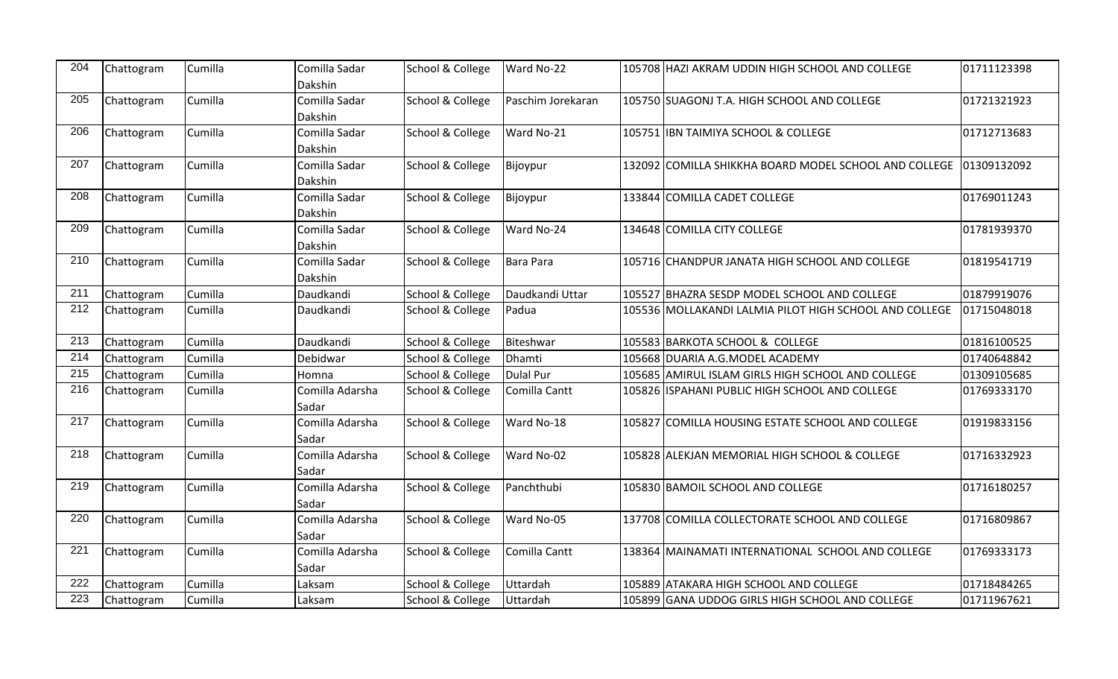| 204 | Chattogram | Cumilla | Comilla Sadar   | School & College | Ward No-22        | 105708 HAZI AKRAM UDDIN HIGH SCHOOL AND COLLEGE        | 01711123398 |
|-----|------------|---------|-----------------|------------------|-------------------|--------------------------------------------------------|-------------|
|     |            |         | Dakshin         |                  |                   |                                                        |             |
| 205 | Chattogram | Cumilla | Comilla Sadar   | School & College | Paschim Jorekaran | 105750 SUAGONJ T.A. HIGH SCHOOL AND COLLEGE            | 01721321923 |
|     |            |         | Dakshin         |                  |                   |                                                        |             |
| 206 | Chattogram | Cumilla | Comilla Sadar   | School & College | Ward No-21        | 105751 IBN TAIMIYA SCHOOL & COLLEGE                    | 01712713683 |
|     |            |         | Dakshin         |                  |                   |                                                        |             |
| 207 | Chattogram | Cumilla | Comilla Sadar   | School & College | Bijoypur          | 132092 COMILLA SHIKKHA BOARD MODEL SCHOOL AND COLLEGE  | 01309132092 |
|     |            |         | Dakshin         |                  |                   |                                                        |             |
| 208 | Chattogram | Cumilla | Comilla Sadar   | School & College | Bijoypur          | 133844 COMILLA CADET COLLEGE                           | 01769011243 |
|     |            |         | Dakshin         |                  |                   |                                                        |             |
| 209 | Chattogram | Cumilla | Comilla Sadar   | School & College | Ward No-24        | 134648 COMILLA CITY COLLEGE                            | 01781939370 |
|     |            |         | Dakshin         |                  |                   |                                                        |             |
| 210 | Chattogram | Cumilla | Comilla Sadar   | School & College | Bara Para         | 105716 CHANDPUR JANATA HIGH SCHOOL AND COLLEGE         | 01819541719 |
|     |            |         | Dakshin         |                  |                   |                                                        |             |
| 211 | Chattogram | Cumilla | Daudkandi       | School & College | Daudkandi Uttar   | 105527 BHAZRA SESDP MODEL SCHOOL AND COLLEGE           | 01879919076 |
| 212 | Chattogram | Cumilla | Daudkandi       | School & College | Padua             | 105536 MOLLAKANDI LALMIA PILOT HIGH SCHOOL AND COLLEGE | 01715048018 |
| 213 | Chattogram | Cumilla | Daudkandi       | School & College | Biteshwar         | 105583 BARKOTA SCHOOL & COLLEGE                        | 01816100525 |
| 214 | Chattogram | Cumilla | Debidwar        | School & College | Dhamti            | 105668 DUARIA A.G.MODEL ACADEMY                        | 01740648842 |
| 215 | Chattogram | Cumilla | Homna           | School & College | <b>Dulal Pur</b>  | 105685 AMIRUL ISLAM GIRLS HIGH SCHOOL AND COLLEGE      | 01309105685 |
| 216 | Chattogram | Cumilla | Comilla Adarsha | School & College | Comilla Cantt     | 105826 ISPAHANI PUBLIC HIGH SCHOOL AND COLLEGE         | 01769333170 |
|     |            |         | Sadar           |                  |                   |                                                        |             |
| 217 | Chattogram | Cumilla | Comilla Adarsha | School & College | Ward No-18        | 105827 COMILLA HOUSING ESTATE SCHOOL AND COLLEGE       | 01919833156 |
|     |            |         | Sadar           |                  |                   |                                                        |             |
| 218 | Chattogram | Cumilla | Comilla Adarsha | School & College | Ward No-02        | 105828 ALEKJAN MEMORIAL HIGH SCHOOL & COLLEGE          | 01716332923 |
|     |            |         | Sadar           |                  |                   |                                                        |             |
| 219 | Chattogram | Cumilla | Comilla Adarsha | School & College | Panchthubi        | 105830 BAMOIL SCHOOL AND COLLEGE                       | 01716180257 |
|     |            |         | Sadar           |                  |                   |                                                        |             |
| 220 | Chattogram | Cumilla | Comilla Adarsha | School & College | Ward No-05        | 137708 COMILLA COLLECTORATE SCHOOL AND COLLEGE         | 01716809867 |
|     |            |         | Sadar           |                  |                   |                                                        |             |
| 221 | Chattogram | Cumilla | Comilla Adarsha | School & College | Comilla Cantt     | 138364 MAINAMATI INTERNATIONAL SCHOOL AND COLLEGE      | 01769333173 |
|     |            |         | Sadar           |                  |                   |                                                        |             |
| 222 | Chattogram | Cumilla | Laksam          | School & College | Uttardah          | 105889 ATAKARA HIGH SCHOOL AND COLLEGE                 | 01718484265 |
| 223 | Chattogram | Cumilla | Laksam          | School & College | Uttardah          | 105899 GANA UDDOG GIRLS HIGH SCHOOL AND COLLEGE        | 01711967621 |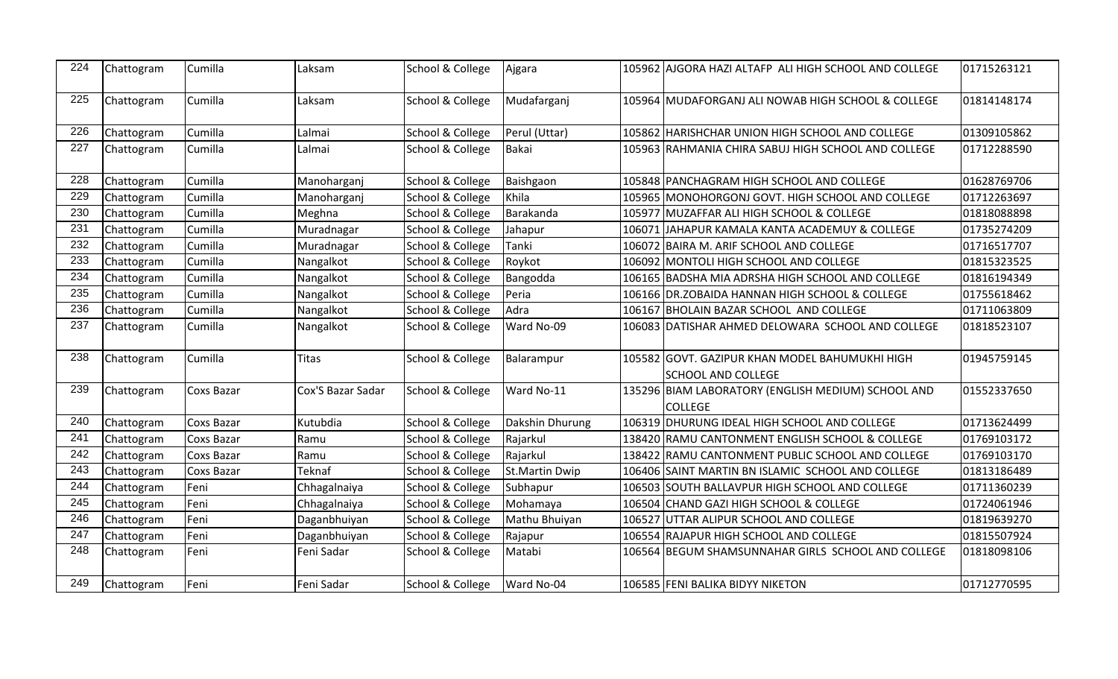| 224 | Chattogram | Cumilla           | Laksam            | School & College | Ajgara                |        | 105962 AJGORA HAZI ALTAFP ALI HIGH SCHOOL AND COLLEGE                       | 01715263121 |
|-----|------------|-------------------|-------------------|------------------|-----------------------|--------|-----------------------------------------------------------------------------|-------------|
| 225 | Chattogram | Cumilla           | Laksam            | School & College | Mudafarganj           |        | 105964 MUDAFORGANJ ALI NOWAB HIGH SCHOOL & COLLEGE                          | 01814148174 |
| 226 | Chattogram | Cumilla           | Lalmai            | School & College | Perul (Uttar)         |        | 105862 HARISHCHAR UNION HIGH SCHOOL AND COLLEGE                             | 01309105862 |
| 227 | Chattogram | Cumilla           | Lalmai            | School & College | Bakai                 |        | 105963 RAHMANIA CHIRA SABUJ HIGH SCHOOL AND COLLEGE                         | 01712288590 |
| 228 | Chattogram | Cumilla           | Manoharganj       | School & College | Baishgaon             |        | 105848 PANCHAGRAM HIGH SCHOOL AND COLLEGE                                   | 01628769706 |
| 229 | Chattogram | Cumilla           | Manoharganj       | School & College | Khila                 |        | 105965 MONOHORGONJ GOVT. HIGH SCHOOL AND COLLEGE                            | 01712263697 |
| 230 | Chattogram | Cumilla           | Meghna            | School & College | Barakanda             |        | 105977 MUZAFFAR ALI HIGH SCHOOL & COLLEGE                                   | 01818088898 |
| 231 | Chattogram | Cumilla           | Muradnagar        | School & College | Jahapur               |        | 106071 JJAHAPUR KAMALA KANTA ACADEMUY & COLLEGE                             | 01735274209 |
| 232 | Chattogram | Cumilla           | Muradnagar        | School & College | Tanki                 |        | 106072 BAIRA M. ARIF SCHOOL AND COLLEGE                                     | 01716517707 |
| 233 | Chattogram | Cumilla           | Nangalkot         | School & College | Roykot                |        | 106092 MONTOLI HIGH SCHOOL AND COLLEGE                                      | 01815323525 |
| 234 | Chattogram | Cumilla           | Nangalkot         | School & College | Bangodda              |        | 106165 BADSHA MIA ADRSHA HIGH SCHOOL AND COLLEGE                            | 01816194349 |
| 235 | Chattogram | Cumilla           | Nangalkot         | School & College | Peria                 |        | 106166 DR.ZOBAIDA HANNAN HIGH SCHOOL & COLLEGE                              | 01755618462 |
| 236 | Chattogram | Cumilla           | Nangalkot         | School & College | Adra                  |        | 106167 BHOLAIN BAZAR SCHOOL AND COLLEGE                                     | 01711063809 |
| 237 | Chattogram | Cumilla           | Nangalkot         | School & College | Ward No-09            |        | 106083 DATISHAR AHMED DELOWARA SCHOOL AND COLLEGE                           | 01818523107 |
| 238 | Chattogram | Cumilla           | <b>Titas</b>      | School & College | Balarampur            |        | 105582 GOVT. GAZIPUR KHAN MODEL BAHUMUKHI HIGH<br><b>SCHOOL AND COLLEGE</b> | 01945759145 |
| 239 | Chattogram | <b>Coxs Bazar</b> | Cox'S Bazar Sadar | School & College | Ward No-11            |        | 135296 BIAM LABORATORY (ENGLISH MEDIUM) SCHOOL AND<br><b>COLLEGE</b>        | 01552337650 |
| 240 | Chattogram | <b>Coxs Bazar</b> | Kutubdia          | School & College | Dakshin Dhurung       | 106319 | DHURUNG IDEAL HIGH SCHOOL AND COLLEGE                                       | 01713624499 |
| 241 | Chattogram | <b>Coxs Bazar</b> | Ramu              | School & College | Rajarkul              |        | 138420 RAMU CANTONMENT ENGLISH SCHOOL & COLLEGE                             | 01769103172 |
| 242 | Chattogram | Coxs Bazar        | Ramu              | School & College | Rajarkul              |        | 138422 RAMU CANTONMENT PUBLIC SCHOOL AND COLLEGE                            | 01769103170 |
| 243 | Chattogram | <b>Coxs Bazar</b> | <b>Teknaf</b>     | School & College | <b>St.Martin Dwip</b> |        | 106406 SAINT MARTIN BN ISLAMIC SCHOOL AND COLLEGE                           | 01813186489 |
| 244 | Chattogram | Feni              | Chhagalnaiya      | School & College | Subhapur              |        | 106503 SOUTH BALLAVPUR HIGH SCHOOL AND COLLEGE                              | 01711360239 |
| 245 | Chattogram | Feni              | Chhagalnaiya      | School & College | Mohamaya              |        | 106504 CHAND GAZI HIGH SCHOOL & COLLEGE                                     | 01724061946 |
| 246 | Chattogram | Feni              | Daganbhuiyan      | School & College | Mathu Bhuiyan         |        | 106527 UTTAR ALIPUR SCHOOL AND COLLEGE                                      | 01819639270 |
| 247 | Chattogram | Feni              | Daganbhuiyan      | School & College | Rajapur               |        | 106554 RAJAPUR HIGH SCHOOL AND COLLEGE                                      | 01815507924 |
| 248 | Chattogram | Feni              | Feni Sadar        | School & College | Matabi                |        | 106564 BEGUM SHAMSUNNAHAR GIRLS SCHOOL AND COLLEGE                          | 01818098106 |
| 249 | Chattogram | Feni              | Feni Sadar        | School & College | Ward No-04            |        | 106585 FENI BALIKA BIDYY NIKETON                                            | 01712770595 |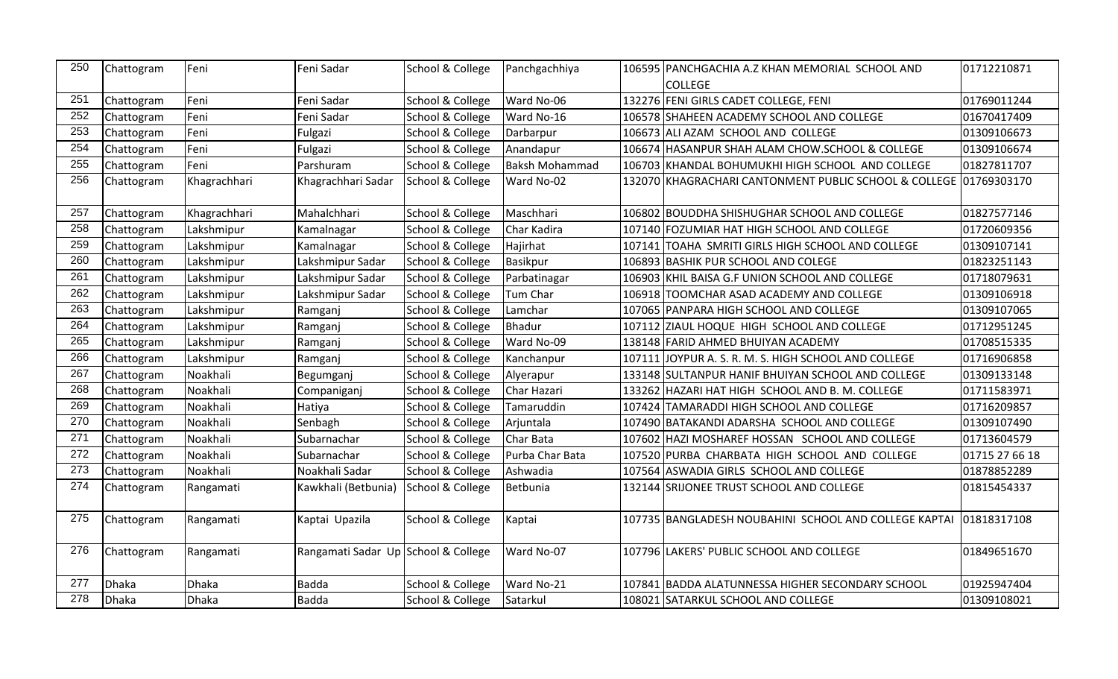| 250 | Chattogram | Feni         | Feni Sadar                          | School & College | Panchgachhiya         | 106595 PANCHGACHIA A.Z KHAN MEMORIAL SCHOOL AND                   | 01712210871    |
|-----|------------|--------------|-------------------------------------|------------------|-----------------------|-------------------------------------------------------------------|----------------|
|     |            |              |                                     |                  |                       | <b>COLLEGE</b>                                                    |                |
| 251 | Chattogram | Feni         | Feni Sadar                          | School & College | Ward No-06            | 132276 FENI GIRLS CADET COLLEGE, FENI                             | 01769011244    |
| 252 | Chattogram | Feni         | Feni Sadar                          | School & College | Ward No-16            | 106578 SHAHEEN ACADEMY SCHOOL AND COLLEGE                         | 01670417409    |
| 253 | Chattogram | Feni         | Fulgazi                             | School & College | Darbarpur             | 106673 ALI AZAM SCHOOL AND COLLEGE                                | 01309106673    |
| 254 | Chattogram | Feni         | Fulgazi                             | School & College | Anandapur             | 106674 HASANPUR SHAH ALAM CHOW.SCHOOL & COLLEGE                   | 01309106674    |
| 255 | Chattogram | Feni         | Parshuram                           | School & College | <b>Baksh Mohammad</b> | 106703 KHANDAL BOHUMUKHI HIGH SCHOOL AND COLLEGE                  | 01827811707    |
| 256 | Chattogram | Khagrachhari | Khagrachhari Sadar                  | School & College | Ward No-02            | 132070 KHAGRACHARI CANTONMENT PUBLIC SCHOOL & COLLEGE 01769303170 |                |
| 257 | Chattogram | Khagrachhari | Mahalchhari                         | School & College | Maschhari             | 106802 BOUDDHA SHISHUGHAR SCHOOL AND COLLEGE                      | 01827577146    |
| 258 | Chattogram | Lakshmipur   | Kamalnagar                          | School & College | Char Kadira           | 107140 FOZUMIAR HAT HIGH SCHOOL AND COLLEGE                       | 01720609356    |
| 259 | Chattogram | Lakshmipur   | Kamalnagar                          | School & College | Hajirhat              | 107141 TOAHA SMRITI GIRLS HIGH SCHOOL AND COLLEGE                 | 01309107141    |
| 260 | Chattogram | Lakshmipur   | Lakshmipur Sadar                    | School & College | <b>Basikpur</b>       | 106893 BASHIK PUR SCHOOL AND COLEGE                               | 01823251143    |
| 261 | Chattogram | Lakshmipur   | Lakshmipur Sadar                    | School & College | Parbatinagar          | 106903 KHIL BAISA G.F UNION SCHOOL AND COLLEGE                    | 01718079631    |
| 262 | Chattogram | Lakshmipur   | Lakshmipur Sadar                    | School & College | Tum Char              | 106918 TOOMCHAR ASAD ACADEMY AND COLLEGE                          | 01309106918    |
| 263 | Chattogram | Lakshmipur   | Ramganj                             | School & College | Lamchar               | 107065 PANPARA HIGH SCHOOL AND COLLEGE                            | 01309107065    |
| 264 | Chattogram | Lakshmipur   | Ramganj                             | School & College | Bhadur                | 107112 ZIAUL HOQUE HIGH SCHOOL AND COLLEGE                        | 01712951245    |
| 265 | Chattogram | Lakshmipur   | Ramganj                             | School & College | Ward No-09            | 138148 FARID AHMED BHUIYAN ACADEMY                                | 01708515335    |
| 266 | Chattogram | Lakshmipur   | Ramganj                             | School & College | Kanchanpur            | 107111 JOYPUR A. S. R. M. S. HIGH SCHOOL AND COLLEGE              | 01716906858    |
| 267 | Chattogram | Noakhali     | Begumganj                           | School & College | Alyerapur             | 133148 SULTANPUR HANIF BHUIYAN SCHOOL AND COLLEGE                 | 01309133148    |
| 268 | Chattogram | Noakhali     | Companiganj                         | School & College | Char Hazari           | 133262 HAZARI HAT HIGH SCHOOL AND B. M. COLLEGE                   | 01711583971    |
| 269 | Chattogram | Noakhali     | Hatiya                              | School & College | Tamaruddin            | 107424 TAMARADDI HIGH SCHOOL AND COLLEGE                          | 01716209857    |
| 270 | Chattogram | Noakhali     | Senbagh                             | School & College | Arjuntala             | 107490 BATAKANDI ADARSHA SCHOOL AND COLLEGE                       | 01309107490    |
| 271 | Chattogram | Noakhali     | Subarnachar                         | School & College | Char Bata             | 107602 HAZI MOSHAREF HOSSAN SCHOOL AND COLLEGE                    | 01713604579    |
| 272 | Chattogram | Noakhali     | Subarnachar                         | School & College | Purba Char Bata       | 107520 PURBA CHARBATA HIGH SCHOOL AND COLLEGE                     | 01715 27 66 18 |
| 273 | Chattogram | Noakhali     | Noakhali Sadar                      | School & College | Ashwadia              | 107564 ASWADIA GIRLS SCHOOL AND COLLEGE                           | 01878852289    |
| 274 | Chattogram | Rangamati    | Kawkhali (Betbunia)                 | School & College | Betbunia              | 132144 SRIJONEE TRUST SCHOOL AND COLLEGE                          | 01815454337    |
| 275 | Chattogram | Rangamati    | Kaptai Upazila                      | School & College | Kaptai                | 107735 BANGLADESH NOUBAHINI SCHOOL AND COLLEGE KAPTAI             | 01818317108    |
| 276 | Chattogram | Rangamati    | Rangamati Sadar Up School & College |                  | Ward No-07            | 107796 LAKERS' PUBLIC SCHOOL AND COLLEGE                          | 01849651670    |
| 277 | Dhaka      | <b>Dhaka</b> | <b>Badda</b>                        | School & College | Ward No-21            | 107841 BADDA ALATUNNESSA HIGHER SECONDARY SCHOOL                  | 01925947404    |
| 278 | Dhaka      | Dhaka        | <b>Badda</b>                        | School & College | Satarkul              | 108021 SATARKUL SCHOOL AND COLLEGE                                | 01309108021    |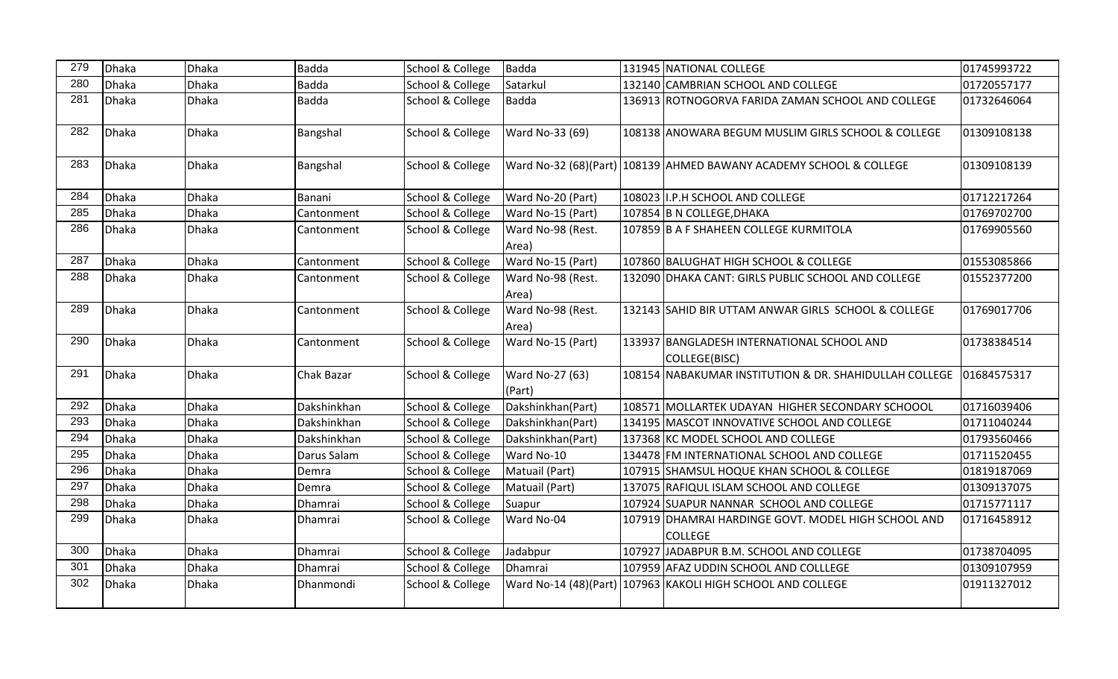| 279 | Dhaka | <b>Dhaka</b> | <b>Badda</b>      | School & College | <b>Badda</b>               | 131945 NATIONAL COLLEGE                                               | 01745993722 |
|-----|-------|--------------|-------------------|------------------|----------------------------|-----------------------------------------------------------------------|-------------|
| 280 | Dhaka | <b>Dhaka</b> | <b>Badda</b>      | School & College | Satarkul                   | 132140 CAMBRIAN SCHOOL AND COLLEGE                                    | 01720557177 |
| 281 | Dhaka | Dhaka        | <b>Badda</b>      | School & College | <b>Badda</b>               | 136913 ROTNOGORVA FARIDA ZAMAN SCHOOL AND COLLEGE                     | 01732646064 |
| 282 | Dhaka | <b>Dhaka</b> | Bangshal          | School & College | Ward No-33 (69)            | 108138 ANOWARA BEGUM MUSLIM GIRLS SCHOOL & COLLEGE                    | 01309108138 |
| 283 | Dhaka | <b>Dhaka</b> | Bangshal          | School & College |                            | Ward No-32 (68)(Part) 108139 AHMED BAWANY ACADEMY SCHOOL & COLLEGE    | 01309108139 |
| 284 | Dhaka | Dhaka        | Banani            | School & College | Ward No-20 (Part)          | 108023 I.P.H SCHOOL AND COLLEGE                                       | 01712217264 |
| 285 | Dhaka | <b>Dhaka</b> | Cantonment        | School & College | Ward No-15 (Part)          | 107854 B N COLLEGE, DHAKA                                             | 01769702700 |
| 286 | Dhaka | <b>Dhaka</b> | Cantonment        | School & College | Ward No-98 (Rest.<br>Area) | 107859 B A F SHAHEEN COLLEGE KURMITOLA                                | 01769905560 |
| 287 | Dhaka | <b>Dhaka</b> | Cantonment        | School & College | Ward No-15 (Part)          | 107860 BALUGHAT HIGH SCHOOL & COLLEGE                                 | 01553085866 |
| 288 | Dhaka | <b>Dhaka</b> | Cantonment        | School & College | Ward No-98 (Rest.<br>Area) | 132090 DHAKA CANT: GIRLS PUBLIC SCHOOL AND COLLEGE                    | 01552377200 |
| 289 | Dhaka | <b>Dhaka</b> | Cantonment        | School & College | Ward No-98 (Rest.<br>Area) | 132143 SAHID BIR UTTAM ANWAR GIRLS SCHOOL & COLLEGE                   | 01769017706 |
| 290 | Dhaka | <b>Dhaka</b> | <b>Cantonment</b> | School & College | Ward No-15 (Part)          | 133937 BANGLADESH INTERNATIONAL SCHOOL AND<br>COLLEGE(BISC)           | 01738384514 |
| 291 | Dhaka | <b>Dhaka</b> | Chak Bazar        | School & College | Ward No-27 (63)<br>(Part)  | 108154 NABAKUMAR INSTITUTION & DR. SHAHIDULLAH COLLEGE                | 01684575317 |
| 292 | Dhaka | <b>Dhaka</b> | Dakshinkhan       | School & College | Dakshinkhan(Part)          | 108571 MOLLARTEK UDAYAN HIGHER SECONDARY SCHOOOL                      | 01716039406 |
| 293 | Dhaka | <b>Dhaka</b> | Dakshinkhan       | School & College | Dakshinkhan(Part)          | 134195 MASCOT INNOVATIVE SCHOOL AND COLLEGE                           | 01711040244 |
| 294 | Dhaka | <b>Dhaka</b> | Dakshinkhan       | School & College | Dakshinkhan(Part)          | 137368 KC MODEL SCHOOL AND COLLEGE                                    | 01793560466 |
| 295 | Dhaka | <b>Dhaka</b> | Darus Salam       | School & College | Ward No-10                 | 134478 FM INTERNATIONAL SCHOOL AND COLLEGE                            | 01711520455 |
| 296 | Dhaka | <b>Dhaka</b> | Demra             | School & College | Matuail (Part)             | 107915 SHAMSUL HOQUE KHAN SCHOOL & COLLEGE                            | 01819187069 |
| 297 | Dhaka | <b>Dhaka</b> | Demra             | School & College | Matuail (Part)             | 137075 RAFIQUL ISLAM SCHOOL AND COLLEGE                               | 01309137075 |
| 298 | Dhaka | <b>Dhaka</b> | Dhamrai           | School & College | Suapur                     | 107924 SUAPUR NANNAR SCHOOL AND COLLEGE                               | 01715771117 |
| 299 | Dhaka | <b>Dhaka</b> | Dhamrai           | School & College | Ward No-04                 | 107919 DHAMRAI HARDINGE GOVT. MODEL HIGH SCHOOL AND<br><b>COLLEGE</b> | 01716458912 |
| 300 | Dhaka | <b>Dhaka</b> | Dhamrai           | School & College | Jadabpur                   | 107927 JADABPUR B.M. SCHOOL AND COLLEGE                               | 01738704095 |
| 301 | Dhaka | <b>Dhaka</b> | Dhamrai           | School & College | Dhamrai                    | 107959 AFAZ UDDIN SCHOOL AND COLLLEGE                                 | 01309107959 |
| 302 | Dhaka | <b>Dhaka</b> | Dhanmondi         | School & College |                            | Ward No-14 (48)(Part) 107963 KAKOLI HIGH SCHOOL AND COLLEGE           | 01911327012 |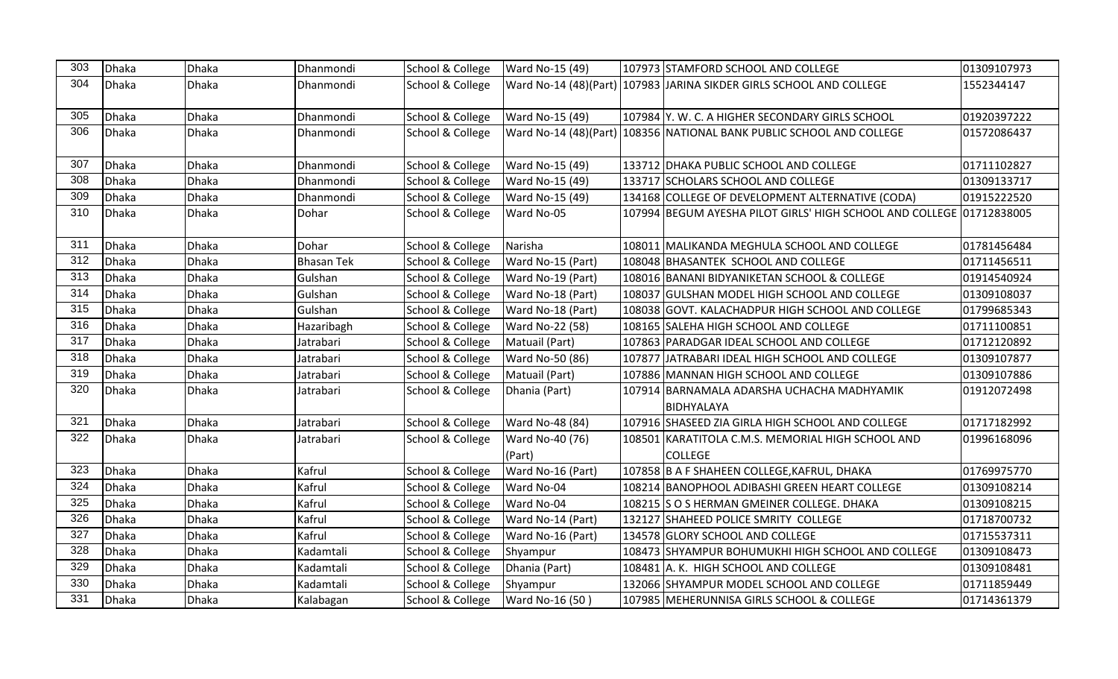| 303 | Dhaka | <b>Dhaka</b> | Dhanmondi         | School & College | Ward No-15 (49)           | 107973 STAMFORD SCHOOL AND COLLEGE                                   | 01309107973 |
|-----|-------|--------------|-------------------|------------------|---------------------------|----------------------------------------------------------------------|-------------|
| 304 | Dhaka | <b>Dhaka</b> | Dhanmondi         | School & College |                           | Ward No-14 (48)(Part) 107983 JJARINA SIKDER GIRLS SCHOOL AND COLLEGE | 1552344147  |
| 305 | Dhaka | Dhaka        | Dhanmondi         | School & College | Ward No-15 (49)           | 107984 Y. W. C. A HIGHER SECONDARY GIRLS SCHOOL                      | 01920397222 |
| 306 | Dhaka | Dhaka        | Dhanmondi         | School & College |                           | Ward No-14 (48)(Part) 108356 NATIONAL BANK PUBLIC SCHOOL AND COLLEGE | 01572086437 |
| 307 | Dhaka | <b>Dhaka</b> | Dhanmondi         | School & College | Ward No-15 (49)           | 133712 DHAKA PUBLIC SCHOOL AND COLLEGE                               | 01711102827 |
| 308 | Dhaka | <b>Dhaka</b> | Dhanmondi         | School & College | Ward No-15 (49)           | 133717 SCHOLARS SCHOOL AND COLLEGE                                   | 01309133717 |
| 309 | Dhaka | <b>Dhaka</b> | Dhanmondi         | School & College | Ward No-15 (49)           | 134168 COLLEGE OF DEVELOPMENT ALTERNATIVE (CODA)                     | 01915222520 |
| 310 | Dhaka | Dhaka        | Dohar             | School & College | Ward No-05                | 107994 BEGUM AYESHA PILOT GIRLS' HIGH SCHOOL AND COLLEGE 01712838005 |             |
| 311 | Dhaka | <b>Dhaka</b> | Dohar             | School & College | Narisha                   | 108011 MALIKANDA MEGHULA SCHOOL AND COLLEGE                          | 01781456484 |
| 312 | Dhaka | Dhaka        | <b>Bhasan Tek</b> | School & College | Ward No-15 (Part)         | 108048 BHASANTEK SCHOOL AND COLLEGE                                  | 01711456511 |
| 313 | Dhaka | Dhaka        | Gulshan           | School & College | Ward No-19 (Part)         | 108016 BANANI BIDYANIKETAN SCHOOL & COLLEGE                          | 01914540924 |
| 314 | Dhaka | Dhaka        | Gulshan           | School & College | Ward No-18 (Part)         | 108037 GULSHAN MODEL HIGH SCHOOL AND COLLEGE                         | 01309108037 |
| 315 | Dhaka | <b>Dhaka</b> | Gulshan           | School & College | Ward No-18 (Part)         | 108038 GOVT. KALACHADPUR HIGH SCHOOL AND COLLEGE                     | 01799685343 |
| 316 | Dhaka | <b>Dhaka</b> | Hazaribagh        | School & College | Ward No-22 (58)           | 108165 SALEHA HIGH SCHOOL AND COLLEGE                                | 01711100851 |
| 317 | Dhaka | <b>Dhaka</b> | Jatrabari         | School & College | Matuail (Part)            | 107863 PARADGAR IDEAL SCHOOL AND COLLEGE                             | 01712120892 |
| 318 | Dhaka | Dhaka        | Jatrabari         | School & College | Ward No-50 (86)           | 107877 JJATRABARI IDEAL HIGH SCHOOL AND COLLEGE                      | 01309107877 |
| 319 | Dhaka | Dhaka        | Jatrabari         | School & College | Matuail (Part)            | 107886 MANNAN HIGH SCHOOL AND COLLEGE                                | 01309107886 |
| 320 | Dhaka | <b>Dhaka</b> | Jatrabari         | School & College | Dhania (Part)             | 107914 BARNAMALA ADARSHA UCHACHA MADHYAMIK<br>BIDHYALAYA             | 01912072498 |
| 321 | Dhaka | <b>Dhaka</b> | Jatrabari         | School & College | Ward No-48 (84)           | 107916 SHASEED ZIA GIRLA HIGH SCHOOL AND COLLEGE                     | 01717182992 |
| 322 | Dhaka | <b>Dhaka</b> | Jatrabari         | School & College | Ward No-40 (76)<br>(Part) | 108501 KARATITOLA C.M.S. MEMORIAL HIGH SCHOOL AND<br><b>COLLEGE</b>  | 01996168096 |
| 323 | Dhaka | <b>Dhaka</b> | Kafrul            | School & College | Ward No-16 (Part)         | 107858 B A F SHAHEEN COLLEGE, KAFRUL, DHAKA                          | 01769975770 |
| 324 | Dhaka | <b>Dhaka</b> | Kafrul            | School & College | Ward No-04                | 108214 BANOPHOOL ADIBASHI GREEN HEART COLLEGE                        | 01309108214 |
| 325 | Dhaka | Dhaka        | Kafrul            | School & College | Ward No-04                | 108215 S O S HERMAN GMEINER COLLEGE. DHAKA                           | 01309108215 |
| 326 | Dhaka | <b>Dhaka</b> | Kafrul            | School & College | Ward No-14 (Part)         | 132127 SHAHEED POLICE SMRITY COLLEGE                                 | 01718700732 |
| 327 | Dhaka | Dhaka        | Kafrul            | School & College | Ward No-16 (Part)         | 134578 GLORY SCHOOL AND COLLEGE                                      | 01715537311 |
| 328 | Dhaka | <b>Dhaka</b> | Kadamtali         | School & College | Shyampur                  | 108473 SHYAMPUR BOHUMUKHI HIGH SCHOOL AND COLLEGE                    | 01309108473 |
| 329 | Dhaka | <b>Dhaka</b> | Kadamtali         | School & College | Dhania (Part)             | 108481 A. K. HIGH SCHOOL AND COLLEGE                                 | 01309108481 |
| 330 | Dhaka | <b>Dhaka</b> | Kadamtali         | School & College | Shyampur                  | 132066 SHYAMPUR MODEL SCHOOL AND COLLEGE                             | 01711859449 |
| 331 | Dhaka | Dhaka        | Kalabagan         | School & College | Ward No-16 (50)           | 107985 MEHERUNNISA GIRLS SCHOOL & COLLEGE                            | 01714361379 |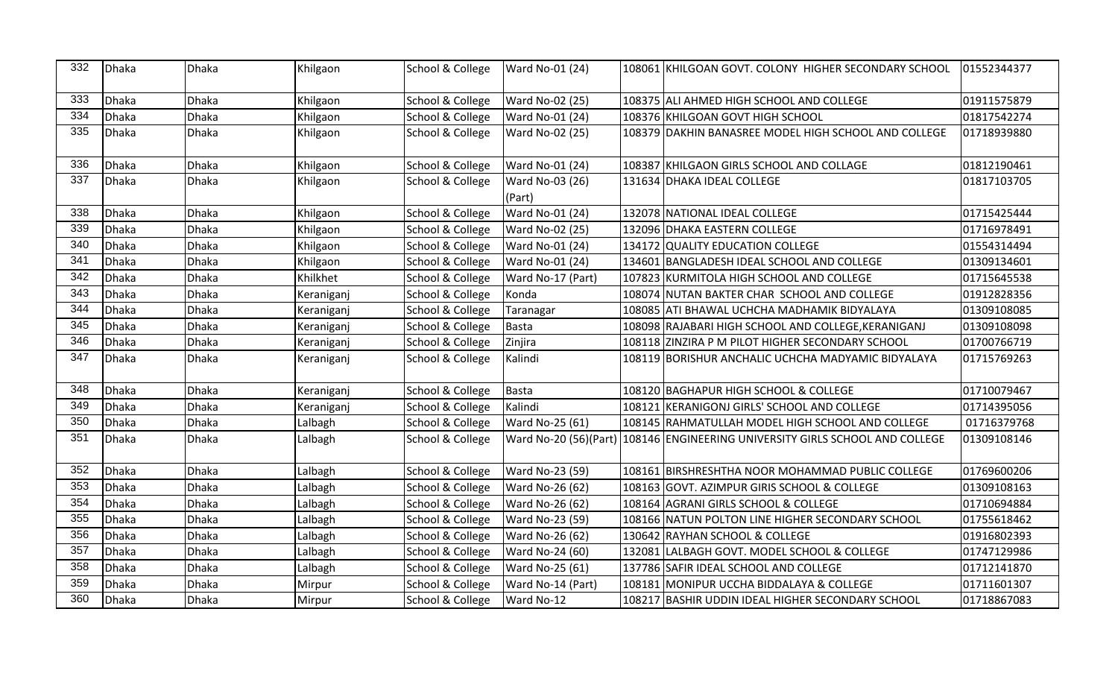| 332              | Dhaka | <b>Dhaka</b> | Khilgaon   | School & College | Ward No-01 (24)           | 108061 KHILGOAN GOVT. COLONY HIGHER SECONDARY SCHOOL                         | 01552344377 |
|------------------|-------|--------------|------------|------------------|---------------------------|------------------------------------------------------------------------------|-------------|
| 333              | Dhaka | <b>Dhaka</b> | Khilgaon   | School & College | <b>Ward No-02 (25)</b>    | 108375 ALI AHMED HIGH SCHOOL AND COLLEGE                                     | 01911575879 |
| 334              | Dhaka | Dhaka        | Khilgaon   | School & College | Ward No-01 (24)           | 108376 KHILGOAN GOVT HIGH SCHOOL                                             | 01817542274 |
| 335              | Dhaka | <b>Dhaka</b> | Khilgaon   | School & College | Ward No-02 (25)           | 108379 DAKHIN BANASREE MODEL HIGH SCHOOL AND COLLEGE                         | 01718939880 |
| 336              | Dhaka | Dhaka        | Khilgaon   | School & College | Ward No-01 (24)           | 108387 KHILGAON GIRLS SCHOOL AND COLLAGE                                     | 01812190461 |
| $\frac{1}{337}$  | Dhaka | <b>Dhaka</b> | Khilgaon   | School & College | Ward No-03 (26)<br>(Part) | 131634 DHAKA IDEAL COLLEGE                                                   | 01817103705 |
| 338              | Dhaka | <b>Dhaka</b> | Khilgaon   | School & College | Ward No-01 (24)           | 132078 NATIONAL IDEAL COLLEGE                                                | 01715425444 |
| 339              | Dhaka | <b>Dhaka</b> | Khilgaon   | School & College | Ward No-02 (25)           | 132096 DHAKA EASTERN COLLEGE                                                 | 01716978491 |
| $\overline{340}$ | Dhaka | <b>Dhaka</b> | Khilgaon   | School & College | Ward No-01 (24)           | 134172 QUALITY EDUCATION COLLEGE                                             | 01554314494 |
| 341              | Dhaka | Dhaka        | Khilgaon   | School & College | Ward No-01 (24)           | 134601 BANGLADESH IDEAL SCHOOL AND COLLEGE                                   | 01309134601 |
| 342              | Dhaka | <b>Dhaka</b> | Khilkhet   | School & College | Ward No-17 (Part)         | 107823 KURMITOLA HIGH SCHOOL AND COLLEGE                                     | 01715645538 |
| 343              | Dhaka | Dhaka        | Keraniganj | School & College | Konda                     | 108074 NUTAN BAKTER CHAR SCHOOL AND COLLEGE                                  | 01912828356 |
| 344              | Dhaka | <b>Dhaka</b> | Keraniganj | School & College | Taranagar                 | 108085 ATI BHAWAL UCHCHA MADHAMIK BIDYALAYA                                  | 01309108085 |
| 345              | Dhaka | <b>Dhaka</b> | Keraniganj | School & College | Basta                     | 108098 RAJABARI HIGH SCHOOL AND COLLEGE, KERANIGANJ                          | 01309108098 |
| 346              | Dhaka | <b>Dhaka</b> | Keraniganj | School & College | Zinjira                   | 108118 ZINZIRA P M PILOT HIGHER SECONDARY SCHOOL                             | 01700766719 |
| 347              | Dhaka | <b>Dhaka</b> | Keraniganj | School & College | Kalindi                   | 108119 BORISHUR ANCHALIC UCHCHA MADYAMIC BIDYALAYA                           | 01715769263 |
| 348              | Dhaka | <b>Dhaka</b> | Keraniganj | School & College | Basta                     | 108120 BAGHAPUR HIGH SCHOOL & COLLEGE                                        | 01710079467 |
| 349              | Dhaka | <b>Dhaka</b> | Keraniganj | School & College | Kalindi                   | 108121 KERANIGONJ GIRLS' SCHOOL AND COLLEGE                                  | 01714395056 |
| 350              | Dhaka | <b>Dhaka</b> | Lalbagh    | School & College | Ward No-25 (61)           | 108145 RAHMATULLAH MODEL HIGH SCHOOL AND COLLEGE                             | 01716379768 |
| 351              | Dhaka | <b>Dhaka</b> | Lalbagh    | School & College |                           | Ward No-20 (56)(Part) 108146 ENGINEERING UNIVERSITY GIRLS SCHOOL AND COLLEGE | 01309108146 |
| 352              | Dhaka | <b>Dhaka</b> | Lalbagh    | School & College | Ward No-23 (59)           | 108161 BIRSHRESHTHA NOOR MOHAMMAD PUBLIC COLLEGE                             | 01769600206 |
| 353              | Dhaka | <b>Dhaka</b> | Lalbagh    | School & College | Ward No-26 (62)           | 108163 GOVT. AZIMPUR GIRIS SCHOOL & COLLEGE                                  | 01309108163 |
| 354              | Dhaka | Dhaka        | Lalbagh    | School & College | Ward No-26 (62)           | 108164 AGRANI GIRLS SCHOOL & COLLEGE                                         | 01710694884 |
| 355              | Dhaka | Dhaka        | Lalbagh    | School & College | Ward No-23 (59)           | 108166 NATUN POLTON LINE HIGHER SECONDARY SCHOOL                             | 01755618462 |
| 356              | Dhaka | Dhaka        | Lalbagh    | School & College | Ward No-26 (62)           | 130642 RAYHAN SCHOOL & COLLEGE                                               | 01916802393 |
| 357              | Dhaka | <b>Dhaka</b> | Lalbagh    | School & College | Ward No-24 (60)           | 132081 LALBAGH GOVT. MODEL SCHOOL & COLLEGE                                  | 01747129986 |
| 358              | Dhaka | <b>Dhaka</b> | Lalbagh    | School & College | Ward No-25 (61)           | 137786 SAFIR IDEAL SCHOOL AND COLLEGE                                        | 01712141870 |
| 359              | Dhaka | <b>Dhaka</b> | Mirpur     | School & College | Ward No-14 (Part)         | 108181 MONIPUR UCCHA BIDDALAYA & COLLEGE                                     | 01711601307 |
| 360              | Dhaka | <b>Dhaka</b> | Mirpur     | School & College | Ward No-12                | 108217 BASHIR UDDIN IDEAL HIGHER SECONDARY SCHOOL                            | 01718867083 |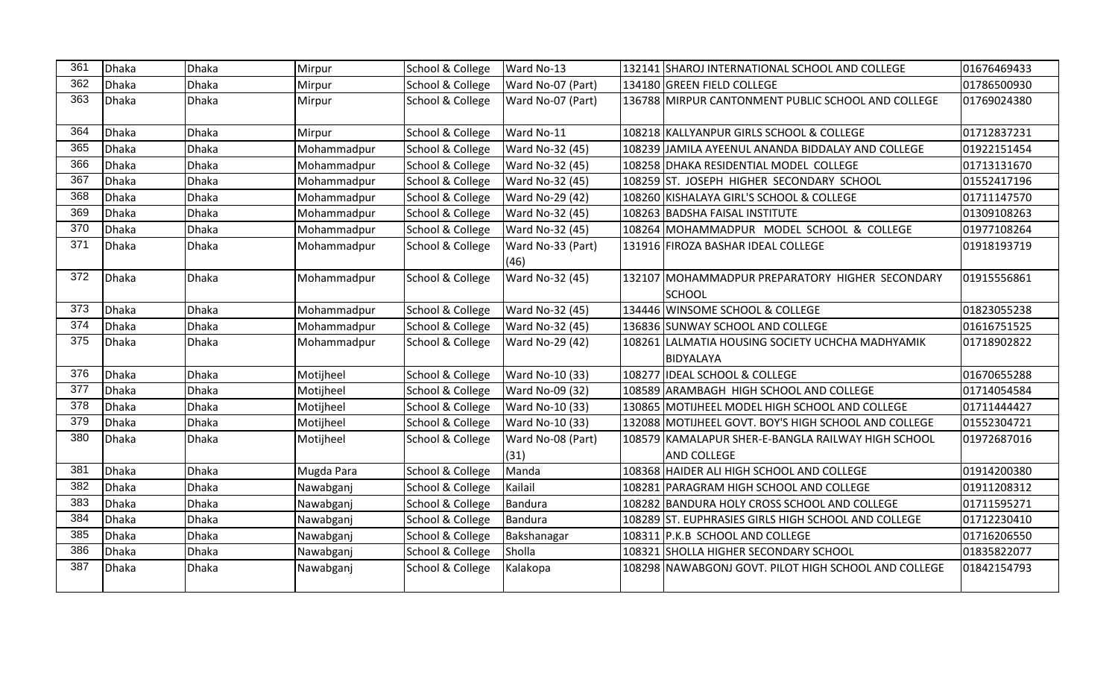| 361 | Dhaka | <b>Dhaka</b> | Mirpur      | School & College | Ward No-13                | 132141 SHAROJ INTERNATIONAL SCHOOL AND COLLEGE                           | 01676469433 |
|-----|-------|--------------|-------------|------------------|---------------------------|--------------------------------------------------------------------------|-------------|
| 362 | Dhaka | <b>Dhaka</b> | Mirpur      | School & College | Ward No-07 (Part)         | 134180 GREEN FIELD COLLEGE                                               | 01786500930 |
| 363 | Dhaka | <b>Dhaka</b> | Mirpur      | School & College | Ward No-07 (Part)         | 136788 MIRPUR CANTONMENT PUBLIC SCHOOL AND COLLEGE                       | 01769024380 |
| 364 | Dhaka | <b>Dhaka</b> | Mirpur      | School & College | Ward No-11                | 108218 KALLYANPUR GIRLS SCHOOL & COLLEGE                                 | 01712837231 |
| 365 | Dhaka | Dhaka        | Mohammadpur | School & College | Ward No-32 (45)           | 108239 JAMILA AYEENUL ANANDA BIDDALAY AND COLLEGE                        | 01922151454 |
| 366 | Dhaka | <b>Dhaka</b> | Mohammadpur | School & College | Ward No-32 (45)           | 108258 DHAKA RESIDENTIAL MODEL COLLEGE                                   | 01713131670 |
| 367 | Dhaka | <b>Dhaka</b> | Mohammadpur | School & College | Ward No-32 (45)           | 108259 ST. JOSEPH HIGHER SECONDARY SCHOOL                                | 01552417196 |
| 368 | Dhaka | <b>Dhaka</b> | Mohammadpur | School & College | Ward No-29 (42)           | 108260 KISHALAYA GIRL'S SCHOOL & COLLEGE                                 | 01711147570 |
| 369 | Dhaka | <b>Dhaka</b> | Mohammadpur | School & College | Ward No-32 (45)           | 108263 BADSHA FAISAL INSTITUTE                                           | 01309108263 |
| 370 | Dhaka | <b>Dhaka</b> | Mohammadpur | School & College | Ward No-32 (45)           | 108264 MOHAMMADPUR MODEL SCHOOL & COLLEGE                                | 01977108264 |
| 371 | Dhaka | <b>Dhaka</b> | Mohammadpur | School & College | Ward No-33 (Part)<br>(46) | 131916 FIROZA BASHAR IDEAL COLLEGE                                       | 01918193719 |
| 372 | Dhaka | <b>Dhaka</b> | Mohammadpur | School & College | Ward No-32 (45)           | 132107 MOHAMMADPUR PREPARATORY HIGHER SECONDARY<br><b>ISCHOOL</b>        | 01915556861 |
| 373 | Dhaka | <b>Dhaka</b> | Mohammadpur | School & College | Ward No-32 (45)           | 134446 WINSOME SCHOOL & COLLEGE                                          | 01823055238 |
| 374 | Dhaka | <b>Dhaka</b> | Mohammadpur | School & College | Ward No-32 (45)           | 136836 SUNWAY SCHOOL AND COLLEGE                                         | 01616751525 |
| 375 | Dhaka | <b>Dhaka</b> | Mohammadpur | School & College | Ward No-29 (42)           | 108261 LALMATIA HOUSING SOCIETY UCHCHA MADHYAMIK<br>BIDYALAYA            | 01718902822 |
| 376 | Dhaka | <b>Dhaka</b> | Motijheel   | School & College | Ward No-10 (33)           | 108277 IDEAL SCHOOL & COLLEGE                                            | 01670655288 |
| 377 | Dhaka | Dhaka        | Motijheel   | School & College | Ward No-09 (32)           | 108589 ARAMBAGH HIGH SCHOOL AND COLLEGE                                  | 01714054584 |
| 378 | Dhaka | <b>Dhaka</b> | Motijheel   | School & College | Ward No-10 (33)           | 130865 MOTIJHEEL MODEL HIGH SCHOOL AND COLLEGE                           | 01711444427 |
| 379 | Dhaka | <b>Dhaka</b> | Motijheel   | School & College | Ward No-10 (33)           | 132088 MOTIJHEEL GOVT. BOY'S HIGH SCHOOL AND COLLEGE                     | 01552304721 |
| 380 | Dhaka | <b>Dhaka</b> | Motijheel   | School & College | Ward No-08 (Part)<br>(31) | 108579 KAMALAPUR SHER-E-BANGLA RAILWAY HIGH SCHOOL<br><b>AND COLLEGE</b> | 01972687016 |
| 381 | Dhaka | <b>Dhaka</b> | Mugda Para  | School & College | Manda                     | 108368 HAIDER ALI HIGH SCHOOL AND COLLEGE                                | 01914200380 |
| 382 | Dhaka | <b>Dhaka</b> | Nawabganj   | School & College | Kailail                   | 108281 PARAGRAM HIGH SCHOOL AND COLLEGE                                  | 01911208312 |
| 383 | Dhaka | <b>Dhaka</b> | Nawabganj   | School & College | Bandura                   | 108282 BANDURA HOLY CROSS SCHOOL AND COLLEGE                             | 01711595271 |
| 384 | Dhaka | Dhaka        | Nawabganj   | School & College | Bandura                   | 108289 ST. EUPHRASIES GIRLS HIGH SCHOOL AND COLLEGE                      | 01712230410 |
| 385 | Dhaka | <b>Dhaka</b> | Nawabganj   | School & College | Bakshanagar               | 108311 P.K.B SCHOOL AND COLLEGE                                          | 01716206550 |
| 386 | Dhaka | <b>Dhaka</b> | Nawabganj   | School & College | Sholla                    | 108321 SHOLLA HIGHER SECONDARY SCHOOL                                    | 01835822077 |
| 387 | Dhaka | <b>Dhaka</b> | Nawabganj   | School & College | Kalakopa                  | 108298 NAWABGONJ GOVT. PILOT HIGH SCHOOL AND COLLEGE                     | 01842154793 |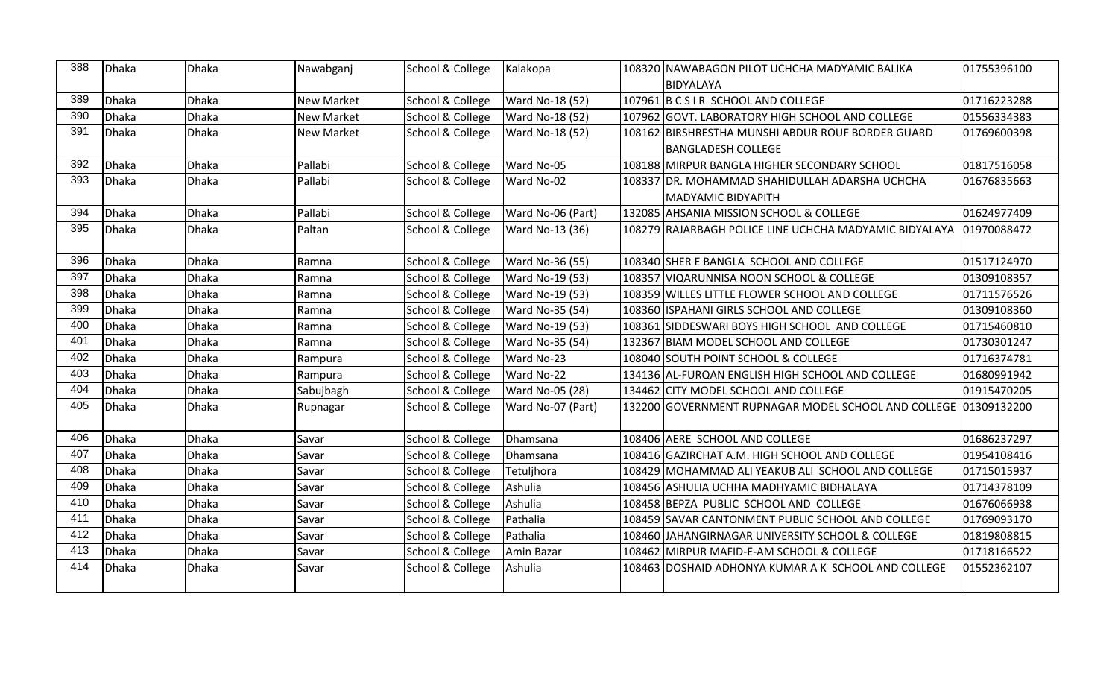| 388 | Dhaka | <b>Dhaka</b> | Nawabganj         | School & College | Kalakopa               | 108320 NAWABAGON PILOT UCHCHA MADYAMIC BALIKA                      | 01755396100 |
|-----|-------|--------------|-------------------|------------------|------------------------|--------------------------------------------------------------------|-------------|
|     |       |              |                   |                  |                        | BIDYALAYA                                                          |             |
| 389 | Dhaka | <b>Dhaka</b> | <b>New Market</b> | School & College | Ward No-18 (52)        | 107961 B C S I R SCHOOL AND COLLEGE                                | 01716223288 |
| 390 | Dhaka | <b>Dhaka</b> | <b>New Market</b> | School & College | Ward No-18 (52)        | 107962 GOVT. LABORATORY HIGH SCHOOL AND COLLEGE                    | 01556334383 |
| 391 | Dhaka | <b>Dhaka</b> | <b>New Market</b> | School & College | <b>Ward No-18 (52)</b> | 108162 BIRSHRESTHA MUNSHI ABDUR ROUF BORDER GUARD                  | 01769600398 |
|     |       |              |                   |                  |                        | <b>BANGLADESH COLLEGE</b>                                          |             |
| 392 | Dhaka | <b>Dhaka</b> | Pallabi           | School & College | Ward No-05             | 108188 MIRPUR BANGLA HIGHER SECONDARY SCHOOL                       | 01817516058 |
| 393 | Dhaka | <b>Dhaka</b> | Pallabi           | School & College | Ward No-02             | 108337 DR. MOHAMMAD SHAHIDULLAH ADARSHA UCHCHA                     | 01676835663 |
|     |       |              |                   |                  |                        | <b>MADYAMIC BIDYAPITH</b>                                          |             |
| 394 | Dhaka | <b>Dhaka</b> | Pallabi           | School & College | Ward No-06 (Part)      | 132085 AHSANIA MISSION SCHOOL & COLLEGE                            | 01624977409 |
| 395 | Dhaka | <b>Dhaka</b> | Paltan            | School & College | Ward No-13 (36)        | 108279 RAJARBAGH POLICE LINE UCHCHA MADYAMIC BIDYALAYA 01970088472 |             |
|     |       |              |                   |                  |                        |                                                                    |             |
| 396 | Dhaka | <b>Dhaka</b> | Ramna             | School & College | Ward No-36 (55)        | 108340 SHER E BANGLA SCHOOL AND COLLEGE                            | 01517124970 |
| 397 | Dhaka | <b>Dhaka</b> | Ramna             | School & College | Ward No-19 (53)        | 108357 VIQARUNNISA NOON SCHOOL & COLLEGE                           | 01309108357 |
| 398 | Dhaka | <b>Dhaka</b> | Ramna             | School & College | Ward No-19 (53)        | 108359 WILLES LITTLE FLOWER SCHOOL AND COLLEGE                     | 01711576526 |
| 399 | Dhaka | <b>Dhaka</b> | Ramna             | School & College | Ward No-35 (54)        | 108360 ISPAHANI GIRLS SCHOOL AND COLLEGE                           | 01309108360 |
| 400 | Dhaka | <b>Dhaka</b> | Ramna             | School & College | Ward No-19 (53)        | 108361 SIDDESWARI BOYS HIGH SCHOOL AND COLLEGE                     | 01715460810 |
| 401 | Dhaka | <b>Dhaka</b> | Ramna             | School & College | Ward No-35 (54)        | 132367 BIAM MODEL SCHOOL AND COLLEGE                               | 01730301247 |
| 402 | Dhaka | <b>Dhaka</b> | Rampura           | School & College | Ward No-23             | 108040 SOUTH POINT SCHOOL & COLLEGE                                | 01716374781 |
| 403 | Dhaka | <b>Dhaka</b> | Rampura           | School & College | Ward No-22             | 134136 AL-FURQAN ENGLISH HIGH SCHOOL AND COLLEGE                   | 01680991942 |
| 404 | Dhaka | <b>Dhaka</b> | Sabujbagh         | School & College | Ward No-05 (28)        | 134462 CITY MODEL SCHOOL AND COLLEGE                               | 01915470205 |
| 405 | Dhaka | <b>Dhaka</b> | Rupnagar          | School & College | Ward No-07 (Part)      | 132200 GOVERNMENT RUPNAGAR MODEL SCHOOL AND COLLEGE 01309132200    |             |
|     |       |              |                   |                  |                        |                                                                    |             |
| 406 | Dhaka | <b>Dhaka</b> | Savar             | School & College | Dhamsana               | 108406 AERE SCHOOL AND COLLEGE                                     | 01686237297 |
| 407 | Dhaka | <b>Dhaka</b> | Savar             | School & College | Dhamsana               | 108416 GAZIRCHAT A.M. HIGH SCHOOL AND COLLEGE                      | 01954108416 |
| 408 | Dhaka | <b>Dhaka</b> | Savar             | School & College | Tetuljhora             | 108429 MOHAMMAD ALI YEAKUB ALI SCHOOL AND COLLEGE                  | 01715015937 |
| 409 | Dhaka | <b>Dhaka</b> | Savar             | School & College | Ashulia                | 108456 ASHULIA UCHHA MADHYAMIC BIDHALAYA                           | 01714378109 |
| 410 | Dhaka | <b>Dhaka</b> | Savar             | School & College | Ashulia                | 108458 BEPZA PUBLIC SCHOOL AND COLLEGE                             | 01676066938 |
| 411 | Dhaka | <b>Dhaka</b> | Savar             | School & College | Pathalia               | 108459 SAVAR CANTONMENT PUBLIC SCHOOL AND COLLEGE                  | 01769093170 |
| 412 | Dhaka | <b>Dhaka</b> | Savar             | School & College | Pathalia               | 108460 JJAHANGIRNAGAR UNIVERSITY SCHOOL & COLLEGE                  | 01819808815 |
| 413 | Dhaka | <b>Dhaka</b> | Savar             | School & College | Amin Bazar             | 108462 MIRPUR MAFID-E-AM SCHOOL & COLLEGE                          | 01718166522 |
| 414 | Dhaka | <b>Dhaka</b> | Savar             | School & College | Ashulia                | 108463 DOSHAID ADHONYA KUMAR A K SCHOOL AND COLLEGE                | 01552362107 |
|     |       |              |                   |                  |                        |                                                                    |             |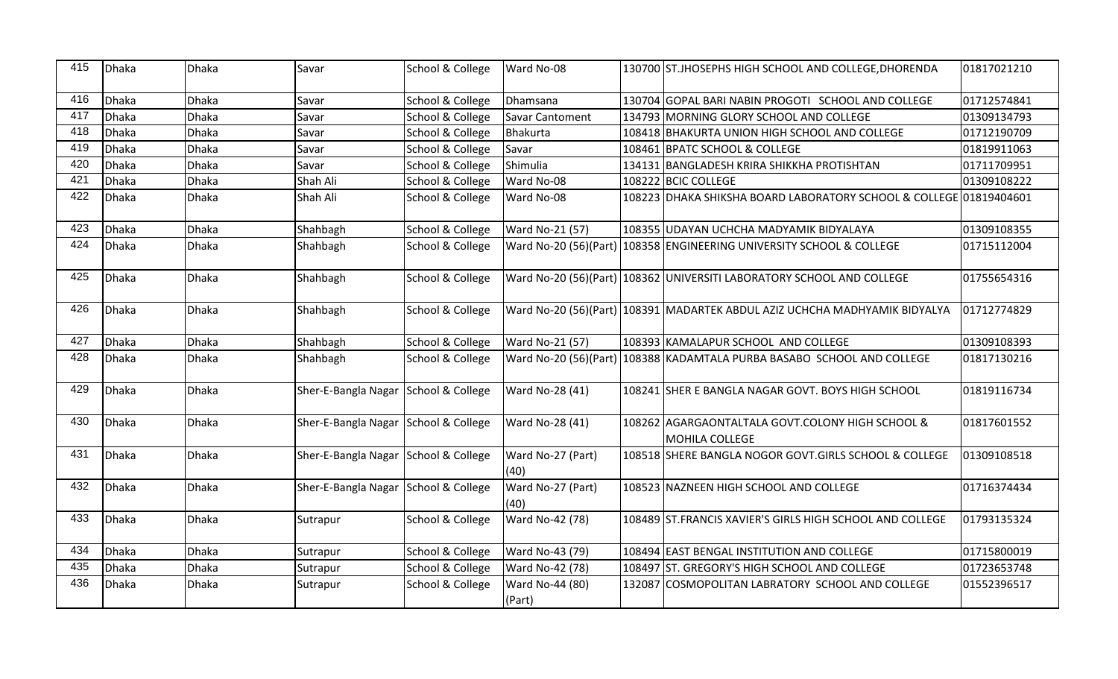| 415 | Dhaka        | Dhaka        | Savar                                | School & College            | Ward No-08                | 130700 ST.JHOSEPHS HIGH SCHOOL AND COLLEGE, DHORENDA                       | 01817021210 |
|-----|--------------|--------------|--------------------------------------|-----------------------------|---------------------------|----------------------------------------------------------------------------|-------------|
| 416 | Dhaka        | <b>Dhaka</b> | Savar                                | School & College            | Dhamsana                  | 130704 GOPAL BARI NABIN PROGOTI SCHOOL AND COLLEGE                         | 01712574841 |
| 417 | Dhaka        | <b>Dhaka</b> | Savar                                | School & College            | Savar Cantoment           | 134793 MORNING GLORY SCHOOL AND COLLEGE                                    | 01309134793 |
| 418 | Dhaka        | <b>Dhaka</b> | Savar                                | School & College            | Bhakurta                  | 108418 BHAKURTA UNION HIGH SCHOOL AND COLLEGE                              | 01712190709 |
| 419 | Dhaka        | <b>Dhaka</b> | Savar                                | School & College            | Savar                     | 108461 BPATC SCHOOL & COLLEGE                                              | 01819911063 |
| 420 | Dhaka        | <b>Dhaka</b> | Savar                                | School & College            | Shimulia                  | 134131 BANGLADESH KRIRA SHIKKHA PROTISHTAN                                 | 01711709951 |
| 421 | Dhaka        | <b>Dhaka</b> | Shah Ali                             | <b>School &amp; College</b> | Ward No-08                | 108222 BCIC COLLEGE                                                        | 01309108222 |
| 422 | Dhaka        | <b>Dhaka</b> | Shah Ali                             | School & College            | Ward No-08                | 108223 DHAKA SHIKSHA BOARD LABORATORY SCHOOL & COLLEGE 01819404601         |             |
| 423 | Dhaka        | <b>Dhaka</b> | Shahbagh                             | School & College            | Ward No-21 (57)           | 108355 UDAYAN UCHCHA MADYAMIK BIDYALAYA                                    | 01309108355 |
| 424 | Dhaka        | <b>Dhaka</b> | Shahbagh                             | School & College            | Ward No-20 (56)(Part)     | 108358 ENGINEERING UNIVERSITY SCHOOL & COLLEGE                             | 01715112004 |
| 425 | Dhaka        | <b>Dhaka</b> | Shahbagh                             | School & College            |                           | Ward No-20 (56)(Part) 108362 UNIVERSITI LABORATORY SCHOOL AND COLLEGE      | 01755654316 |
| 426 | Dhaka        | <b>Dhaka</b> | Shahbagh                             | School & College            |                           | Ward No-20 (56)(Part) 108391 MADARTEK ABDUL AZIZ UCHCHA MADHYAMIK BIDYALYA | 01712774829 |
| 427 | Dhaka        | <b>Dhaka</b> | Shahbagh                             | School & College            | Ward No-21 (57)           | 108393 KAMALAPUR SCHOOL AND COLLEGE                                        | 01309108393 |
| 428 | <b>Dhaka</b> | <b>Dhaka</b> | Shahbagh                             | School & College            |                           | Ward No-20 (56)(Part) 108388 KADAMTALA PURBA BASABO SCHOOL AND COLLEGE     | 01817130216 |
| 429 | Dhaka        | <b>Dhaka</b> | Sher-E-Bangla Nagar School & College |                             | Ward No-28 (41)           | 108241 SHER E BANGLA NAGAR GOVT. BOYS HIGH SCHOOL                          | 01819116734 |
| 430 | Dhaka        | <b>Dhaka</b> | Sher-E-Bangla Nagar School & College |                             | Ward No-28 (41)           | 108262 AGARGAONTALTALA GOVT.COLONY HIGH SCHOOL &<br>MOHILA COLLEGE         | 01817601552 |
| 431 | Dhaka        | <b>Dhaka</b> | Sher-E-Bangla Nagar School & College |                             | Ward No-27 (Part)<br>(40) | 108518 SHERE BANGLA NOGOR GOVT.GIRLS SCHOOL & COLLEGE                      | 01309108518 |
| 432 | Dhaka        | <b>Dhaka</b> | Sher-E-Bangla Nagar School & College |                             | Ward No-27 (Part)<br>(40) | 108523 NAZNEEN HIGH SCHOOL AND COLLEGE                                     | 01716374434 |
| 433 | Dhaka        | <b>Dhaka</b> | Sutrapur                             | School & College            | Ward No-42 (78)           | 108489 ST.FRANCIS XAVIER'S GIRLS HIGH SCHOOL AND COLLEGE                   | 01793135324 |
| 434 | Dhaka        | <b>Dhaka</b> | Sutrapur                             | School & College            | Ward No-43 (79)           | 108494 EAST BENGAL INSTITUTION AND COLLEGE                                 | 01715800019 |
| 435 | Dhaka        | <b>Dhaka</b> | Sutrapur                             | School & College            | Ward No-42 (78)           | 108497 ST. GREGORY'S HIGH SCHOOL AND COLLEGE                               | 01723653748 |
| 436 | Dhaka        | <b>Dhaka</b> | Sutrapur                             | School & College            | Ward No-44 (80)<br>(Part) | 132087 COSMOPOLITAN LABRATORY SCHOOL AND COLLEGE                           | 01552396517 |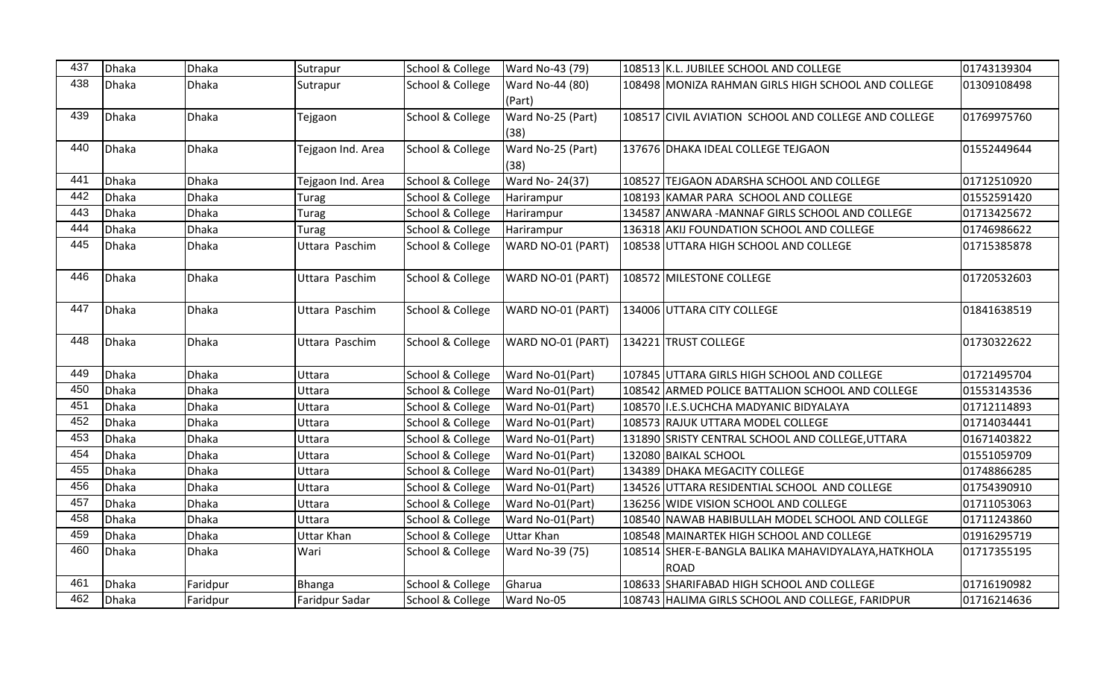| 437 | Dhaka | Dhaka        | Sutrapur          | School & College | Ward No-43 (79)           | 108513 K.L. JUBILEE SCHOOL AND COLLEGE                             | 01743139304 |
|-----|-------|--------------|-------------------|------------------|---------------------------|--------------------------------------------------------------------|-------------|
| 438 | Dhaka | <b>Dhaka</b> | Sutrapur          | School & College | Ward No-44 (80)<br>(Part) | 108498 MONIZA RAHMAN GIRLS HIGH SCHOOL AND COLLEGE                 | 01309108498 |
| 439 | Dhaka | <b>Dhaka</b> | Tejgaon           | School & College | Ward No-25 (Part)<br>(38) | 108517 CIVIL AVIATION SCHOOL AND COLLEGE AND COLLEGE               | 01769975760 |
| 440 | Dhaka | <b>Dhaka</b> | Tejgaon Ind. Area | School & College | Ward No-25 (Part)<br>(38) | 137676 DHAKA IDEAL COLLEGE TEJGAON                                 | 01552449644 |
| 441 | Dhaka | <b>Dhaka</b> | Tejgaon Ind. Area | School & College | Ward No- 24(37)           | 108527 TEJGAON ADARSHA SCHOOL AND COLLEGE                          | 01712510920 |
| 442 | Dhaka | <b>Dhaka</b> | Turag             | School & College | Harirampur                | 108193 KAMAR PARA SCHOOL AND COLLEGE                               | 01552591420 |
| 443 | Dhaka | <b>Dhaka</b> | Turag             | School & College | Harirampur                | 134587 ANWARA - MANNAF GIRLS SCHOOL AND COLLEGE                    | 01713425672 |
| 444 | Dhaka | <b>Dhaka</b> | Turag             | School & College | Harirampur                | 136318 AKIJ FOUNDATION SCHOOL AND COLLEGE                          | 01746986622 |
| 445 | Dhaka | <b>Dhaka</b> | Uttara Paschim    | School & College | WARD NO-01 (PART)         | 108538 UTTARA HIGH SCHOOL AND COLLEGE                              | 01715385878 |
| 446 | Dhaka | <b>Dhaka</b> | Uttara Paschim    | School & College | WARD NO-01 (PART)         | 108572 MILESTONE COLLEGE                                           | 01720532603 |
| 447 | Dhaka | <b>Dhaka</b> | Uttara Paschim    | School & College | WARD NO-01 (PART)         | 134006 UTTARA CITY COLLEGE                                         | 01841638519 |
| 448 | Dhaka | Dhaka        | Uttara Paschim    | School & College | WARD NO-01 (PART)         | 134221 TRUST COLLEGE                                               | 01730322622 |
| 449 | Dhaka | <b>Dhaka</b> | Uttara            | School & College | Ward No-01(Part)          | 107845 UTTARA GIRLS HIGH SCHOOL AND COLLEGE                        | 01721495704 |
| 450 | Dhaka | <b>Dhaka</b> | Uttara            | School & College | Ward No-01(Part)          | 108542 ARMED POLICE BATTALION SCHOOL AND COLLEGE                   | 01553143536 |
| 451 | Dhaka | <b>Dhaka</b> | Uttara            | School & College | Ward No-01(Part)          | 108570 I.E.S.UCHCHA MADYANIC BIDYALAYA                             | 01712114893 |
| 452 | Dhaka | <b>Dhaka</b> | Uttara            | School & College | Ward No-01(Part)          | 108573 RAJUK UTTARA MODEL COLLEGE                                  | 01714034441 |
| 453 | Dhaka | <b>Dhaka</b> | Uttara            | School & College | Ward No-01(Part)          | 131890 SRISTY CENTRAL SCHOOL AND COLLEGE, UTTARA                   | 01671403822 |
| 454 | Dhaka | <b>Dhaka</b> | Uttara            | School & College | Ward No-01(Part)          | 132080 BAIKAL SCHOOL                                               | 01551059709 |
| 455 | Dhaka | <b>Dhaka</b> | Uttara            | School & College | Ward No-01(Part)          | 134389 DHAKA MEGACITY COLLEGE                                      | 01748866285 |
| 456 | Dhaka | <b>Dhaka</b> | Uttara            | School & College | Ward No-01(Part)          | 134526 UTTARA RESIDENTIAL SCHOOL AND COLLEGE                       | 01754390910 |
| 457 | Dhaka | <b>Dhaka</b> | Uttara            | School & College | Ward No-01(Part)          | 136256 WIDE VISION SCHOOL AND COLLEGE                              | 01711053063 |
| 458 | Dhaka | <b>Dhaka</b> | Uttara            | School & College | Ward No-01(Part)          | 108540 NAWAB HABIBULLAH MODEL SCHOOL AND COLLEGE                   | 01711243860 |
| 459 | Dhaka | <b>Dhaka</b> | <b>Uttar Khan</b> | School & College | <b>Uttar Khan</b>         | 108548 MAINARTEK HIGH SCHOOL AND COLLEGE                           | 01916295719 |
| 460 | Dhaka | <b>Dhaka</b> | Wari              | School & College | Ward No-39 (75)           | 108514 SHER-E-BANGLA BALIKA MAHAVIDYALAYA, HATKHOLA<br><b>ROAD</b> | 01717355195 |
| 461 | Dhaka | Faridpur     | Bhanga            | School & College | Gharua                    | 108633 SHARIFABAD HIGH SCHOOL AND COLLEGE                          | 01716190982 |
| 462 | Dhaka | Faridpur     | Faridpur Sadar    | School & College | Ward No-05                | 108743 HALIMA GIRLS SCHOOL AND COLLEGE, FARIDPUR                   | 01716214636 |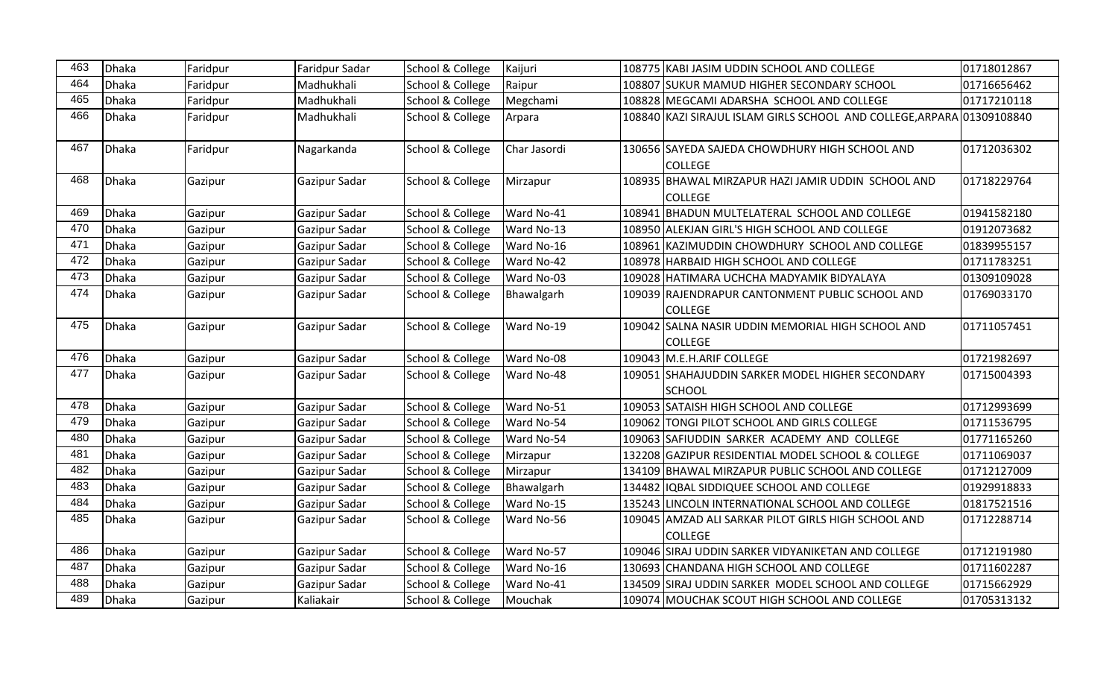| 463 | <b>Dhaka</b> | Faridpur | Faridpur Sadar | School & College | Kaijuri      | 108775 KABI JASIM UDDIN SCHOOL AND COLLEGE                             | 01718012867 |
|-----|--------------|----------|----------------|------------------|--------------|------------------------------------------------------------------------|-------------|
| 464 | <b>Dhaka</b> | Faridpur | Madhukhali     | School & College | Raipur       | 108807 SUKUR MAMUD HIGHER SECONDARY SCHOOL                             | 01716656462 |
| 465 | <b>Dhaka</b> | Faridpur | Madhukhali     | School & College | Megchami     | 108828 MEGCAMI ADARSHA SCHOOL AND COLLEGE                              | 01717210118 |
| 466 | <b>Dhaka</b> | Faridpur | Madhukhali     | School & College | Arpara       | 108840 KAZI SIRAJUL ISLAM GIRLS SCHOOL AND COLLEGE, ARPARA 01309108840 |             |
| 467 | <b>Dhaka</b> | Faridpur | Nagarkanda     | School & College | Char Jasordi | 130656 SAYEDA SAJEDA CHOWDHURY HIGH SCHOOL AND<br><b>COLLEGE</b>       | 01712036302 |
| 468 | <b>Dhaka</b> | Gazipur  | Gazipur Sadar  | School & College | Mirzapur     | 108935 BHAWAL MIRZAPUR HAZI JAMIR UDDIN SCHOOL AND<br><b>COLLEGE</b>   | 01718229764 |
| 469 | Dhaka        | Gazipur  | Gazipur Sadar  | School & College | Ward No-41   | 108941 BHADUN MULTELATERAL SCHOOL AND COLLEGE                          | 01941582180 |
| 470 | <b>Dhaka</b> | Gazipur  | Gazipur Sadar  | School & College | Ward No-13   | 108950 ALEKJAN GIRL'S HIGH SCHOOL AND COLLEGE                          | 01912073682 |
| 471 | <b>Dhaka</b> | Gazipur  | Gazipur Sadar  | School & College | Ward No-16   | 108961 KAZIMUDDIN CHOWDHURY SCHOOL AND COLLEGE                         | 01839955157 |
| 472 | <b>Dhaka</b> | Gazipur  | Gazipur Sadar  | School & College | Ward No-42   | 108978 HARBAID HIGH SCHOOL AND COLLEGE                                 | 01711783251 |
| 473 | <b>Dhaka</b> | Gazipur  | Gazipur Sadar  | School & College | Ward No-03   | 109028 HATIMARA UCHCHA MADYAMIK BIDYALAYA                              | 01309109028 |
| 474 | <b>Dhaka</b> | Gazipur  | Gazipur Sadar  | School & College | Bhawalgarh   | 109039 RAJENDRAPUR CANTONMENT PUBLIC SCHOOL AND<br><b>COLLEGE</b>      | 01769033170 |
| 475 | <b>Dhaka</b> | Gazipur  | Gazipur Sadar  | School & College | Ward No-19   | 109042 SALNA NASIR UDDIN MEMORIAL HIGH SCHOOL AND<br><b>COLLEGE</b>    | 01711057451 |
| 476 | <b>Dhaka</b> | Gazipur  | Gazipur Sadar  | School & College | Ward No-08   | 109043 M.E.H.ARIF COLLEGE                                              | 01721982697 |
| 477 | <b>Dhaka</b> | Gazipur  | Gazipur Sadar  | School & College | Ward No-48   | 109051 SHAHAJUDDIN SARKER MODEL HIGHER SECONDARY<br><b>SCHOOL</b>      | 01715004393 |
| 478 | <b>Dhaka</b> | Gazipur  | Gazipur Sadar  | School & College | Ward No-51   | 109053 SATAISH HIGH SCHOOL AND COLLEGE                                 | 01712993699 |
| 479 | <b>Dhaka</b> | Gazipur  | Gazipur Sadar  | School & College | Ward No-54   | 109062 TONGI PILOT SCHOOL AND GIRLS COLLEGE                            | 01711536795 |
| 480 | <b>Dhaka</b> | Gazipur  | Gazipur Sadar  | School & College | Ward No-54   | 109063 SAFIUDDIN SARKER ACADEMY AND COLLEGE                            | 01771165260 |
| 481 | <b>Dhaka</b> | Gazipur  | Gazipur Sadar  | School & College | Mirzapur     | 132208 GAZIPUR RESIDENTIAL MODEL SCHOOL & COLLEGE                      | 01711069037 |
| 482 | <b>Dhaka</b> | Gazipur  | Gazipur Sadar  | School & College | Mirzapur     | 134109 BHAWAL MIRZAPUR PUBLIC SCHOOL AND COLLEGE                       | 01712127009 |
| 483 | <b>Dhaka</b> | Gazipur  | Gazipur Sadar  | School & College | Bhawalgarh   | 134482 IQBAL SIDDIQUEE SCHOOL AND COLLEGE                              | 01929918833 |
| 484 | <b>Dhaka</b> | Gazipur  | Gazipur Sadar  | School & College | Ward No-15   | 135243 LINCOLN INTERNATIONAL SCHOOL AND COLLEGE                        | 01817521516 |
| 485 | <b>Dhaka</b> | Gazipur  | Gazipur Sadar  | School & College | Ward No-56   | 109045 AMZAD ALI SARKAR PILOT GIRLS HIGH SCHOOL AND<br><b>COLLEGE</b>  | 01712288714 |
| 486 | <b>Dhaka</b> | Gazipur  | Gazipur Sadar  | School & College | Ward No-57   | 109046 SIRAJ UDDIN SARKER VIDYANIKETAN AND COLLEGE                     | 01712191980 |
| 487 | <b>Dhaka</b> | Gazipur  | Gazipur Sadar  | School & College | Ward No-16   | 130693 CHANDANA HIGH SCHOOL AND COLLEGE                                | 01711602287 |
| 488 | <b>Dhaka</b> | Gazipur  | Gazipur Sadar  | School & College | Ward No-41   | 134509 SIRAJ UDDIN SARKER MODEL SCHOOL AND COLLEGE                     | 01715662929 |
| 489 | Dhaka        | Gazipur  | Kaliakair      | School & College | Mouchak      | 109074 MOUCHAK SCOUT HIGH SCHOOL AND COLLEGE                           | 01705313132 |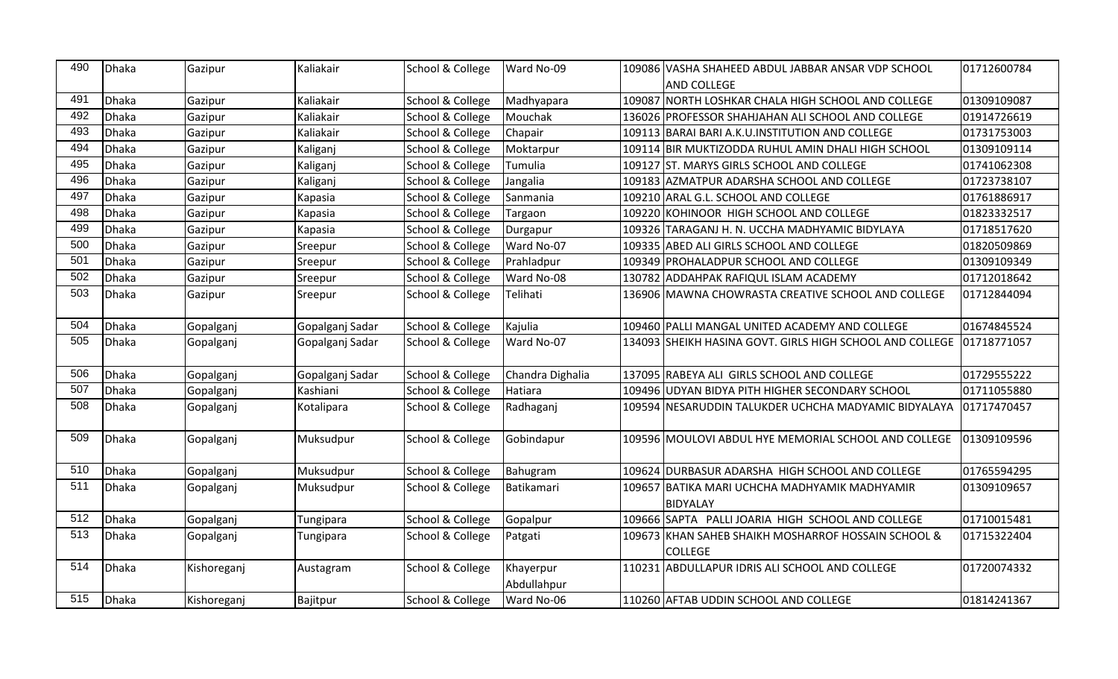| 490 | Dhaka | Gazipur     | Kaliakair       | School & College | Ward No-09               | 109086 VASHA SHAHEED ABDUL JABBAR ANSAR VDP SCHOOL                    | 01712600784 |
|-----|-------|-------------|-----------------|------------------|--------------------------|-----------------------------------------------------------------------|-------------|
|     |       |             |                 |                  |                          | <b>AND COLLEGE</b>                                                    |             |
| 491 | Dhaka | Gazipur     | Kaliakair       | School & College | Madhyapara               | 109087 NORTH LOSHKAR CHALA HIGH SCHOOL AND COLLEGE                    | 01309109087 |
| 492 | Dhaka | Gazipur     | Kaliakair       | School & College | Mouchak                  | 136026 PROFESSOR SHAHJAHAN ALI SCHOOL AND COLLEGE                     | 01914726619 |
| 493 | Dhaka | Gazipur     | Kaliakair       | School & College | Chapair                  | 109113 BARAI BARI A.K.U.INSTITUTION AND COLLEGE                       | 01731753003 |
| 494 | Dhaka | Gazipur     | Kaliganj        | School & College | Moktarpur                | 109114 BIR MUKTIZODDA RUHUL AMIN DHALI HIGH SCHOOL                    | 01309109114 |
| 495 | Dhaka | Gazipur     | Kaliganj        | School & College | Tumulia                  | 109127 ST. MARYS GIRLS SCHOOL AND COLLEGE                             | 01741062308 |
| 496 | Dhaka | Gazipur     | Kaliganj        | School & College | Jangalia                 | 109183 AZMATPUR ADARSHA SCHOOL AND COLLEGE                            | 01723738107 |
| 497 | Dhaka | Gazipur     | Kapasia         | School & College | Sanmania                 | 109210 ARAL G.L. SCHOOL AND COLLEGE                                   | 01761886917 |
| 498 | Dhaka | Gazipur     | Kapasia         | School & College | Targaon                  | 109220 KOHINOOR HIGH SCHOOL AND COLLEGE                               | 01823332517 |
| 499 | Dhaka | Gazipur     | Kapasia         | School & College | Durgapur                 | 109326 TARAGANJ H. N. UCCHA MADHYAMIC BIDYLAYA                        | 01718517620 |
| 500 | Dhaka | Gazipur     | Sreepur         | School & College | Ward No-07               | 109335 ABED ALI GIRLS SCHOOL AND COLLEGE                              | 01820509869 |
| 501 | Dhaka | Gazipur     | Sreepur         | School & College | Prahladpur               | 109349 PROHALADPUR SCHOOL AND COLLEGE                                 | 01309109349 |
| 502 | Dhaka | Gazipur     | Sreepur         | School & College | Ward No-08               | 130782 ADDAHPAK RAFIQUL ISLAM ACADEMY                                 | 01712018642 |
| 503 | Dhaka | Gazipur     | Sreepur         | School & College | Telihati                 | 136906 MAWNA CHOWRASTA CREATIVE SCHOOL AND COLLEGE                    | 01712844094 |
| 504 | Dhaka | Gopalganj   | Gopalganj Sadar | School & College | Kajulia                  | 109460 PALLI MANGAL UNITED ACADEMY AND COLLEGE                        | 01674845524 |
| 505 | Dhaka | Gopalganj   | Gopalganj Sadar | School & College | Ward No-07               | 134093 SHEIKH HASINA GOVT. GIRLS HIGH SCHOOL AND COLLEGE 101718771057 |             |
| 506 | Dhaka | Gopalganj   | Gopalganj Sadar | School & College | Chandra Dighalia         | 137095 RABEYA ALI GIRLS SCHOOL AND COLLEGE                            | 01729555222 |
| 507 | Dhaka | Gopalganj   | Kashiani        | School & College | Hatiara                  | 109496 JUDYAN BIDYA PITH HIGHER SECONDARY SCHOOL                      | 01711055880 |
| 508 | Dhaka | Gopalganj   | Kotalipara      | School & College | Radhaganj                | 109594 NESARUDDIN TALUKDER UCHCHA MADYAMIC BIDYALAYA                  | 01717470457 |
| 509 | Dhaka | Gopalganj   | Muksudpur       | School & College | Gobindapur               | 109596 MOULOVI ABDUL HYE MEMORIAL SCHOOL AND COLLEGE                  | 01309109596 |
| 510 | Dhaka | Gopalganj   | Muksudpur       | School & College | Bahugram                 | 109624 DURBASUR ADARSHA HIGH SCHOOL AND COLLEGE                       | 01765594295 |
| 511 | Dhaka | Gopalganj   | Muksudpur       | School & College | Batikamari               | 109657 BATIKA MARI UCHCHA MADHYAMIK MADHYAMIR<br>BIDYALAY             | 01309109657 |
| 512 | Dhaka | Gopalganj   | Tungipara       | School & College | Gopalpur                 | 109666 SAPTA PALLI JOARIA HIGH SCHOOL AND COLLEGE                     | 01710015481 |
| 513 | Dhaka | Gopalganj   | Tungipara       | School & College | Patgati                  | 109673 KHAN SAHEB SHAIKH MOSHARROF HOSSAIN SCHOOL &<br><b>COLLEGE</b> | 01715322404 |
| 514 | Dhaka | Kishoreganj | Austagram       | School & College | Khayerpur<br>Abdullahpur | 110231 ABDULLAPUR IDRIS ALI SCHOOL AND COLLEGE                        | 01720074332 |
| 515 | Dhaka | Kishoreganj | Bajitpur        | School & College | Ward No-06               | 110260 AFTAB UDDIN SCHOOL AND COLLEGE                                 | 01814241367 |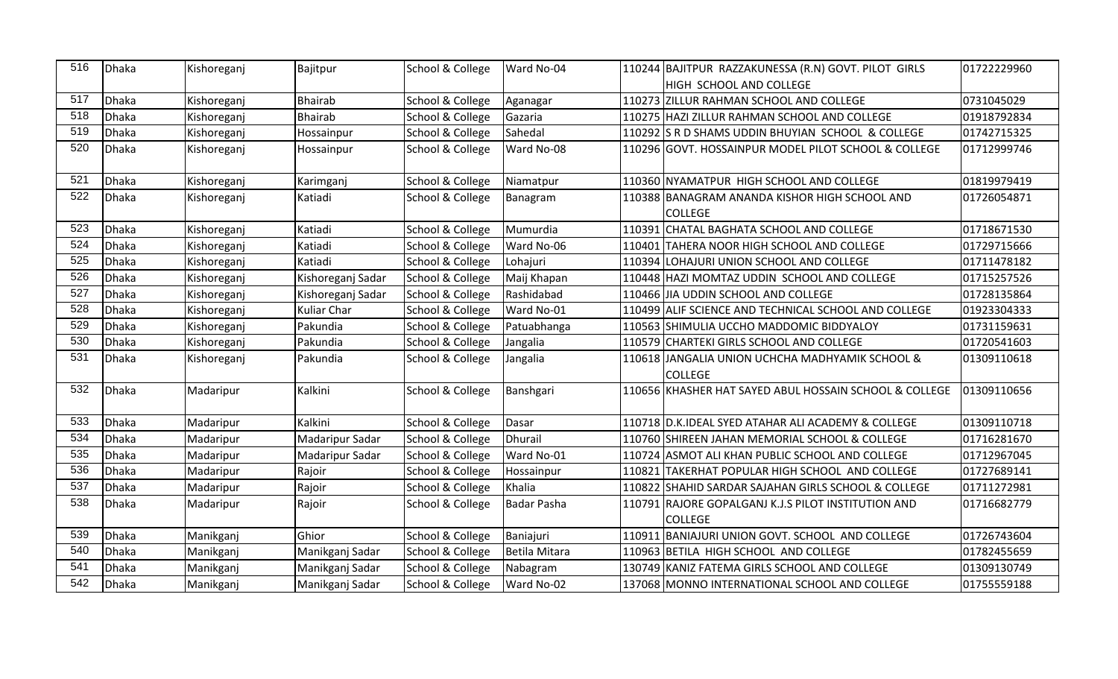| 516 | Dhaka | Kishoreganj | Bajitpur          | School & College | Ward No-04    |        | 110244 BAJITPUR RAZZAKUNESSA (R.N) GOVT. PILOT GIRLS   | 01722229960 |
|-----|-------|-------------|-------------------|------------------|---------------|--------|--------------------------------------------------------|-------------|
|     |       |             |                   |                  |               |        | HIGH SCHOOL AND COLLEGE                                |             |
| 517 | Dhaka | Kishoreganj | <b>Bhairab</b>    | School & College | Aganagar      |        | 110273 ZILLUR RAHMAN SCHOOL AND COLLEGE                | 0731045029  |
| 518 | Dhaka | Kishoreganj | <b>Bhairab</b>    | School & College | Gazaria       |        | 110275 HAZI ZILLUR RAHMAN SCHOOL AND COLLEGE           | 01918792834 |
| 519 | Dhaka | Kishoreganj | Hossainpur        | School & College | Sahedal       |        | 110292 S R D SHAMS UDDIN BHUYIAN SCHOOL & COLLEGE      | 01742715325 |
| 520 | Dhaka | Kishoreganj | Hossainpur        | School & College | Ward No-08    |        | 110296 GOVT. HOSSAINPUR MODEL PILOT SCHOOL & COLLEGE   | 01712999746 |
| 521 | Dhaka | Kishoreganj | Karimganj         | School & College | Niamatpur     |        | 110360 NYAMATPUR HIGH SCHOOL AND COLLEGE               | 01819979419 |
| 522 | Dhaka | Kishoreganj | Katiadi           | School & College | Banagram      |        | 110388 BANAGRAM ANANDA KISHOR HIGH SCHOOL AND          | 01726054871 |
|     |       |             |                   |                  |               |        | <b>COLLEGE</b>                                         |             |
| 523 | Dhaka | Kishoreganj | Katiadi           | School & College | Mumurdia      |        | 110391 CHATAL BAGHATA SCHOOL AND COLLEGE               | 01718671530 |
| 524 | Dhaka | Kishoreganj | Katiadi           | School & College | Ward No-06    |        | 110401 TAHERA NOOR HIGH SCHOOL AND COLLEGE             | 01729715666 |
| 525 | Dhaka | Kishoreganj | Katiadi           | School & College | Lohajuri      |        | 110394 LOHAJURI UNION SCHOOL AND COLLEGE               | 01711478182 |
| 526 | Dhaka | Kishoreganj | Kishoreganj Sadar | School & College | Maij Khapan   |        | 110448 HAZI MOMTAZ UDDIN SCHOOL AND COLLEGE            | 01715257526 |
| 527 | Dhaka | Kishoreganj | Kishoreganj Sadar | School & College | Rashidabad    |        | 110466 JIA UDDIN SCHOOL AND COLLEGE                    | 01728135864 |
| 528 | Dhaka | Kishoreganj | Kuliar Char       | School & College | Ward No-01    |        | 110499 ALIF SCIENCE AND TECHNICAL SCHOOL AND COLLEGE   | 01923304333 |
| 529 | Dhaka | Kishoreganj | Pakundia          | School & College | Patuabhanga   |        | 110563 SHIMULIA UCCHO MADDOMIC BIDDYALOY               | 01731159631 |
| 530 | Dhaka | Kishoreganj | Pakundia          | School & College | Jangalia      |        | 110579 CHARTEKI GIRLS SCHOOL AND COLLEGE               | 01720541603 |
| 531 | Dhaka | Kishoreganj | Pakundia          | School & College | Jangalia      |        | 110618 JJANGALIA UNION UCHCHA MADHYAMIK SCHOOL &       | 01309110618 |
|     |       |             |                   |                  |               |        | <b>COLLEGE</b>                                         |             |
| 532 | Dhaka | Madaripur   | Kalkini           | School & College | Banshgari     |        | 110656 KHASHER HAT SAYED ABUL HOSSAIN SCHOOL & COLLEGE | 01309110656 |
| 533 | Dhaka | Madaripur   | Kalkini           | School & College | Dasar         |        | 110718 D.K.IDEAL SYED ATAHAR ALI ACADEMY & COLLEGE     | 01309110718 |
| 534 | Dhaka | Madaripur   | Madaripur Sadar   | School & College | Dhurail       |        | 110760 SHIREEN JAHAN MEMORIAL SCHOOL & COLLEGE         | 01716281670 |
| 535 | Dhaka | Madaripur   | Madaripur Sadar   | School & College | Ward No-01    |        | 110724 ASMOT ALI KHAN PUBLIC SCHOOL AND COLLEGE        | 01712967045 |
| 536 | Dhaka | Madaripur   | Rajoir            | School & College | Hossainpur    |        | 110821 TAKERHAT POPULAR HIGH SCHOOL AND COLLEGE        | 01727689141 |
| 537 | Dhaka | Madaripur   | Rajoir            | School & College | Khalia        |        | 110822 SHAHID SARDAR SAJAHAN GIRLS SCHOOL & COLLEGE    | 01711272981 |
| 538 | Dhaka | Madaripur   | Rajoir            | School & College | Badar Pasha   |        | 110791 RAJORE GOPALGANJ K.J.S PILOT INSTITUTION AND    | 01716682779 |
|     |       |             |                   |                  |               |        | <b>COLLEGE</b>                                         |             |
| 539 | Dhaka | Manikganj   | Ghior             | School & College | Baniajuri     | 110911 | BANIAJURI UNION GOVT. SCHOOL AND COLLEGE               | 01726743604 |
| 540 | Dhaka | Manikganj   | Manikganj Sadar   | School & College | Betila Mitara |        | 110963 BETILA HIGH SCHOOL AND COLLEGE                  | 01782455659 |
| 541 | Dhaka | Manikganj   | Manikganj Sadar   | School & College | Nabagram      |        | 130749 KANIZ FATEMA GIRLS SCHOOL AND COLLEGE           | 01309130749 |
| 542 | Dhaka | Manikganj   | Manikganj Sadar   | School & College | Ward No-02    |        | 137068 MONNO INTERNATIONAL SCHOOL AND COLLEGE          | 01755559188 |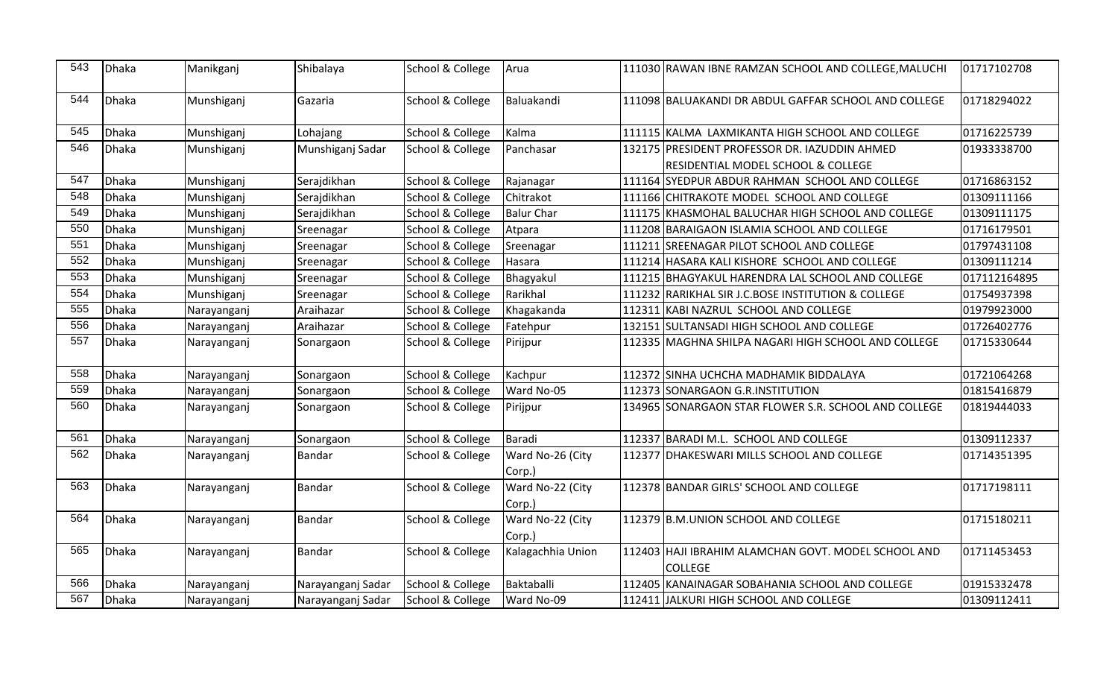| 543 | Dhaka | Manikganj   | Shibalaya         | School & College | Arua                       |        | 111030 RAWAN IBNE RAMZAN SCHOOL AND COLLEGE, MALUCHI                                | 01717102708  |
|-----|-------|-------------|-------------------|------------------|----------------------------|--------|-------------------------------------------------------------------------------------|--------------|
| 544 | Dhaka | Munshiganj  | Gazaria           | School & College | Baluakandi                 |        | 111098 BALUAKANDI DR ABDUL GAFFAR SCHOOL AND COLLEGE                                | 01718294022  |
| 545 | Dhaka | Munshiganj  | Lohajang          | School & College | Kalma                      |        | 111115 KALMA LAXMIKANTA HIGH SCHOOL AND COLLEGE                                     | 01716225739  |
| 546 | Dhaka | Munshiganj  | Munshiganj Sadar  | School & College | Panchasar                  |        | 132175 PRESIDENT PROFESSOR DR. IAZUDDIN AHMED<br>RESIDENTIAL MODEL SCHOOL & COLLEGE | 01933338700  |
| 547 | Dhaka | Munshiganj  | Serajdikhan       | School & College | Rajanagar                  |        | 111164 SYEDPUR ABDUR RAHMAN SCHOOL AND COLLEGE                                      | 01716863152  |
| 548 | Dhaka | Munshiganj  | Serajdikhan       | School & College | Chitrakot                  |        | 111166 CHITRAKOTE MODEL SCHOOL AND COLLEGE                                          | 01309111166  |
| 549 | Dhaka | Munshiganj  | Serajdikhan       | School & College | <b>Balur Char</b>          |        | 111175 KHASMOHAL BALUCHAR HIGH SCHOOL AND COLLEGE                                   | 01309111175  |
| 550 | Dhaka | Munshiganj  | Sreenagar         | School & College | Atpara                     |        | 111208 BARAIGAON ISLAMIA SCHOOL AND COLLEGE                                         | 01716179501  |
| 551 | Dhaka | Munshiganj  | Sreenagar         | School & College | Sreenagar                  |        | 111211 SREENAGAR PILOT SCHOOL AND COLLEGE                                           | 01797431108  |
| 552 | Dhaka | Munshiganj  | Sreenagar         | School & College | Hasara                     |        | 111214 HASARA KALI KISHORE SCHOOL AND COLLEGE                                       | 01309111214  |
| 553 | Dhaka | Munshiganj  | Sreenagar         | School & College | Bhagyakul                  |        | 111215 BHAGYAKUL HARENDRA LAL SCHOOL AND COLLEGE                                    | 017112164895 |
| 554 | Dhaka | Munshiganj  | Sreenagar         | School & College | Rarikhal                   | 111232 | <b>RARIKHAL SIR J.C.BOSE INSTITUTION &amp; COLLEGE</b>                              | 01754937398  |
| 555 | Dhaka | Narayanganj | Araihazar         | School & College | Khagakanda                 | 112311 | KABI NAZRUL SCHOOL AND COLLEGE                                                      | 01979923000  |
| 556 | Dhaka | Narayanganj | Araihazar         | School & College | Fatehpur                   |        | 132151 SULTANSADI HIGH SCHOOL AND COLLEGE                                           | 01726402776  |
| 557 | Dhaka | Narayanganj | Sonargaon         | School & College | Pirijpur                   |        | 112335 MAGHNA SHILPA NAGARI HIGH SCHOOL AND COLLEGE                                 | 01715330644  |
| 558 | Dhaka | Narayanganj | Sonargaon         | School & College | Kachpur                    |        | 112372 SINHA UCHCHA MADHAMIK BIDDALAYA                                              | 01721064268  |
| 559 | Dhaka | Narayanganj | Sonargaon         | School & College | Ward No-05                 |        | 112373 SONARGAON G.R.INSTITUTION                                                    | 01815416879  |
| 560 | Dhaka | Narayanganj | Sonargaon         | School & College | Pirijpur                   |        | 134965 SONARGAON STAR FLOWER S.R. SCHOOL AND COLLEGE                                | 01819444033  |
| 561 | Dhaka | Narayanganj | Sonargaon         | School & College | Baradi                     |        | 112337 BARADI M.L. SCHOOL AND COLLEGE                                               | 01309112337  |
| 562 | Dhaka | Narayanganj | <b>Bandar</b>     | School & College | Ward No-26 (City<br>Corp.) |        | 112377 DHAKESWARI MILLS SCHOOL AND COLLEGE                                          | 01714351395  |
| 563 | Dhaka | Narayanganj | Bandar            | School & College | Ward No-22 (City<br>Corp.) |        | 112378 BANDAR GIRLS' SCHOOL AND COLLEGE                                             | 01717198111  |
| 564 | Dhaka | Narayanganj | <b>Bandar</b>     | School & College | Ward No-22 (City<br>Corp.) |        | 112379 B.M.UNION SCHOOL AND COLLEGE                                                 | 01715180211  |
| 565 | Dhaka | Narayanganj | <b>Bandar</b>     | School & College | Kalagachhia Union          |        | 112403 HAJI IBRAHIM ALAMCHAN GOVT. MODEL SCHOOL AND<br><b>COLLEGE</b>               | 01711453453  |
| 566 | Dhaka | Narayanganj | Narayanganj Sadar | School & College | Baktaballi                 | 112405 | KANAINAGAR SOBAHANIA SCHOOL AND COLLEGE                                             | 01915332478  |
| 567 | Dhaka | Narayanganj | Narayanganj Sadar | School & College | Ward No-09                 |        | 112411 JALKURI HIGH SCHOOL AND COLLEGE                                              | 01309112411  |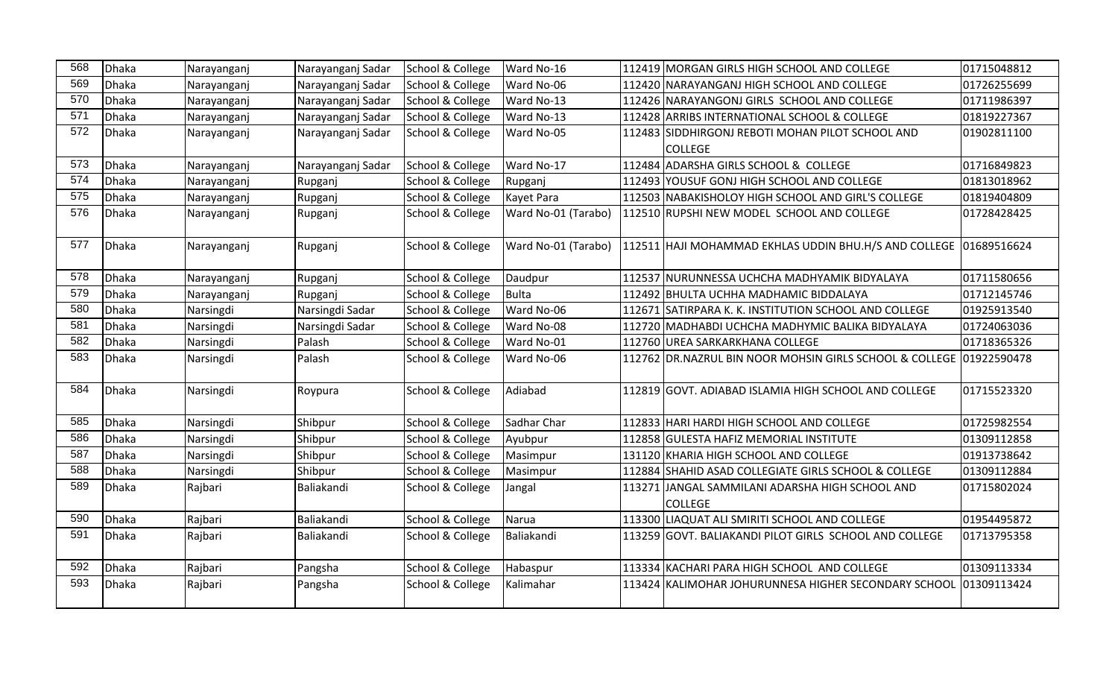| 568 | <b>Dhaka</b> | Narayanganj | Narayanganj Sadar | School & College | Ward No-16          | 112419 MORGAN GIRLS HIGH SCHOOL AND COLLEGE                         | 01715048812 |
|-----|--------------|-------------|-------------------|------------------|---------------------|---------------------------------------------------------------------|-------------|
| 569 | Dhaka        | Narayanganj | Narayanganj Sadar | School & College | Ward No-06          | 112420 NARAYANGANJ HIGH SCHOOL AND COLLEGE                          | 01726255699 |
| 570 | <b>Dhaka</b> | Narayanganj | Narayanganj Sadar | School & College | Ward No-13          | 112426 NARAYANGONJ GIRLS SCHOOL AND COLLEGE                         | 01711986397 |
| 571 | <b>Dhaka</b> | Narayanganj | Narayanganj Sadar | School & College | Ward No-13          | 112428 ARRIBS INTERNATIONAL SCHOOL & COLLEGE                        | 01819227367 |
| 572 | <b>Dhaka</b> | Narayanganj | Narayanganj Sadar | School & College | Ward No-05          | 112483 SIDDHIRGONJ REBOTI MOHAN PILOT SCHOOL AND<br><b>COLLEGE</b>  | 01902811100 |
| 573 | <b>Dhaka</b> | Narayanganj | Narayanganj Sadar | School & College | Ward No-17          | 112484 ADARSHA GIRLS SCHOOL & COLLEGE                               | 01716849823 |
| 574 | <b>Dhaka</b> | Narayanganj | Rupganj           | School & College | Rupganj             | 112493 YOUSUF GONJ HIGH SCHOOL AND COLLEGE                          | 01813018962 |
| 575 | <b>Dhaka</b> | Narayanganj | Rupganj           | School & College | Kayet Para          | 112503 NABAKISHOLOY HIGH SCHOOL AND GIRL'S COLLEGE                  | 01819404809 |
| 576 | <b>Dhaka</b> | Narayanganj | Rupganj           | School & College | Ward No-01 (Tarabo) | 112510 RUPSHI NEW MODEL SCHOOL AND COLLEGE                          | 01728428425 |
| 577 | <b>Dhaka</b> | Narayanganj | Rupganj           | School & College | Ward No-01 (Tarabo) | 112511 HAJI MOHAMMAD EKHLAS UDDIN BHU.H/S AND COLLEGE 01689516624   |             |
| 578 | Dhaka        | Narayanganj | Rupganj           | School & College | Daudpur             | 112537 NURUNNESSA UCHCHA MADHYAMIK BIDYALAYA                        | 01711580656 |
| 579 | <b>Dhaka</b> | Narayanganj | Rupganj           | School & College | Bulta               | 112492 BHULTA UCHHA MADHAMIC BIDDALAYA                              | 01712145746 |
| 580 | Dhaka        | Narsingdi   | Narsingdi Sadar   | School & College | Ward No-06          | 112671 SATIRPARA K. K. INSTITUTION SCHOOL AND COLLEGE               | 01925913540 |
| 581 | Dhaka        | Narsingdi   | Narsingdi Sadar   | School & College | Ward No-08          | 112720 MADHABDI UCHCHA MADHYMIC BALIKA BIDYALAYA                    | 01724063036 |
| 582 | Dhaka        | Narsingdi   | Palash            | School & College | Ward No-01          | 112760 UREA SARKARKHANA COLLEGE                                     | 01718365326 |
| 583 | <b>Dhaka</b> | Narsingdi   | Palash            | School & College | Ward No-06          | 112762 DR.NAZRUL BIN NOOR MOHSIN GIRLS SCHOOL & COLLEGE 01922590478 |             |
| 584 | <b>Dhaka</b> | Narsingdi   | Roypura           | School & College | Adiabad             | 112819 GOVT. ADIABAD ISLAMIA HIGH SCHOOL AND COLLEGE                | 01715523320 |
| 585 | <b>Dhaka</b> | Narsingdi   | Shibpur           | School & College | Sadhar Char         | 112833 HARI HARDI HIGH SCHOOL AND COLLEGE                           | 01725982554 |
| 586 | Dhaka        | Narsingdi   | Shibpur           | School & College | Ayubpur             | 112858 GULESTA HAFIZ MEMORIAL INSTITUTE                             | 01309112858 |
| 587 | Dhaka        | Narsingdi   | Shibpur           | School & College | Masimpur            | 131120 KHARIA HIGH SCHOOL AND COLLEGE                               | 01913738642 |
| 588 | <b>Dhaka</b> | Narsingdi   | Shibpur           | School & College | Masimpur            | 112884 SHAHID ASAD COLLEGIATE GIRLS SCHOOL & COLLEGE                | 01309112884 |
| 589 | <b>Dhaka</b> | Rajbari     | Baliakandi        | School & College | Jangal              | 113271 JANGAL SAMMILANI ADARSHA HIGH SCHOOL AND<br><b>COLLEGE</b>   | 01715802024 |
| 590 | Dhaka        | Rajbari     | Baliakandi        | School & College | Narua               | 113300 LIAQUAT ALI SMIRITI SCHOOL AND COLLEGE                       | 01954495872 |
| 591 | <b>Dhaka</b> | Rajbari     | Baliakandi        | School & College | Baliakandi          | 113259 GOVT. BALIAKANDI PILOT GIRLS SCHOOL AND COLLEGE              | 01713795358 |
| 592 | Dhaka        | Rajbari     | Pangsha           | School & College | Habaspur            | 113334 KACHARI PARA HIGH SCHOOL AND COLLEGE                         | 01309113334 |
| 593 | <b>Dhaka</b> | Rajbari     | Pangsha           | School & College | Kalimahar           | 113424 KALIMOHAR JOHURUNNESA HIGHER SECONDARY SCHOOL                | 01309113424 |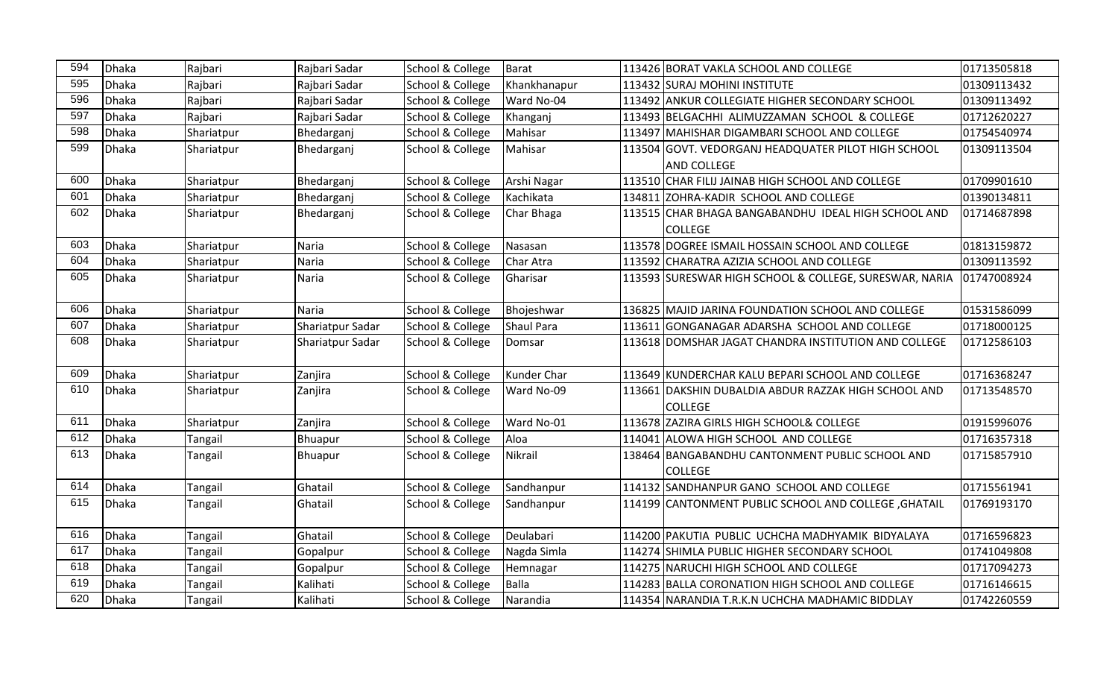| 594 | Dhaka | Rajbari        | Rajbari Sadar    | School & College | <b>Barat</b>      | 113426 BORAT VAKLA SCHOOL AND COLLEGE                  | 01713505818 |
|-----|-------|----------------|------------------|------------------|-------------------|--------------------------------------------------------|-------------|
| 595 | Dhaka | Rajbari        | Rajbari Sadar    | School & College | Khankhanapur      | 113432 SURAJ MOHINI INSTITUTE                          | 01309113432 |
| 596 | Dhaka | Rajbari        | Rajbari Sadar    | School & College | Ward No-04        | 113492 ANKUR COLLEGIATE HIGHER SECONDARY SCHOOL        | 01309113492 |
| 597 | Dhaka | Rajbari        | Rajbari Sadar    | School & College | Khanganj          | 113493 BELGACHHI ALIMUZZAMAN SCHOOL & COLLEGE          | 01712620227 |
| 598 | Dhaka | Shariatpur     | Bhedarganj       | School & College | Mahisar           | 113497 MAHISHAR DIGAMBARI SCHOOL AND COLLEGE           | 01754540974 |
| 599 | Dhaka | Shariatpur     | Bhedarganj       | School & College | Mahisar           | 113504 GOVT. VEDORGANJ HEADQUATER PILOT HIGH SCHOOL    | 01309113504 |
|     |       |                |                  |                  |                   | <b>AND COLLEGE</b>                                     |             |
| 600 | Dhaka | Shariatpur     | Bhedarganj       | School & College | Arshi Nagar       | 113510 CHAR FILIJ JAINAB HIGH SCHOOL AND COLLEGE       | 01709901610 |
| 601 | Dhaka | Shariatpur     | Bhedarganj       | School & College | Kachikata         | 134811 ZOHRA-KADIR SCHOOL AND COLLEGE                  | 01390134811 |
| 602 | Dhaka | Shariatpur     | Bhedarganj       | School & College | Char Bhaga        | 113515 CHAR BHAGA BANGABANDHU IDEAL HIGH SCHOOL AND    | 01714687898 |
|     |       |                |                  |                  |                   | <b>COLLEGE</b>                                         |             |
| 603 | Dhaka | Shariatpur     | Naria            | School & College | Nasasan           | 113578 DOGREE ISMAIL HOSSAIN SCHOOL AND COLLEGE        | 01813159872 |
| 604 | Dhaka | Shariatpur     | Naria            | School & College | Char Atra         | 113592 CHARATRA AZIZIA SCHOOL AND COLLEGE              | 01309113592 |
| 605 | Dhaka | Shariatpur     | Naria            | School & College | Gharisar          | 113593 SURESWAR HIGH SCHOOL & COLLEGE, SURESWAR, NARIA | 01747008924 |
|     |       |                |                  |                  |                   |                                                        |             |
| 606 | Dhaka | Shariatpur     | Naria            | School & College | Bhojeshwar        | 136825 MAJID JARINA FOUNDATION SCHOOL AND COLLEGE      | 01531586099 |
| 607 | Dhaka | Shariatpur     | Shariatpur Sadar | School & College | <b>Shaul Para</b> | 113611 GONGANAGAR ADARSHA SCHOOL AND COLLEGE           | 01718000125 |
| 608 | Dhaka | Shariatpur     | Shariatpur Sadar | School & College | Domsar            | 113618 DOMSHAR JAGAT CHANDRA INSTITUTION AND COLLEGE   | 01712586103 |
|     |       |                |                  |                  |                   |                                                        |             |
| 609 | Dhaka | Shariatpur     | Zanjira          | School & College | Kunder Char       | 113649 KUNDERCHAR KALU BEPARI SCHOOL AND COLLEGE       | 01716368247 |
| 610 | Dhaka | Shariatpur     | Zanjira          | School & College | Ward No-09        | 113661 DAKSHIN DUBALDIA ABDUR RAZZAK HIGH SCHOOL AND   | 01713548570 |
|     |       |                |                  |                  |                   | <b>COLLEGE</b>                                         |             |
| 611 | Dhaka | Shariatpur     | Zanjira          | School & College | Ward No-01        | 113678 ZAZIRA GIRLS HIGH SCHOOL& COLLEGE               | 01915996076 |
| 612 | Dhaka | Tangail        | Bhuapur          | School & College | Aloa              | 114041 ALOWA HIGH SCHOOL AND COLLEGE                   | 01716357318 |
| 613 | Dhaka | Tangail        | Bhuapur          | School & College | Nikrail           | 138464 BANGABANDHU CANTONMENT PUBLIC SCHOOL AND        | 01715857910 |
|     |       |                |                  |                  |                   | <b>COLLEGE</b>                                         |             |
| 614 | Dhaka | Tangail        | Ghatail          | School & College | Sandhanpur        | 114132 SANDHANPUR GANO SCHOOL AND COLLEGE              | 01715561941 |
| 615 | Dhaka | Tangail        | Ghatail          | School & College | Sandhanpur        | 114199 CANTONMENT PUBLIC SCHOOL AND COLLEGE, GHATAIL   | 01769193170 |
|     |       |                |                  |                  |                   |                                                        |             |
| 616 | Dhaka | Tangail        | Ghatail          | School & College | Deulabari         | 114200 PAKUTIA PUBLIC UCHCHA MADHYAMIK BIDYALAYA       | 01716596823 |
| 617 | Dhaka | Tangail        | Gopalpur         | School & College | Nagda Simla       | 114274 SHIMLA PUBLIC HIGHER SECONDARY SCHOOL           | 01741049808 |
| 618 | Dhaka | Tangail        | Gopalpur         | School & College | Hemnagar          | 114275 NARUCHI HIGH SCHOOL AND COLLEGE                 | 01717094273 |
| 619 | Dhaka | <b>Tangail</b> | Kalihati         | School & College | <b>Balla</b>      | 114283 BALLA CORONATION HIGH SCHOOL AND COLLEGE        | 01716146615 |
| 620 | Dhaka | Tangail        | Kalihati         | School & College | Narandia          | 114354 NARANDIA T.R.K.N UCHCHA MADHAMIC BIDDLAY        | 01742260559 |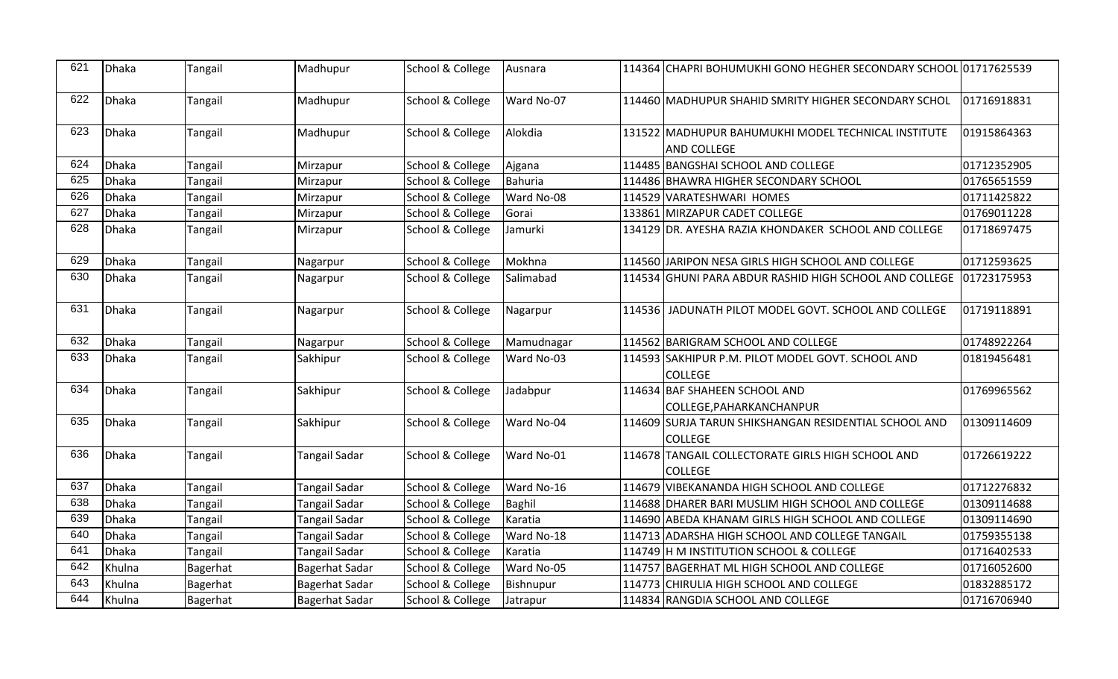| 621 | Dhaka  | <b>Tangail</b> | Madhupur              | School & College | Ausnara       | 114364 CHAPRI BOHUMUKHI GONO HEGHER SECONDARY SCHOOL 01717625539          |             |
|-----|--------|----------------|-----------------------|------------------|---------------|---------------------------------------------------------------------------|-------------|
| 622 | Dhaka  | Tangail        | Madhupur              | School & College | Ward No-07    | 114460 MADHUPUR SHAHID SMRITY HIGHER SECONDARY SCHOL                      | 01716918831 |
| 623 | Dhaka  | Tangail        | Madhupur              | School & College | Alokdia       | 131522 MADHUPUR BAHUMUKHI MODEL TECHNICAL INSTITUTE<br><b>AND COLLEGE</b> | 01915864363 |
| 624 | Dhaka  | Tangail        | Mirzapur              | School & College | Ajgana        | 114485 BANGSHAI SCHOOL AND COLLEGE                                        | 01712352905 |
| 625 | Dhaka  | Tangail        | Mirzapur              | School & College | Bahuria       | 114486 BHAWRA HIGHER SECONDARY SCHOOL                                     | 01765651559 |
| 626 | Dhaka  | Tangail        | Mirzapur              | School & College | Ward No-08    | 114529 VARATESHWARI HOMES                                                 | 01711425822 |
| 627 | Dhaka  | Tangail        | Mirzapur              | School & College | Gorai         | 133861 MIRZAPUR CADET COLLEGE                                             | 01769011228 |
| 628 | Dhaka  | Tangail        | Mirzapur              | School & College | Jamurki       | 134129 DR. AYESHA RAZIA KHONDAKER SCHOOL AND COLLEGE                      | 01718697475 |
| 629 | Dhaka  | <b>Tangail</b> | Nagarpur              | School & College | Mokhna        | 114560 JARIPON NESA GIRLS HIGH SCHOOL AND COLLEGE                         | 01712593625 |
| 630 | Dhaka  | Tangail        | Nagarpur              | School & College | Salimabad     | 114534 GHUNI PARA ABDUR RASHID HIGH SCHOOL AND COLLEGE 101723175953       |             |
| 631 | Dhaka  | Tangail        | Nagarpur              | School & College | Nagarpur      | 114536 JADUNATH PILOT MODEL GOVT. SCHOOL AND COLLEGE                      | 01719118891 |
| 632 | Dhaka  | <b>Tangail</b> | Nagarpur              | School & College | Mamudnagar    | 114562 BARIGRAM SCHOOL AND COLLEGE                                        | 01748922264 |
| 633 | Dhaka  | Tangail        | Sakhipur              | School & College | Ward No-03    | 114593 SAKHIPUR P.M. PILOT MODEL GOVT. SCHOOL AND<br><b>COLLEGE</b>       | 01819456481 |
| 634 | Dhaka  | Tangail        | Sakhipur              | School & College | Jadabpur      | 114634 BAF SHAHEEN SCHOOL AND<br>COLLEGE, PAHARKANCHANPUR                 | 01769965562 |
| 635 | Dhaka  | Tangail        | Sakhipur              | School & College | Ward No-04    | 114609 SURJA TARUN SHIKSHANGAN RESIDENTIAL SCHOOL AND<br><b>COLLEGE</b>   | 01309114609 |
| 636 | Dhaka  | Tangail        | <b>Tangail Sadar</b>  | School & College | Ward No-01    | 114678 TANGAIL COLLECTORATE GIRLS HIGH SCHOOL AND<br><b>COLLEGE</b>       | 01726619222 |
| 637 | Dhaka  | <b>Tangail</b> | <b>Tangail Sadar</b>  | School & College | Ward No-16    | 114679 VIBEKANANDA HIGH SCHOOL AND COLLEGE                                | 01712276832 |
| 638 | Dhaka  | Tangail        | Tangail Sadar         | School & College | <b>Baghil</b> | 114688 DHARER BARI MUSLIM HIGH SCHOOL AND COLLEGE                         | 01309114688 |
| 639 | Dhaka  | Tangail        | <b>Tangail Sadar</b>  | School & College | Karatia       | 114690 ABEDA KHANAM GIRLS HIGH SCHOOL AND COLLEGE                         | 01309114690 |
| 640 | Dhaka  | <b>Tangail</b> | Tangail Sadar         | School & College | Ward No-18    | 114713 ADARSHA HIGH SCHOOL AND COLLEGE TANGAIL                            | 01759355138 |
| 641 | Dhaka  | Tangail        | Tangail Sadar         | School & College | Karatia       | 114749 H M INSTITUTION SCHOOL & COLLEGE                                   | 01716402533 |
| 642 | Khulna | Bagerhat       | <b>Bagerhat Sadar</b> | School & College | Ward No-05    | 114757 BAGERHAT ML HIGH SCHOOL AND COLLEGE                                | 01716052600 |
| 643 | Khulna | Bagerhat       | <b>Bagerhat Sadar</b> | School & College | Bishnupur     | 114773 CHIRULIA HIGH SCHOOL AND COLLEGE                                   | 01832885172 |
| 644 | Khulna | Bagerhat       | <b>Bagerhat Sadar</b> | School & College | Jatrapur      | 114834 RANGDIA SCHOOL AND COLLEGE                                         | 01716706940 |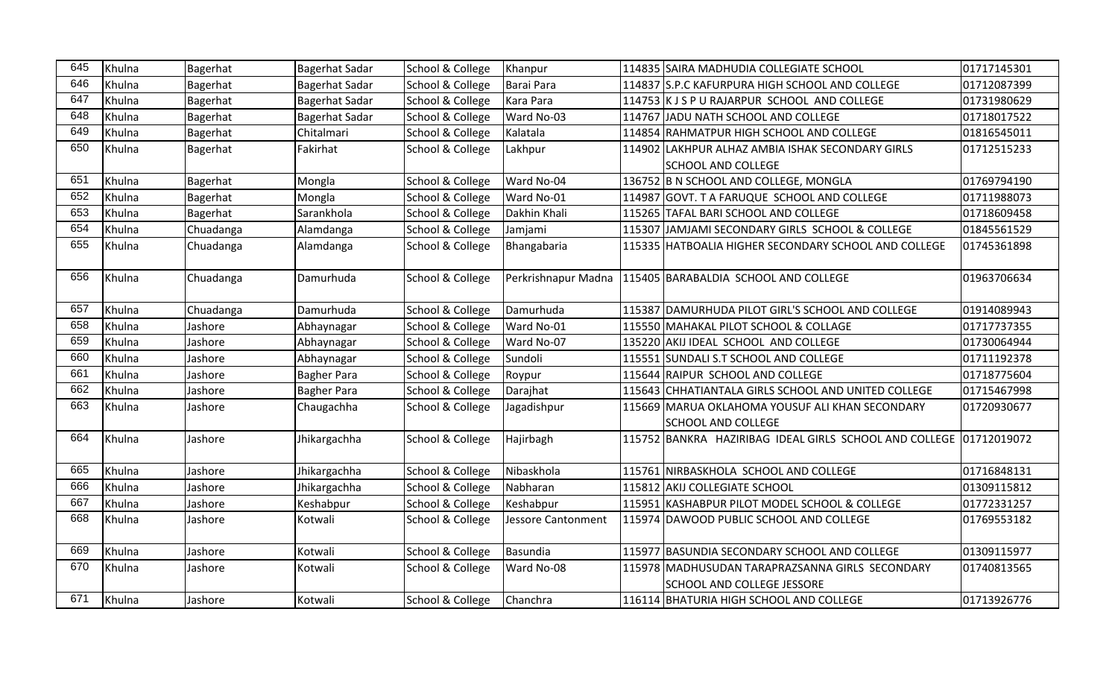| 645 | Khulna | Bagerhat  | <b>Bagerhat Sadar</b> | School & College            | Khanpur                   | 114835 SAIRA MADHUDIA COLLEGIATE SCHOOL                            | 01717145301 |
|-----|--------|-----------|-----------------------|-----------------------------|---------------------------|--------------------------------------------------------------------|-------------|
| 646 | Khulna | Bagerhat  | <b>Bagerhat Sadar</b> | School & College            | Barai Para                | 114837 S.P.C KAFURPURA HIGH SCHOOL AND COLLEGE                     | 01712087399 |
| 647 | Khulna | Bagerhat  | <b>Bagerhat Sadar</b> | School & College            | Kara Para                 | 114753 K J S P U RAJARPUR SCHOOL AND COLLEGE                       | 01731980629 |
| 648 | Khulna | Bagerhat  | <b>Bagerhat Sadar</b> | School & College            | Ward No-03                | 114767 JADU NATH SCHOOL AND COLLEGE                                | 01718017522 |
| 649 | Khulna | Bagerhat  | Chitalmari            | School & College            | Kalatala                  | 114854 RAHMATPUR HIGH SCHOOL AND COLLEGE                           | 01816545011 |
| 650 | Khulna | Bagerhat  | Fakirhat              | School & College            | Lakhpur                   | 114902 LAKHPUR ALHAZ AMBIA ISHAK SECONDARY GIRLS                   | 01712515233 |
|     |        |           |                       |                             |                           | <b>SCHOOL AND COLLEGE</b>                                          |             |
| 651 | Khulna | Bagerhat  | Mongla                | School & College            | Ward No-04                | 136752 B N SCHOOL AND COLLEGE, MONGLA                              | 01769794190 |
| 652 | Khulna | Bagerhat  | Mongla                | School & College            | Ward No-01                | 114987 GOVT. T A FARUQUE SCHOOL AND COLLEGE                        | 01711988073 |
| 653 | Khulna | Bagerhat  | Sarankhola            | School & College            | Dakhin Khali              | 115265 TAFAL BARI SCHOOL AND COLLEGE                               | 01718609458 |
| 654 | Khulna | Chuadanga | Alamdanga             | School & College            | Jamjami                   | 115307 JAMJAMI SECONDARY GIRLS SCHOOL & COLLEGE                    | 01845561529 |
| 655 | Khulna | Chuadanga | Alamdanga             | School & College            | Bhangabaria               | 115335 HATBOALIA HIGHER SECONDARY SCHOOL AND COLLEGE               | 01745361898 |
|     |        |           |                       |                             |                           |                                                                    |             |
| 656 | Khulna | Chuadanga | Damurhuda             | School & College            | Perkrishnapur Madna       | 115405 BARABALDIA SCHOOL AND COLLEGE                               | 01963706634 |
|     |        |           |                       |                             |                           |                                                                    |             |
| 657 | Khulna | Chuadanga | Damurhuda             | School & College            | Damurhuda                 | 115387 DAMURHUDA PILOT GIRL'S SCHOOL AND COLLEGE                   | 01914089943 |
| 658 | Khulna | Jashore   | Abhaynagar            | School & College            | Ward No-01                | 115550 MAHAKAL PILOT SCHOOL & COLLAGE                              | 01717737355 |
| 659 | Khulna | Jashore   | Abhaynagar            | <b>School &amp; College</b> | Ward No-07                | 135220 AKIJ IDEAL SCHOOL AND COLLEGE                               | 01730064944 |
| 660 | Khulna | Jashore   | Abhaynagar            | School & College            | Sundoli                   | 115551 SUNDALI S.T SCHOOL AND COLLEGE                              | 01711192378 |
| 661 | Khulna | Jashore   | <b>Bagher Para</b>    | School & College            | Roypur                    | 115644 RAIPUR SCHOOL AND COLLEGE                                   | 01718775604 |
| 662 | Khulna | Jashore   | <b>Bagher Para</b>    | School & College            | Darajhat                  | 115643 CHHATIANTALA GIRLS SCHOOL AND UNITED COLLEGE                | 01715467998 |
| 663 | Khulna | Jashore   | Chaugachha            | School & College            | Jagadishpur               | 115669 MARUA OKLAHOMA YOUSUF ALI KHAN SECONDARY                    | 01720930677 |
|     |        |           |                       |                             |                           | <b>SCHOOL AND COLLEGE</b>                                          |             |
| 664 | Khulna | Jashore   | Jhikargachha          | <b>School &amp; College</b> | Hajirbagh                 | 115752 BANKRA HAZIRIBAG IDEAL GIRLS SCHOOL AND COLLEGE 01712019072 |             |
|     |        |           |                       |                             |                           |                                                                    |             |
| 665 | Khulna | Jashore   | Jhikargachha          | School & College            | Nibaskhola                | 115761 NIRBASKHOLA SCHOOL AND COLLEGE                              | 01716848131 |
| 666 | Khulna | Jashore   | Jhikargachha          | School & College            | Nabharan                  | 115812 AKIJ COLLEGIATE SCHOOL                                      | 01309115812 |
| 667 | Khulna | Jashore   | Keshabpur             | School & College            | Keshabpur                 | 115951 KASHABPUR PILOT MODEL SCHOOL & COLLEGE                      | 01772331257 |
| 668 | Khulna | Jashore   | Kotwali               | School & College            | <b>Jessore Cantonment</b> | 115974 DAWOOD PUBLIC SCHOOL AND COLLEGE                            | 01769553182 |
|     |        |           |                       |                             |                           |                                                                    |             |
| 669 | Khulna | Jashore   | Kotwali               | School & College            | Basundia                  | 115977 BASUNDIA SECONDARY SCHOOL AND COLLEGE                       | 01309115977 |
| 670 | Khulna | Jashore   | Kotwali               | School & College            | Ward No-08                | 115978 MADHUSUDAN TARAPRAZSANNA GIRLS SECONDARY                    | 01740813565 |
|     |        |           |                       |                             |                           | <b>SCHOOL AND COLLEGE JESSORE</b>                                  |             |
| 671 | Khulna | Jashore   | Kotwali               | School & College            | Chanchra                  | 116114 BHATURIA HIGH SCHOOL AND COLLEGE                            | 01713926776 |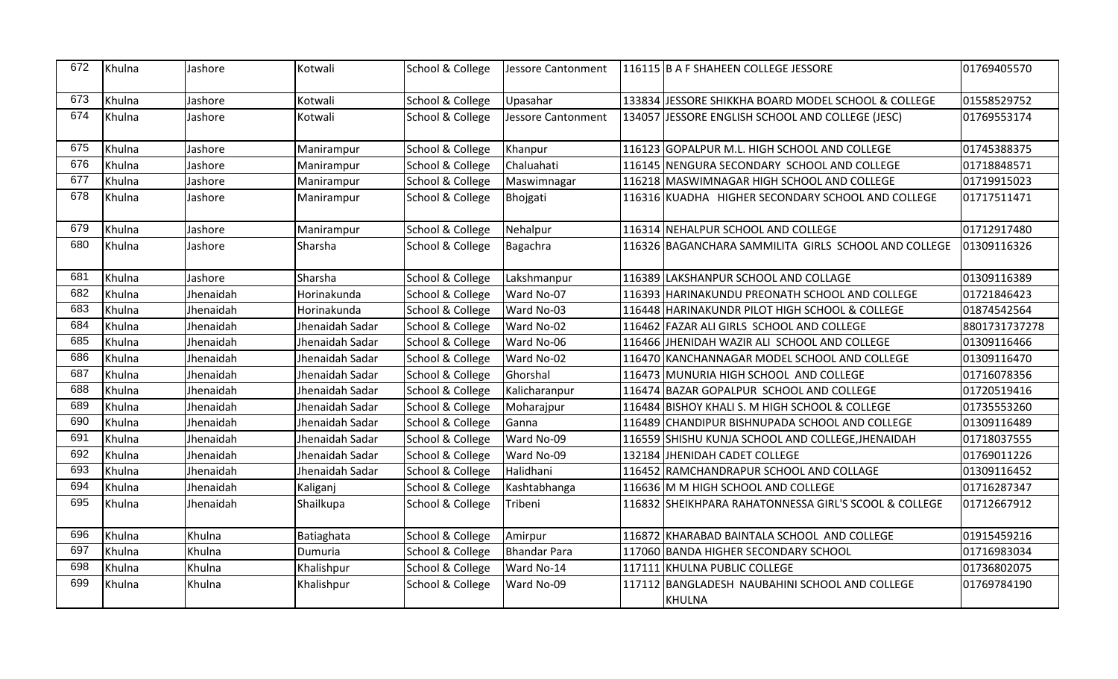| 672 | Khulna | Jashore   | Kotwali         | School & College | <b>Jessore Cantonment</b> | 116115 B A F SHAHEEN COLLEGE JESSORE                  | 01769405570   |
|-----|--------|-----------|-----------------|------------------|---------------------------|-------------------------------------------------------|---------------|
| 673 | Khulna | Jashore   | Kotwali         | School & College | Upasahar                  | 133834 JJESSORE SHIKKHA BOARD MODEL SCHOOL & COLLEGE  | 01558529752   |
| 674 | Khulna | Jashore   | Kotwali         | School & College | <b>Jessore Cantonment</b> | 134057 JESSORE ENGLISH SCHOOL AND COLLEGE (JESC)      | 01769553174   |
| 675 | Khulna | Jashore   | Manirampur      | School & College | Khanpur                   | 116123 GOPALPUR M.L. HIGH SCHOOL AND COLLEGE          | 01745388375   |
| 676 | Khulna | Jashore   | Manirampur      | School & College | Chaluahati                | 116145 NENGURA SECONDARY SCHOOL AND COLLEGE           | 01718848571   |
| 677 | Khulna | Jashore   | Manirampur      | School & College | Maswimnagar               | 116218 MASWIMNAGAR HIGH SCHOOL AND COLLEGE            | 01719915023   |
| 678 | Khulna | Jashore   | Manirampur      | School & College | Bhojgati                  | 116316 KUADHA HIGHER SECONDARY SCHOOL AND COLLEGE     | 01717511471   |
| 679 | Khulna | Jashore   | Manirampur      | School & College | Nehalpur                  | 116314 NEHALPUR SCHOOL AND COLLEGE                    | 01712917480   |
| 680 | Khulna | Jashore   | Sharsha         | School & College | Bagachra                  | 116326 BAGANCHARA SAMMILITA GIRLS SCHOOL AND COLLEGE  | 01309116326   |
| 681 | Khulna | Jashore   | Sharsha         | School & College | Lakshmanpur               | 116389 LAKSHANPUR SCHOOL AND COLLAGE                  | 01309116389   |
| 682 | Khulna | Jhenaidah | Horinakunda     | School & College | Ward No-07                | 116393 HARINAKUNDU PREONATH SCHOOL AND COLLEGE        | 01721846423   |
| 683 | Khulna | Jhenaidah | Horinakunda     | School & College | Ward No-03                | 116448 HARINAKUNDR PILOT HIGH SCHOOL & COLLEGE        | 01874542564   |
| 684 | Khulna | Jhenaidah | Jhenaidah Sadar | School & College | Ward No-02                | 116462 FAZAR ALI GIRLS SCHOOL AND COLLEGE             | 8801731737278 |
| 685 | Khulna | Jhenaidah | Jhenaidah Sadar | School & College | Ward No-06                | 116466 JHENIDAH WAZIR ALI SCHOOL AND COLLEGE          | 01309116466   |
| 686 | Khulna | Jhenaidah | Jhenaidah Sadar | School & College | Ward No-02                | 116470 KANCHANNAGAR MODEL SCHOOL AND COLLEGE          | 01309116470   |
| 687 | Khulna | Jhenaidah | Jhenaidah Sadar | School & College | Ghorshal                  | 116473 MUNURIA HIGH SCHOOL AND COLLEGE                | 01716078356   |
| 688 | Khulna | Jhenaidah | Jhenaidah Sadar | School & College | Kalicharanpur             | 116474 BAZAR GOPALPUR SCHOOL AND COLLEGE              | 01720519416   |
| 689 | Khulna | Jhenaidah | Jhenaidah Sadar | School & College | Moharajpur                | 116484 BISHOY KHALI S. M HIGH SCHOOL & COLLEGE        | 01735553260   |
| 690 | Khulna | Jhenaidah | Jhenaidah Sadar | School & College | Ganna                     | 116489 CHANDIPUR BISHNUPADA SCHOOL AND COLLEGE        | 01309116489   |
| 691 | Khulna | Jhenaidah | Jhenaidah Sadar | School & College | Ward No-09                | 116559 SHISHU KUNJA SCHOOL AND COLLEGE, JHENAIDAH     | 01718037555   |
| 692 | Khulna | Jhenaidah | Jhenaidah Sadar | School & College | Ward No-09                | 132184 JHENIDAH CADET COLLEGE                         | 01769011226   |
| 693 | Khulna | Jhenaidah | Jhenaidah Sadar | School & College | Halidhani                 | 116452 RAMCHANDRAPUR SCHOOL AND COLLAGE               | 01309116452   |
| 694 | Khulna | Jhenaidah | Kaliganj        | School & College | Kashtabhanga              | 116636 M M HIGH SCHOOL AND COLLEGE                    | 01716287347   |
| 695 | Khulna | Jhenaidah | Shailkupa       | School & College | Tribeni                   | 116832 SHEIKHPARA RAHATONNESSA GIRL'S SCOOL & COLLEGE | 01712667912   |
| 696 | Khulna | Khulna    | Batiaghata      | School & College | Amirpur                   | 116872 KHARABAD BAINTALA SCHOOL AND COLLEGE           | 01915459216   |
| 697 | Khulna | Khulna    | Dumuria         | School & College | <b>Bhandar Para</b>       | 117060 BANDA HIGHER SECONDARY SCHOOL                  | 01716983034   |
| 698 | Khulna | Khulna    | Khalishpur      | School & College | Ward No-14                | 117111 KHULNA PUBLIC COLLEGE                          | 01736802075   |
| 699 | Khulna | Khulna    | Khalishpur      | School & College | Ward No-09                | 117112 BANGLADESH NAUBAHINI SCHOOL AND COLLEGE        | 01769784190   |
|     |        |           |                 |                  |                           | <b>KHULNA</b>                                         |               |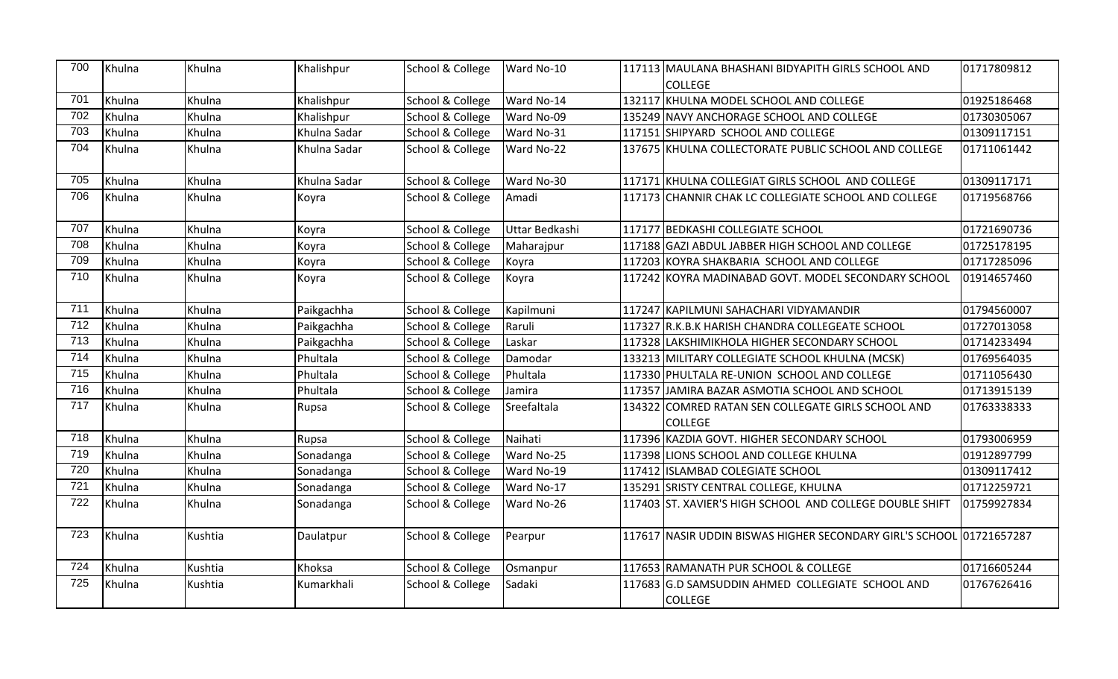| 700              | Khulna | Khulna  | Khalishpur   | School & College | Ward No-10     | 117113 MAULANA BHASHANI BIDYAPITH GIRLS SCHOOL AND                   | 01717809812 |
|------------------|--------|---------|--------------|------------------|----------------|----------------------------------------------------------------------|-------------|
|                  |        |         |              |                  |                | <b>COLLEGE</b>                                                       |             |
| 701              | Khulna | Khulna  | Khalishpur   | School & College | Ward No-14     | 132117 KHULNA MODEL SCHOOL AND COLLEGE                               | 01925186468 |
| 702              | Khulna | Khulna  | Khalishpur   | School & College | Ward No-09     | 135249 NAVY ANCHORAGE SCHOOL AND COLLEGE                             | 01730305067 |
| 703              | Khulna | Khulna  | Khulna Sadar | School & College | Ward No-31     | 117151 SHIPYARD SCHOOL AND COLLEGE                                   | 01309117151 |
| 704              | Khulna | Khulna  | Khulna Sadar | School & College | Ward No-22     | 137675 KHULNA COLLECTORATE PUBLIC SCHOOL AND COLLEGE                 | 01711061442 |
| 705              | Khulna | Khulna  | Khulna Sadar | School & College | Ward No-30     | 117171 KHULNA COLLEGIAT GIRLS SCHOOL AND COLLEGE                     | 01309117171 |
| 706              | Khulna | Khulna  | Koyra        | School & College | Amadi          | 117173 CHANNIR CHAK LC COLLEGIATE SCHOOL AND COLLEGE                 | 01719568766 |
| 707              | Khulna | Khulna  | Koyra        | School & College | Uttar Bedkashi | 117177 BEDKASHI COLLEGIATE SCHOOL                                    | 01721690736 |
| 708              | Khulna | Khulna  | Koyra        | School & College | Maharajpur     | 117188 GAZI ABDUL JABBER HIGH SCHOOL AND COLLEGE                     | 01725178195 |
| 709              | Khulna | Khulna  | Koyra        | School & College | Koyra          | 117203 KOYRA SHAKBARIA SCHOOL AND COLLEGE                            | 01717285096 |
| 710              | Khulna | Khulna  | Koyra        | School & College | Koyra          | 117242 KOYRA MADINABAD GOVT. MODEL SECONDARY SCHOOL                  | 01914657460 |
| 711              | Khulna | Khulna  | Paikgachha   | School & College | Kapilmuni      | 117247 KAPILMUNI SAHACHARI VIDYAMANDIR                               | 01794560007 |
| 712              | Khulna | Khulna  | Paikgachha   | School & College | Raruli         | 117327 R.K.B.K HARISH CHANDRA COLLEGEATE SCHOOL                      | 01727013058 |
| 713              | Khulna | Khulna  | Paikgachha   | School & College | Laskar         | 117328 LAKSHIMIKHOLA HIGHER SECONDARY SCHOOL                         | 01714233494 |
| 714              | Khulna | Khulna  | Phultala     | School & College | Damodar        | 133213 MILITARY COLLEGIATE SCHOOL KHULNA (MCSK)                      | 01769564035 |
| $\overline{715}$ | Khulna | Khulna  | Phultala     | School & College | Phultala       | 117330 PHULTALA RE-UNION SCHOOL AND COLLEGE                          | 01711056430 |
| 716              | Khulna | Khulna  | Phultala     | School & College | Jamira         | 117357 JAMIRA BAZAR ASMOTIA SCHOOL AND SCHOOL                        | 01713915139 |
| 717              | Khulna | Khulna  | Rupsa        | School & College | Sreefaltala    | 134322 COMRED RATAN SEN COLLEGATE GIRLS SCHOOL AND<br><b>COLLEGE</b> | 01763338333 |
| 718              | Khulna | Khulna  | Rupsa        | School & College | Naihati        | 117396 KAZDIA GOVT. HIGHER SECONDARY SCHOOL                          | 01793006959 |
| 719              | Khulna | Khulna  | Sonadanga    | School & College | Ward No-25     | 117398 LIONS SCHOOL AND COLLEGE KHULNA                               | 01912897799 |
| 720              | Khulna | Khulna  | Sonadanga    | School & College | Ward No-19     | 117412 ISLAMBAD COLEGIATE SCHOOL                                     | 01309117412 |
| 721              | Khulna | Khulna  | Sonadanga    | School & College | Ward No-17     | 135291 SRISTY CENTRAL COLLEGE, KHULNA                                | 01712259721 |
| 722              | Khulna | Khulna  | Sonadanga    | School & College | Ward No-26     | 117403 ST. XAVIER'S HIGH SCHOOL AND COLLEGE DOUBLE SHIFT             | 01759927834 |
| 723              | Khulna | Kushtia | Daulatpur    | School & College | Pearpur        | 117617 NASIR UDDIN BISWAS HIGHER SECONDARY GIRL'S SCHOOL 01721657287 |             |
| 724              | Khulna | Kushtia | Khoksa       | School & College | Osmanpur       | 117653 RAMANATH PUR SCHOOL & COLLEGE                                 | 01716605244 |
| 725              | Khulna | Kushtia | Kumarkhali   | School & College | Sadaki         | 117683 G.D SAMSUDDIN AHMED COLLEGIATE SCHOOL AND<br><b>COLLEGE</b>   | 01767626416 |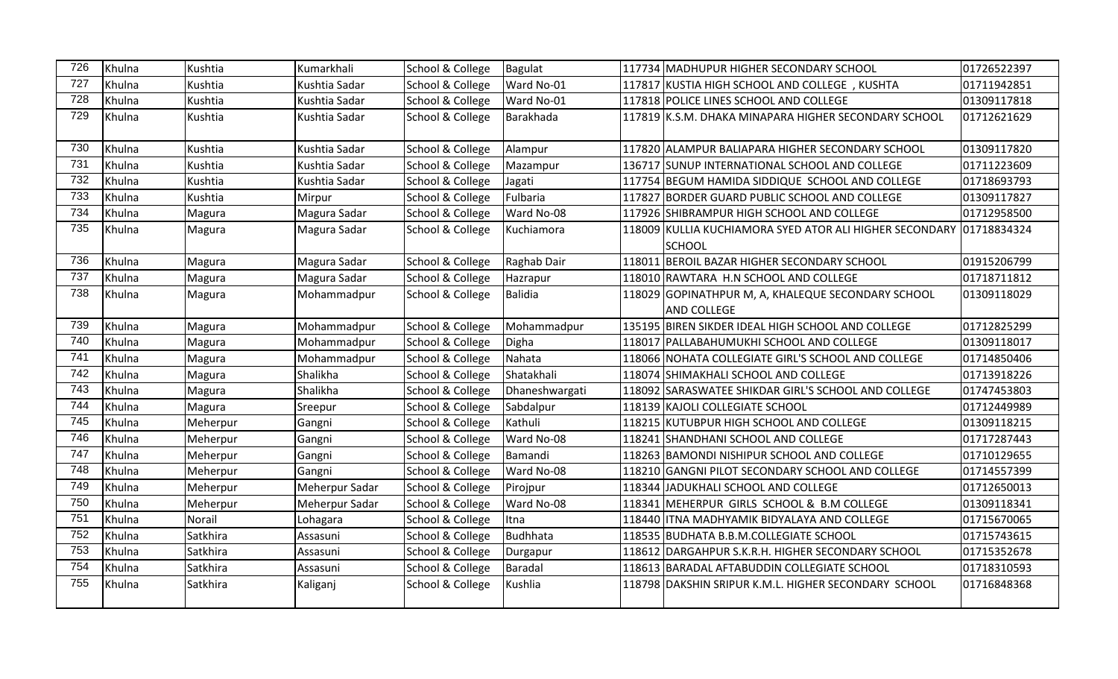| 726 | Khulna | Kushtia  | Kumarkhali     | School & College | Bagulat        | 117734 MADHUPUR HIGHER SECONDARY SCHOOL                                  | 01726522397 |
|-----|--------|----------|----------------|------------------|----------------|--------------------------------------------------------------------------|-------------|
| 727 | Khulna | Kushtia  | Kushtia Sadar  | School & College | Ward No-01     | 117817 KUSTIA HIGH SCHOOL AND COLLEGE, KUSHTA                            | 01711942851 |
| 728 | Khulna | Kushtia  | Kushtia Sadar  | School & College | Ward No-01     | 117818 POLICE LINES SCHOOL AND COLLEGE                                   | 01309117818 |
| 729 | Khulna | Kushtia  | Kushtia Sadar  | School & College | Barakhada      | 117819 K.S.M. DHAKA MINAPARA HIGHER SECONDARY SCHOOL                     | 01712621629 |
| 730 | Khulna | Kushtia  | Kushtia Sadar  | School & College | Alampur        | 117820 ALAMPUR BALIAPARA HIGHER SECONDARY SCHOOL                         | 01309117820 |
| 731 | Khulna | Kushtia  | Kushtia Sadar  | School & College | Mazampur       | 136717 SUNUP INTERNATIONAL SCHOOL AND COLLEGE                            | 01711223609 |
| 732 | Khulna | Kushtia  | Kushtia Sadar  | School & College | Jagati         | 117754 BEGUM HAMIDA SIDDIQUE SCHOOL AND COLLEGE                          | 01718693793 |
| 733 | Khulna | Kushtia  | Mirpur         | School & College | Fulbaria       | 117827 BORDER GUARD PUBLIC SCHOOL AND COLLEGE                            | 01309117827 |
| 734 | Khulna | Magura   | Magura Sadar   | School & College | Ward No-08     | 117926 SHIBRAMPUR HIGH SCHOOL AND COLLEGE                                | 01712958500 |
| 735 | Khulna | Magura   | Magura Sadar   | School & College | Kuchiamora     | 118009 KULLIA KUCHIAMORA SYED ATOR ALI HIGHER SECONDARY 01718834324      |             |
|     |        |          |                |                  |                | <b>SCHOOL</b>                                                            |             |
| 736 | Khulna | Magura   | Magura Sadar   | School & College | Raghab Dair    | 118011 BEROIL BAZAR HIGHER SECONDARY SCHOOL                              | 01915206799 |
| 737 | Khulna | Magura   | Magura Sadar   | School & College | Hazrapur       | 118010 RAWTARA H.N SCHOOL AND COLLEGE                                    | 01718711812 |
| 738 | Khulna | Magura   | Mohammadpur    | School & College | Balidia        | 118029 GOPINATHPUR M, A, KHALEQUE SECONDARY SCHOOL<br><b>AND COLLEGE</b> | 01309118029 |
| 739 | Khulna | Magura   | Mohammadpur    | School & College | Mohammadpur    | 135195 BIREN SIKDER IDEAL HIGH SCHOOL AND COLLEGE                        | 01712825299 |
| 740 | Khulna | Magura   | Mohammadpur    | School & College | Digha          | 118017 PALLABAHUMUKHI SCHOOL AND COLLEGE                                 | 01309118017 |
| 741 | Khulna | Magura   | Mohammadpur    | School & College | Nahata         | 118066 NOHATA COLLEGIATE GIRL'S SCHOOL AND COLLEGE                       | 01714850406 |
| 742 | Khulna | Magura   | Shalikha       | School & College | Shatakhali     | 118074 SHIMAKHALI SCHOOL AND COLLEGE                                     | 01713918226 |
| 743 | Khulna | Magura   | Shalikha       | School & College | Dhaneshwargati | 118092 SARASWATEE SHIKDAR GIRL'S SCHOOL AND COLLEGE                      | 01747453803 |
| 744 | Khulna | Magura   | Sreepur        | School & College | Sabdalpur      | 118139 KAJOLI COLLEGIATE SCHOOL                                          | 01712449989 |
| 745 | Khulna | Meherpur | Gangni         | School & College | Kathuli        | 118215 KUTUBPUR HIGH SCHOOL AND COLLEGE                                  | 01309118215 |
| 746 | Khulna | Meherpur | Gangni         | School & College | Ward No-08     | 118241 SHANDHANI SCHOOL AND COLLEGE                                      | 01717287443 |
| 747 | Khulna | Meherpur | Gangni         | School & College | Bamandi        | 118263 BAMONDI NISHIPUR SCHOOL AND COLLEGE                               | 01710129655 |
| 748 | Khulna | Meherpur | Gangni         | School & College | Ward No-08     | 118210 GANGNI PILOT SECONDARY SCHOOL AND COLLEGE                         | 01714557399 |
| 749 | Khulna | Meherpur | Meherpur Sadar | School & College | Pirojpur       | 118344 JADUKHALI SCHOOL AND COLLEGE                                      | 01712650013 |
| 750 | Khulna | Meherpur | Meherpur Sadar | School & College | Ward No-08     | 118341 MEHERPUR GIRLS SCHOOL & B.M COLLEGE                               | 01309118341 |
| 751 | Khulna | Norail   | Lohagara       | School & College | Itna           | 118440   ITNA MADHYAMIK BIDYALAYA AND COLLEGE                            | 01715670065 |
| 752 | Khulna | Satkhira | Assasuni       | School & College | Budhhata       | 118535 BUDHATA B.B.M.COLLEGIATE SCHOOL                                   | 01715743615 |
| 753 | Khulna | Satkhira | Assasuni       | School & College | Durgapur       | 118612 DARGAHPUR S.K.R.H. HIGHER SECONDARY SCHOOL                        | 01715352678 |
| 754 | Khulna | Satkhira | Assasuni       | School & College | Baradal        | 118613 BARADAL AFTABUDDIN COLLEGIATE SCHOOL                              | 01718310593 |
| 755 | Khulna | Satkhira | Kaliganj       | School & College | Kushlia        | 118798 DAKSHIN SRIPUR K.M.L. HIGHER SECONDARY SCHOOL                     | 01716848368 |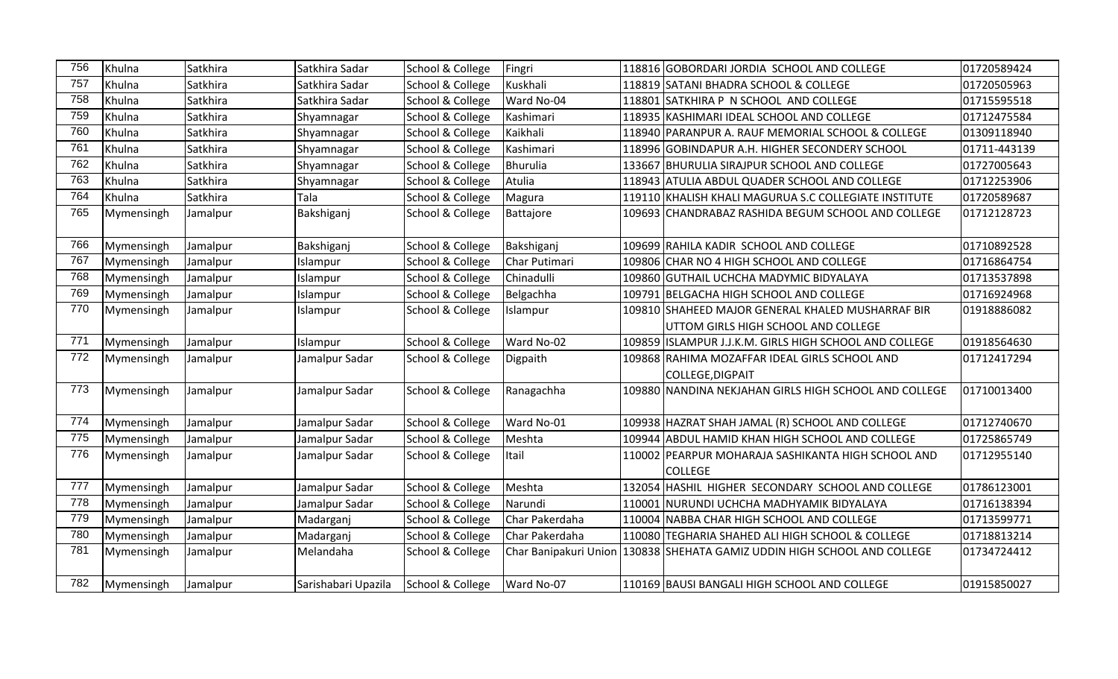| 756 | Khulna     | Satkhira | Satkhira Sadar      | School & College | Fingri         | 118816 GOBORDARI JORDIA SCHOOL AND COLLEGE                               | 01720589424  |
|-----|------------|----------|---------------------|------------------|----------------|--------------------------------------------------------------------------|--------------|
| 757 | Khulna     | Satkhira | Satkhira Sadar      | School & College | Kuskhali       | 118819 SATANI BHADRA SCHOOL & COLLEGE                                    | 01720505963  |
| 758 | Khulna     | Satkhira | Satkhira Sadar      | School & College | Ward No-04     | 118801 SATKHIRA P N SCHOOL AND COLLEGE                                   | 01715595518  |
| 759 | Khulna     | Satkhira | Shyamnagar          | School & College | Kashimari      | 118935  KASHIMARI IDEAL SCHOOL AND COLLEGE                               | 01712475584  |
| 760 | Khulna     | Satkhira | Shyamnagar          | School & College | Kaikhali       | 118940 PARANPUR A. RAUF MEMORIAL SCHOOL & COLLEGE                        | 01309118940  |
| 761 | Khulna     | Satkhira | Shyamnagar          | School & College | Kashimari      | 118996 GOBINDAPUR A.H. HIGHER SECONDERY SCHOOL                           | 01711-443139 |
| 762 | Khulna     | Satkhira | Shyamnagar          | School & College | Bhurulia       | 133667 BHURULIA SIRAJPUR SCHOOL AND COLLEGE                              | 01727005643  |
| 763 | Khulna     | Satkhira | Shyamnagar          | School & College | Atulia         | 118943 ATULIA ABDUL QUADER SCHOOL AND COLLEGE                            | 01712253906  |
| 764 | Khulna     | Satkhira | Tala                | School & College | Magura         | 119110 KHALISH KHALI MAGURUA S.C COLLEGIATE INSTITUTE                    | 01720589687  |
| 765 | Mymensingh | Jamalpur | Bakshiganj          | School & College | Battajore      | 109693 CHANDRABAZ RASHIDA BEGUM SCHOOL AND COLLEGE                       | 01712128723  |
| 766 | Mymensingh | Jamalpur | Bakshiganj          | School & College | Bakshiganj     | 109699 RAHILA KADIR SCHOOL AND COLLEGE                                   | 01710892528  |
| 767 | Mymensingh | Jamalpur | Islampur            | School & College | Char Putimari  | 109806 CHAR NO 4 HIGH SCHOOL AND COLLEGE                                 | 01716864754  |
| 768 | Mymensingh | Jamalpur | Islampur            | School & College | Chinadulli     | 109860 GUTHAIL UCHCHA MADYMIC BIDYALAYA                                  | 01713537898  |
| 769 | Mymensingh | Jamalpur | Islampur            | School & College | Belgachha      | 109791 BELGACHA HIGH SCHOOL AND COLLEGE                                  | 01716924968  |
| 770 | Mymensingh | Jamalpur | Islampur            | School & College | Islampur       | 109810 SHAHEED MAJOR GENERAL KHALED MUSHARRAF BIR                        | 01918886082  |
|     |            |          |                     |                  |                | UTTOM GIRLS HIGH SCHOOL AND COLLEGE                                      |              |
| 771 | Mymensingh | Jamalpur | Islampur            | School & College | Ward No-02     | 109859 ISLAMPUR J.J.K.M. GIRLS HIGH SCHOOL AND COLLEGE                   | 01918564630  |
| 772 | Mymensingh | Jamalpur | Jamalpur Sadar      | School & College | Digpaith       | 109868 RAHIMA MOZAFFAR IDEAL GIRLS SCHOOL AND                            | 01712417294  |
|     |            |          |                     |                  |                | COLLEGE, DIGPAIT                                                         |              |
| 773 | Mymensingh | Jamalpur | Jamalpur Sadar      | School & College | Ranagachha     | 109880 NANDINA NEKJAHAN GIRLS HIGH SCHOOL AND COLLEGE                    | 01710013400  |
| 774 | Mymensingh | Jamalpur | Jamalpur Sadar      | School & College | Ward No-01     | 109938 HAZRAT SHAH JAMAL (R) SCHOOL AND COLLEGE                          | 01712740670  |
| 775 | Mymensingh | Jamalpur | Jamalpur Sadar      | School & College | Meshta         | 109944 ABDUL HAMID KHAN HIGH SCHOOL AND COLLEGE                          | 01725865749  |
| 776 | Mymensingh | Jamalpur | Jamalpur Sadar      | School & College | Itail          | 110002 PEARPUR MOHARAJA SASHIKANTA HIGH SCHOOL AND                       | 01712955140  |
|     |            |          |                     |                  |                | <b>COLLEGE</b>                                                           |              |
| 777 | Mymensingh | Jamalpur | Jamalpur Sadar      | School & College | Meshta         | 132054 HASHIL HIGHER SECONDARY SCHOOL AND COLLEGE                        | 01786123001  |
| 778 | Mymensingh | Jamalpur | Jamalpur Sadar      | School & College | Narundi        | 110001 NURUNDI UCHCHA MADHYAMIK BIDYALAYA                                | 01716138394  |
| 779 | Mymensingh | Jamalpur | Madarganj           | School & College | Char Pakerdaha | 110004 NABBA CHAR HIGH SCHOOL AND COLLEGE                                | 01713599771  |
| 780 | Mymensingh | Jamalpur | Madarganj           | School & College | Char Pakerdaha | 110080 TEGHARIA SHAHED ALI HIGH SCHOOL & COLLEGE                         | 01718813214  |
| 781 | Mymensingh | Jamalpur | Melandaha           | School & College |                | Char Banipakuri Union 130838 SHEHATA GAMIZ UDDIN HIGH SCHOOL AND COLLEGE | 01734724412  |
|     |            |          |                     |                  |                |                                                                          |              |
| 782 | Mymensingh | Jamalpur | Sarishabari Upazila | School & College | Ward No-07     | 110169 BAUSI BANGALI HIGH SCHOOL AND COLLEGE                             | 01915850027  |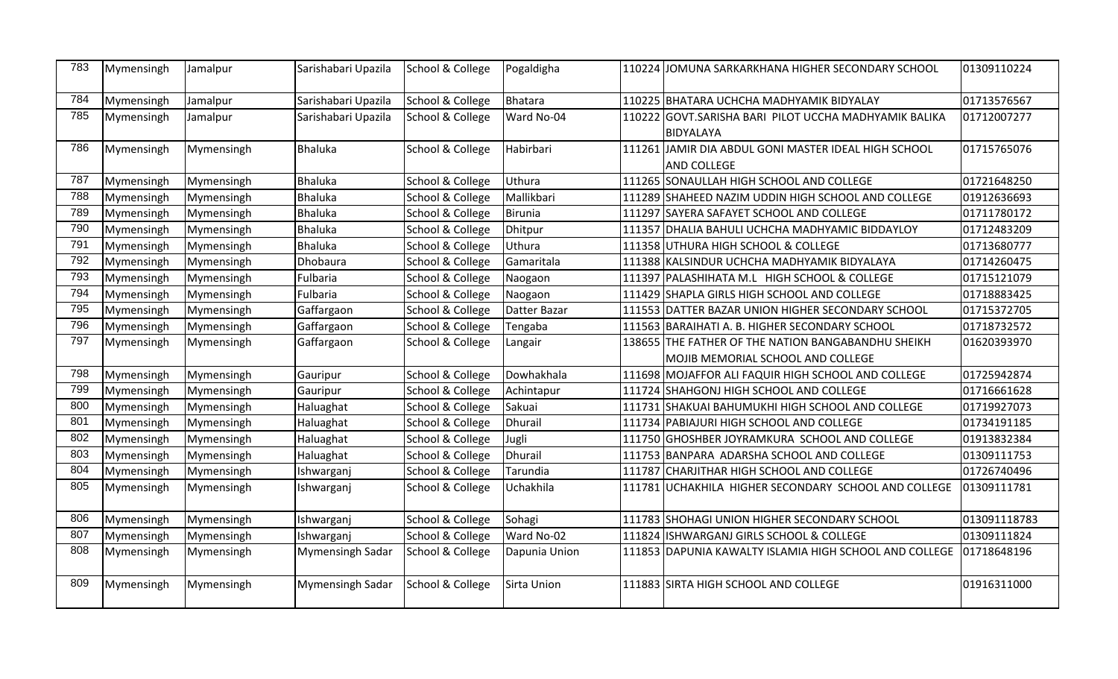| 783 | Mymensingh | Jamalpur   | Sarishabari Upazila     | School & College | Pogaldigha    | 110224 | JOMUNA SARKARKHANA HIGHER SECONDARY SCHOOL             | 01309110224  |
|-----|------------|------------|-------------------------|------------------|---------------|--------|--------------------------------------------------------|--------------|
| 784 | Mymensingh | Jamalpur   | Sarishabari Upazila     | School & College | Bhatara       |        | 110225 BHATARA UCHCHA MADHYAMIK BIDYALAY               | 01713576567  |
| 785 | Mymensingh | Jamalpur   | Sarishabari Upazila     | School & College | Ward No-04    |        | 110222 GOVT.SARISHA BARI PILOT UCCHA MADHYAMIK BALIKA  | 01712007277  |
|     |            |            |                         |                  |               |        | BIDYALAYA                                              |              |
| 786 | Mymensingh | Mymensingh | <b>Bhaluka</b>          | School & College | Habirbari     |        | 111261 JAMIR DIA ABDUL GONI MASTER IDEAL HIGH SCHOOL   | 01715765076  |
|     |            |            |                         |                  |               |        | <b>AND COLLEGE</b>                                     |              |
| 787 | Mymensingh | Mymensingh | <b>Bhaluka</b>          | School & College | Uthura        |        | 111265 SONAULLAH HIGH SCHOOL AND COLLEGE               | 01721648250  |
| 788 | Mymensingh | Mymensingh | <b>Bhaluka</b>          | School & College | Mallikbari    |        | 111289 SHAHEED NAZIM UDDIN HIGH SCHOOL AND COLLEGE     | 01912636693  |
| 789 | Mymensingh | Mymensingh | <b>Bhaluka</b>          | School & College | Birunia       |        | 111297 SAYERA SAFAYET SCHOOL AND COLLEGE               | 01711780172  |
| 790 | Mymensingh | Mymensingh | <b>Bhaluka</b>          | School & College | Dhitpur       |        | 111357 DHALIA BAHULI UCHCHA MADHYAMIC BIDDAYLOY        | 01712483209  |
| 791 | Mymensingh | Mymensingh | <b>Bhaluka</b>          | School & College | Uthura        |        | 111358 UTHURA HIGH SCHOOL & COLLEGE                    | 01713680777  |
| 792 | Mymensingh | Mymensingh | Dhobaura                | School & College | Gamaritala    |        | 111388 KALSINDUR UCHCHA MADHYAMIK BIDYALAYA            | 01714260475  |
| 793 | Mymensingh | Mymensingh | Fulbaria                | School & College | Naogaon       |        | 111397 PALASHIHATA M.L HIGH SCHOOL & COLLEGE           | 01715121079  |
| 794 | Mymensingh | Mymensingh | Fulbaria                | School & College | Naogaon       |        | 111429 SHAPLA GIRLS HIGH SCHOOL AND COLLEGE            | 01718883425  |
| 795 | Mymensingh | Mymensingh | Gaffargaon              | School & College | Datter Bazar  |        | 111553 DATTER BAZAR UNION HIGHER SECONDARY SCHOOL      | 01715372705  |
| 796 | Mymensingh | Mymensingh | Gaffargaon              | School & College | Tengaba       |        | 111563 BARAIHATI A. B. HIGHER SECONDARY SCHOOL         | 01718732572  |
| 797 | Mymensingh | Mymensingh | Gaffargaon              | School & College | Langair       |        | 138655 THE FATHER OF THE NATION BANGABANDHU SHEIKH     | 01620393970  |
|     |            |            |                         |                  |               |        | MOJIB MEMORIAL SCHOOL AND COLLEGE                      |              |
| 798 | Mymensingh | Mymensingh | Gauripur                | School & College | Dowhakhala    |        | 111698 MOJAFFOR ALI FAQUIR HIGH SCHOOL AND COLLEGE     | 01725942874  |
| 799 | Mymensingh | Mymensingh | Gauripur                | School & College | Achintapur    |        | 111724 SHAHGONJ HIGH SCHOOL AND COLLEGE                | 01716661628  |
| 800 | Mymensingh | Mymensingh | Haluaghat               | School & College | Sakuai        |        | 111731 SHAKUAI BAHUMUKHI HIGH SCHOOL AND COLLEGE       | 01719927073  |
| 801 | Mymensingh | Mymensingh | Haluaghat               | School & College | Dhurail       |        | 111734 PABIAJURI HIGH SCHOOL AND COLLEGE               | 01734191185  |
| 802 | Mymensingh | Mymensingh | Haluaghat               | School & College | Jugli         |        | 111750 GHOSHBER JOYRAMKURA SCHOOL AND COLLEGE          | 01913832384  |
| 803 | Mymensingh | Mymensingh | Haluaghat               | School & College | Dhurail       |        | 111753 BANPARA ADARSHA SCHOOL AND COLLEGE              | 01309111753  |
| 804 | Mymensingh | Mymensingh | Ishwarganj              | School & College | Tarundia      |        | 111787 CHARJITHAR HIGH SCHOOL AND COLLEGE              | 01726740496  |
| 805 | Mymensingh | Mymensingh | Ishwarganj              | School & College | Uchakhila     |        | 111781 UCHAKHILA HIGHER SECONDARY SCHOOL AND COLLEGE   | 01309111781  |
|     |            |            |                         |                  |               |        |                                                        |              |
| 806 | Mymensingh | Mymensingh | Ishwarganj              | School & College | Sohagi        |        | 111783 SHOHAGI UNION HIGHER SECONDARY SCHOOL           | 013091118783 |
| 807 | Mymensingh | Mymensingh | Ishwarganj              | School & College | Ward No-02    |        | 111824 ISHWARGANJ GIRLS SCHOOL & COLLEGE               | 01309111824  |
| 808 | Mymensingh | Mymensingh | <b>Mymensingh Sadar</b> | School & College | Dapunia Union |        | 111853 DAPUNIA KAWALTY ISLAMIA HIGH SCHOOL AND COLLEGE | 01718648196  |
| 809 | Mymensingh | Mymensingh | <b>Mymensingh Sadar</b> | School & College | Sirta Union   |        | 111883 SIRTA HIGH SCHOOL AND COLLEGE                   | 01916311000  |
|     |            |            |                         |                  |               |        |                                                        |              |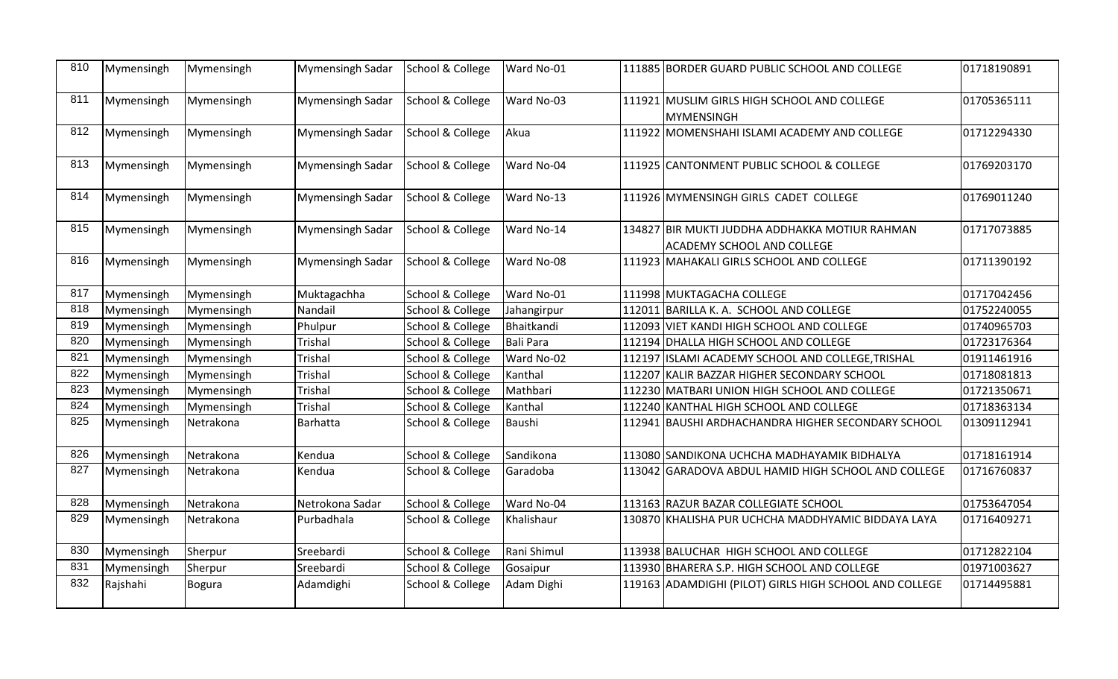| 810 | Mymensingh | Mymensingh | Mymensingh Sadar        | School & College | Ward No-01  | 111885 BORDER GUARD PUBLIC SCHOOL AND COLLEGE                                       | 01718190891 |
|-----|------------|------------|-------------------------|------------------|-------------|-------------------------------------------------------------------------------------|-------------|
| 811 | Mymensingh | Mymensingh | Mymensingh Sadar        | School & College | Ward No-03  | 111921 MUSLIM GIRLS HIGH SCHOOL AND COLLEGE<br>MYMENSINGH                           | 01705365111 |
| 812 | Mymensingh | Mymensingh | <b>Mymensingh Sadar</b> | School & College | Akua        | 111922 MOMENSHAHI ISLAMI ACADEMY AND COLLEGE                                        | 01712294330 |
| 813 | Mymensingh | Mymensingh | <b>Mymensingh Sadar</b> | School & College | Ward No-04  | 111925 CANTONMENT PUBLIC SCHOOL & COLLEGE                                           | 01769203170 |
| 814 | Mymensingh | Mymensingh | <b>Mymensingh Sadar</b> | School & College | Ward No-13  | 111926 MYMENSINGH GIRLS CADET COLLEGE                                               | 01769011240 |
| 815 | Mymensingh | Mymensingh | Mymensingh Sadar        | School & College | Ward No-14  | 134827 BIR MUKTI JUDDHA ADDHAKKA MOTIUR RAHMAN<br><b>ACADEMY SCHOOL AND COLLEGE</b> | 01717073885 |
| 816 | Mymensingh | Mymensingh | <b>Mymensingh Sadar</b> | School & College | Ward No-08  | 111923 MAHAKALI GIRLS SCHOOL AND COLLEGE                                            | 01711390192 |
| 817 | Mymensingh | Mymensingh | Muktagachha             | School & College | Ward No-01  | 111998 MUKTAGACHA COLLEGE                                                           | 01717042456 |
| 818 | Mymensingh | Mymensingh | Nandail                 | School & College | Jahangirpur | 112011 BARILLA K. A. SCHOOL AND COLLEGE                                             | 01752240055 |
| 819 | Mymensingh | Mymensingh | Phulpur                 | School & College | Bhaitkandi  | 112093 VIET KANDI HIGH SCHOOL AND COLLEGE                                           | 01740965703 |
| 820 | Mymensingh | Mymensingh | <b>Trishal</b>          | School & College | Bali Para   | 112194 DHALLA HIGH SCHOOL AND COLLEGE                                               | 01723176364 |
| 821 | Mymensingh | Mymensingh | <b>Trishal</b>          | School & College | Ward No-02  | 112197 ISLAMI ACADEMY SCHOOL AND COLLEGE, TRISHAL                                   | 01911461916 |
| 822 | Mymensingh | Mymensingh | <b>Trishal</b>          | School & College | Kanthal     | 112207 KALIR BAZZAR HIGHER SECONDARY SCHOOL                                         | 01718081813 |
| 823 | Mymensingh | Mymensingh | Trishal                 | School & College | Mathbari    | 112230 MATBARI UNION HIGH SCHOOL AND COLLEGE                                        | 01721350671 |
| 824 | Mymensingh | Mymensingh | Trishal                 | School & College | Kanthal     | 112240 KANTHAL HIGH SCHOOL AND COLLEGE                                              | 01718363134 |
| 825 | Mymensingh | Netrakona  | Barhatta                | School & College | Baushi      | 112941 BAUSHI ARDHACHANDRA HIGHER SECONDARY SCHOOL                                  | 01309112941 |
| 826 | Mymensingh | Netrakona  | Kendua                  | School & College | Sandikona   | 113080 SANDIKONA UCHCHA MADHAYAMIK BIDHALYA                                         | 01718161914 |
| 827 | Mymensingh | Netrakona  | Kendua                  | School & College | Garadoba    | 113042 GARADOVA ABDUL HAMID HIGH SCHOOL AND COLLEGE                                 | 01716760837 |
| 828 | Mymensingh | Netrakona  | Netrokona Sadar         | School & College | Ward No-04  | 113163 RAZUR BAZAR COLLEGIATE SCHOOL                                                | 01753647054 |
| 829 | Mymensingh | Netrakona  | Purbadhala              | School & College | Khalishaur  | 130870 KHALISHA PUR UCHCHA MADDHYAMIC BIDDAYA LAYA                                  | 01716409271 |
| 830 | Mymensingh | Sherpur    | Sreebardi               | School & College | Rani Shimul | 113938 BALUCHAR HIGH SCHOOL AND COLLEGE                                             | 01712822104 |
| 831 | Mymensingh | Sherpur    | Sreebardi               | School & College | Gosaipur    | 113930 BHARERA S.P. HIGH SCHOOL AND COLLEGE                                         | 01971003627 |
| 832 | Rajshahi   | Bogura     | Adamdighi               | School & College | Adam Dighi  | 119163 ADAMDIGHI (PILOT) GIRLS HIGH SCHOOL AND COLLEGE                              | 01714495881 |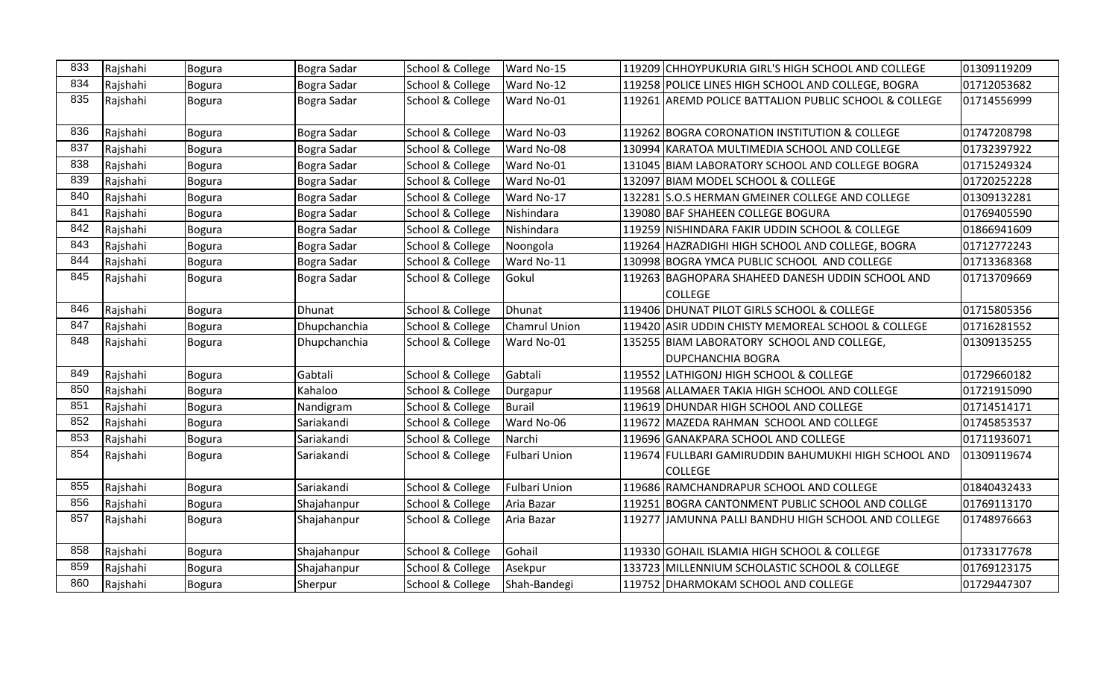| 833 | Rajshahi | Bogura        | Bogra Sadar   | School & College | Ward No-15           | 119209 CHHOYPUKURIA GIRL'S HIGH SCHOOL AND COLLEGE    | 01309119209 |
|-----|----------|---------------|---------------|------------------|----------------------|-------------------------------------------------------|-------------|
| 834 | Rajshahi | Bogura        | Bogra Sadar   | School & College | Ward No-12           | 119258 POLICE LINES HIGH SCHOOL AND COLLEGE, BOGRA    | 01712053682 |
| 835 | Rajshahi | <b>Bogura</b> | Bogra Sadar   | School & College | Ward No-01           | 119261 AREMD POLICE BATTALION PUBLIC SCHOOL & COLLEGE | 01714556999 |
| 836 | Rajshahi | Bogura        | Bogra Sadar   | School & College | Ward No-03           | 119262 BOGRA CORONATION INSTITUTION & COLLEGE         | 01747208798 |
| 837 | Rajshahi | <b>Bogura</b> | Bogra Sadar   | School & College | Ward No-08           | 130994 KARATOA MULTIMEDIA SCHOOL AND COLLEGE          | 01732397922 |
| 838 | Rajshahi | <b>Bogura</b> | Bogra Sadar   | School & College | Ward No-01           | 131045 BIAM LABORATORY SCHOOL AND COLLEGE BOGRA       | 01715249324 |
| 839 | Rajshahi | <b>Bogura</b> | Bogra Sadar   | School & College | Ward No-01           | 132097 BIAM MODEL SCHOOL & COLLEGE                    | 01720252228 |
| 840 | Rajshahi | <b>Bogura</b> | Bogra Sadar   | School & College | Ward No-17           | 132281 S.O.S HERMAN GMEINER COLLEGE AND COLLEGE       | 01309132281 |
| 841 | Rajshahi | <b>Bogura</b> | Bogra Sadar   | School & College | Nishindara           | 139080 BAF SHAHEEN COLLEGE BOGURA                     | 01769405590 |
| 842 | Rajshahi | Bogura        | Bogra Sadar   | School & College | Nishindara           | 119259 NISHINDARA FAKIR UDDIN SCHOOL & COLLEGE        | 01866941609 |
| 843 | Rajshahi | Bogura        | Bogra Sadar   | School & College | Noongola             | 119264 HAZRADIGHI HIGH SCHOOL AND COLLEGE, BOGRA      | 01712772243 |
| 844 | Rajshahi | <b>Bogura</b> | Bogra Sadar   | School & College | Ward No-11           | 130998 BOGRA YMCA PUBLIC SCHOOL AND COLLEGE           | 01713368368 |
| 845 | Rajshahi | <b>Bogura</b> | Bogra Sadar   | School & College | Gokul                | 119263 BAGHOPARA SHAHEED DANESH UDDIN SCHOOL AND      | 01713709669 |
|     |          |               |               |                  |                      | <b>COLLEGE</b>                                        |             |
| 846 | Rajshahi | <b>Bogura</b> | <b>Dhunat</b> | School & College | Dhunat               | 119406 DHUNAT PILOT GIRLS SCHOOL & COLLEGE            | 01715805356 |
| 847 | Rajshahi | <b>Bogura</b> | Dhupchanchia  | School & College | Chamrul Union        | 119420 ASIR UDDIN CHISTY MEMOREAL SCHOOL & COLLEGE    | 01716281552 |
| 848 | Rajshahi | <b>Bogura</b> | Dhupchanchia  | School & College | Ward No-01           | 135255 BIAM LABORATORY SCHOOL AND COLLEGE,            | 01309135255 |
|     |          |               |               |                  |                      | <b>DUPCHANCHIA BOGRA</b>                              |             |
| 849 | Rajshahi | Bogura        | Gabtali       | School & College | Gabtali              | 119552 LATHIGONJ HIGH SCHOOL & COLLEGE                | 01729660182 |
| 850 | Rajshahi | Bogura        | Kahaloo       | School & College | Durgapur             | 119568 ALLAMAER TAKIA HIGH SCHOOL AND COLLEGE         | 01721915090 |
| 851 | Rajshahi | <b>Bogura</b> | Nandigram     | School & College | Burail               | 119619 DHUNDAR HIGH SCHOOL AND COLLEGE                | 01714514171 |
| 852 | Rajshahi | Bogura        | Sariakandi    | School & College | Ward No-06           | 119672 MAZEDA RAHMAN SCHOOL AND COLLEGE               | 01745853537 |
| 853 | Rajshahi | <b>Bogura</b> | Sariakandi    | School & College | Narchi               | 119696 GANAKPARA SCHOOL AND COLLEGE                   | 01711936071 |
| 854 | Rajshahi | <b>Bogura</b> | Sariakandi    | School & College | <b>Fulbari Union</b> | 119674 FULLBARI GAMIRUDDIN BAHUMUKHI HIGH SCHOOL AND  | 01309119674 |
|     |          |               |               |                  |                      | <b>COLLEGE</b>                                        |             |
| 855 | Rajshahi | <b>Bogura</b> | Sariakandi    | School & College | <b>Fulbari Union</b> | 119686 RAMCHANDRAPUR SCHOOL AND COLLEGE               | 01840432433 |
| 856 | Rajshahi | Bogura        | Shajahanpur   | School & College | Aria Bazar           | 119251 BOGRA CANTONMENT PUBLIC SCHOOL AND COLLGE      | 01769113170 |
| 857 | Rajshahi | <b>Bogura</b> | Shajahanpur   | School & College | Aria Bazar           | 119277 JJAMUNNA PALLI BANDHU HIGH SCHOOL AND COLLEGE  | 01748976663 |
|     |          |               |               |                  |                      |                                                       |             |
| 858 | Rajshahi | Bogura        | Shajahanpur   | School & College | Gohail               | 119330 GOHAIL ISLAMIA HIGH SCHOOL & COLLEGE           | 01733177678 |
| 859 | Rajshahi | <b>Bogura</b> | Shajahanpur   | School & College | Asekpur              | 133723 MILLENNIUM SCHOLASTIC SCHOOL & COLLEGE         | 01769123175 |
| 860 | Rajshahi | <b>Bogura</b> | Sherpur       | School & College | Shah-Bandegi         | 119752 DHARMOKAM SCHOOL AND COLLEGE                   | 01729447307 |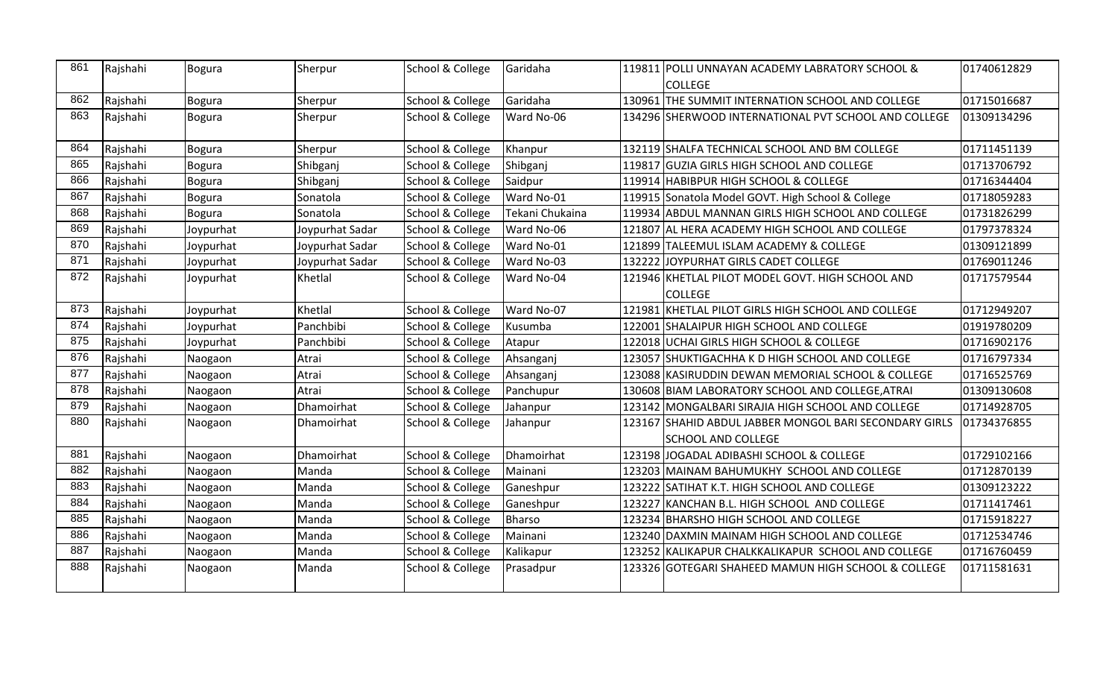| 861 | Rajshahi | Bogura        | Sherpur         | School & College | Garidaha        | 119811 POLLI UNNAYAN ACADEMY LABRATORY SCHOOL &<br><b>COLLEGE</b> | 01740612829 |
|-----|----------|---------------|-----------------|------------------|-----------------|-------------------------------------------------------------------|-------------|
| 862 | Rajshahi | <b>Bogura</b> | Sherpur         | School & College | Garidaha        | 130961 THE SUMMIT INTERNATION SCHOOL AND COLLEGE                  | 01715016687 |
| 863 | Rajshahi | <b>Bogura</b> | Sherpur         | School & College | Ward No-06      | 134296 SHERWOOD INTERNATIONAL PVT SCHOOL AND COLLEGE              | 01309134296 |
| 864 | Rajshahi | <b>Bogura</b> | Sherpur         | School & College | Khanpur         | 132119 SHALFA TECHNICAL SCHOOL AND BM COLLEGE                     | 01711451139 |
| 865 | Rajshahi | <b>Bogura</b> | Shibganj        | School & College | Shibganj        | 119817 GUZIA GIRLS HIGH SCHOOL AND COLLEGE                        | 01713706792 |
| 866 | Rajshahi | <b>Bogura</b> | Shibganj        | School & College | Saidpur         | 119914 HABIBPUR HIGH SCHOOL & COLLEGE                             | 01716344404 |
| 867 | Rajshahi | <b>Bogura</b> | Sonatola        | School & College | Ward No-01      | 119915 Sonatola Model GOVT. High School & College                 | 01718059283 |
| 868 | Rajshahi | <b>Bogura</b> | Sonatola        | School & College | Tekani Chukaina | 119934 ABDUL MANNAN GIRLS HIGH SCHOOL AND COLLEGE                 | 01731826299 |
| 869 | Rajshahi | Joypurhat     | Joypurhat Sadar | School & College | Ward No-06      | 121807 AL HERA ACADEMY HIGH SCHOOL AND COLLEGE                    | 01797378324 |
| 870 | Rajshahi | Joypurhat     | Joypurhat Sadar | School & College | Ward No-01      | 121899 TALEEMUL ISLAM ACADEMY & COLLEGE                           | 01309121899 |
| 871 | Rajshahi | Joypurhat     | Joypurhat Sadar | School & College | Ward No-03      | 132222 JOYPURHAT GIRLS CADET COLLEGE                              | 01769011246 |
| 872 | Rajshahi | Joypurhat     | Khetlal         | School & College | Ward No-04      | 121946 KHETLAL PILOT MODEL GOVT. HIGH SCHOOL AND                  | 01717579544 |
|     |          |               |                 |                  |                 | <b>COLLEGE</b>                                                    |             |
| 873 | Rajshahi | Joypurhat     | Khetlal         | School & College | Ward No-07      | 121981 KHETLAL PILOT GIRLS HIGH SCHOOL AND COLLEGE                | 01712949207 |
| 874 | Rajshahi | Joypurhat     | Panchbibi       | School & College | Kusumba         | 122001 SHALAIPUR HIGH SCHOOL AND COLLEGE                          | 01919780209 |
| 875 | Rajshahi | Joypurhat     | Panchbibi       | School & College | Atapur          | 122018 UCHAI GIRLS HIGH SCHOOL & COLLEGE                          | 01716902176 |
| 876 | Rajshahi | Naogaon       | Atrai           | School & College | Ahsanganj       | 123057 SHUKTIGACHHA K D HIGH SCHOOL AND COLLEGE                   | 01716797334 |
| 877 | Rajshahi | Naogaon       | Atrai           | School & College | Ahsanganj       | 123088 KASIRUDDIN DEWAN MEMORIAL SCHOOL & COLLEGE                 | 01716525769 |
| 878 | Rajshahi | Naogaon       | Atrai           | School & College | Panchupur       | 130608 BIAM LABORATORY SCHOOL AND COLLEGE, ATRAI                  | 01309130608 |
| 879 | Rajshahi | Naogaon       | Dhamoirhat      | School & College | Jahanpur        | 123142 MONGALBARI SIRAJIA HIGH SCHOOL AND COLLEGE                 | 01714928705 |
| 880 | Rajshahi | Naogaon       | Dhamoirhat      | School & College | Jahanpur        | 123167 SHAHID ABDUL JABBER MONGOL BARI SECONDARY GIRLS            | 01734376855 |
|     |          |               |                 |                  |                 | <b>SCHOOL AND COLLEGE</b>                                         |             |
| 881 | Rajshahi | Naogaon       | Dhamoirhat      | School & College | Dhamoirhat      | 123198 JOGADAL ADIBASHI SCHOOL & COLLEGE                          | 01729102166 |
| 882 | Rajshahi | Naogaon       | Manda           | School & College | Mainani         | 123203 MAINAM BAHUMUKHY SCHOOL AND COLLEGE                        | 01712870139 |
| 883 | Rajshahi | Naogaon       | Manda           | School & College | Ganeshpur       | 123222  SATIHAT K.T. HIGH SCHOOL AND COLLEGE                      | 01309123222 |
| 884 | Rajshahi | Naogaon       | Manda           | School & College | Ganeshpur       | 123227 KANCHAN B.L. HIGH SCHOOL AND COLLEGE                       | 01711417461 |
| 885 | Rajshahi | Naogaon       | Manda           | School & College | Bharso          | 123234 BHARSHO HIGH SCHOOL AND COLLEGE                            | 01715918227 |
| 886 | Rajshahi | Naogaon       | Manda           | School & College | Mainani         | 123240 DAXMIN MAINAM HIGH SCHOOL AND COLLEGE                      | 01712534746 |
| 887 | Rajshahi | Naogaon       | Manda           | School & College | Kalikapur       | 123252 KALIKAPUR CHALKKALIKAPUR SCHOOL AND COLLEGE                | 01716760459 |
| 888 | Rajshahi | Naogaon       | Manda           | School & College | Prasadpur       | 123326 GOTEGARI SHAHEED MAMUN HIGH SCHOOL & COLLEGE               | 01711581631 |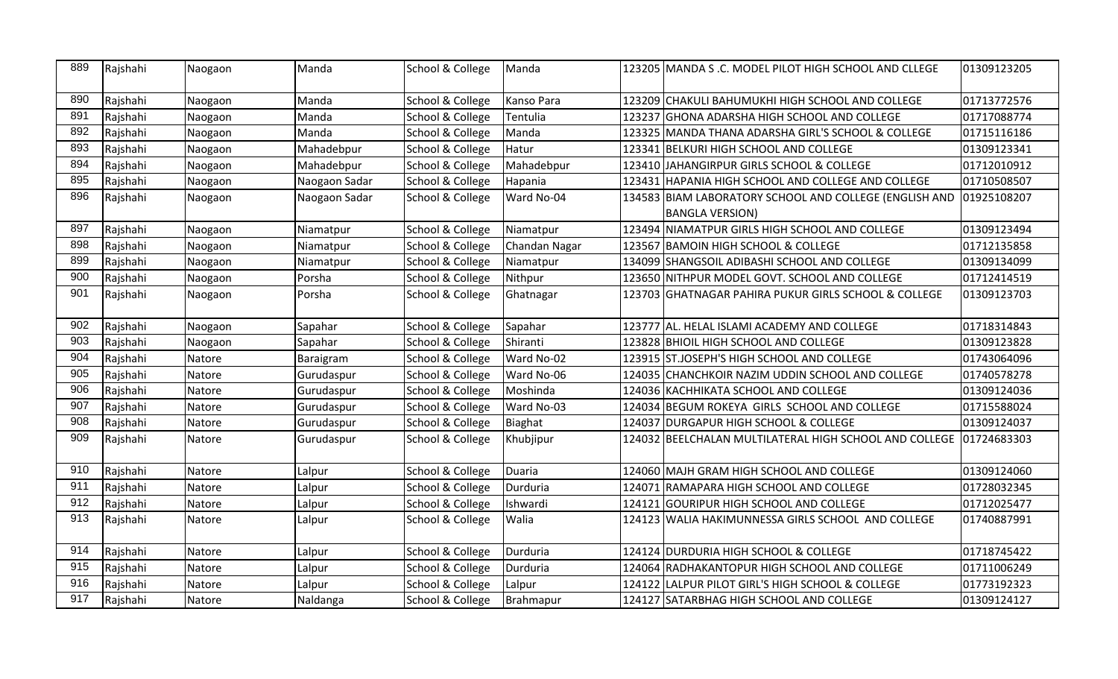| 889 | Rajshahi | Naogaon | Manda         | School & College | Manda         | 123205 MANDA S .C. MODEL PILOT HIGH SCHOOL AND CLLEGE                                         | 01309123205 |
|-----|----------|---------|---------------|------------------|---------------|-----------------------------------------------------------------------------------------------|-------------|
| 890 | Rajshahi | Naogaon | Manda         | School & College | Kanso Para    | 123209 CHAKULI BAHUMUKHI HIGH SCHOOL AND COLLEGE                                              | 01713772576 |
| 891 | Rajshahi | Naogaon | Manda         | School & College | Tentulia      | 123237 GHONA ADARSHA HIGH SCHOOL AND COLLEGE                                                  | 01717088774 |
| 892 | Rajshahi | Naogaon | Manda         | School & College | Manda         | 123325 MANDA THANA ADARSHA GIRL'S SCHOOL & COLLEGE                                            | 01715116186 |
| 893 | Rajshahi | Naogaon | Mahadebpur    | School & College | Hatur         | 123341 BELKURI HIGH SCHOOL AND COLLEGE                                                        | 01309123341 |
| 894 | Rajshahi | Naogaon | Mahadebpur    | School & College | Mahadebpur    | 123410 JAHANGIRPUR GIRLS SCHOOL & COLLEGE                                                     | 01712010912 |
| 895 | Rajshahi | Naogaon | Naogaon Sadar | School & College | Hapania       | 123431 HAPANIA HIGH SCHOOL AND COLLEGE AND COLLEGE                                            | 01710508507 |
| 896 | Rajshahi | Naogaon | Naogaon Sadar | School & College | Ward No-04    | 134583 BIAM LABORATORY SCHOOL AND COLLEGE (ENGLISH AND 101925108207<br><b>BANGLA VERSION)</b> |             |
| 897 | Rajshahi | Naogaon | Niamatpur     | School & College | Niamatpur     | 123494 NIAMATPUR GIRLS HIGH SCHOOL AND COLLEGE                                                | 01309123494 |
| 898 | Rajshahi | Naogaon | Niamatpur     | School & College | Chandan Nagar | 123567 BAMOIN HIGH SCHOOL & COLLEGE                                                           | 01712135858 |
| 899 | Rajshahi | Naogaon | Niamatpur     | School & College | Niamatpur     | 134099 SHANGSOIL ADIBASHI SCHOOL AND COLLEGE                                                  | 01309134099 |
| 900 | Rajshahi | Naogaon | Porsha        | School & College | Nithpur       | 123650 NITHPUR MODEL GOVT. SCHOOL AND COLLEGE                                                 | 01712414519 |
| 901 | Rajshahi | Naogaon | Porsha        | School & College | Ghatnagar     | 123703 GHATNAGAR PAHIRA PUKUR GIRLS SCHOOL & COLLEGE                                          | 01309123703 |
| 902 | Rajshahi | Naogaon | Sapahar       | School & College | Sapahar       | 123777 AL. HELAL ISLAMI ACADEMY AND COLLEGE                                                   | 01718314843 |
| 903 | Rajshahi | Naogaon | Sapahar       | School & College | Shiranti      | 123828 BHIOIL HIGH SCHOOL AND COLLEGE                                                         | 01309123828 |
| 904 | Rajshahi | Natore  | Baraigram     | School & College | Ward No-02    | 123915 ST.JOSEPH'S HIGH SCHOOL AND COLLEGE                                                    | 01743064096 |
| 905 | Rajshahi | Natore  | Gurudaspur    | School & College | Ward No-06    | 124035 CHANCHKOIR NAZIM UDDIN SCHOOL AND COLLEGE                                              | 01740578278 |
| 906 | Rajshahi | Natore  | Gurudaspur    | School & College | Moshinda      | 124036 KACHHIKATA SCHOOL AND COLLEGE                                                          | 01309124036 |
| 907 | Rajshahi | Natore  | Gurudaspur    | School & College | Ward No-03    | 124034 BEGUM ROKEYA GIRLS SCHOOL AND COLLEGE                                                  | 01715588024 |
| 908 | Rajshahi | Natore  | Gurudaspur    | School & College | Biaghat       | 124037 DURGAPUR HIGH SCHOOL & COLLEGE                                                         | 01309124037 |
| 909 | Rajshahi | Natore  | Gurudaspur    | School & College | Khubjipur     | 124032 BEELCHALAN MULTILATERAL HIGH SCHOOL AND COLLEGE 101724683303                           |             |
| 910 | Rajshahi | Natore  | Lalpur        | School & College | <b>Duaria</b> | 124060 MAJH GRAM HIGH SCHOOL AND COLLEGE                                                      | 01309124060 |
| 911 | Rajshahi | Natore  | Lalpur        | School & College | Durduria      | 124071 RAMAPARA HIGH SCHOOL AND COLLEGE                                                       | 01728032345 |
| 912 | Rajshahi | Natore  | Lalpur        | School & College | Ishwardi      | 124121 GOURIPUR HIGH SCHOOL AND COLLEGE                                                       | 01712025477 |
| 913 | Rajshahi | Natore  | Lalpur        | School & College | Walia         | 124123 WALIA HAKIMUNNESSA GIRLS SCHOOL AND COLLEGE                                            | 01740887991 |
| 914 | Rajshahi | Natore  | Lalpur        | School & College | Durduria      | 124124 DURDURIA HIGH SCHOOL & COLLEGE                                                         | 01718745422 |
| 915 | Rajshahi | Natore  | Lalpur        | School & College | Durduria      | 124064 RADHAKANTOPUR HIGH SCHOOL AND COLLEGE                                                  | 01711006249 |
| 916 | Rajshahi | Natore  | Lalpur        | School & College | Lalpur        | 124122 LALPUR PILOT GIRL'S HIGH SCHOOL & COLLEGE                                              | 01773192323 |
| 917 | Rajshahi | Natore  | Naldanga      | School & College | Brahmapur     | 124127 SATARBHAG HIGH SCHOOL AND COLLEGE                                                      | 01309124127 |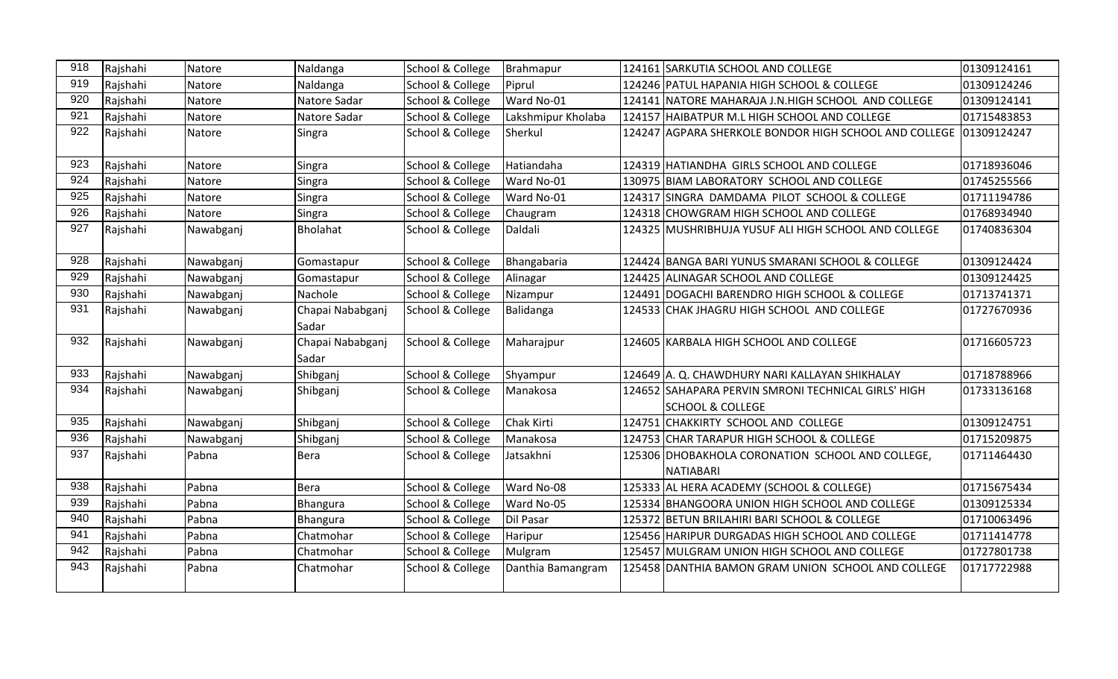| 918 | Rajshahi | Natore    | Naldanga                  | School & College | Brahmapur          | 124161 SARKUTIA SCHOOL AND COLLEGE                                                 | 01309124161 |
|-----|----------|-----------|---------------------------|------------------|--------------------|------------------------------------------------------------------------------------|-------------|
| 919 | Rajshahi | Natore    | Naldanga                  | School & College | Piprul             | 124246 PATUL HAPANIA HIGH SCHOOL & COLLEGE                                         | 01309124246 |
| 920 | Rajshahi | Natore    | Natore Sadar              | School & College | Ward No-01         | 124141 NATORE MAHARAJA J.N.HIGH SCHOOL AND COLLEGE                                 | 01309124141 |
| 921 | Rajshahi | Natore    | Natore Sadar              | School & College | Lakshmipur Kholaba | 124157 HAIBATPUR M.L HIGH SCHOOL AND COLLEGE                                       | 01715483853 |
| 922 | Rajshahi | Natore    | Singra                    | School & College | Sherkul            | 124247 AGPARA SHERKOLE BONDOR HIGH SCHOOL AND COLLEGE                              | 01309124247 |
| 923 | Rajshahi | Natore    | Singra                    | School & College | Hatiandaha         | 124319 HATIANDHA GIRLS SCHOOL AND COLLEGE                                          | 01718936046 |
| 924 | Rajshahi | Natore    | Singra                    | School & College | Ward No-01         | 130975 BIAM LABORATORY SCHOOL AND COLLEGE                                          | 01745255566 |
| 925 | Rajshahi | Natore    | Singra                    | School & College | Ward No-01         | 124317 SINGRA DAMDAMA PILOT SCHOOL & COLLEGE                                       | 01711194786 |
| 926 | Rajshahi | Natore    | Singra                    | School & College | Chaugram           | 124318 CHOWGRAM HIGH SCHOOL AND COLLEGE                                            | 01768934940 |
| 927 | Rajshahi | Nawabganj | Bholahat                  | School & College | Daldali            | 124325 MUSHRIBHUJA YUSUF ALI HIGH SCHOOL AND COLLEGE                               | 01740836304 |
| 928 | Rajshahi | Nawabganj | Gomastapur                | School & College | Bhangabaria        | 124424 BANGA BARI YUNUS SMARANI SCHOOL & COLLEGE                                   | 01309124424 |
| 929 | Rajshahi | Nawabganj | Gomastapur                | School & College | Alinagar           | 124425 ALINAGAR SCHOOL AND COLLEGE                                                 | 01309124425 |
| 930 | Rajshahi | Nawabganj | Nachole                   | School & College | Nizampur           | 124491 DOGACHI BARENDRO HIGH SCHOOL & COLLEGE                                      | 01713741371 |
| 931 | Rajshahi | Nawabganj | Chapai Nababganj<br>Sadar | School & College | Balidanga          | 124533 CHAK JHAGRU HIGH SCHOOL AND COLLEGE                                         | 01727670936 |
| 932 | Rajshahi | Nawabganj | Chapai Nababganj<br>Sadar | School & College | Maharajpur         | 124605 KARBALA HIGH SCHOOL AND COLLEGE                                             | 01716605723 |
| 933 | Rajshahi | Nawabganj | Shibganj                  | School & College | Shyampur           | 124649 A. Q. CHAWDHURY NARI KALLAYAN SHIKHALAY                                     | 01718788966 |
| 934 | Rajshahi | Nawabganj | Shibganj                  | School & College | Manakosa           | 124652 SAHAPARA PERVIN SMRONI TECHNICAL GIRLS' HIGH<br><b>SCHOOL &amp; COLLEGE</b> | 01733136168 |
| 935 | Rajshahi | Nawabganj | Shibganj                  | School & College | Chak Kirti         | 124751 CHAKKIRTY SCHOOL AND COLLEGE                                                | 01309124751 |
| 936 | Rajshahi | Nawabganj | Shibganj                  | School & College | Manakosa           | 124753 CHAR TARAPUR HIGH SCHOOL & COLLEGE                                          | 01715209875 |
| 937 | Rajshahi | Pabna     | <b>Bera</b>               | School & College | Jatsakhni          | 125306 DHOBAKHOLA CORONATION SCHOOL AND COLLEGE,<br>NATIABARI                      | 01711464430 |
| 938 | Rajshahi | Pabna     | <b>Bera</b>               | School & College | Ward No-08         | 125333 AL HERA ACADEMY (SCHOOL & COLLEGE)                                          | 01715675434 |
| 939 | Rajshahi | Pabna     | Bhangura                  | School & College | Ward No-05         | 125334 BHANGOORA UNION HIGH SCHOOL AND COLLEGE                                     | 01309125334 |
| 940 | Rajshahi | Pabna     | Bhangura                  | School & College | Dil Pasar          | 125372 BETUN BRILAHIRI BARI SCHOOL & COLLEGE                                       | 01710063496 |
| 941 | Rajshahi | Pabna     | Chatmohar                 | School & College | Haripur            | 125456 HARIPUR DURGADAS HIGH SCHOOL AND COLLEGE                                    | 01711414778 |
| 942 | Rajshahi | Pabna     | Chatmohar                 | School & College | Mulgram            | 125457 MULGRAM UNION HIGH SCHOOL AND COLLEGE                                       | 01727801738 |
| 943 | Rajshahi | Pabna     | Chatmohar                 | School & College | Danthia Bamangram  | 125458 DANTHIA BAMON GRAM UNION SCHOOL AND COLLEGE                                 | 01717722988 |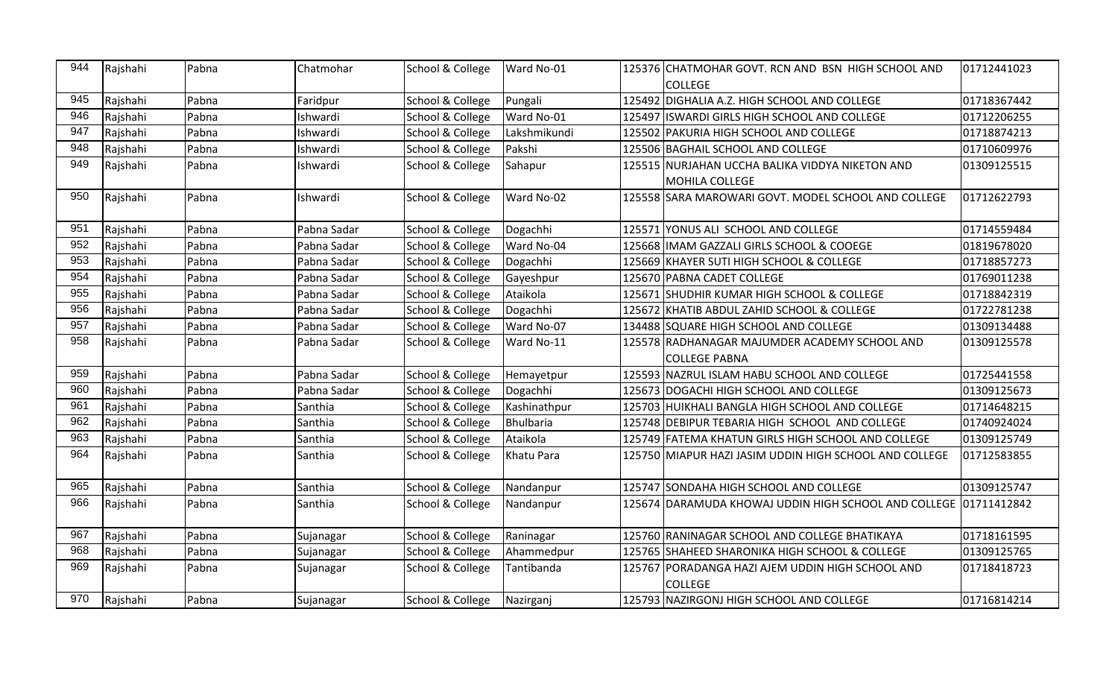| 944 | Rajshahi | Pabna | Chatmohar   | School & College | Ward No-01   | 125376 CHATMOHAR GOVT. RCN AND BSN HIGH SCHOOL AND                       | 01712441023 |
|-----|----------|-------|-------------|------------------|--------------|--------------------------------------------------------------------------|-------------|
|     |          |       |             |                  |              | <b>COLLEGE</b>                                                           |             |
| 945 | Rajshahi | Pabna | Faridpur    | School & College | Pungali      | 125492 DIGHALIA A.Z. HIGH SCHOOL AND COLLEGE                             | 01718367442 |
| 946 | Rajshahi | Pabna | Ishwardi    | School & College | Ward No-01   | 125497 ISWARDI GIRLS HIGH SCHOOL AND COLLEGE                             | 01712206255 |
| 947 | Rajshahi | Pabna | Ishwardi    | School & College | Lakshmikundi | 125502 PAKURIA HIGH SCHOOL AND COLLEGE                                   | 01718874213 |
| 948 | Rajshahi | Pabna | Ishwardi    | School & College | Pakshi       | 125506 BAGHAIL SCHOOL AND COLLEGE                                        | 01710609976 |
| 949 | Rajshahi | Pabna | Ishwardi    | School & College | Sahapur      | 125515 NURJAHAN UCCHA BALIKA VIDDYA NIKETON AND<br><b>MOHILA COLLEGE</b> | 01309125515 |
| 950 | Rajshahi | Pabna | Ishwardi    | School & College | Ward No-02   | 125558 SARA MAROWARI GOVT. MODEL SCHOOL AND COLLEGE                      | 01712622793 |
| 951 | Rajshahi | Pabna | Pabna Sadar | School & College | Dogachhi     | 125571 YONUS ALI SCHOOL AND COLLEGE                                      | 01714559484 |
| 952 | Rajshahi | Pabna | Pabna Sadar | School & College | Ward No-04   | 125668  IMAM GAZZALI GIRLS SCHOOL & COOEGE                               | 01819678020 |
| 953 | Rajshahi | Pabna | Pabna Sadar | School & College | Dogachhi     | 125669 KHAYER SUTI HIGH SCHOOL & COLLEGE                                 | 01718857273 |
| 954 | Rajshahi | Pabna | Pabna Sadar | School & College | Gayeshpur    | 125670 PABNA CADET COLLEGE                                               | 01769011238 |
| 955 | Rajshahi | Pabna | Pabna Sadar | School & College | Ataikola     | 125671 SHUDHIR KUMAR HIGH SCHOOL & COLLEGE                               | 01718842319 |
| 956 | Rajshahi | Pabna | Pabna Sadar | School & College | Dogachhi     | 125672 KHATIB ABDUL ZAHID SCHOOL & COLLEGE                               | 01722781238 |
| 957 | Rajshahi | Pabna | Pabna Sadar | School & College | Ward No-07   | 134488 SQUARE HIGH SCHOOL AND COLLEGE                                    | 01309134488 |
| 958 | Rajshahi | Pabna | Pabna Sadar | School & College | Ward No-11   | 125578 RADHANAGAR MAJUMDER ACADEMY SCHOOL AND                            | 01309125578 |
|     |          |       |             |                  |              | <b>COLLEGE PABNA</b>                                                     |             |
| 959 | Rajshahi | Pabna | Pabna Sadar | School & College | Hemayetpur   | 125593 NAZRUL ISLAM HABU SCHOOL AND COLLEGE                              | 01725441558 |
| 960 | Rajshahi | Pabna | Pabna Sadar | School & College | Dogachhi     | 125673 DOGACHI HIGH SCHOOL AND COLLEGE                                   | 01309125673 |
| 961 | Rajshahi | Pabna | Santhia     | School & College | Kashinathpur | 125703 HUIKHALI BANGLA HIGH SCHOOL AND COLLEGE                           | 01714648215 |
| 962 | Rajshahi | Pabna | Santhia     | School & College | Bhulbaria    | 125748 DEBIPUR TEBARIA HIGH SCHOOL AND COLLEGE                           | 01740924024 |
| 963 | Rajshahi | Pabna | Santhia     | School & College | Ataikola     | 125749 FATEMA KHATUN GIRLS HIGH SCHOOL AND COLLEGE                       | 01309125749 |
| 964 | Rajshahi | Pabna | Santhia     | School & College | Khatu Para   | 125750 MIAPUR HAZI JASIM UDDIN HIGH SCHOOL AND COLLEGE                   | 01712583855 |
| 965 | Rajshahi | Pabna | Santhia     | School & College | Nandanpur    | 125747 SONDAHA HIGH SCHOOL AND COLLEGE                                   | 01309125747 |
| 966 | Rajshahi | Pabna | Santhia     | School & College | Nandanpur    | 125674  DARAMUDA KHOWAJ UDDIN HIGH SCHOOL AND COLLEGE  01711412842       |             |
| 967 | Rajshahi | Pabna | Sujanagar   | School & College | Raninagar    | 125760 RANINAGAR SCHOOL AND COLLEGE BHATIKAYA                            | 01718161595 |
| 968 | Rajshahi | Pabna | Sujanagar   | School & College | Ahammedpur   | 125765 SHAHEED SHARONIKA HIGH SCHOOL & COLLEGE                           | 01309125765 |
| 969 | Rajshahi | Pabna | Sujanagar   | School & College | Tantibanda   | 125767 PORADANGA HAZI AJEM UDDIN HIGH SCHOOL AND<br><b>COLLEGE</b>       | 01718418723 |
| 970 | Rajshahi | Pabna | Sujanagar   | School & College | Nazirganj    | 125793 NAZIRGONJ HIGH SCHOOL AND COLLEGE                                 | 01716814214 |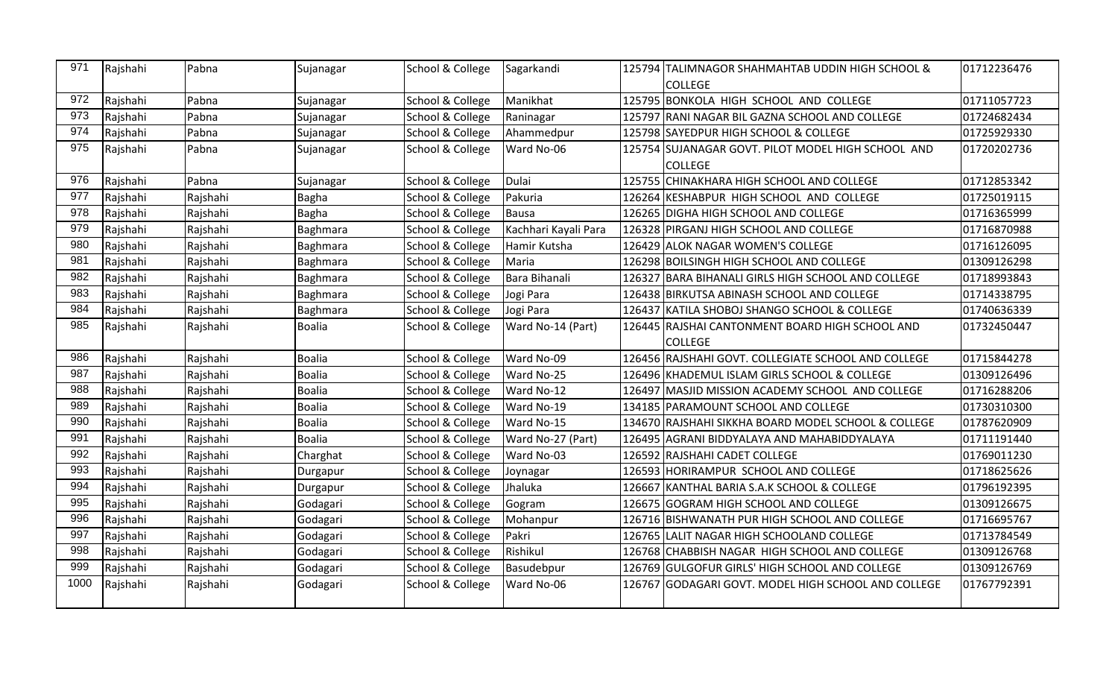| 971  | Rajshahi | Pabna    | Sujanagar     | School & College            | Sagarkandi           | 125794 TALIMNAGOR SHAHMAHTAB UDDIN HIGH SCHOOL &    | 01712236476 |
|------|----------|----------|---------------|-----------------------------|----------------------|-----------------------------------------------------|-------------|
|      |          |          |               |                             |                      | <b>COLLEGE</b>                                      |             |
| 972  | Rajshahi | Pabna    | Sujanagar     | School & College            | Manikhat             | 125795 BONKOLA HIGH SCHOOL AND COLLEGE              | 01711057723 |
| 973  | Rajshahi | Pabna    | Sujanagar     | School & College            | Raninagar            | 125797 RANI NAGAR BIL GAZNA SCHOOL AND COLLEGE      | 01724682434 |
| 974  | Rajshahi | Pabna    | Sujanagar     | School & College            | Ahammedpur           | 125798 SAYEDPUR HIGH SCHOOL & COLLEGE               | 01725929330 |
| 975  | Rajshahi | Pabna    | Sujanagar     | School & College            | Ward No-06           | 125754 SUJANAGAR GOVT. PILOT MODEL HIGH SCHOOL AND  | 01720202736 |
|      |          |          |               |                             |                      | <b>COLLEGE</b>                                      |             |
| 976  | Rajshahi | Pabna    | Sujanagar     | School & College            | Dulai                | 125755 CHINAKHARA HIGH SCHOOL AND COLLEGE           | 01712853342 |
| 977  | Rajshahi | Rajshahi | <b>Bagha</b>  | School & College            | Pakuria              | 126264 KESHABPUR HIGH SCHOOL AND COLLEGE            | 01725019115 |
| 978  | Rajshahi | Rajshahi | <b>Bagha</b>  | School & College            | Bausa                | 126265 DIGHA HIGH SCHOOL AND COLLEGE                | 01716365999 |
| 979  | Rajshahi | Rajshahi | Baghmara      | School & College            | Kachhari Kayali Para | 126328 PIRGANJ HIGH SCHOOL AND COLLEGE              | 01716870988 |
| 980  | Rajshahi | Rajshahi | Baghmara      | School & College            | Hamir Kutsha         | 126429 ALOK NAGAR WOMEN'S COLLEGE                   | 01716126095 |
| 981  | Rajshahi | Rajshahi | Baghmara      | School & College            | Maria                | 126298 BOILSINGH HIGH SCHOOL AND COLLEGE            | 01309126298 |
| 982  | Rajshahi | Rajshahi | Baghmara      | School & College            | Bara Bihanali        | 126327 BARA BIHANALI GIRLS HIGH SCHOOL AND COLLEGE  | 01718993843 |
| 983  | Rajshahi | Rajshahi | Baghmara      | School & College            | Jogi Para            | 126438 BIRKUTSA ABINASH SCHOOL AND COLLEGE          | 01714338795 |
| 984  | Rajshahi | Rajshahi | Baghmara      | School & College            | Jogi Para            | 126437 KATILA SHOBOJ SHANGO SCHOOL & COLLEGE        | 01740636339 |
| 985  | Rajshahi | Rajshahi | <b>Boalia</b> | School & College            | Ward No-14 (Part)    | 126445 RAJSHAI CANTONMENT BOARD HIGH SCHOOL AND     | 01732450447 |
|      |          |          |               |                             |                      | <b>COLLEGE</b>                                      |             |
| 986  | Rajshahi | Rajshahi | <b>Boalia</b> | <b>School &amp; College</b> | Ward No-09           | 126456 RAJSHAHI GOVT. COLLEGIATE SCHOOL AND COLLEGE | 01715844278 |
| 987  | Rajshahi | Rajshahi | <b>Boalia</b> | School & College            | Ward No-25           | 126496 KHADEMUL ISLAM GIRLS SCHOOL & COLLEGE        | 01309126496 |
| 988  | Rajshahi | Rajshahi | <b>Boalia</b> | School & College            | Ward No-12           | 126497 MASJID MISSION ACADEMY SCHOOL AND COLLEGE    | 01716288206 |
| 989  | Rajshahi | Rajshahi | <b>Boalia</b> | School & College            | Ward No-19           | 134185 PARAMOUNT SCHOOL AND COLLEGE                 | 01730310300 |
| 990  | Rajshahi | Rajshahi | <b>Boalia</b> | School & College            | Ward No-15           | 134670 RAJSHAHI SIKKHA BOARD MODEL SCHOOL & COLLEGE | 01787620909 |
| 991  | Rajshahi | Rajshahi | <b>Boalia</b> | School & College            | Ward No-27 (Part)    | 126495 AGRANI BIDDYALAYA AND MAHABIDDYALAYA         | 01711191440 |
| 992  | Rajshahi | Rajshahi | Charghat      | School & College            | Ward No-03           | 126592 RAJSHAHI CADET COLLEGE                       | 01769011230 |
| 993  | Rajshahi | Rajshahi | Durgapur      | School & College            | Joynagar             | 126593 HORIRAMPUR SCHOOL AND COLLEGE                | 01718625626 |
| 994  | Rajshahi | Rajshahi | Durgapur      | School & College            | Jhaluka              | 126667 KANTHAL BARIA S.A.K SCHOOL & COLLEGE         | 01796192395 |
| 995  | Rajshahi | Rajshahi | Godagari      | School & College            | Gogram               | 126675 GOGRAM HIGH SCHOOL AND COLLEGE               | 01309126675 |
| 996  | Rajshahi | Rajshahi | Godagari      | School & College            | Mohanpur             | 126716 BISHWANATH PUR HIGH SCHOOL AND COLLEGE       | 01716695767 |
| 997  | Rajshahi | Rajshahi | Godagari      | School & College            | Pakri                | 126765 LALIT NAGAR HIGH SCHOOLAND COLLEGE           | 01713784549 |
| 998  | Rajshahi | Rajshahi | Godagari      | School & College            | Rishikul             | 126768 CHABBISH NAGAR HIGH SCHOOL AND COLLEGE       | 01309126768 |
| 999  | Rajshahi | Rajshahi | Godagari      | School & College            | Basudebpur           | 126769 GULGOFUR GIRLS' HIGH SCHOOL AND COLLEGE      | 01309126769 |
| 1000 | Rajshahi | Rajshahi | Godagari      | School & College            | Ward No-06           | 126767 GODAGARI GOVT. MODEL HIGH SCHOOL AND COLLEGE | 01767792391 |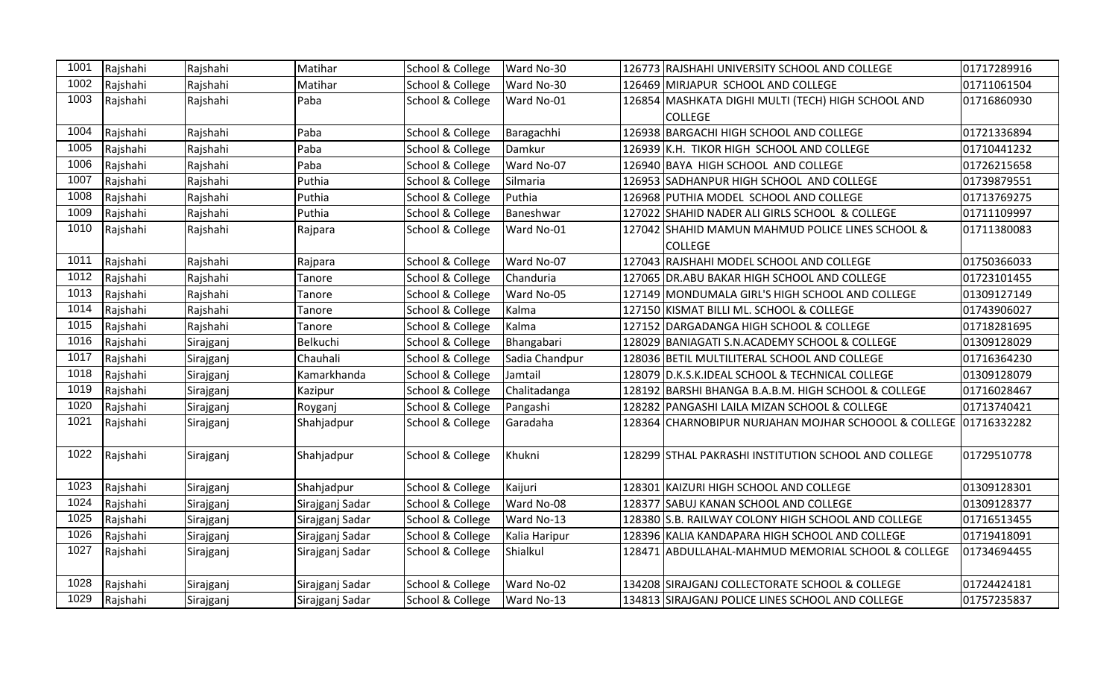| 1001 | Rajshahi | Rajshahi  | Matihar         | School & College | Ward No-30     | 126773 RAJSHAHI UNIVERSITY SCHOOL AND COLLEGE                    | 01717289916 |
|------|----------|-----------|-----------------|------------------|----------------|------------------------------------------------------------------|-------------|
| 1002 | Rajshahi | Rajshahi  | Matihar         | School & College | Ward No-30     | 126469 MIRJAPUR SCHOOL AND COLLEGE                               | 01711061504 |
| 1003 | Rajshahi | Rajshahi  | Paba            | School & College | Ward No-01     | 126854 MASHKATA DIGHI MULTI (TECH) HIGH SCHOOL AND               | 01716860930 |
|      |          |           |                 |                  |                | <b>COLLEGE</b>                                                   |             |
| 1004 | Rajshahi | Rajshahi  | Paba            | School & College | Baragachhi     | 126938 BARGACHI HIGH SCHOOL AND COLLEGE                          | 01721336894 |
| 1005 | Rajshahi | Rajshahi  | Paba            | School & College | Damkur         | 126939 K.H. TIKOR HIGH SCHOOL AND COLLEGE                        | 01710441232 |
| 1006 | Rajshahi | Rajshahi  | Paba            | School & College | Ward No-07     | 126940 BAYA HIGH SCHOOL AND COLLEGE                              | 01726215658 |
| 1007 | Rajshahi | Rajshahi  | Puthia          | School & College | Silmaria       | 126953 SADHANPUR HIGH SCHOOL AND COLLEGE                         | 01739879551 |
| 1008 | Rajshahi | Rajshahi  | Puthia          | School & College | Puthia         | 126968 PUTHIA MODEL SCHOOL AND COLLEGE                           | 01713769275 |
| 1009 | Rajshahi | Rajshahi  | Puthia          | School & College | Baneshwar      | 127022 SHAHID NADER ALI GIRLS SCHOOL & COLLEGE                   | 01711109997 |
| 1010 | Rajshahi | Rajshahi  | Rajpara         | School & College | Ward No-01     | 127042 SHAHID MAMUN MAHMUD POLICE LINES SCHOOL &                 | 01711380083 |
|      |          |           |                 |                  |                | <b>COLLEGE</b>                                                   |             |
| 1011 | Rajshahi | Rajshahi  | Rajpara         | School & College | Ward No-07     | 127043 RAJSHAHI MODEL SCHOOL AND COLLEGE                         | 01750366033 |
| 1012 | Rajshahi | Rajshahi  | Tanore          | School & College | Chanduria      | 127065 DR.ABU BAKAR HIGH SCHOOL AND COLLEGE                      | 01723101455 |
| 1013 | Rajshahi | Rajshahi  | Tanore          | School & College | Ward No-05     | 127149 MONDUMALA GIRL'S HIGH SCHOOL AND COLLEGE                  | 01309127149 |
| 1014 | Rajshahi | Rajshahi  | Tanore          | School & College | Kalma          | 127150 KISMAT BILLI ML. SCHOOL & COLLEGE                         | 01743906027 |
| 1015 | Rajshahi | Rajshahi  | Tanore          | School & College | Kalma          | 127152 DARGADANGA HIGH SCHOOL & COLLEGE                          | 01718281695 |
| 1016 | Rajshahi | Sirajganj | Belkuchi        | School & College | Bhangabari     | 128029 BANIAGATI S.N.ACADEMY SCHOOL & COLLEGE                    | 01309128029 |
| 1017 | Rajshahi | Sirajganj | Chauhali        | School & College | Sadia Chandpur | 128036 BETIL MULTILITERAL SCHOOL AND COLLEGE                     | 01716364230 |
| 1018 | Rajshahi | Sirajganj | Kamarkhanda     | School & College | Jamtail        | 128079 D.K.S.K.IDEAL SCHOOL & TECHNICAL COLLEGE                  | 01309128079 |
| 1019 | Rajshahi | Sirajganj | Kazipur         | School & College | Chalitadanga   | 128192 BARSHI BHANGA B.A.B.M. HIGH SCHOOL & COLLEGE              | 01716028467 |
| 1020 | Rajshahi | Sirajganj | Royganj         | School & College | Pangashi       | 128282 PANGASHI LAILA MIZAN SCHOOL & COLLEGE                     | 01713740421 |
| 1021 | Rajshahi | Sirajganj | Shahjadpur      | School & College | Garadaha       | 128364 CHARNOBIPUR NURJAHAN MOJHAR SCHOOOL & COLLEGE 01716332282 |             |
| 1022 | Rajshahi | Sirajganj | Shahjadpur      | School & College | Khukni         | 128299 STHAL PAKRASHI INSTITUTION SCHOOL AND COLLEGE             | 01729510778 |
| 1023 | Rajshahi | Sirajganj | Shahjadpur      | School & College | Kaijuri        | 128301 KAIZURI HIGH SCHOOL AND COLLEGE                           | 01309128301 |
| 1024 | Rajshahi | Sirajganj | Sirajganj Sadar | School & College | Ward No-08     | 128377 SABUJ KANAN SCHOOL AND COLLEGE                            | 01309128377 |
| 1025 | Rajshahi | Sirajganj | Sirajganj Sadar | School & College | Ward No-13     | 128380 S.B. RAILWAY COLONY HIGH SCHOOL AND COLLEGE               | 01716513455 |
| 1026 | Rajshahi | Sirajganj | Sirajganj Sadar | School & College | Kalia Haripur  | 128396 KALIA KANDAPARA HIGH SCHOOL AND COLLEGE                   | 01719418091 |
| 1027 | Rajshahi | Sirajganj | Sirajganj Sadar | School & College | Shialkul       | 128471 ABDULLAHAL-MAHMUD MEMORIAL SCHOOL & COLLEGE               | 01734694455 |
|      |          |           |                 |                  |                |                                                                  |             |
| 1028 | Rajshahi | Sirajganj | Sirajganj Sadar | School & College | Ward No-02     | 134208 SIRAJGANJ COLLECTORATE SCHOOL & COLLEGE                   | 01724424181 |
| 1029 | Rajshahi | Sirajganj | Sirajganj Sadar | School & College | Ward No-13     | 134813 SIRAJGANJ POLICE LINES SCHOOL AND COLLEGE                 | 01757235837 |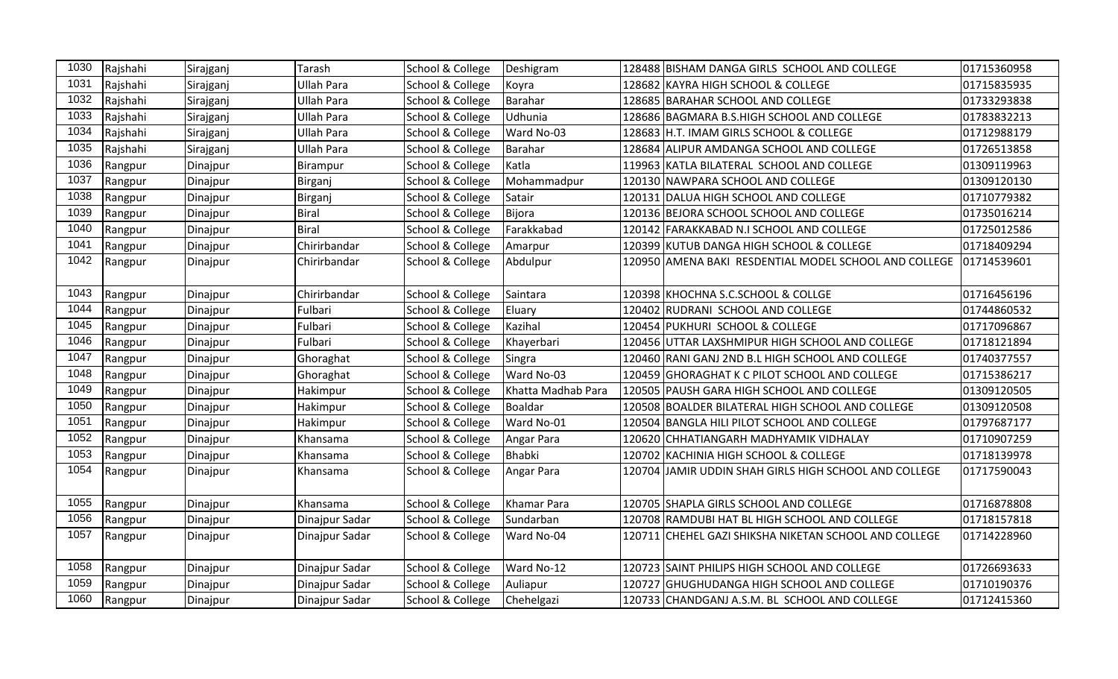| 1030 | Rajshahi | Sirajganj | Tarash            | School & College | Deshigram          |        | 128488 BISHAM DANGA GIRLS SCHOOL AND COLLEGE          | 01715360958 |
|------|----------|-----------|-------------------|------------------|--------------------|--------|-------------------------------------------------------|-------------|
| 1031 | Rajshahi | Sirajganj | <b>Ullah Para</b> | School & College | Koyra              | 128682 | KAYRA HIGH SCHOOL & COLLEGE                           | 01715835935 |
| 1032 | Rajshahi | Sirajganj | <b>Ullah Para</b> | School & College | Barahar            |        | 128685 BARAHAR SCHOOL AND COLLEGE                     | 01733293838 |
| 1033 | Rajshahi | Sirajganj | <b>Ullah Para</b> | School & College | Udhunia            |        | 128686 BAGMARA B.S.HIGH SCHOOL AND COLLEGE            | 01783832213 |
| 1034 | Rajshahi | Sirajganj | <b>Ullah Para</b> | School & College | Ward No-03         |        | 128683 H.T. IMAM GIRLS SCHOOL & COLLEGE               | 01712988179 |
| 1035 | Rajshahi | Sirajganj | <b>Ullah Para</b> | School & College | <b>Barahar</b>     | 128684 | ALIPUR AMDANGA SCHOOL AND COLLEGE                     | 01726513858 |
| 1036 | Rangpur  | Dinajpur  | Birampur          | School & College | Katla              | 119963 | KATLA BILATERAL SCHOOL AND COLLEGE                    | 01309119963 |
| 1037 | Rangpur  | Dinajpur  | Birganj           | School & College | Mohammadpur        |        | 120130 NAWPARA SCHOOL AND COLLEGE                     | 01309120130 |
| 1038 | Rangpur  | Dinajpur  | Birganj           | School & College | Satair             |        | 120131 DALUA HIGH SCHOOL AND COLLEGE                  | 01710779382 |
| 1039 | Rangpur  | Dinajpur  | <b>Biral</b>      | School & College | Bijora             |        | 120136 BEJORA SCHOOL SCHOOL AND COLLEGE               | 01735016214 |
| 1040 | Rangpur  | Dinajpur  | <b>Biral</b>      | School & College | Farakkabad         |        | 120142 FARAKKABAD N.I SCHOOL AND COLLEGE              | 01725012586 |
| 1041 | Rangpur  | Dinajpur  | Chirirbandar      | School & College | Amarpur            |        | 120399 KUTUB DANGA HIGH SCHOOL & COLLEGE              | 01718409294 |
| 1042 | Rangpur  | Dinajpur  | Chirirbandar      | School & College | Abdulpur           |        | 120950 AMENA BAKI RESDENTIAL MODEL SCHOOL AND COLLEGE | 01714539601 |
| 1043 | Rangpur  | Dinajpur  | Chirirbandar      | School & College | Saintara           |        | 120398 KHOCHNA S.C.SCHOOL & COLLGE                    | 01716456196 |
| 1044 | Rangpur  | Dinajpur  | Fulbari           | School & College | Eluary             |        | 120402 RUDRANI SCHOOL AND COLLEGE                     | 01744860532 |
| 1045 | Rangpur  | Dinajpur  | Fulbari           | School & College | Kazihal            |        | 120454 PUKHURI SCHOOL & COLLEGE                       | 01717096867 |
| 1046 | Rangpur  | Dinajpur  | Fulbari           | School & College | Khayerbari         |        | 120456 UTTAR LAXSHMIPUR HIGH SCHOOL AND COLLEGE       | 01718121894 |
| 1047 | Rangpur  | Dinajpur  | Ghoraghat         | School & College | Singra             |        | 120460 RANI GANJ 2ND B.L HIGH SCHOOL AND COLLEGE      | 01740377557 |
| 1048 | Rangpur  | Dinajpur  | Ghoraghat         | School & College | Ward No-03         | 120459 | GHORAGHAT K C PILOT SCHOOL AND COLLEGE                | 01715386217 |
| 1049 | Rangpur  | Dinajpur  | Hakimpur          | School & College | Khatta Madhab Para |        | 120505 PAUSH GARA HIGH SCHOOL AND COLLEGE             | 01309120505 |
| 1050 | Rangpur  | Dinajpur  | Hakimpur          | School & College | Boaldar            |        | 120508 BOALDER BILATERAL HIGH SCHOOL AND COLLEGE      | 01309120508 |
| 1051 | Rangpur  | Dinajpur  | Hakimpur          | School & College | Ward No-01         | 120504 | BANGLA HILI PILOT SCHOOL AND COLLEGE                  | 01797687177 |
| 1052 | Rangpur  | Dinajpur  | Khansama          | School & College | Angar Para         |        | 120620 CHHATIANGARH MADHYAMIK VIDHALAY                | 01710907259 |
| 1053 | Rangpur  | Dinajpur  | Khansama          | School & College | <b>Bhabki</b>      |        | 120702 KACHINIA HIGH SCHOOL & COLLEGE                 | 01718139978 |
| 1054 | Rangpur  | Dinajpur  | Khansama          | School & College | Angar Para         |        | 120704 JAMIR UDDIN SHAH GIRLS HIGH SCHOOL AND COLLEGE | 01717590043 |
| 1055 | Rangpur  | Dinajpur  | Khansama          | School & College | Khamar Para        |        | 120705 SHAPLA GIRLS SCHOOL AND COLLEGE                | 01716878808 |
| 1056 | Rangpur  | Dinajpur  | Dinajpur Sadar    | School & College | Sundarban          |        | 120708 RAMDUBI HAT BL HIGH SCHOOL AND COLLEGE         | 01718157818 |
| 1057 | Rangpur  | Dinajpur  | Dinajpur Sadar    | School & College | Ward No-04         |        | 120711 CHEHEL GAZI SHIKSHA NIKETAN SCHOOL AND COLLEGE | 01714228960 |
| 1058 | Rangpur  | Dinajpur  | Dinajpur Sadar    | School & College | Ward No-12         |        | 120723 SAINT PHILIPS HIGH SCHOOL AND COLLEGE          | 01726693633 |
| 1059 | Rangpur  | Dinajpur  | Dinajpur Sadar    | School & College | Auliapur           | 120727 | <b>GHUGHUDANGA HIGH SCHOOL AND COLLEGE</b>            | 01710190376 |
| 1060 | Rangpur  | Dinajpur  | Dinajpur Sadar    | School & College | Chehelgazi         | 120733 | CHANDGANJ A.S.M. BL SCHOOL AND COLLEGE                | 01712415360 |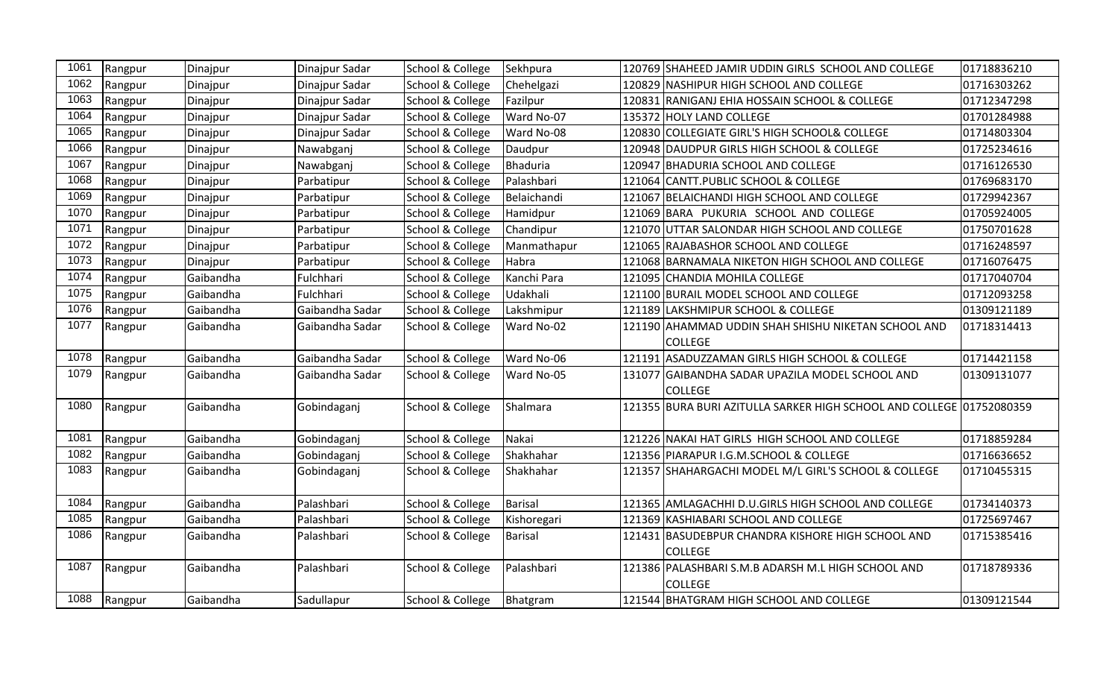| 1061 | Rangpur      | Dinajpur  | Dinajpur Sadar  | School & College | Sekhpura    | 120769 SHAHEED JAMIR UDDIN GIRLS SCHOOL AND COLLEGE                  | 01718836210 |
|------|--------------|-----------|-----------------|------------------|-------------|----------------------------------------------------------------------|-------------|
| 1062 | Rangpur      | Dinajpur  | Dinajpur Sadar  | School & College | Chehelgazi  | 120829 NASHIPUR HIGH SCHOOL AND COLLEGE                              | 01716303262 |
| 1063 | Rangpur      | Dinajpur  | Dinajpur Sadar  | School & College | Fazilpur    | 120831 RANIGANJ EHIA HOSSAIN SCHOOL & COLLEGE                        | 01712347298 |
| 1064 | Rangpur      | Dinajpur  | Dinajpur Sadar  | School & College | Ward No-07  | 135372 HOLY LAND COLLEGE                                             | 01701284988 |
| 1065 | Rangpur      | Dinajpur  | Dinajpur Sadar  | School & College | Ward No-08  | 120830 COLLEGIATE GIRL'S HIGH SCHOOL& COLLEGE                        | 01714803304 |
| 1066 | Rangpur      | Dinajpur  | Nawabganj       | School & College | Daudpur     | 120948 DAUDPUR GIRLS HIGH SCHOOL & COLLEGE                           | 01725234616 |
| 1067 | Rangpur      | Dinajpur  | Nawabganj       | School & College | Bhaduria    | 120947 BHADURIA SCHOOL AND COLLEGE                                   | 01716126530 |
| 1068 | Rangpur      | Dinajpur  | Parbatipur      | School & College | Palashbari  | 121064 CANTT.PUBLIC SCHOOL & COLLEGE                                 | 01769683170 |
| 1069 | Rangpur      | Dinajpur  | Parbatipur      | School & College | Belaichandi | 121067 BELAICHANDI HIGH SCHOOL AND COLLEGE                           | 01729942367 |
| 1070 | Rangpur      | Dinajpur  | Parbatipur      | School & College | Hamidpur    | 121069 BARA PUKURIA SCHOOL AND COLLEGE                               | 01705924005 |
| 1071 | Rangpur      | Dinajpur  | Parbatipur      | School & College | Chandipur   | 121070 UTTAR SALONDAR HIGH SCHOOL AND COLLEGE                        | 01750701628 |
| 1072 | Rangpur      | Dinajpur  | Parbatipur      | School & College | Manmathapur | 121065 RAJABASHOR SCHOOL AND COLLEGE                                 | 01716248597 |
| 1073 | Rangpur      | Dinajpur  | Parbatipur      | School & College | Habra       | 121068 BARNAMALA NIKETON HIGH SCHOOL AND COLLEGE                     | 01716076475 |
| 1074 | Rangpur      | Gaibandha | Fulchhari       | School & College | Kanchi Para | 121095 CHANDIA MOHILA COLLEGE                                        | 01717040704 |
| 1075 | Rangpur      | Gaibandha | Fulchhari       | School & College | Udakhali    | 121100 BURAIL MODEL SCHOOL AND COLLEGE                               | 01712093258 |
| 1076 | Rangpur      | Gaibandha | Gaibandha Sadar | School & College | Lakshmipur  | 121189 LAKSHMIPUR SCHOOL & COLLEGE                                   | 01309121189 |
| 1077 | Rangpur      | Gaibandha | Gaibandha Sadar | School & College | Ward No-02  | 121190 AHAMMAD UDDIN SHAH SHISHU NIKETAN SCHOOL AND                  | 01718314413 |
|      |              |           |                 |                  |             | <b>COLLEGE</b>                                                       |             |
| 1078 | Rangpur      | Gaibandha | Gaibandha Sadar | School & College | Ward No-06  | 121191 ASADUZZAMAN GIRLS HIGH SCHOOL & COLLEGE                       | 01714421158 |
| 1079 | Rangpur      | Gaibandha | Gaibandha Sadar | School & College | Ward No-05  | 131077 GAIBANDHA SADAR UPAZILA MODEL SCHOOL AND                      | 01309131077 |
|      |              |           |                 |                  |             | <b>COLLEGE</b>                                                       |             |
| 1080 | Rangpur      | Gaibandha | Gobindaganj     | School & College | Shalmara    | 121355 BURA BURI AZITULLA SARKER HIGH SCHOOL AND COLLEGE 01752080359 |             |
|      |              |           |                 |                  |             |                                                                      |             |
| 1081 | Rangpur      | Gaibandha | Gobindaganj     | School & College | Nakai       | 121226 NAKAI HAT GIRLS HIGH SCHOOL AND COLLEGE                       | 01718859284 |
| 1082 | Rangpur      | Gaibandha | Gobindaganj     | School & College | Shakhahar   | 121356 PIARAPUR I.G.M.SCHOOL & COLLEGE                               | 01716636652 |
| 1083 | Rangpur      | Gaibandha | Gobindaganj     | School & College | Shakhahar   | 121357 SHAHARGACHI MODEL M/L GIRL'S SCHOOL & COLLEGE                 | 01710455315 |
|      |              |           |                 |                  |             |                                                                      |             |
| 1084 | Rangpur      | Gaibandha | Palashbari      | School & College | Barisal     | 121365 AMLAGACHHI D.U.GIRLS HIGH SCHOOL AND COLLEGE                  | 01734140373 |
| 1085 | Rangpur      | Gaibandha | Palashbari      | School & College | Kishoregari | 121369 KASHIABARI SCHOOL AND COLLEGE                                 | 01725697467 |
| 1086 | Rangpur      | Gaibandha | Palashbari      | School & College | Barisal     | 121431 BASUDEBPUR CHANDRA KISHORE HIGH SCHOOL AND                    | 01715385416 |
|      |              |           |                 |                  |             | <b>COLLEGE</b>                                                       |             |
| 1087 | Rangpur      | Gaibandha | Palashbari      | School & College | Palashbari  | 121386 PALASHBARI S.M.B ADARSH M.L HIGH SCHOOL AND                   | 01718789336 |
|      |              |           |                 |                  |             | <b>COLLEGE</b>                                                       |             |
|      | 1088 Rangpur | Gaibandha | Sadullapur      | School & College | Bhatgram    | 121544 BHATGRAM HIGH SCHOOL AND COLLEGE                              | 01309121544 |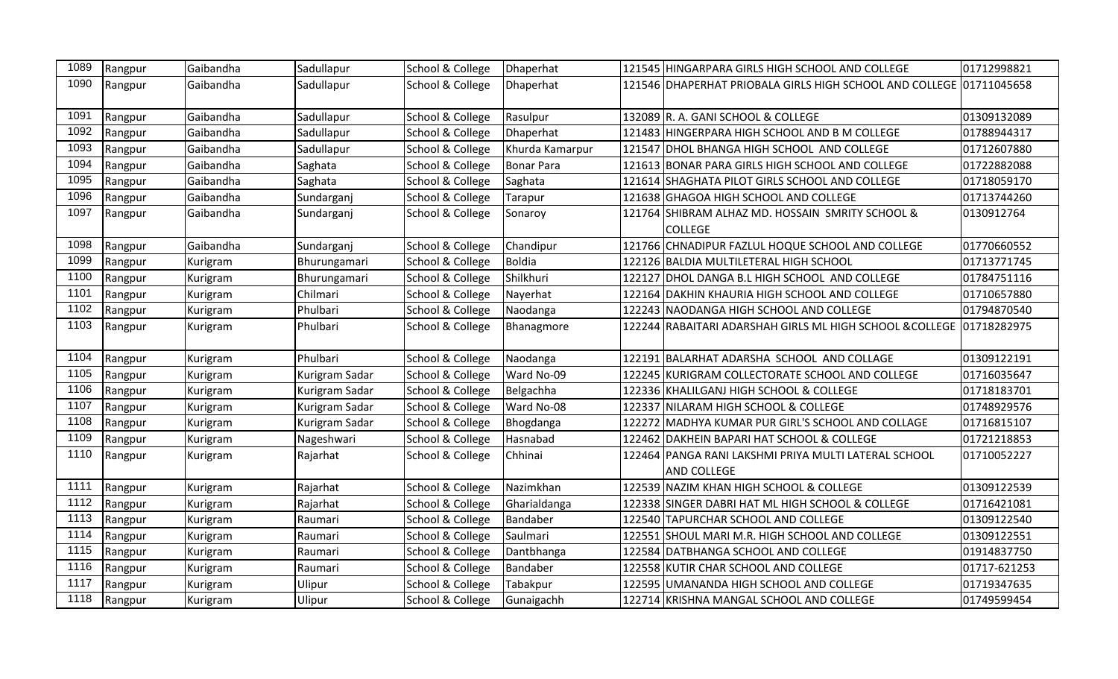| 1089 | Rangpur | Gaibandha | Sadullapur     | School & College | Dhaperhat         |        | 121545 HINGARPARA GIRLS HIGH SCHOOL AND COLLEGE                            | 01712998821  |
|------|---------|-----------|----------------|------------------|-------------------|--------|----------------------------------------------------------------------------|--------------|
| 1090 | Rangpur | Gaibandha | Sadullapur     | School & College | Dhaperhat         |        | 121546 DHAPERHAT PRIOBALA GIRLS HIGH SCHOOL AND COLLEGE 01711045658        |              |
| 1091 | Rangpur | Gaibandha | Sadullapur     | School & College | Rasulpur          |        | 132089 R. A. GANI SCHOOL & COLLEGE                                         | 01309132089  |
| 1092 | Rangpur | Gaibandha | Sadullapur     | School & College | Dhaperhat         |        | 121483 HINGERPARA HIGH SCHOOL AND B M COLLEGE                              | 01788944317  |
| 1093 | Rangpur | Gaibandha | Sadullapur     | School & College | Khurda Kamarpur   |        | 121547 DHOL BHANGA HIGH SCHOOL AND COLLEGE                                 | 01712607880  |
| 1094 | Rangpur | Gaibandha | Saghata        | School & College | <b>Bonar Para</b> |        | 121613 BONAR PARA GIRLS HIGH SCHOOL AND COLLEGE                            | 01722882088  |
| 1095 | Rangpur | Gaibandha | Saghata        | School & College | Saghata           |        | 121614 SHAGHATA PILOT GIRLS SCHOOL AND COLLEGE                             | 01718059170  |
| 1096 | Rangpur | Gaibandha | Sundarganj     | School & College | Tarapur           |        | 121638 GHAGOA HIGH SCHOOL AND COLLEGE                                      | 01713744260  |
| 1097 | Rangpur | Gaibandha | Sundarganj     | School & College | Sonaroy           |        | 121764 SHIBRAM ALHAZ MD. HOSSAIN SMRITY SCHOOL &<br><b>COLLEGE</b>         | 0130912764   |
| 1098 | Rangpur | Gaibandha | Sundarganj     | School & College | Chandipur         |        | 121766 CHNADIPUR FAZLUL HOQUE SCHOOL AND COLLEGE                           | 01770660552  |
| 1099 | Rangpur | Kurigram  | Bhurungamari   | School & College | <b>Boldia</b>     |        | 122126 BALDIA MULTILETERAL HIGH SCHOOL                                     | 01713771745  |
| 1100 | Rangpur | Kurigram  | Bhurungamari   | School & College | Shilkhuri         |        | 122127 DHOL DANGA B.L HIGH SCHOOL AND COLLEGE                              | 01784751116  |
| 1101 | Rangpur | Kurigram  | Chilmari       | School & College | Nayerhat          | 122164 | DAKHIN KHAURIA HIGH SCHOOL AND COLLEGE                                     | 01710657880  |
| 1102 | Rangpur | Kurigram  | Phulbari       | School & College | Naodanga          | 122243 | NAODANGA HIGH SCHOOL AND COLLEGE                                           | 01794870540  |
| 1103 | Rangpur | Kurigram  | Phulbari       | School & College | Bhanagmore        |        | 122244 RABAITARI ADARSHAH GIRLS ML HIGH SCHOOL & COLLEGE 01718282975       |              |
| 1104 | Rangpur | Kurigram  | Phulbari       | School & College | Naodanga          |        | 122191 BALARHAT ADARSHA SCHOOL AND COLLAGE                                 | 01309122191  |
| 1105 | Rangpur | Kurigram  | Kurigram Sadar | School & College | Ward No-09        |        | 122245 KURIGRAM COLLECTORATE SCHOOL AND COLLEGE                            | 01716035647  |
| 1106 | Rangpur | Kurigram  | Kurigram Sadar | School & College | Belgachha         |        | 122336 KHALILGANJ HIGH SCHOOL & COLLEGE                                    | 01718183701  |
| 1107 | Rangpur | Kurigram  | Kurigram Sadar | School & College | Ward No-08        |        | 122337 NILARAM HIGH SCHOOL & COLLEGE                                       | 01748929576  |
| 1108 | Rangpur | Kurigram  | Kurigram Sadar | School & College | Bhogdanga         | 122272 | MADHYA KUMAR PUR GIRL'S SCHOOL AND COLLAGE                                 | 01716815107  |
| 1109 | Rangpur | Kurigram  | Nageshwari     | School & College | Hasnabad          |        | 122462 DAKHEIN BAPARI HAT SCHOOL & COLLEGE                                 | 01721218853  |
| 1110 | Rangpur | Kurigram  | Rajarhat       | School & College | Chhinai           |        | 122464 PANGA RANI LAKSHMI PRIYA MULTI LATERAL SCHOOL<br><b>AND COLLEGE</b> | 01710052227  |
| 1111 | Rangpur | Kurigram  | Rajarhat       | School & College | Nazimkhan         |        | 122539 NAZIM KHAN HIGH SCHOOL & COLLEGE                                    | 01309122539  |
| 1112 | Rangpur | Kurigram  | Rajarhat       | School & College | Gharialdanga      | 122338 | SINGER DABRI HAT ML HIGH SCHOOL & COLLEGE                                  | 01716421081  |
| 1113 | Rangpur | Kurigram  | Raumari        | School & College | Bandaber          |        | 122540 TAPURCHAR SCHOOL AND COLLEGE                                        | 01309122540  |
| 1114 | Rangpur | Kurigram  | Raumari        | School & College | Saulmari          |        | 122551 SHOUL MARI M.R. HIGH SCHOOL AND COLLEGE                             | 01309122551  |
| 1115 | Rangpur | Kurigram  | Raumari        | School & College | Dantbhanga        |        | 122584 DATBHANGA SCHOOL AND COLLEGE                                        | 01914837750  |
| 1116 | Rangpur | Kurigram  | Raumari        | School & College | Bandaber          |        | 122558 KUTIR CHAR SCHOOL AND COLLEGE                                       | 01717-621253 |
| 1117 | Rangpur | Kurigram  | Ulipur         | School & College | Tabakpur          |        | 122595 UMANANDA HIGH SCHOOL AND COLLEGE                                    | 01719347635  |
| 1118 | Rangpur | Kurigram  | Ulipur         | School & College | Gunaigachh        |        | 122714 KRISHNA MANGAL SCHOOL AND COLLEGE                                   | 01749599454  |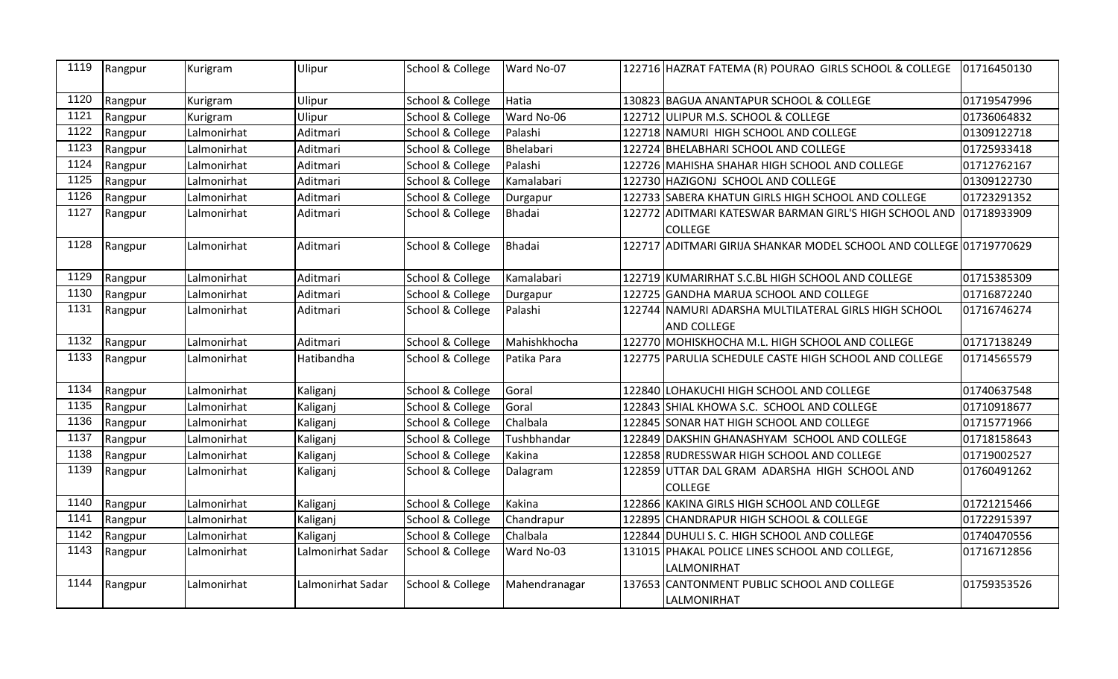| 1119 | Rangpur | Kurigram    | Ulipur            | School & College | Ward No-07    |        | 122716 HAZRAT FATEMA (R) POURAO GIRLS SCHOOL & COLLEGE              | 01716450130 |
|------|---------|-------------|-------------------|------------------|---------------|--------|---------------------------------------------------------------------|-------------|
| 1120 | Rangpur | Kurigram    | Ulipur            | School & College | Hatia         |        | 130823 BAGUA ANANTAPUR SCHOOL & COLLEGE                             | 01719547996 |
| 1121 | Rangpur | Kurigram    | Ulipur            | School & College | Ward No-06    |        | 122712 ULIPUR M.S. SCHOOL & COLLEGE                                 | 01736064832 |
| 1122 | Rangpur | Lalmonirhat | Aditmari          | School & College | Palashi       |        | 122718 NAMURI HIGH SCHOOL AND COLLEGE                               | 01309122718 |
| 1123 | Rangpur | Lalmonirhat | Aditmari          | School & College | Bhelabari     |        | 122724 BHELABHARI SCHOOL AND COLLEGE                                | 01725933418 |
| 1124 | Rangpur | Lalmonirhat | Aditmari          | School & College | Palashi       |        | 122726 MAHISHA SHAHAR HIGH SCHOOL AND COLLEGE                       | 01712762167 |
| 1125 | Rangpur | Lalmonirhat | Aditmari          | School & College | Kamalabari    |        | 122730 HAZIGONJ SCHOOL AND COLLEGE                                  | 01309122730 |
| 1126 | Rangpur | Lalmonirhat | Aditmari          | School & College | Durgapur      |        | 122733 SABERA KHATUN GIRLS HIGH SCHOOL AND COLLEGE                  | 01723291352 |
| 1127 | Rangpur | Lalmonirhat | Aditmari          | School & College | <b>Bhadai</b> |        | 122772 ADITMARI KATESWAR BARMAN GIRL'S HIGH SCHOOL AND 01718933909  |             |
|      |         |             |                   |                  |               |        | <b>COLLEGE</b>                                                      |             |
| 1128 | Rangpur | Lalmonirhat | Aditmari          | School & College | <b>Bhadai</b> |        | 122717 ADITMARI GIRIJA SHANKAR MODEL SCHOOL AND COLLEGE 01719770629 |             |
| 1129 | Rangpur | Lalmonirhat | Aditmari          | School & College | Kamalabari    |        | 122719 KUMARIRHAT S.C.BL HIGH SCHOOL AND COLLEGE                    | 01715385309 |
| 1130 | Rangpur | Lalmonirhat | Aditmari          | School & College | Durgapur      |        | 122725 GANDHA MARUA SCHOOL AND COLLEGE                              | 01716872240 |
| 1131 | Rangpur | Lalmonirhat | Aditmari          | School & College | Palashi       |        | 122744 NAMURI ADARSHA MULTILATERAL GIRLS HIGH SCHOOL                | 01716746274 |
|      |         |             |                   |                  |               |        | <b>AND COLLEGE</b>                                                  |             |
| 1132 | Rangpur | Lalmonirhat | Aditmari          | School & College | Mahishkhocha  |        | 122770 MOHISKHOCHA M.L. HIGH SCHOOL AND COLLEGE                     | 01717138249 |
| 1133 | Rangpur | Lalmonirhat | Hatibandha        | School & College | Patika Para   |        | 122775 PARULIA SCHEDULE CASTE HIGH SCHOOL AND COLLEGE               | 01714565579 |
| 1134 | Rangpur | Lalmonirhat | Kaliganj          | School & College | Goral         |        | 122840 LOHAKUCHI HIGH SCHOOL AND COLLEGE                            | 01740637548 |
| 1135 | Rangpur | Lalmonirhat | Kaliganj          | School & College | Goral         | 122843 | SHIAL KHOWA S.C. SCHOOL AND COLLEGE                                 | 01710918677 |
| 1136 | Rangpur | Lalmonirhat | Kaliganj          | School & College | Chalbala      |        | 122845 SONAR HAT HIGH SCHOOL AND COLLEGE                            | 01715771966 |
| 1137 | Rangpur | Lalmonirhat | Kaliganj          | School & College | Tushbhandar   |        | 122849 DAKSHIN GHANASHYAM SCHOOL AND COLLEGE                        | 01718158643 |
| 1138 | Rangpur | Lalmonirhat | Kaliganj          | School & College | Kakina        |        | 122858 RUDRESSWAR HIGH SCHOOL AND COLLEGE                           | 01719002527 |
| 1139 | Rangpur | Lalmonirhat | Kaliganj          | School & College | Dalagram      |        | 122859 UTTAR DAL GRAM ADARSHA HIGH SCHOOL AND                       | 01760491262 |
|      |         |             |                   |                  |               |        | <b>COLLEGE</b>                                                      |             |
| 1140 | Rangpur | Lalmonirhat | Kaliganj          | School & College | <b>Kakina</b> |        | 122866 KAKINA GIRLS HIGH SCHOOL AND COLLEGE                         | 01721215466 |
| 1141 | Rangpur | Lalmonirhat | Kaliganj          | School & College | Chandrapur    |        | 122895 CHANDRAPUR HIGH SCHOOL & COLLEGE                             | 01722915397 |
| 1142 | Rangpur | Lalmonirhat | Kaliganj          | School & College | Chalbala      |        | 122844 DUHULI S. C. HIGH SCHOOL AND COLLEGE                         | 01740470556 |
| 1143 | Rangpur | Lalmonirhat | Lalmonirhat Sadar | School & College | Ward No-03    |        | 131015 PHAKAL POLICE LINES SCHOOL AND COLLEGE,                      | 01716712856 |
|      |         |             |                   |                  |               |        | LALMONIRHAT                                                         |             |
| 1144 | Rangpur | Lalmonirhat | Lalmonirhat Sadar | School & College | Mahendranagar |        | 137653 CANTONMENT PUBLIC SCHOOL AND COLLEGE                         | 01759353526 |
|      |         |             |                   |                  |               |        | LALMONIRHAT                                                         |             |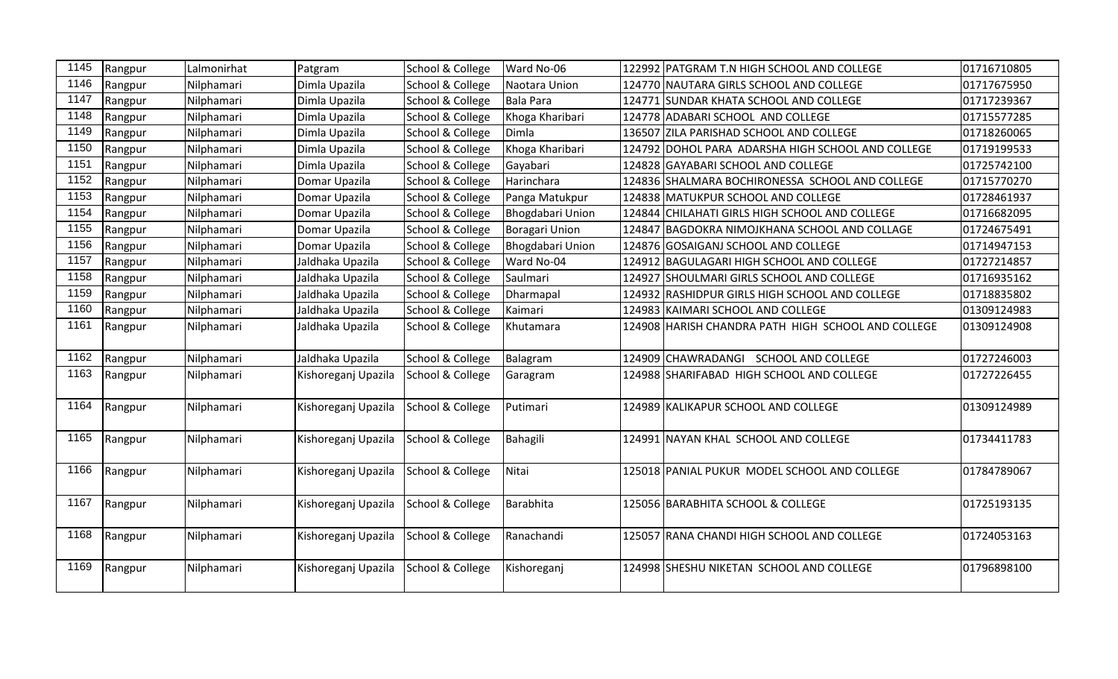| 1145 | Rangpur | Lalmonirhat | Patgram             | School & College | Ward No-06              | 122992 PATGRAM T.N HIGH SCHOOL AND COLLEGE         | 01716710805 |
|------|---------|-------------|---------------------|------------------|-------------------------|----------------------------------------------------|-------------|
| 1146 | Rangpur | Nilphamari  | Dimla Upazila       | School & College | Naotara Union           | 124770 NAUTARA GIRLS SCHOOL AND COLLEGE            | 01717675950 |
| 1147 | Rangpur | Nilphamari  | Dimla Upazila       | School & College | Bala Para               | 124771 SUNDAR KHATA SCHOOL AND COLLEGE             | 01717239367 |
| 1148 | Rangpur | Nilphamari  | Dimla Upazila       | School & College | Khoga Kharibari         | 124778 ADABARI SCHOOL AND COLLEGE                  | 01715577285 |
| 1149 | Rangpur | Nilphamari  | Dimla Upazila       | School & College | Dimla                   | 136507 ZILA PARISHAD SCHOOL AND COLLEGE            | 01718260065 |
| 1150 | Rangpur | Nilphamari  | Dimla Upazila       | School & College | Khoga Kharibari         | 124792 DOHOL PARA ADARSHA HIGH SCHOOL AND COLLEGE  | 01719199533 |
| 1151 | Rangpur | Nilphamari  | Dimla Upazila       | School & College | Gayabari                | 124828 GAYABARI SCHOOL AND COLLEGE                 | 01725742100 |
| 1152 | Rangpur | Nilphamari  | Domar Upazila       | School & College | Harinchara              | 124836 SHALMARA BOCHIRONESSA SCHOOL AND COLLEGE    | 01715770270 |
| 1153 | Rangpur | Nilphamari  | Domar Upazila       | School & College | Panga Matukpur          | 124838 MATUKPUR SCHOOL AND COLLEGE                 | 01728461937 |
| 1154 | Rangpur | Nilphamari  | Domar Upazila       | School & College | Bhogdabari Union        | 124844 CHILAHATI GIRLS HIGH SCHOOL AND COLLEGE     | 01716682095 |
| 1155 | Rangpur | Nilphamari  | Domar Upazila       | School & College | Boragari Union          | 124847 BAGDOKRA NIMOJKHANA SCHOOL AND COLLAGE      | 01724675491 |
| 1156 | Rangpur | Nilphamari  | Domar Upazila       | School & College | <b>Bhogdabari Union</b> | 124876 GOSAIGANJ SCHOOL AND COLLEGE                | 01714947153 |
| 1157 | Rangpur | Nilphamari  | Jaldhaka Upazila    | School & College | Ward No-04              | 124912 BAGULAGARI HIGH SCHOOL AND COLLEGE          | 01727214857 |
| 1158 | Rangpur | Nilphamari  | Jaldhaka Upazila    | School & College | Saulmari                | 124927 SHOULMARI GIRLS SCHOOL AND COLLEGE          | 01716935162 |
| 1159 | Rangpur | Nilphamari  | Jaldhaka Upazila    | School & College | Dharmapal               | 124932 RASHIDPUR GIRLS HIGH SCHOOL AND COLLEGE     | 01718835802 |
| 1160 | Rangpur | Nilphamari  | Jaldhaka Upazila    | School & College | Kaimari                 | 124983 KAIMARI SCHOOL AND COLLEGE                  | 01309124983 |
| 1161 | Rangpur | Nilphamari  | Jaldhaka Upazila    | School & College | Khutamara               | 124908 HARISH CHANDRA PATH HIGH SCHOOL AND COLLEGE | 01309124908 |
| 1162 | Rangpur | Nilphamari  | Jaldhaka Upazila    | School & College | Balagram                | 124909 CHAWRADANGI SCHOOL AND COLLEGE              | 01727246003 |
| 1163 | Rangpur | Nilphamari  | Kishoreganj Upazila | School & College | Garagram                | 124988 SHARIFABAD HIGH SCHOOL AND COLLEGE          | 01727226455 |
| 1164 | Rangpur | Nilphamari  | Kishoreganj Upazila | School & College | Putimari                | 124989 KALIKAPUR SCHOOL AND COLLEGE                | 01309124989 |
| 1165 | Rangpur | Nilphamari  | Kishoreganj Upazila | School & College | Bahagili                | 124991 NAYAN KHAL SCHOOL AND COLLEGE               | 01734411783 |
| 1166 | Rangpur | Nilphamari  | Kishoreganj Upazila | School & College | Nitai                   | 125018 PANIAL PUKUR MODEL SCHOOL AND COLLEGE       | 01784789067 |
| 1167 | Rangpur | Nilphamari  | Kishoreganj Upazila | School & College | Barabhita               | 125056 BARABHITA SCHOOL & COLLEGE                  | 01725193135 |
| 1168 | Rangpur | Nilphamari  | Kishoreganj Upazila | School & College | Ranachandi              | 125057 RANA CHANDI HIGH SCHOOL AND COLLEGE         | 01724053163 |
| 1169 | Rangpur | Nilphamari  | Kishoreganj Upazila | School & College | Kishoreganj             | 124998 SHESHU NIKETAN SCHOOL AND COLLEGE           | 01796898100 |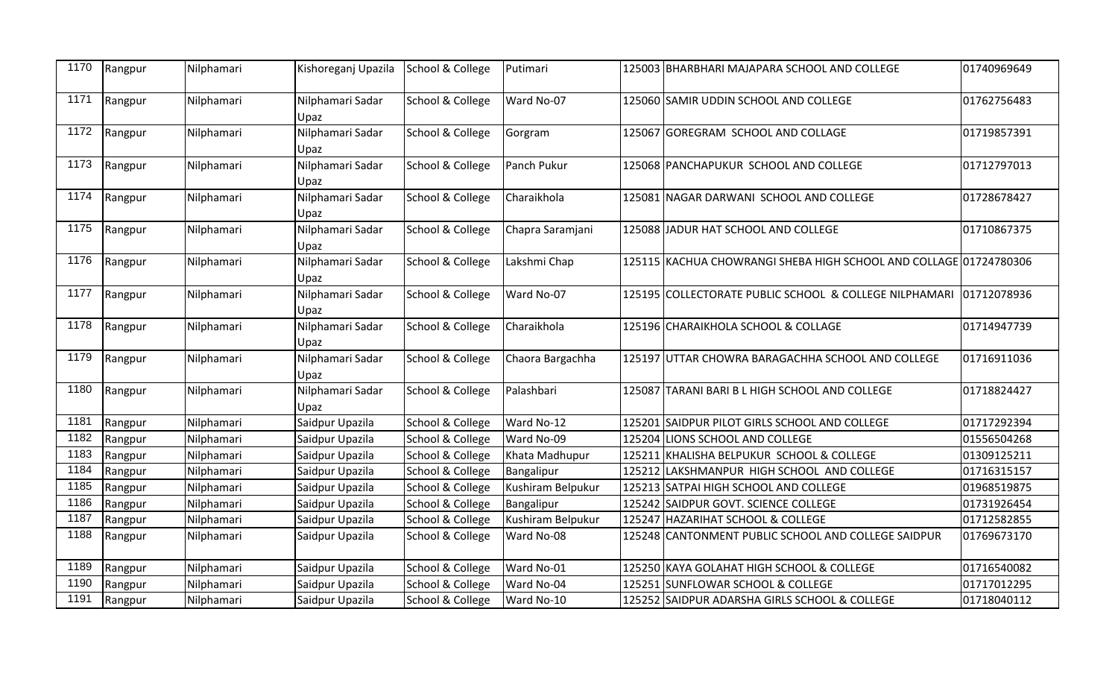| 1170 | Rangpur | Nilphamari | Kishoreganj Upazila      | School & College | Putimari          |        | 125003 BHARBHARI MAJAPARA SCHOOL AND COLLEGE                      | 01740969649 |
|------|---------|------------|--------------------------|------------------|-------------------|--------|-------------------------------------------------------------------|-------------|
| 1171 | Rangpur | Nilphamari | Nilphamari Sadar<br>Upaz | School & College | Ward No-07        |        | 125060 SAMIR UDDIN SCHOOL AND COLLEGE                             | 01762756483 |
| 1172 | Rangpur | Nilphamari | Nilphamari Sadar<br>Upaz | School & College | Gorgram           |        | 125067 GOREGRAM SCHOOL AND COLLAGE                                | 01719857391 |
| 1173 | Rangpur | Nilphamari | Nilphamari Sadar<br>Upaz | School & College | Panch Pukur       |        | 125068 PANCHAPUKUR SCHOOL AND COLLEGE                             | 01712797013 |
| 1174 | Rangpur | Nilphamari | Nilphamari Sadar<br>Upaz | School & College | Charaikhola       |        | 125081 NAGAR DARWANI SCHOOL AND COLLEGE                           | 01728678427 |
| 1175 | Rangpur | Nilphamari | Nilphamari Sadar<br>Upaz | School & College | Chapra Saramjani  |        | 125088 JADUR HAT SCHOOL AND COLLEGE                               | 01710867375 |
| 1176 | Rangpur | Nilphamari | Nilphamari Sadar<br>Upaz | School & College | Lakshmi Chap      |        | 125115 KACHUA CHOWRANGI SHEBA HIGH SCHOOL AND COLLAGE 01724780306 |             |
| 1177 | Rangpur | Nilphamari | Nilphamari Sadar<br>Upaz | School & College | Ward No-07        |        | 125195 COLLECTORATE PUBLIC SCHOOL & COLLEGE NILPHAMARI            | 01712078936 |
| 1178 | Rangpur | Nilphamari | Nilphamari Sadar<br>Upaz | School & College | Charaikhola       |        | 125196 CHARAIKHOLA SCHOOL & COLLAGE                               | 01714947739 |
| 1179 | Rangpur | Nilphamari | Nilphamari Sadar<br>Upaz | School & College | Chaora Bargachha  |        | 125197 UTTAR CHOWRA BARAGACHHA SCHOOL AND COLLEGE                 | 01716911036 |
| 1180 | Rangpur | Nilphamari | Nilphamari Sadar<br>Upaz | School & College | Palashbari        |        | 125087 TARANI BARI B L HIGH SCHOOL AND COLLEGE                    | 01718824427 |
| 1181 | Rangpur | Nilphamari | Saidpur Upazila          | School & College | Ward No-12        |        | 125201 SAIDPUR PILOT GIRLS SCHOOL AND COLLEGE                     | 01717292394 |
| 1182 | Rangpur | Nilphamari | Saidpur Upazila          | School & College | Ward No-09        | 125204 | LIONS SCHOOL AND COLLEGE                                          | 01556504268 |
| 1183 | Rangpur | Nilphamari | Saidpur Upazila          | School & College | Khata Madhupur    |        | 125211 KHALISHA BELPUKUR SCHOOL & COLLEGE                         | 01309125211 |
| 1184 | Rangpur | Nilphamari | Saidpur Upazila          | School & College | Bangalipur        | 125212 | LAKSHMANPUR HIGH SCHOOL AND COLLEGE                               | 01716315157 |
| 1185 | Rangpur | Nilphamari | Saidpur Upazila          | School & College | Kushiram Belpukur | 125213 | SATPAI HIGH SCHOOL AND COLLEGE                                    | 01968519875 |
| 1186 | Rangpur | Nilphamari | Saidpur Upazila          | School & College | Bangalipur        | 125242 | SAIDPUR GOVT. SCIENCE COLLEGE                                     | 01731926454 |
| 1187 | Rangpur | Nilphamari | Saidpur Upazila          | School & College | Kushiram Belpukur | 125247 | HAZARIHAT SCHOOL & COLLEGE                                        | 01712582855 |
| 1188 | Rangpur | Nilphamari | Saidpur Upazila          | School & College | Ward No-08        | 125248 | CANTONMENT PUBLIC SCHOOL AND COLLEGE SAIDPUR                      | 01769673170 |
| 1189 | Rangpur | Nilphamari | Saidpur Upazila          | School & College | Ward No-01        |        | 125250 KAYA GOLAHAT HIGH SCHOOL & COLLEGE                         | 01716540082 |
| 1190 | Rangpur | Nilphamari | Saidpur Upazila          | School & College | Ward No-04        |        | 125251 SUNFLOWAR SCHOOL & COLLEGE                                 | 01717012295 |
| 1191 | Rangpur | Nilphamari | Saidpur Upazila          | School & College | Ward No-10        | 125252 | SAIDPUR ADARSHA GIRLS SCHOOL & COLLEGE                            | 01718040112 |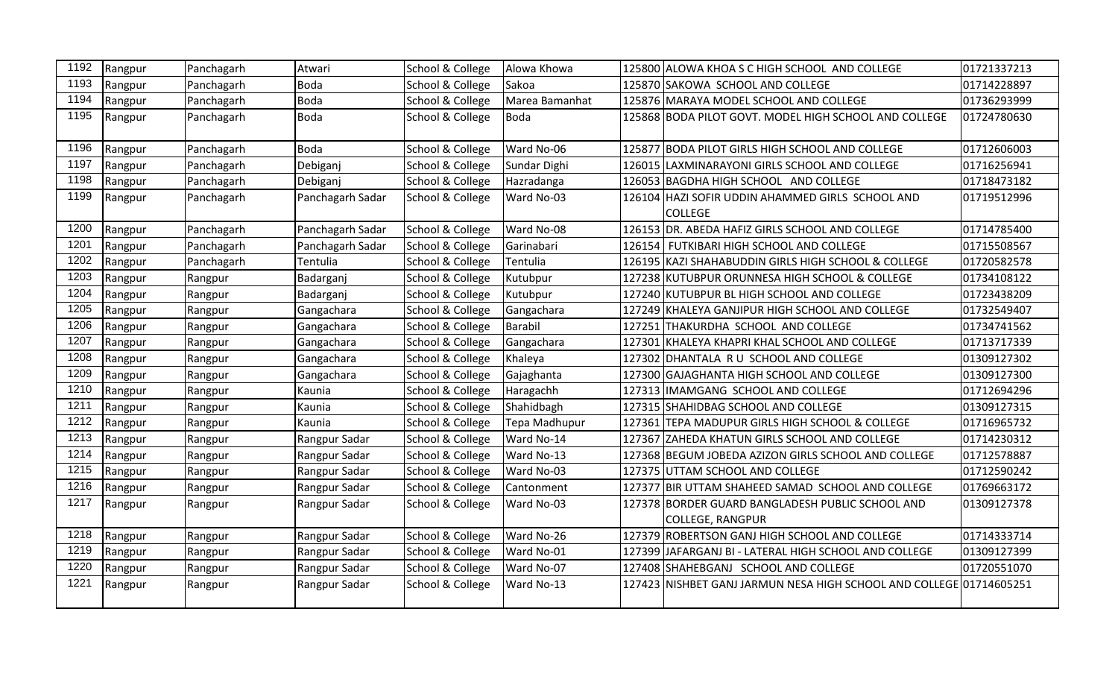| 1192 | Rangpur | Panchagarh | Atwari           | School & College | Alowa Khowa    |        | 125800 ALOWA KHOA S C HIGH SCHOOL AND COLLEGE                               | 01721337213 |
|------|---------|------------|------------------|------------------|----------------|--------|-----------------------------------------------------------------------------|-------------|
| 1193 | Rangpur | Panchagarh | <b>Boda</b>      | School & College | Sakoa          |        | 125870 SAKOWA SCHOOL AND COLLEGE                                            | 01714228897 |
| 1194 | Rangpur | Panchagarh | <b>Boda</b>      | School & College | Marea Bamanhat |        | 125876 MARAYA MODEL SCHOOL AND COLLEGE                                      | 01736293999 |
| 1195 | Rangpur | Panchagarh | Boda             | School & College | Boda           |        | 125868 BODA PILOT GOVT. MODEL HIGH SCHOOL AND COLLEGE                       | 01724780630 |
| 1196 | Rangpur | Panchagarh | Boda             | School & College | Ward No-06     |        | 125877 BODA PILOT GIRLS HIGH SCHOOL AND COLLEGE                             | 01712606003 |
| 1197 | Rangpur | Panchagarh | Debiganj         | School & College | Sundar Dighi   |        | 126015 LAXMINARAYONI GIRLS SCHOOL AND COLLEGE                               | 01716256941 |
| 1198 | Rangpur | Panchagarh | Debiganj         | School & College | Hazradanga     |        | 126053 BAGDHA HIGH SCHOOL AND COLLEGE                                       | 01718473182 |
| 1199 | Rangpur | Panchagarh | Panchagarh Sadar | School & College | Ward No-03     |        | 126104 HAZI SOFIR UDDIN AHAMMED GIRLS SCHOOL AND<br><b>COLLEGE</b>          | 01719512996 |
| 1200 | Rangpur | Panchagarh | Panchagarh Sadar | School & College | Ward No-08     |        | 126153 DR. ABEDA HAFIZ GIRLS SCHOOL AND COLLEGE                             | 01714785400 |
| 1201 | Rangpur | Panchagarh | Panchagarh Sadar | School & College | Garinabari     |        | 126154 FUTKIBARI HIGH SCHOOL AND COLLEGE                                    | 01715508567 |
| 1202 | Rangpur | Panchagarh | Tentulia         | School & College | Tentulia       |        | 126195 KAZI SHAHABUDDIN GIRLS HIGH SCHOOL & COLLEGE                         | 01720582578 |
| 1203 | Rangpur | Rangpur    | Badarganj        | School & College | Kutubpur       |        | 127238 KUTUBPUR ORUNNESA HIGH SCHOOL & COLLEGE                              | 01734108122 |
| 1204 | Rangpur | Rangpur    | Badarganj        | School & College | Kutubpur       |        | 127240 KUTUBPUR BL HIGH SCHOOL AND COLLEGE                                  | 01723438209 |
| 1205 | Rangpur | Rangpur    | Gangachara       | School & College | Gangachara     |        | 127249 KHALEYA GANJIPUR HIGH SCHOOL AND COLLEGE                             | 01732549407 |
| 1206 | Rangpur | Rangpur    | Gangachara       | School & College | Barabil        |        | 127251 THAKURDHA SCHOOL AND COLLEGE                                         | 01734741562 |
| 1207 | Rangpur | Rangpur    | Gangachara       | School & College | Gangachara     | 127301 | KHALEYA KHAPRI KHAL SCHOOL AND COLLEGE                                      | 01713717339 |
| 1208 | Rangpur | Rangpur    | Gangachara       | School & College | Khaleya        |        | 127302 DHANTALA R U SCHOOL AND COLLEGE                                      | 01309127302 |
| 1209 | Rangpur | Rangpur    | Gangachara       | School & College | Gajaghanta     |        | 127300 GAJAGHANTA HIGH SCHOOL AND COLLEGE                                   | 01309127300 |
| 1210 | Rangpur | Rangpur    | Kaunia           | School & College | Haragachh      |        | 127313 IMAMGANG SCHOOL AND COLLEGE                                          | 01712694296 |
| 1211 | Rangpur | Rangpur    | Kaunia           | School & College | Shahidbagh     |        | 127315 SHAHIDBAG SCHOOL AND COLLEGE                                         | 01309127315 |
| 1212 | Rangpur | Rangpur    | Kaunia           | School & College | Tepa Madhupur  |        | 127361 TEPA MADUPUR GIRLS HIGH SCHOOL & COLLEGE                             | 01716965732 |
| 1213 | Rangpur | Rangpur    | Rangpur Sadar    | School & College | Ward No-14     |        | 127367 ZAHEDA KHATUN GIRLS SCHOOL AND COLLEGE                               | 01714230312 |
| 1214 | Rangpur | Rangpur    | Rangpur Sadar    | School & College | Ward No-13     |        | 127368 BEGUM JOBEDA AZIZON GIRLS SCHOOL AND COLLEGE                         | 01712578887 |
| 1215 | Rangpur | Rangpur    | Rangpur Sadar    | School & College | Ward No-03     |        | 127375 UTTAM SCHOOL AND COLLEGE                                             | 01712590242 |
| 1216 | Rangpur | Rangpur    | Rangpur Sadar    | School & College | Cantonment     | 127377 | BIR UTTAM SHAHEED SAMAD SCHOOL AND COLLEGE                                  | 01769663172 |
| 1217 | Rangpur | Rangpur    | Rangpur Sadar    | School & College | Ward No-03     |        | 127378 BORDER GUARD BANGLADESH PUBLIC SCHOOL AND<br><b>COLLEGE, RANGPUR</b> | 01309127378 |
| 1218 | Rangpur | Rangpur    | Rangpur Sadar    | School & College | Ward No-26     |        | 127379 ROBERTSON GANJ HIGH SCHOOL AND COLLEGE                               | 01714333714 |
| 1219 | Rangpur | Rangpur    | Rangpur Sadar    | School & College | Ward No-01     |        | 127399 JAFARGANJ BI - LATERAL HIGH SCHOOL AND COLLEGE                       | 01309127399 |
| 1220 | Rangpur | Rangpur    | Rangpur Sadar    | School & College | Ward No-07     |        | 127408 SHAHEBGANJ SCHOOL AND COLLEGE                                        | 01720551070 |
| 1221 | Rangpur | Rangpur    | Rangpur Sadar    | School & College | Ward No-13     |        | 127423 NISHBET GANJ JARMUN NESA HIGH SCHOOL AND COLLEGE 01714605251         |             |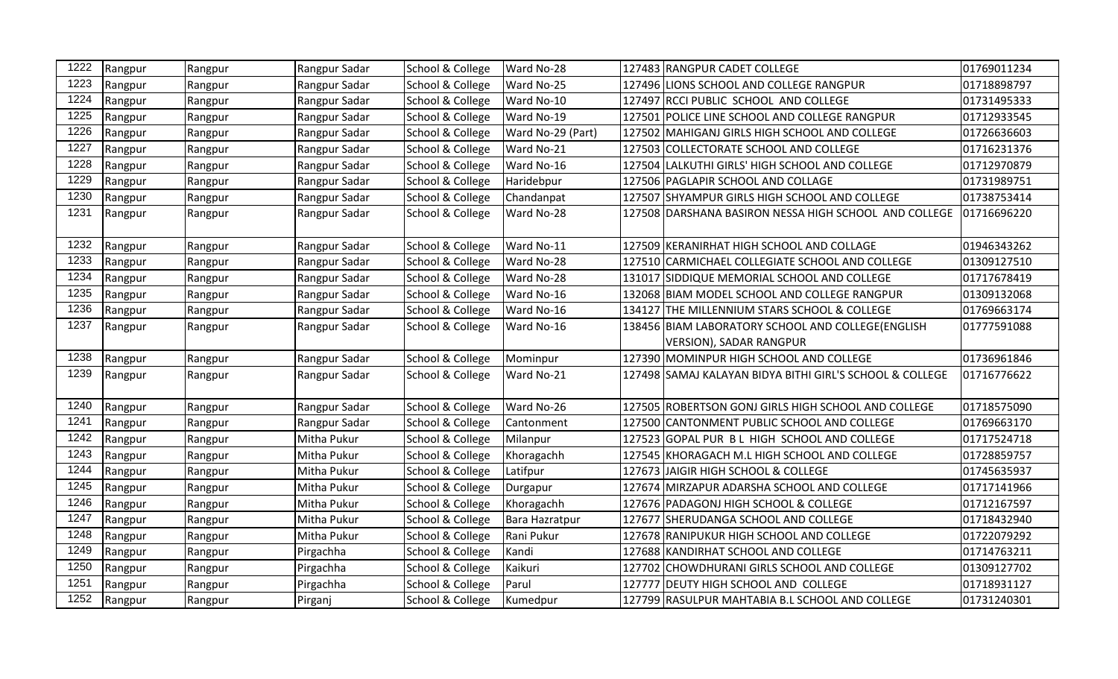| 1222 | Rangpur | Rangpur | Rangpur Sadar | School & College | Ward No-28            |        | 127483 RANGPUR CADET COLLEGE                             | 01769011234 |
|------|---------|---------|---------------|------------------|-----------------------|--------|----------------------------------------------------------|-------------|
| 1223 | Rangpur | Rangpur | Rangpur Sadar | School & College | Ward No-25            |        | 127496 LIONS SCHOOL AND COLLEGE RANGPUR                  | 01718898797 |
| 1224 | Rangpur | Rangpur | Rangpur Sadar | School & College | Ward No-10            |        | 127497 RCCI PUBLIC SCHOOL AND COLLEGE                    | 01731495333 |
| 1225 | Rangpur | Rangpur | Rangpur Sadar | School & College | Ward No-19            |        | 127501 POLICE LINE SCHOOL AND COLLEGE RANGPUR            | 01712933545 |
| 1226 | Rangpur | Rangpur | Rangpur Sadar | School & College | Ward No-29 (Part)     |        | 127502 MAHIGANJ GIRLS HIGH SCHOOL AND COLLEGE            | 01726636603 |
| 1227 | Rangpur | Rangpur | Rangpur Sadar | School & College | Ward No-21            |        | 127503 COLLECTORATE SCHOOL AND COLLEGE                   | 01716231376 |
| 1228 | Rangpur | Rangpur | Rangpur Sadar | School & College | Ward No-16            |        | 127504 LALKUTHI GIRLS' HIGH SCHOOL AND COLLEGE           | 01712970879 |
| 1229 | Rangpur | Rangpur | Rangpur Sadar | School & College | Haridebpur            |        | 127506 PAGLAPIR SCHOOL AND COLLAGE                       | 01731989751 |
| 1230 | Rangpur | Rangpur | Rangpur Sadar | School & College | Chandanpat            |        | 127507 SHYAMPUR GIRLS HIGH SCHOOL AND COLLEGE            | 01738753414 |
| 1231 | Rangpur | Rangpur | Rangpur Sadar | School & College | Ward No-28            |        | 127508 DARSHANA BASIRON NESSA HIGH SCHOOL AND COLLEGE    | 01716696220 |
|      |         |         |               |                  |                       |        |                                                          |             |
| 1232 | Rangpur | Rangpur | Rangpur Sadar | School & College | Ward No-11            |        | 127509 KERANIRHAT HIGH SCHOOL AND COLLAGE                | 01946343262 |
| 1233 | Rangpur | Rangpur | Rangpur Sadar | School & College | Ward No-28            |        | 127510 CARMICHAEL COLLEGIATE SCHOOL AND COLLEGE          | 01309127510 |
| 1234 | Rangpur | Rangpur | Rangpur Sadar | School & College | Ward No-28            |        | 131017 SIDDIQUE MEMORIAL SCHOOL AND COLLEGE              | 01717678419 |
| 1235 | Rangpur | Rangpur | Rangpur Sadar | School & College | Ward No-16            |        | 132068 BIAM MODEL SCHOOL AND COLLEGE RANGPUR             | 01309132068 |
| 1236 | Rangpur | Rangpur | Rangpur Sadar | School & College | Ward No-16            | 134127 | <b>THE MILLENNIUM STARS SCHOOL &amp; COLLEGE</b>         | 01769663174 |
| 1237 | Rangpur | Rangpur | Rangpur Sadar | School & College | Ward No-16            |        | 138456 BIAM LABORATORY SCHOOL AND COLLEGE(ENGLISH        | 01777591088 |
|      |         |         |               |                  |                       |        | <b>VERSION), SADAR RANGPUR</b>                           |             |
| 1238 | Rangpur | Rangpur | Rangpur Sadar | School & College | Mominpur              |        | 127390 MOMINPUR HIGH SCHOOL AND COLLEGE                  | 01736961846 |
| 1239 | Rangpur | Rangpur | Rangpur Sadar | School & College | Ward No-21            |        | 127498 SAMAJ KALAYAN BIDYA BITHI GIRL'S SCHOOL & COLLEGE | 01716776622 |
|      |         |         |               |                  |                       |        |                                                          |             |
| 1240 | Rangpur | Rangpur | Rangpur Sadar | School & College | Ward No-26            |        | 127505 ROBERTSON GONJ GIRLS HIGH SCHOOL AND COLLEGE      | 01718575090 |
| 1241 | Rangpur | Rangpur | Rangpur Sadar | School & College | Cantonment            |        | 127500 CANTONMENT PUBLIC SCHOOL AND COLLEGE              | 01769663170 |
| 1242 | Rangpur | Rangpur | Mitha Pukur   | School & College | Milanpur              |        | 127523 GOPAL PUR BL HIGH SCHOOL AND COLLEGE              | 01717524718 |
| 1243 | Rangpur | Rangpur | Mitha Pukur   | School & College | Khoragachh            |        | 127545 KHORAGACH M.L HIGH SCHOOL AND COLLEGE             | 01728859757 |
| 1244 | Rangpur | Rangpur | Mitha Pukur   | School & College | Latifpur              |        | 127673 JAIGIR HIGH SCHOOL & COLLEGE                      | 01745635937 |
| 1245 | Rangpur | Rangpur | Mitha Pukur   | School & College | Durgapur              |        | 127674 MIRZAPUR ADARSHA SCHOOL AND COLLEGE               | 01717141966 |
| 1246 | Rangpur | Rangpur | Mitha Pukur   | School & College | Khoragachh            |        | 127676 PADAGONJ HIGH SCHOOL & COLLEGE                    | 01712167597 |
| 1247 | Rangpur | Rangpur | Mitha Pukur   | School & College | <b>Bara Hazratpur</b> |        | 127677 SHERUDANGA SCHOOL AND COLLEGE                     | 01718432940 |
| 1248 | Rangpur | Rangpur | Mitha Pukur   | School & College | Rani Pukur            |        | 127678 RANIPUKUR HIGH SCHOOL AND COLLEGE                 | 01722079292 |
| 1249 | Rangpur | Rangpur | Pirgachha     | School & College | Kandi                 |        | 127688 KANDIRHAT SCHOOL AND COLLEGE                      | 01714763211 |
| 1250 | Rangpur | Rangpur | Pirgachha     | School & College | Kaikuri               |        | 127702 CHOWDHURANI GIRLS SCHOOL AND COLLEGE              | 01309127702 |
| 1251 | Rangpur | Rangpur | Pirgachha     | School & College | Parul                 |        | 127777 DEUTY HIGH SCHOOL AND COLLEGE                     | 01718931127 |
| 1252 | Rangpur | Rangpur | Pirganj       | School & College | Kumedpur              |        | 127799 RASULPUR MAHTABIA B.L SCHOOL AND COLLEGE          | 01731240301 |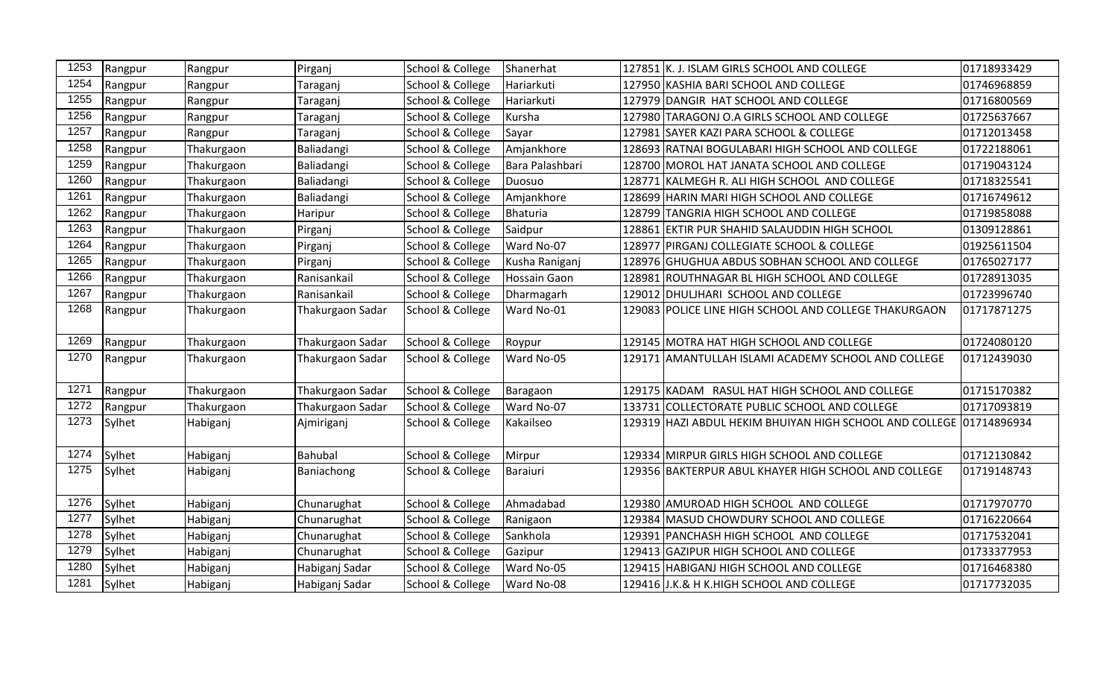| 1253 | Rangpur | Rangpur    | Pirganj          | School & College | Shanerhat       |        | 127851 K. J. ISLAM GIRLS SCHOOL AND COLLEGE                           | 01718933429 |
|------|---------|------------|------------------|------------------|-----------------|--------|-----------------------------------------------------------------------|-------------|
| 1254 | Rangpur | Rangpur    | Taraganj         | School & College | Hariarkuti      |        | 127950 KASHIA BARI SCHOOL AND COLLEGE                                 | 01746968859 |
| 1255 | Rangpur | Rangpur    | Taraganj         | School & College | Hariarkuti      |        | 127979 DANGIR HAT SCHOOL AND COLLEGE                                  | 01716800569 |
| 1256 | Rangpur | Rangpur    | Taraganj         | School & College | Kursha          |        | 127980 TARAGONJ O.A GIRLS SCHOOL AND COLLEGE                          | 01725637667 |
| 1257 | Rangpur | Rangpur    | Taraganj         | School & College | Sayar           |        | 127981 SAYER KAZI PARA SCHOOL & COLLEGE                               | 01712013458 |
| 1258 | Rangpur | Thakurgaon | Baliadangi       | School & College | Amjankhore      |        | 128693 RATNAI BOGULABARI HIGH SCHOOL AND COLLEGE                      | 01722188061 |
| 1259 | Rangpur | Thakurgaon | Baliadangi       | School & College | Bara Palashbari |        | 128700 MOROL HAT JANATA SCHOOL AND COLLEGE                            | 01719043124 |
| 1260 | Rangpur | Thakurgaon | Baliadangi       | School & College | Duosuo          |        | 128771 KALMEGH R. ALI HIGH SCHOOL AND COLLEGE                         | 01718325541 |
| 1261 | Rangpur | Thakurgaon | Baliadangi       | School & College | Amjankhore      | 128699 | HARIN MARI HIGH SCHOOL AND COLLEGE                                    | 01716749612 |
| 1262 | Rangpur | Thakurgaon | Haripur          | School & College | Bhaturia        |        | 128799 TANGRIA HIGH SCHOOL AND COLLEGE                                | 01719858088 |
| 1263 | Rangpur | Thakurgaon | Pirganj          | School & College | Saidpur         |        | 128861 EKTIR PUR SHAHID SALAUDDIN HIGH SCHOOL                         | 01309128861 |
| 1264 | Rangpur | Thakurgaon | Pirganj          | School & College | Ward No-07      |        | 128977 PIRGANJ COLLEGIATE SCHOOL & COLLEGE                            | 01925611504 |
| 1265 | Rangpur | Thakurgaon | Pirganj          | School & College | Kusha Raniganj  |        | 128976 GHUGHUA ABDUS SOBHAN SCHOOL AND COLLEGE                        | 01765027177 |
| 1266 | Rangpur | Thakurgaon | Ranisankail      | School & College | Hossain Gaon    |        | 128981 ROUTHNAGAR BL HIGH SCHOOL AND COLLEGE                          | 01728913035 |
| 1267 | Rangpur | Thakurgaon | Ranisankail      | School & College | Dharmagarh      |        | 129012 DHULJHARI SCHOOL AND COLLEGE                                   | 01723996740 |
| 1268 | Rangpur | Thakurgaon | Thakurgaon Sadar | School & College | Ward No-01      |        | 129083 POLICE LINE HIGH SCHOOL AND COLLEGE THAKURGAON                 | 01717871275 |
| 1269 | Rangpur | Thakurgaon | Thakurgaon Sadar | School & College | Roypur          |        | 129145 MOTRA HAT HIGH SCHOOL AND COLLEGE                              | 01724080120 |
| 1270 | Rangpur | Thakurgaon | Thakurgaon Sadar | School & College | Ward No-05      |        | 129171  AMANTULLAH ISLAMI ACADEMY SCHOOL AND COLLEGE                  | 01712439030 |
| 1271 | Rangpur | Thakurgaon | Thakurgaon Sadar | School & College | Baragaon        |        | 129175 KADAM RASUL HAT HIGH SCHOOL AND COLLEGE                        | 01715170382 |
| 1272 | Rangpur | Thakurgaon | Thakurgaon Sadar | School & College | Ward No-07      |        | 133731 COLLECTORATE PUBLIC SCHOOL AND COLLEGE                         | 01717093819 |
| 1273 | Sylhet  | Habiganj   | Ajmiriganj       | School & College | Kakailseo       |        | 129319  HAZI ABDUL HEKIM BHUIYAN HIGH SCHOOL AND COLLEGE  01714896934 |             |
| 1274 | Sylhet  | Habiganj   | Bahubal          | School & College | Mirpur          |        | 129334 MIRPUR GIRLS HIGH SCHOOL AND COLLEGE                           | 01712130842 |
| 1275 | Sylhet  | Habiganj   | Baniachong       | School & College | Baraiuri        |        | 129356 BAKTERPUR ABUL KHAYER HIGH SCHOOL AND COLLEGE                  | 01719148743 |
| 1276 | Sylhet  | Habiganj   | Chunarughat      | School & College | Ahmadabad       |        | 129380 AMUROAD HIGH SCHOOL AND COLLEGE                                | 01717970770 |
| 1277 | Sylhet  | Habiganj   | Chunarughat      | School & College | Ranigaon        |        | 129384  MASUD CHOWDURY SCHOOL AND COLLEGE                             | 01716220664 |
| 1278 | Sylhet  | Habiganj   | Chunarughat      | School & College | Sankhola        |        | 129391 PANCHASH HIGH SCHOOL AND COLLEGE                               | 01717532041 |
| 1279 | Sylhet  | Habiganj   | Chunarughat      | School & College | Gazipur         |        | 129413 GAZIPUR HIGH SCHOOL AND COLLEGE                                | 01733377953 |
| 1280 | Sylhet  | Habiganj   | Habiganj Sadar   | School & College | Ward No-05      |        | 129415 HABIGANJ HIGH SCHOOL AND COLLEGE                               | 01716468380 |
| 1281 | Sylhet  | Habiganj   | Habiganj Sadar   | School & College | Ward No-08      |        | 129416 J.K.& H K.HIGH SCHOOL AND COLLEGE                              | 01717732035 |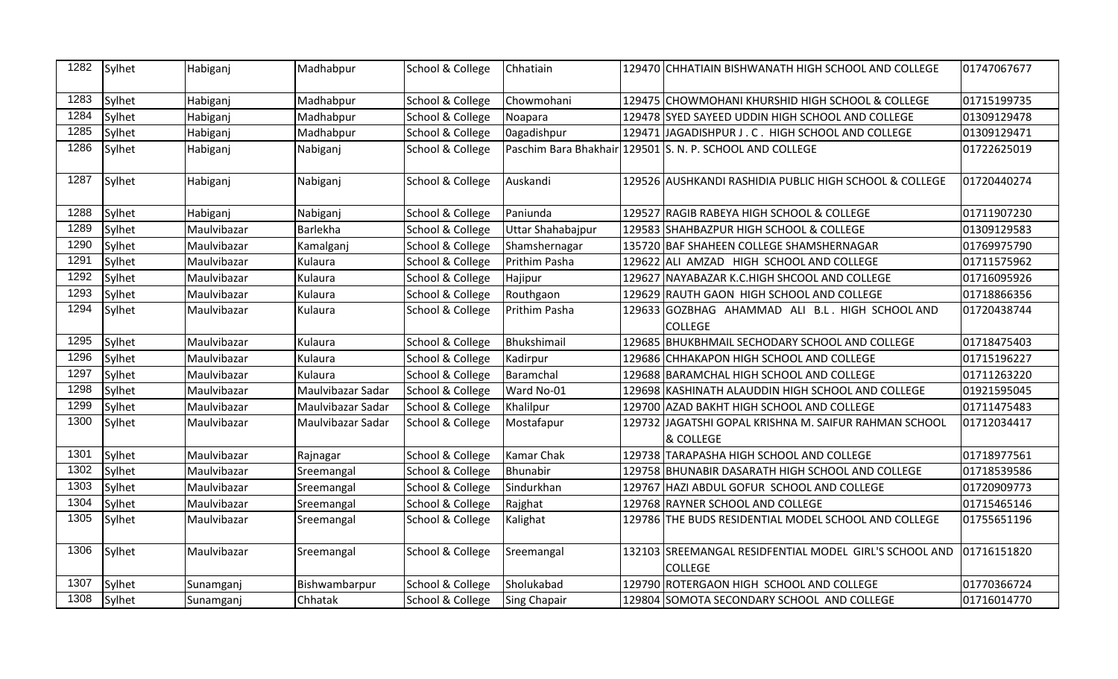| 1282 | Sylhet | Habiganj    | Madhabpur         | School & College | Chhatiain           |        | 129470 CHHATIAIN BISHWANATH HIGH SCHOOL AND COLLEGE                      | 01747067677 |
|------|--------|-------------|-------------------|------------------|---------------------|--------|--------------------------------------------------------------------------|-------------|
| 1283 | Sylhet | Habiganj    | Madhabpur         | School & College | Chowmohani          |        | 129475 CHOWMOHANI KHURSHID HIGH SCHOOL & COLLEGE                         | 01715199735 |
| 1284 | Sylhet | Habiganj    | Madhabpur         | School & College | Noapara             |        | 129478 SYED SAYEED UDDIN HIGH SCHOOL AND COLLEGE                         | 01309129478 |
| 1285 | Sylhet | Habiganj    | Madhabpur         | School & College | Oagadishpur         |        | 129471 JAGADISHPUR J. C. HIGH SCHOOL AND COLLEGE                         | 01309129471 |
| 1286 | Sylhet | Habiganj    | Nabiganj          | School & College |                     |        | Paschim Bara Bhakhair 129501 S. N. P. SCHOOL AND COLLEGE                 | 01722625019 |
| 1287 | Sylhet | Habiganj    | Nabiganj          | School & College | Auskandi            |        | 129526 AUSHKANDI RASHIDIA PUBLIC HIGH SCHOOL & COLLEGE                   | 01720440274 |
| 1288 | Sylhet | Habiganj    | Nabiganj          | School & College | Paniunda            |        | 129527 RAGIB RABEYA HIGH SCHOOL & COLLEGE                                | 01711907230 |
| 1289 | Sylhet | Maulvibazar | Barlekha          | School & College | Uttar Shahabajpur   |        | 129583 SHAHBAZPUR HIGH SCHOOL & COLLEGE                                  | 01309129583 |
| 1290 | Sylhet | Maulvibazar | Kamalganj         | School & College | Shamshernagar       |        | 135720 BAF SHAHEEN COLLEGE SHAMSHERNAGAR                                 | 01769975790 |
| 1291 | Sylhet | Maulvibazar | Kulaura           | School & College | Prithim Pasha       |        | 129622 ALI AMZAD HIGH SCHOOL AND COLLEGE                                 | 01711575962 |
| 1292 | Sylhet | Maulvibazar | Kulaura           | School & College | Hajipur             | 129627 | NAYABAZAR K.C.HIGH SHCOOL AND COLLEGE                                    | 01716095926 |
| 1293 | Sylhet | Maulvibazar | Kulaura           | School & College | Routhgaon           |        | 129629 RAUTH GAON HIGH SCHOOL AND COLLEGE                                | 01718866356 |
| 1294 | Sylhet | Maulvibazar | Kulaura           | School & College | Prithim Pasha       |        | 129633 GOZBHAG AHAMMAD ALI B.L. HIGH SCHOOL AND<br><b>COLLEGE</b>        | 01720438744 |
| 1295 | Sylhet | Maulvibazar | Kulaura           | School & College | Bhukshimail         |        | 129685 BHUKBHMAIL SECHODARY SCHOOL AND COLLEGE                           | 01718475403 |
| 1296 | Sylhet | Maulvibazar | Kulaura           | School & College | Kadirpur            |        | 129686 CHHAKAPON HIGH SCHOOL AND COLLEGE                                 | 01715196227 |
| 1297 | Sylhet | Maulvibazar | Kulaura           | School & College | Baramchal           |        | 129688 BARAMCHAL HIGH SCHOOL AND COLLEGE                                 | 01711263220 |
| 1298 | Sylhet | Maulvibazar | Maulvibazar Sadar | School & College | Ward No-01          |        | 129698 KASHINATH ALAUDDIN HIGH SCHOOL AND COLLEGE                        | 01921595045 |
| 1299 | Sylhet | Maulvibazar | Maulvibazar Sadar | School & College | Khalilpur           |        | 129700 AZAD BAKHT HIGH SCHOOL AND COLLEGE                                | 01711475483 |
| 1300 | Sylhet | Maulvibazar | Maulvibazar Sadar | School & College | Mostafapur          |        | 129732 JAGATSHI GOPAL KRISHNA M. SAIFUR RAHMAN SCHOOL<br>& COLLEGE       | 01712034417 |
| 1301 | Sylhet | Maulvibazar | Rajnagar          | School & College | Kamar Chak          |        | 129738 TARAPASHA HIGH SCHOOL AND COLLEGE                                 | 01718977561 |
| 1302 | Sylhet | Maulvibazar | Sreemangal        | School & College | Bhunabir            |        | 129758 BHUNABIR DASARATH HIGH SCHOOL AND COLLEGE                         | 01718539586 |
| 1303 | Sylhet | Maulvibazar | Sreemangal        | School & College | Sindurkhan          |        | 129767 HAZI ABDUL GOFUR SCHOOL AND COLLEGE                               | 01720909773 |
| 1304 | Sylhet | Maulvibazar | Sreemangal        | School & College | Rajghat             |        | 129768 RAYNER SCHOOL AND COLLEGE                                         | 01715465146 |
| 1305 | Sylhet | Maulvibazar | Sreemangal        | School & College | Kalighat            |        | 129786 THE BUDS RESIDENTIAL MODEL SCHOOL AND COLLEGE                     | 01755651196 |
| 1306 | Sylhet | Maulvibazar | Sreemangal        | School & College | Sreemangal          |        | 132103 SREEMANGAL RESIDFENTIAL MODEL GIRL'S SCHOOL AND<br><b>COLLEGE</b> | 01716151820 |
| 1307 | Sylhet | Sunamganj   | Bishwambarpur     | School & College | Sholukabad          |        | 129790 ROTERGAON HIGH SCHOOL AND COLLEGE                                 | 01770366724 |
| 1308 | Sylhet | Sunamganj   | Chhatak           | School & College | <b>Sing Chapair</b> |        | 129804 SOMOTA SECONDARY SCHOOL AND COLLEGE                               | 01716014770 |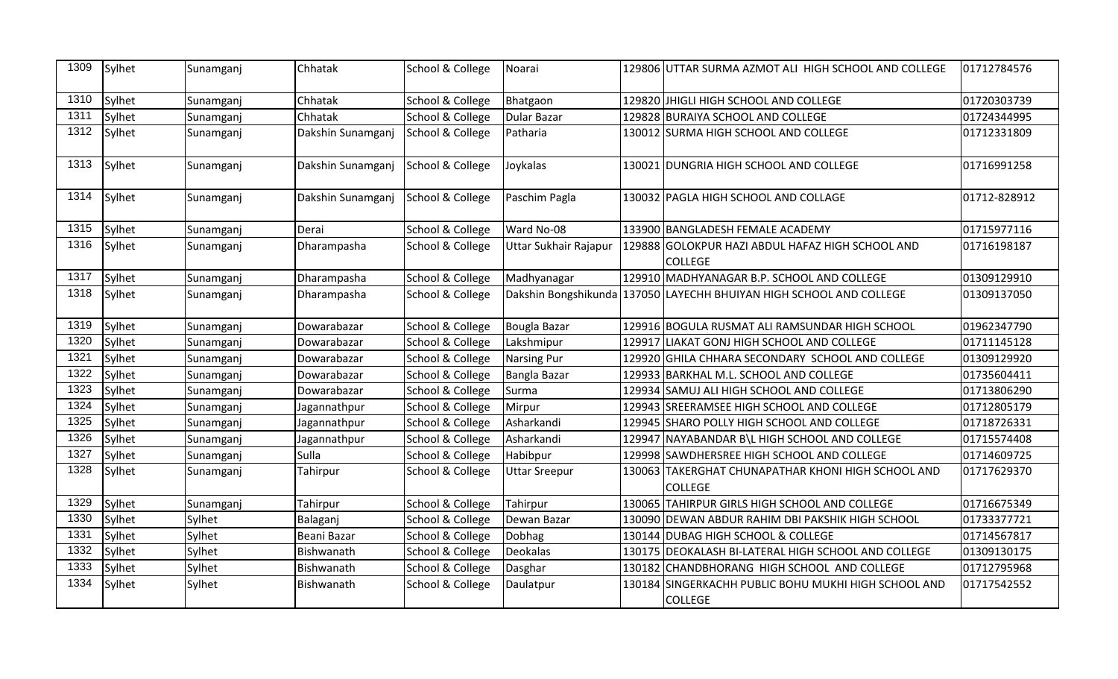| Sylhet | Sunamganj | Chhatak           | School & College | Noarai                                                                                         |          |                | 01712784576                                                                                                                                                                                                                                                                                                                                                                                                                                                                                                                                                                                                                                                                                                                                                                                                                                                                                                                                                                                                                                                                                                                                                                                                                                                                                      |
|--------|-----------|-------------------|------------------|------------------------------------------------------------------------------------------------|----------|----------------|--------------------------------------------------------------------------------------------------------------------------------------------------------------------------------------------------------------------------------------------------------------------------------------------------------------------------------------------------------------------------------------------------------------------------------------------------------------------------------------------------------------------------------------------------------------------------------------------------------------------------------------------------------------------------------------------------------------------------------------------------------------------------------------------------------------------------------------------------------------------------------------------------------------------------------------------------------------------------------------------------------------------------------------------------------------------------------------------------------------------------------------------------------------------------------------------------------------------------------------------------------------------------------------------------|
| Sylhet | Sunamganj | Chhatak           |                  |                                                                                                |          |                | 01720303739                                                                                                                                                                                                                                                                                                                                                                                                                                                                                                                                                                                                                                                                                                                                                                                                                                                                                                                                                                                                                                                                                                                                                                                                                                                                                      |
| Sylhet | Sunamganj | Chhatak           | School & College | Dular Bazar                                                                                    |          |                | 01724344995                                                                                                                                                                                                                                                                                                                                                                                                                                                                                                                                                                                                                                                                                                                                                                                                                                                                                                                                                                                                                                                                                                                                                                                                                                                                                      |
| Sylhet | Sunamganj | Dakshin Sunamganj |                  | Patharia                                                                                       |          |                | 01712331809                                                                                                                                                                                                                                                                                                                                                                                                                                                                                                                                                                                                                                                                                                                                                                                                                                                                                                                                                                                                                                                                                                                                                                                                                                                                                      |
| Sylhet | Sunamganj | Dakshin Sunamganj |                  | Joykalas                                                                                       |          |                | 01716991258                                                                                                                                                                                                                                                                                                                                                                                                                                                                                                                                                                                                                                                                                                                                                                                                                                                                                                                                                                                                                                                                                                                                                                                                                                                                                      |
| Sylhet | Sunamganj |                   |                  | Paschim Pagla                                                                                  |          |                | 01712-828912                                                                                                                                                                                                                                                                                                                                                                                                                                                                                                                                                                                                                                                                                                                                                                                                                                                                                                                                                                                                                                                                                                                                                                                                                                                                                     |
| Sylhet | Sunamganj | Derai             | School & College | Ward No-08                                                                                     |          |                | 01715977116                                                                                                                                                                                                                                                                                                                                                                                                                                                                                                                                                                                                                                                                                                                                                                                                                                                                                                                                                                                                                                                                                                                                                                                                                                                                                      |
| Sylhet | Sunamganj | Dharampasha       | School & College | Uttar Sukhair Rajapur                                                                          |          | <b>COLLEGE</b> | 01716198187                                                                                                                                                                                                                                                                                                                                                                                                                                                                                                                                                                                                                                                                                                                                                                                                                                                                                                                                                                                                                                                                                                                                                                                                                                                                                      |
| Sylhet | Sunamganj | Dharampasha       | School & College | Madhyanagar                                                                                    |          |                | 01309129910                                                                                                                                                                                                                                                                                                                                                                                                                                                                                                                                                                                                                                                                                                                                                                                                                                                                                                                                                                                                                                                                                                                                                                                                                                                                                      |
| Sylhet | Sunamganj | Dharampasha       | School & College |                                                                                                |          |                | 01309137050                                                                                                                                                                                                                                                                                                                                                                                                                                                                                                                                                                                                                                                                                                                                                                                                                                                                                                                                                                                                                                                                                                                                                                                                                                                                                      |
| Sylhet | Sunamganj | Dowarabazar       | School & College | Bougla Bazar                                                                                   |          |                | 01962347790                                                                                                                                                                                                                                                                                                                                                                                                                                                                                                                                                                                                                                                                                                                                                                                                                                                                                                                                                                                                                                                                                                                                                                                                                                                                                      |
| Sylhet | Sunamganj | Dowarabazar       | School & College | Lakshmipur                                                                                     |          |                | 01711145128                                                                                                                                                                                                                                                                                                                                                                                                                                                                                                                                                                                                                                                                                                                                                                                                                                                                                                                                                                                                                                                                                                                                                                                                                                                                                      |
| Sylhet | Sunamganj | Dowarabazar       | School & College | <b>Narsing Pur</b>                                                                             |          |                | 01309129920                                                                                                                                                                                                                                                                                                                                                                                                                                                                                                                                                                                                                                                                                                                                                                                                                                                                                                                                                                                                                                                                                                                                                                                                                                                                                      |
| Sylhet | Sunamganj | Dowarabazar       | School & College | Bangla Bazar                                                                                   |          |                | 01735604411                                                                                                                                                                                                                                                                                                                                                                                                                                                                                                                                                                                                                                                                                                                                                                                                                                                                                                                                                                                                                                                                                                                                                                                                                                                                                      |
| Sylhet | Sunamganj | Dowarabazar       | School & College | Surma                                                                                          |          |                | 01713806290                                                                                                                                                                                                                                                                                                                                                                                                                                                                                                                                                                                                                                                                                                                                                                                                                                                                                                                                                                                                                                                                                                                                                                                                                                                                                      |
| Sylhet | Sunamganj | Jagannathpur      | School & College | Mirpur                                                                                         |          |                | 01712805179                                                                                                                                                                                                                                                                                                                                                                                                                                                                                                                                                                                                                                                                                                                                                                                                                                                                                                                                                                                                                                                                                                                                                                                                                                                                                      |
| Sylhet | Sunamganj | Jagannathpur      | School & College | Asharkandi                                                                                     |          |                | 01718726331                                                                                                                                                                                                                                                                                                                                                                                                                                                                                                                                                                                                                                                                                                                                                                                                                                                                                                                                                                                                                                                                                                                                                                                                                                                                                      |
| Sylhet | Sunamganj | Jagannathpur      | School & College | Asharkandi                                                                                     |          |                | 01715574408                                                                                                                                                                                                                                                                                                                                                                                                                                                                                                                                                                                                                                                                                                                                                                                                                                                                                                                                                                                                                                                                                                                                                                                                                                                                                      |
| Sylhet | Sunamganj | Sulla             | School & College | Habibpur                                                                                       |          |                | 01714609725                                                                                                                                                                                                                                                                                                                                                                                                                                                                                                                                                                                                                                                                                                                                                                                                                                                                                                                                                                                                                                                                                                                                                                                                                                                                                      |
| Sylhet | Sunamganj | Tahirpur          | School & College | <b>Uttar Sreepur</b>                                                                           |          | <b>COLLEGE</b> | 01717629370                                                                                                                                                                                                                                                                                                                                                                                                                                                                                                                                                                                                                                                                                                                                                                                                                                                                                                                                                                                                                                                                                                                                                                                                                                                                                      |
| Sylhet | Sunamganj | Tahirpur          | School & College | Tahirpur                                                                                       |          |                | 01716675349                                                                                                                                                                                                                                                                                                                                                                                                                                                                                                                                                                                                                                                                                                                                                                                                                                                                                                                                                                                                                                                                                                                                                                                                                                                                                      |
| Sylhet | Sylhet    | Balaganj          | School & College | Dewan Bazar                                                                                    |          |                | 01733377721                                                                                                                                                                                                                                                                                                                                                                                                                                                                                                                                                                                                                                                                                                                                                                                                                                                                                                                                                                                                                                                                                                                                                                                                                                                                                      |
| Sylhet | Sylhet    | Beani Bazar       | School & College | Dobhag                                                                                         |          |                | 01714567817                                                                                                                                                                                                                                                                                                                                                                                                                                                                                                                                                                                                                                                                                                                                                                                                                                                                                                                                                                                                                                                                                                                                                                                                                                                                                      |
| Sylhet | Sylhet    | Bishwanath        | School & College | Deokalas                                                                                       |          |                | 01309130175                                                                                                                                                                                                                                                                                                                                                                                                                                                                                                                                                                                                                                                                                                                                                                                                                                                                                                                                                                                                                                                                                                                                                                                                                                                                                      |
| Sylhet | Sylhet    | Bishwanath        | School & College | Dasghar                                                                                        |          |                | 01712795968                                                                                                                                                                                                                                                                                                                                                                                                                                                                                                                                                                                                                                                                                                                                                                                                                                                                                                                                                                                                                                                                                                                                                                                                                                                                                      |
| Sylhet | Sylhet    | Bishwanath        | School & College | Daulatpur                                                                                      |          |                | 01717542552                                                                                                                                                                                                                                                                                                                                                                                                                                                                                                                                                                                                                                                                                                                                                                                                                                                                                                                                                                                                                                                                                                                                                                                                                                                                                      |
|        |           |                   |                  | School & College<br>School & College<br>School & College<br>Dakshin Sunamganj School & College | Bhatgaon |                | 129806 UTTAR SURMA AZMOT ALI HIGH SCHOOL AND COLLEGE<br>129820 JHIGLI HIGH SCHOOL AND COLLEGE<br>129828 BURAIYA SCHOOL AND COLLEGE<br>130012 SURMA HIGH SCHOOL AND COLLEGE<br>130021 DUNGRIA HIGH SCHOOL AND COLLEGE<br>130032 PAGLA HIGH SCHOOL AND COLLAGE<br>133900 BANGLADESH FEMALE ACADEMY<br>129888 GOLOKPUR HAZI ABDUL HAFAZ HIGH SCHOOL AND<br>129910 MADHYANAGAR B.P. SCHOOL AND COLLEGE<br>Dakshin Bongshikunda   137050 LAYECHH BHUIYAN HIGH SCHOOL AND COLLEGE<br>129916 BOGULA RUSMAT ALI RAMSUNDAR HIGH SCHOOL<br>129917 LIAKAT GONJ HIGH SCHOOL AND COLLEGE<br>129920 GHILA CHHARA SECONDARY SCHOOL AND COLLEGE<br>129933 BARKHAL M.L. SCHOOL AND COLLEGE<br>129934 SAMUJ ALI HIGH SCHOOL AND COLLEGE<br>129943 SREERAMSEE HIGH SCHOOL AND COLLEGE<br>129945 SHARO POLLY HIGH SCHOOL AND COLLEGE<br>129947 NAYABANDAR B\L HIGH SCHOOL AND COLLEGE<br>129998 SAWDHERSREE HIGH SCHOOL AND COLLEGE<br>130063 TAKERGHAT CHUNAPATHAR KHONI HIGH SCHOOL AND<br>130065 TAHIRPUR GIRLS HIGH SCHOOL AND COLLEGE<br>130090 DEWAN ABDUR RAHIM DBI PAKSHIK HIGH SCHOOL<br>130144 DUBAG HIGH SCHOOL & COLLEGE<br>130175 DEOKALASH BI-LATERAL HIGH SCHOOL AND COLLEGE<br>130182 CHANDBHORANG HIGH SCHOOL AND COLLEGE<br>130184 SINGERKACHH PUBLIC BOHU MUKHI HIGH SCHOOL AND<br><b>COLLEGE</b> |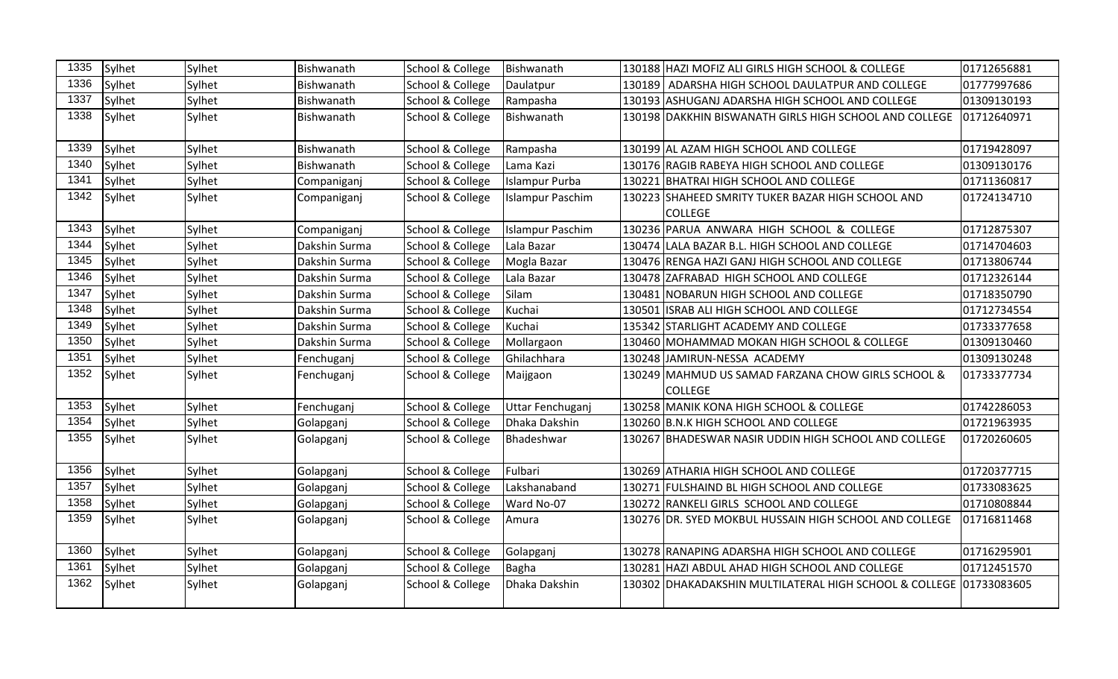| 1335 | Sylhet | Sylhet | Bishwanath    | School & College | Bishwanath              |        | 130188 HAZI MOFIZ ALI GIRLS HIGH SCHOOL & COLLEGE                    | 01712656881 |
|------|--------|--------|---------------|------------------|-------------------------|--------|----------------------------------------------------------------------|-------------|
| 1336 | Sylhet | Sylhet | Bishwanath    | School & College | Daulatpur               | 130189 | ADARSHA HIGH SCHOOL DAULATPUR AND COLLEGE                            | 01777997686 |
| 1337 | Sylhet | Sylhet | Bishwanath    | School & College | Rampasha                |        | 130193 ASHUGANJ ADARSHA HIGH SCHOOL AND COLLEGE                      | 01309130193 |
| 1338 | Sylhet | Sylhet | Bishwanath    | School & College | Bishwanath              |        | 130198 DAKKHIN BISWANATH GIRLS HIGH SCHOOL AND COLLEGE               | 01712640971 |
| 1339 | Sylhet | Sylhet | Bishwanath    | School & College | Rampasha                |        | 130199 AL AZAM HIGH SCHOOL AND COLLEGE                               | 01719428097 |
| 1340 | Sylhet | Sylhet | Bishwanath    | School & College | Lama Kazi               |        | 130176 RAGIB RABEYA HIGH SCHOOL AND COLLEGE                          | 01309130176 |
| 1341 | Sylhet | Sylhet | Companiganj   | School & College | <b>Islampur Purba</b>   |        | 130221 BHATRAI HIGH SCHOOL AND COLLEGE                               | 01711360817 |
| 1342 | Sylhet | Sylhet | Companiganj   | School & College | <b>Islampur Paschim</b> |        | 130223 SHAHEED SMRITY TUKER BAZAR HIGH SCHOOL AND<br><b>COLLEGE</b>  | 01724134710 |
| 1343 | Sylhet | Sylhet | Companiganj   | School & College | <b>Islampur Paschim</b> |        | 130236 PARUA ANWARA HIGH SCHOOL & COLLEGE                            | 01712875307 |
| 1344 | Sylhet | Sylhet | Dakshin Surma | School & College | Lala Bazar              |        | 130474 LALA BAZAR B.L. HIGH SCHOOL AND COLLEGE                       | 01714704603 |
| 1345 | Sylhet | Sylhet | Dakshin Surma | School & College | Mogla Bazar             |        | 130476 RENGA HAZI GANJ HIGH SCHOOL AND COLLEGE                       | 01713806744 |
| 1346 | Sylhet | Sylhet | Dakshin Surma | School & College | Lala Bazar              |        | 130478 ZAFRABAD HIGH SCHOOL AND COLLEGE                              | 01712326144 |
| 1347 | Sylhet | Sylhet | Dakshin Surma | School & College | Silam                   |        | 130481 NOBARUN HIGH SCHOOL AND COLLEGE                               | 01718350790 |
| 1348 | Sylhet | Sylhet | Dakshin Surma | School & College | Kuchai                  |        | 130501 ISRAB ALI HIGH SCHOOL AND COLLEGE                             | 01712734554 |
| 1349 | Sylhet | Sylhet | Dakshin Surma | School & College | Kuchai                  |        | 135342 STARLIGHT ACADEMY AND COLLEGE                                 | 01733377658 |
| 1350 | Sylhet | Sylhet | Dakshin Surma | School & College | Mollargaon              |        | 130460 MOHAMMAD MOKAN HIGH SCHOOL & COLLEGE                          | 01309130460 |
| 1351 | Sylhet | Sylhet | Fenchuganj    | School & College | Ghilachhara             |        | 130248 JAMIRUN-NESSA ACADEMY                                         | 01309130248 |
| 1352 | Sylhet | Sylhet | Fenchuganj    | School & College | Maijgaon                |        | 130249 MAHMUD US SAMAD FARZANA CHOW GIRLS SCHOOL &<br><b>COLLEGE</b> | 01733377734 |
| 1353 | Sylhet | Sylhet | Fenchuganj    | School & College | Uttar Fenchuganj        |        | 130258 MANIK KONA HIGH SCHOOL & COLLEGE                              | 01742286053 |
| 1354 | Sylhet | Sylhet | Golapganj     | School & College | Dhaka Dakshin           |        | 130260 B.N.K HIGH SCHOOL AND COLLEGE                                 | 01721963935 |
| 1355 | Sylhet | Sylhet | Golapganj     | School & College | Bhadeshwar              |        | 130267 BHADESWAR NASIR UDDIN HIGH SCHOOL AND COLLEGE                 | 01720260605 |
| 1356 | Sylhet | Sylhet | Golapganj     | School & College | Fulbari                 |        | 130269 ATHARIA HIGH SCHOOL AND COLLEGE                               | 01720377715 |
| 1357 | Sylhet | Sylhet | Golapganj     | School & College | Lakshanaband            |        | 130271 FULSHAIND BL HIGH SCHOOL AND COLLEGE                          | 01733083625 |
| 1358 | Sylhet | Sylhet | Golapganj     | School & College | Ward No-07              |        | 130272 RANKELI GIRLS SCHOOL AND COLLEGE                              | 01710808844 |
| 1359 | Sylhet | Sylhet | Golapganj     | School & College | Amura                   |        | 130276 DR. SYED MOKBUL HUSSAIN HIGH SCHOOL AND COLLEGE               | 01716811468 |
| 1360 | Sylhet | Sylhet | Golapganj     | School & College | Golapganj               |        | 130278 RANAPING ADARSHA HIGH SCHOOL AND COLLEGE                      | 01716295901 |
| 1361 | Sylhet | Sylhet | Golapganj     | School & College | Bagha                   |        | 130281 HAZI ABDUL AHAD HIGH SCHOOL AND COLLEGE                       | 01712451570 |
| 1362 | Sylhet | Sylhet | Golapganj     | School & College | Dhaka Dakshin           |        | 130302 DHAKADAKSHIN MULTILATERAL HIGH SCHOOL & COLLEGE 01733083605   |             |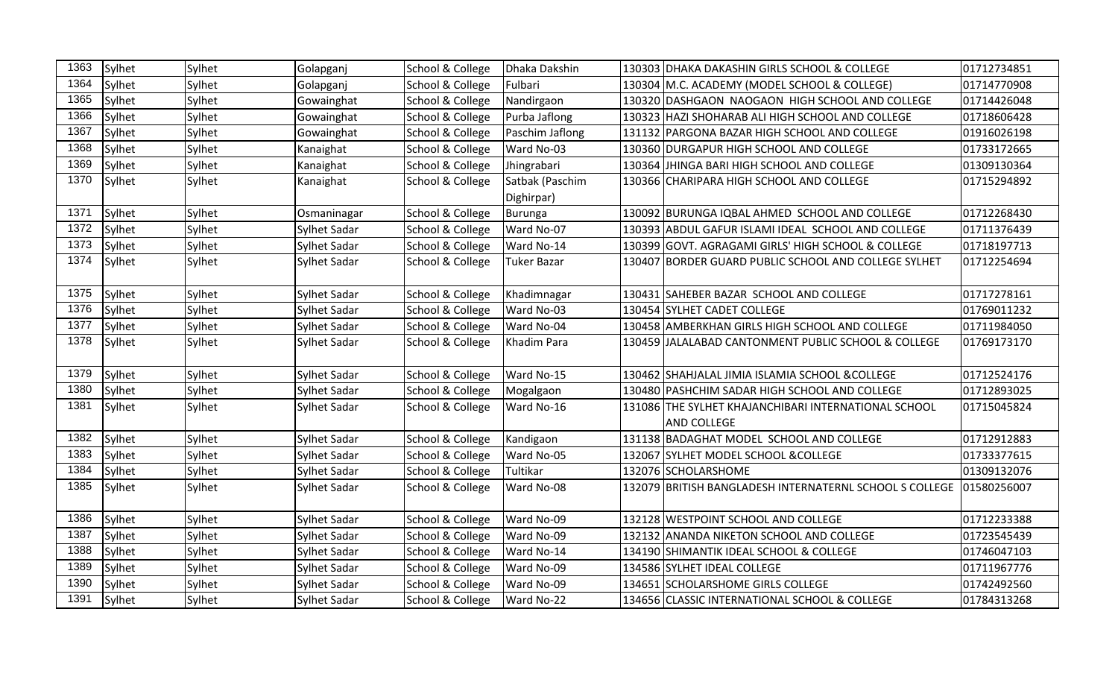| 1363 | Sylhet | Sylhet | Golapganj           | School & College | Dhaka Dakshin      | 130303 DHAKA DAKASHIN GIRLS SCHOOL & COLLEGE                        | 01712734851 |
|------|--------|--------|---------------------|------------------|--------------------|---------------------------------------------------------------------|-------------|
| 1364 | Sylhet | Sylhet | Golapganj           | School & College | Fulbari            | 130304 M.C. ACADEMY (MODEL SCHOOL & COLLEGE)                        | 01714770908 |
| 1365 | Sylhet | Sylhet | Gowainghat          | School & College | Nandirgaon         | 130320 DASHGAON NAOGAON HIGH SCHOOL AND COLLEGE                     | 01714426048 |
| 1366 | Sylhet | Sylhet | Gowainghat          | School & College | Purba Jaflong      | 130323 HAZI SHOHARAB ALI HIGH SCHOOL AND COLLEGE                    | 01718606428 |
| 1367 | Sylhet | Sylhet | Gowainghat          | School & College | Paschim Jaflong    | 131132 PARGONA BAZAR HIGH SCHOOL AND COLLEGE                        | 01916026198 |
| 1368 | Sylhet | Sylhet | Kanaighat           | School & College | Ward No-03         | 130360 DURGAPUR HIGH SCHOOL AND COLLEGE                             | 01733172665 |
| 1369 | Sylhet | Sylhet | Kanaighat           | School & College | Jhingrabari        | 130364 JIHINGA BARI HIGH SCHOOL AND COLLEGE                         | 01309130364 |
| 1370 | Sylhet | Sylhet | Kanaighat           | School & College | Satbak (Paschim    | 130366 CHARIPARA HIGH SCHOOL AND COLLEGE                            | 01715294892 |
|      |        |        |                     |                  | Dighirpar)         |                                                                     |             |
| 1371 | Sylhet | Sylhet | Osmaninagar         | School & College | Burunga            | 130092 BURUNGA IQBAL AHMED SCHOOL AND COLLEGE                       | 01712268430 |
| 1372 | Sylhet | Sylhet | Sylhet Sadar        | School & College | Ward No-07         | 130393 ABDUL GAFUR ISLAMI IDEAL SCHOOL AND COLLEGE                  | 01711376439 |
| 1373 | Sylhet | Sylhet | Sylhet Sadar        | School & College | Ward No-14         | 130399 GOVT. AGRAGAMI GIRLS' HIGH SCHOOL & COLLEGE                  | 01718197713 |
| 1374 | Sylhet | Sylhet | Sylhet Sadar        | School & College | <b>Tuker Bazar</b> | 130407 BORDER GUARD PUBLIC SCHOOL AND COLLEGE SYLHET                | 01712254694 |
|      |        |        |                     |                  |                    |                                                                     |             |
| 1375 | Sylhet | Sylhet | Sylhet Sadar        | School & College | Khadimnagar        | 130431 SAHEBER BAZAR SCHOOL AND COLLEGE                             | 01717278161 |
| 1376 | Sylhet | Sylhet | Sylhet Sadar        | School & College | Ward No-03         | 130454 SYLHET CADET COLLEGE                                         | 01769011232 |
| 1377 | Sylhet | Sylhet | Sylhet Sadar        | School & College | Ward No-04         | 130458 AMBERKHAN GIRLS HIGH SCHOOL AND COLLEGE                      | 01711984050 |
| 1378 | Sylhet | Sylhet | Sylhet Sadar        | School & College | Khadim Para        | 130459 JJALALABAD CANTONMENT PUBLIC SCHOOL & COLLEGE                | 01769173170 |
|      |        |        |                     |                  |                    |                                                                     |             |
| 1379 | Sylhet | Sylhet | Sylhet Sadar        | School & College | Ward No-15         | 130462 SHAHJALAL JIMIA ISLAMIA SCHOOL & COLLEGE                     | 01712524176 |
| 1380 | Sylhet | Sylhet | Sylhet Sadar        | School & College | Mogalgaon          | 130480 PASHCHIM SADAR HIGH SCHOOL AND COLLEGE                       | 01712893025 |
| 1381 | Sylhet | Sylhet | Sylhet Sadar        | School & College | Ward No-16         | 131086 THE SYLHET KHAJANCHIBARI INTERNATIONAL SCHOOL                | 01715045824 |
|      |        |        |                     |                  |                    | <b>AND COLLEGE</b>                                                  |             |
| 1382 | Sylhet | Sylhet | Sylhet Sadar        | School & College | Kandigaon          | 131138 BADAGHAT MODEL SCHOOL AND COLLEGE                            | 01712912883 |
| 1383 | Sylhet | Sylhet | Sylhet Sadar        | School & College | Ward No-05         | 132067 SYLHET MODEL SCHOOL & COLLEGE                                | 01733377615 |
| 1384 | Sylhet | Sylhet | Sylhet Sadar        | School & College | Tultikar           | 132076 SCHOLARSHOME                                                 | 01309132076 |
| 1385 | Sylhet | Sylhet | Sylhet Sadar        | School & College | Ward No-08         | 132079 BRITISH BANGLADESH INTERNATERNL SCHOOL S COLLEGE 01580256007 |             |
|      |        |        |                     |                  |                    |                                                                     |             |
| 1386 | Sylhet | Sylhet | Sylhet Sadar        | School & College | Ward No-09         | 132128 WESTPOINT SCHOOL AND COLLEGE                                 | 01712233388 |
| 1387 | Sylhet | Sylhet | Sylhet Sadar        | School & College | Ward No-09         | 132132 ANANDA NIKETON SCHOOL AND COLLEGE                            | 01723545439 |
| 1388 | Sylhet | Sylhet | Sylhet Sadar        | School & College | Ward No-14         | 134190 SHIMANTIK IDEAL SCHOOL & COLLEGE                             | 01746047103 |
| 1389 | Sylhet | Sylhet | Sylhet Sadar        | School & College | Ward No-09         | 134586 SYLHET IDEAL COLLEGE                                         | 01711967776 |
| 1390 | Sylhet | Sylhet | Sylhet Sadar        | School & College | Ward No-09         | 134651 SCHOLARSHOME GIRLS COLLEGE                                   | 01742492560 |
| 1391 | Sylhet | Sylhet | <b>Sylhet Sadar</b> | School & College | Ward No-22         | 134656 CLASSIC INTERNATIONAL SCHOOL & COLLEGE                       | 01784313268 |